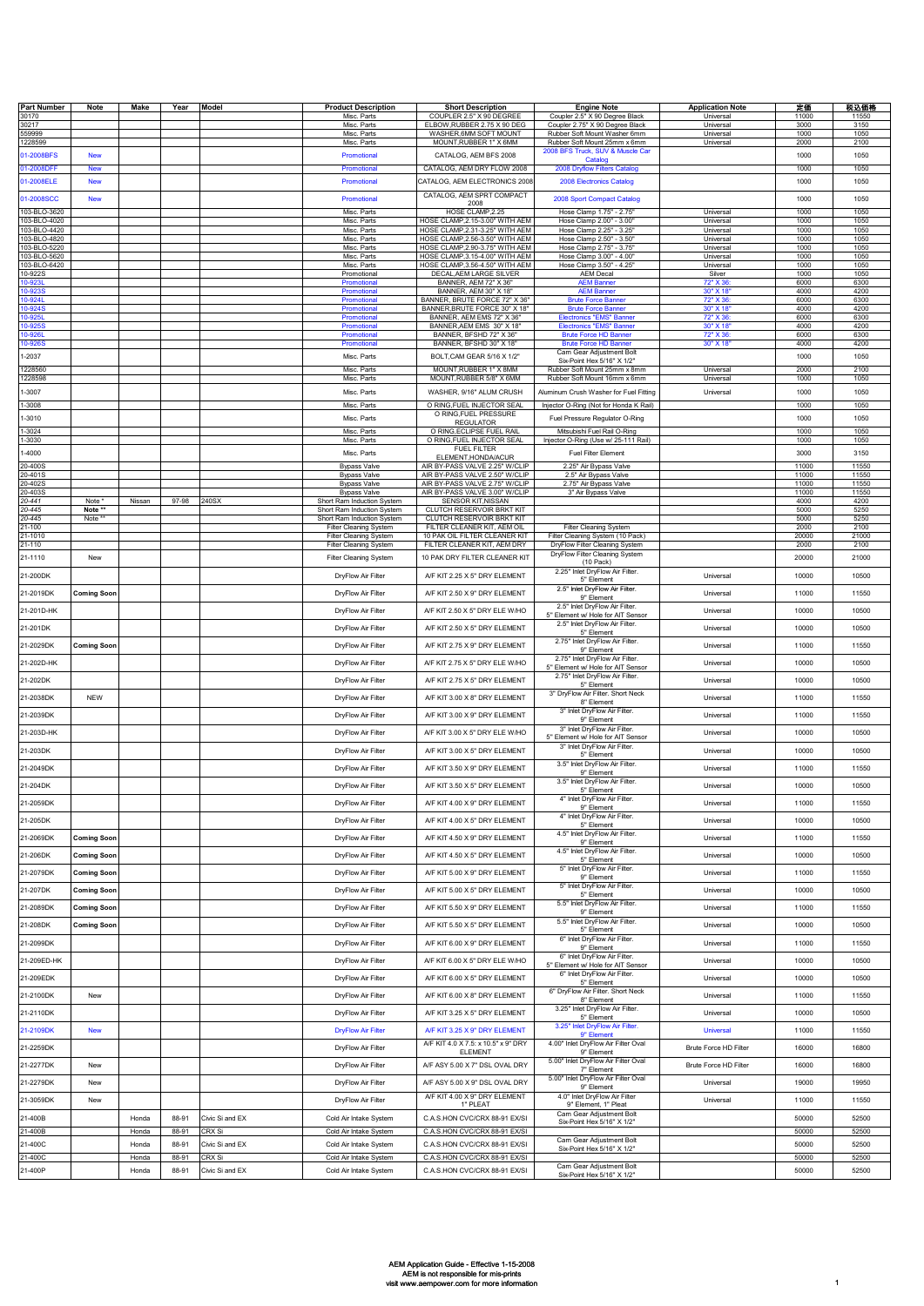| <b>Part Number</b>           | Note                         | Make   | Year  | <b>Model</b>    | <b>Product Description</b>                               | <b>Short Description</b>                                           | <b>Engine Note</b>                                                   | <b>Application Note</b> | 定価             | 税込価格           |
|------------------------------|------------------------------|--------|-------|-----------------|----------------------------------------------------------|--------------------------------------------------------------------|----------------------------------------------------------------------|-------------------------|----------------|----------------|
| 30170<br>30217               |                              |        |       |                 | Misc. Parts<br>Misc. Parts                               | COUPLER 2.5" X 90 DEGREE<br>ELBOW, RUBBER 2.75 X 90 DEG            | Coupler 2.5" X 90 Degree Black<br>Coupler 2.75" X 90 Degree Black    | Universal<br>Universal  | 11000<br>3000  | 11550<br>3150  |
| 59999                        |                              |        |       |                 | Misc. Parts                                              | WASHER, 6MM SOFT MOUNT                                             | Rubber Soft Mount Washer 6mm                                         | Universa                | 1000           | 1050           |
| 228599                       |                              |        |       |                 | Misc. Parts                                              | MOUNT, RUBBER 1" X 6MM                                             | Rubber Soft Mount 25mm x 6mm                                         | Universal               | 2000           | 2100           |
| 1-2008BFS                    | <b>New</b>                   |        |       |                 | Promotional                                              | CATALOG, AEM BFS 2008                                              | 2008 BFS Truck, SUV & Muscle Car<br>Catalog                          |                         | 1000           | 1050           |
| 01-2008DFF                   | <b>New</b>                   |        |       |                 | Promotional                                              | CATALOG, AEM DRY FLOW 2008                                         | 2008 Dryflow Filters Catalog                                         |                         | 1000           | 1050           |
| 01-2008ELE                   | <b>New</b>                   |        |       |                 | Promotional                                              | CATALOG, AEM ELECTRONICS 2008                                      | 2008 Electronics Catalog                                             |                         | 1000           | 1050           |
| 01-2008SCC                   | <b>New</b>                   |        |       |                 | Promotional                                              | CATALOG. AEM SPRT COMPACT<br>2008                                  | 2008 Sport Compact Catalog                                           |                         | 1000           | 1050           |
| 103-BLO-3620                 |                              |        |       |                 | Misc. Parts                                              | HOSE CLAMP, 2.25                                                   | Hose Clamp 1.75" - 2.75"                                             | Universal               | 1000           | 1050           |
| 03-BLO-4020<br>103-BLO-4420  |                              |        |       |                 | Misc. Parts<br>Misc. Parts                               | HOSE CLAMP, 2.15-3.00" WITH AEM<br>HOSE CLAMP, 2.31-3.25" WITH AEM | Hose Clamp 2.00" - 3.00"<br>Hose Clamp 2.25" - 3.25"                 | Universal<br>Universal  | 1000<br>1000   | 1050<br>1050   |
| 103-BLO-4820<br>103-BLO-5220 |                              |        |       |                 | Misc. Parts<br>Misc. Parts                               | HOSE CLAMP, 2.56-3.50" WITH AEM<br>HOSE CLAMP, 2.90-3.75" WITH AEM | Hose Clamp 2.50" - 3.50"<br>Hose Clamp 2.75" - 3.75"                 | Universal<br>Universal  | 1000<br>1000   | 1050<br>1050   |
| 103-BLO-5620                 |                              |        |       |                 | Misc. Parts                                              | HOSE CLAMP, 3.15-4.00" WITH AEM                                    | Hose Clamp 3.00" - 4.00"                                             | Universa                | 1000           | 1050           |
| 103-BLO-6420<br>10-922S      |                              |        |       |                 | Misc. Parts<br>Promotional                               | HOSE CLAMP, 3.56-4.50" WITH AEM<br>DECAL, AEM LARGE SILVER         | Hose Clamp 3.50" - 4.25"<br><b>AEM Decal</b>                         | Universal<br>Silver     | 1000<br>1000   | 1050<br>1050   |
| 0-923L                       |                              |        |       |                 | Promotional                                              | BANNER, AEM 72" X 36"                                              | <b>AEM Banner</b>                                                    | 72" X 36                | 6000           | 6300           |
| 0-923S<br>0-924L             |                              |        |       |                 | Promotiona<br>Promotional                                | BANNER, AEM 30" X 18"<br>BANNER, BRUTE FORCE 72" X 36"             | <b>AEM Banner</b><br><b>Brute Force Banner</b>                       | 30" X 18<br>72" X 36:   | 4000<br>6000   | 4200<br>6300   |
| 0-924S                       |                              |        |       |                 | Promotiona                                               | BANNER, BRUTE FORCE 30" X 18"                                      | <b>Brute Force Banner</b>                                            | 30" X 18"               | 4000           | 4200           |
| 0-925L<br>0-925S             |                              |        |       |                 | Promotiona<br>Promotiona                                 | BANNER, AEM EMS 72" X 36"<br>BANNER, AEM EMS 30" X 18"             | <b>Electronics "EMS" Banner</b><br><b>Electronics "EMS" Banner</b>   | 72" X 36:<br>30" X 18'  | 6000<br>4000   | 6300<br>4200   |
| 0-926S                       |                              |        |       |                 | Promotiona<br>Promotiona                                 | BANNER, BFSHD 72" X 36"<br>BANNER, BFSHD 30" X 18"                 | <b>Brute Force HD Banner</b><br><b>Brute Force HD Banner</b>         | 72" X 36<br>30" X 18    | 6000<br>4000   | 6300<br>4200   |
| $-2037$                      |                              |        |       |                 | Misc. Parts                                              | BOLT, CAM GEAR 5/16 X 1/2"                                         | Cam Gear Adjustment Bolt                                             |                         | 1000           | 1050           |
| 228560                       |                              |        |       |                 | Misc. Parts                                              | MOUNT, RUBBER 1" X 8MM                                             | Six-Point Hex 5/16" X 1/2"<br>Rubber Soft Mount 25mm x 8mm           | Universal               | 2000           | 2100           |
| 1228598                      |                              |        |       |                 | Misc. Parts                                              | MOUNT, RUBBER 5/8" X 6MM                                           | Rubber Soft Mount 16mm x 6mm                                         | Universal               | 1000           | 1050           |
| $-3007$                      |                              |        |       |                 | Misc. Parts                                              | WASHER, 9/16" ALUM CRUSH                                           | Aluminum Crush Washer for Fuel Fitting                               | Universal               | 1000           | 1050           |
| $-3008$                      |                              |        |       |                 | Misc. Parts                                              | O RING, FUEL INJECTOR SEAL<br>O RING,FUEL PRESSURE                 | Injector O-Ring (Not for Honda K Rail)                               |                         | 1000           | 1050           |
| $-3010$                      |                              |        |       |                 | Misc. Parts                                              | <b>REGULATOR</b>                                                   | Fuel Pressure Regulator O-Ring                                       |                         | 1000           | 1050           |
| $-3024$<br>$-3030$           |                              |        |       |                 | Misc. Parts<br>Misc. Parts                               | O RING ECLIPSE FUEL RAIL<br>O RING, FUEL INJECTOR SEAL             | Mitsubishi Fuel Rail O-Ring<br>Injector O-Ring (Use w/ 25-111 Rail)  |                         | 1000<br>1000   | 1050<br>1050   |
| $-4000$                      |                              |        |       |                 | Misc. Parts                                              | <b>FUEL FILTER</b><br>ELEMENT, HONDA/ACUR                          | Fuel Filter Element                                                  |                         | 3000           | 3150           |
| 20-400S                      |                              |        |       |                 | <b>Bypass Valve</b>                                      | AIR BY-PASS VALVE 2.25" W/CLIP                                     | 2.25" Air Bypass Valve                                               |                         | 11000          | 11550          |
| 20-401S<br>20-402S           |                              |        |       |                 | <b>Bypass Valve</b><br><b>Bypass Valve</b>               | AIR BY-PASS VALVE 2.50" W/CLIP<br>AIR BY-PASS VALVE 2.75" W/CLIP   | 2.5" Air Bypass Valve<br>2.75" Air Bypass Valve                      |                         | 11000<br>11000 | 11550<br>11550 |
| 20-403S                      |                              |        |       |                 | <b>Bypass Valve</b>                                      | AIR BY-PASS VALVE 3.00" W/CLIP                                     | 3" Air Bypass Valve                                                  |                         | 11000          | 11550          |
| $0 - 441$<br>$0 - 445$       | Note <sup>®</sup><br>Note ** | Nissan | 97-98 | 240SX           | Short Ram Induction System<br>Short Ram Induction System | SENSOR KIT, NISSAN<br>CLUTCH RESERVOIR BRKT KIT                    |                                                                      |                         | 4000<br>5000   | 4200<br>5250   |
| $0 - 445$<br>21-100          | Note **                      |        |       |                 | Short Ram Induction System<br>Filter Cleaning System     | CLUTCH RESERVOIR BRKT KIT<br>FILTER CLEANER KIT, AEM OIL           | Filter Cleaning System                                               |                         | 5000<br>2000   | 5250<br>2100   |
| $1 - 1010$                   |                              |        |       |                 | <b>Filter Cleaning System</b>                            | 10 PAK OIL FILTER CLEANER KIT                                      | Filter Cleaning System (10 Pack)                                     |                         | 20000          | 21000          |
| 1-110                        |                              |        |       |                 | Filter Cleaning System                                   | FILTER CLEANER KIT, AEM DRY                                        | DryFlow Filter Cleaning System<br>DryFlow Filter Cleaning System     |                         | 2000           | 2100           |
| 21-1110                      | New                          |        |       |                 | <b>Filter Cleaning System</b>                            | 10 PAK DRY FILTER CLEANER KIT                                      | (10 Pack)<br>2.25" Inlet DryFlow Air Filter.                         |                         | 20000          | 21000          |
| 21-200DK                     |                              |        |       |                 | DryFlow Air Filter                                       | A/F KIT 2.25 X 5" DRY ELEMENT                                      | 5" Element                                                           | Universal               | 10000          | 10500          |
| 21-2019DK                    | <b>Coming Soon</b>           |        |       |                 | DryFlow Air Filter                                       | A/F KIT 2.50 X 9" DRY ELEMENT                                      | 2.5" Inlet DryFlow Air Filter.<br>9" Element                         | Universal               | 11000          | 11550          |
| 21-201D-HK                   |                              |        |       |                 | DryFlow Air Filter                                       | A/F KIT 2.50 X 5" DRY ELE W/HO                                     | 2.5" Inlet DryFlow Air Filter.<br>5" Element w/ Hole for AIT Sensor  | Universal               | 10000          | 10500          |
| 21-201DK                     |                              |        |       |                 | DryFlow Air Filter                                       | A/F KIT 2.50 X 5" DRY ELEMENT                                      | 2.5" Inlet DryFlow Air Filter.                                       | Universal               | 10000          | 10500          |
|                              |                              |        |       |                 |                                                          |                                                                    | 5" Element<br>2.75" Inlet DryFlow Air Filter.                        |                         |                |                |
| 21-2029DK                    | <b>Coming Soon</b>           |        |       |                 | DryFlow Air Filter                                       | A/F KIT 2.75 X 9" DRY ELEMENT                                      | 9" Element                                                           | Universal               | 11000          | 11550          |
| 21-202D-HK                   |                              |        |       |                 | DryFlow Air Filter                                       | A/F KIT 2.75 X 5" DRY ELE W/HO                                     | 2.75" Inlet DryFlow Air Filter.<br>5" Element w/ Hole for AIT Sensor | Universal               | 10000          | 10500          |
| 21-202DK                     |                              |        |       |                 | DryFlow Air Filter                                       | A/F KIT 2.75 X 5" DRY ELEMENT                                      | 2.75" Inlet DryFlow Air Filter.<br>5" Element                        | Universal               | 10000          | 10500          |
| 21-2038DK                    | <b>NEW</b>                   |        |       |                 | DryFlow Air Filter                                       | A/F KIT 3.00 X 8" DRY ELEMENT                                      | 3" DryFlow Air Filter. Short Neck                                    | Universal               | 11000          | 11550          |
| 21-2039DK                    |                              |        |       |                 | DryFlow Air Filter                                       | A/F KIT 3.00 X 9" DRY ELEMENT                                      | 8" Element<br>3" Inlet DryFlow Air Filter.                           | Universal               | 11000          | 11550          |
|                              |                              |        |       |                 |                                                          |                                                                    | 9" Element<br>3" Inlet DryFlow Air Filter.                           |                         |                |                |
| 21-203D-HK                   |                              |        |       |                 | DryFlow Air Filter                                       | A/F KIT 3.00 X 5" DRY ELE W/HO                                     | 5" Element w/ Hole for AIT Sensor                                    | Universal               | 10000          | 10500          |
| 21-203DK                     |                              |        |       |                 | DryFlow Air Filter                                       | A/F KIT 3.00 X 5" DRY ELEMENT                                      | 3" Inlet DryFlow Air Filter.<br>5" Element                           | Universal               | 10000          | 10500          |
| 21-2049DK                    |                              |        |       |                 | DryFlow Air Filter                                       | A/F KIT 3.50 X 9" DRY ELEMENT                                      | 3.5" Inlet DryFlow Air Filter.<br>9" Element                         | Universal               | 11000          | 11550          |
| 21-204DK                     |                              |        |       |                 | DryFlow Air Filter                                       | A/F KIT 3.50 X 5" DRY ELEMENT                                      | 3.5" Inlet DryFlow Air Filter.                                       | Universal               | 10000          | 10500          |
|                              |                              |        |       |                 |                                                          |                                                                    | 5" Element<br>4" Inlet DryFlow Air Filter.                           |                         |                |                |
| 21-2059DK                    |                              |        |       |                 | DryFlow Air Filter                                       | A/F KIT 4.00 X 9" DRY ELEMENT                                      | 9" Element<br>4" Inlet DryFlow Air Filter.                           | Universal               | 11000          | 11550          |
| 21-205DK                     |                              |        |       |                 | DryFlow Air Filter                                       | A/F KIT 4.00 X 5" DRY ELEMENT                                      | 5" Element                                                           | Universal               | 10000          | 10500          |
| 21-2069DK                    | <b>Coming Soon</b>           |        |       |                 | DryFlow Air Filter                                       | A/F KIT 4.50 X 9" DRY ELEMENT                                      | 4.5" Inlet DryFlow Air Filter.<br>9" Element                         | Universal               | 11000          | 11550          |
| 21-206DK                     | <b>Coming Soon</b>           |        |       |                 | DryFlow Air Filter                                       | A/F KIT 4.50 X 5" DRY ELEMENT                                      | 4.5" Inlet DryFlow Air Filter.                                       | Universal               | 10000          | 10500          |
| 21-2079DK                    | <b>Coming Soon</b>           |        |       |                 | DryFlow Air Filter                                       | A/F KIT 5.00 X 9" DRY ELEMENT                                      | 5" Element<br>5" Inlet DryFlow Air Filter.                           | Universal               | 11000          | 11550          |
|                              |                              |        |       |                 |                                                          |                                                                    | 9" Element<br>5" Inlet DryFlow Air Filter.                           |                         |                |                |
| 21-207DK                     | <b>Coming Soon</b>           |        |       |                 | DryFlow Air Filter                                       | A/F KIT 5.00 X 5" DRY ELEMENT                                      | 5" Element<br>5.5" Inlet DryFlow Air Filter.                         | Universal               | 10000          | 10500          |
| 21-2089DK                    | <b>Coming Soon</b>           |        |       |                 | DryFlow Air Filter                                       | A/F KIT 5.50 X 9" DRY ELEMENT                                      | 9" Element                                                           | Universal               | 11000          | 11550          |
| 21-208DK                     | <b>Coming Soon</b>           |        |       |                 | DryFlow Air Filter                                       | A/F KIT 5.50 X 5" DRY ELEMENT                                      | 5.5" Inlet DryFlow Air Filter.<br>5" Element                         | Universal               | 10000          | 10500          |
| 21-2099DK                    |                              |        |       |                 | DryFlow Air Filter                                       | A/F KIT 6.00 X 9" DRY ELEMENT                                      | 6" Inlet DryFlow Air Filter.<br>9" Element                           | Universal               | 11000          | 11550          |
| 21-209ED-HK                  |                              |        |       |                 | DryFlow Air Filter                                       | A/F KIT 6.00 X 5" DRY ELE W/HO                                     | 6" Inlet DryFlow Air Filter.                                         | Universal               | 10000          | 10500          |
|                              |                              |        |       |                 |                                                          |                                                                    | 5" Element w/ Hole for AIT Sensor<br>6" Inlet DryFlow Air Filter.    |                         |                |                |
| 21-209EDK                    |                              |        |       |                 | DryFlow Air Filter                                       | A/F KIT 6.00 X 5" DRY ELEMENT                                      | 5" Element<br>6" DryFlow Air Filter. Short Neck                      | Universal               | 10000          | 10500          |
| 21-2100DK                    | New                          |        |       |                 | DryFlow Air Filter                                       | A/F KIT 6.00 X 8" DRY ELEMENT                                      | 8" Element                                                           | Universal               | 11000          | 11550          |
| 21-2110DK                    |                              |        |       |                 | DryFlow Air Filter                                       | A/F KIT 3.25 X 5" DRY ELEMENT                                      | 3.25" Inlet DryFlow Air Filter.<br>5" Element                        | Universal               | 10000          | 10500          |
| 21-2109DK                    | <b>New</b>                   |        |       |                 | <b>DryFlow Air Filter</b>                                | A/F KIT 3.25 X 9" DRY ELEMENT                                      | 3.25" Inlet DryFlow Air Filter.                                      | <b>Universal</b>        | 11000          | 11550          |
|                              |                              |        |       |                 |                                                          | A/F KIT 4.0 X 7.5: x 10.5" x 9" DRY                                | 9" Element<br>4.00" Inlet DryFlow Air Filter Oval                    | Brute Force HD Filter   | 16000          | 16800          |
| 21-2259DK                    |                              |        |       |                 | DryFlow Air Filter                                       | <b>ELEMENT</b>                                                     | 9" Element<br>5.00" Inlet DryFlow Air Filter Oval                    |                         |                |                |
| 21-2277DK                    | New                          |        |       |                 | DryFlow Air Filter                                       | A/F ASY 5.00 X 7" DSL OVAL DRY                                     | 7" Element                                                           | Brute Force HD Filter   | 16000          | 16800          |
| 21-2279DK                    | New                          |        |       |                 | DryFlow Air Filter                                       | A/F ASY 5.00 X 9" DSL OVAL DRY                                     | 5.00" Inlet DryFlow Air Filter Oval<br>9" Element                    | Universal               | 19000          | 19950          |
| 21-3059DK                    | New                          |        |       |                 | DryFlow Air Filter                                       | A/F KIT 4.00 X 9" DRY ELEMENT<br>1" PLEAT                          | 4.0" Inlet DryFlow Air Filter<br>9" Element, 1" Pleat                | Universal               | 11000          | 11550          |
| 21-400B                      |                              | Honda  | 88-91 | Civic Si and EX | Cold Air Intake System                                   | C.A.S.HON CVC/CRX 88-91 EX/SI                                      | Cam Gear Adjustment Bolt                                             |                         | 50000          | 52500          |
| 21-400B                      |                              | Honda  | 88-91 | CRX Si          | Cold Air Intake System                                   | C.A.S.HON CVC/CRX 88-91 EX/SI                                      | Six-Point Hex 5/16" X 1/2"                                           |                         | 50000          | 52500          |
| 21-400C                      |                              | Honda  | 88-91 | Civic Si and EX | Cold Air Intake System                                   | C.A.S.HON CVC/CRX 88-91 EX/SI                                      | Cam Gear Adjustment Bolt<br>Six-Point Hex 5/16" X 1/2"               |                         | 50000          | 52500          |
| 21-400C                      |                              | Honda  | 88-91 | CRX Si          | Cold Air Intake System                                   | C.A.S.HON CVC/CRX 88-91 EX/SI                                      |                                                                      |                         | 50000          | 52500          |
| 21-400P                      |                              | Honda  | 88-91 | Civic Si and EX | Cold Air Intake System                                   | C.A.S.HON CVC/CRX 88-91 EX/SI                                      | Cam Gear Adjustment Bolt<br>Six-Point Hex 5/16" X 1/2"               |                         | 50000          | 52500          |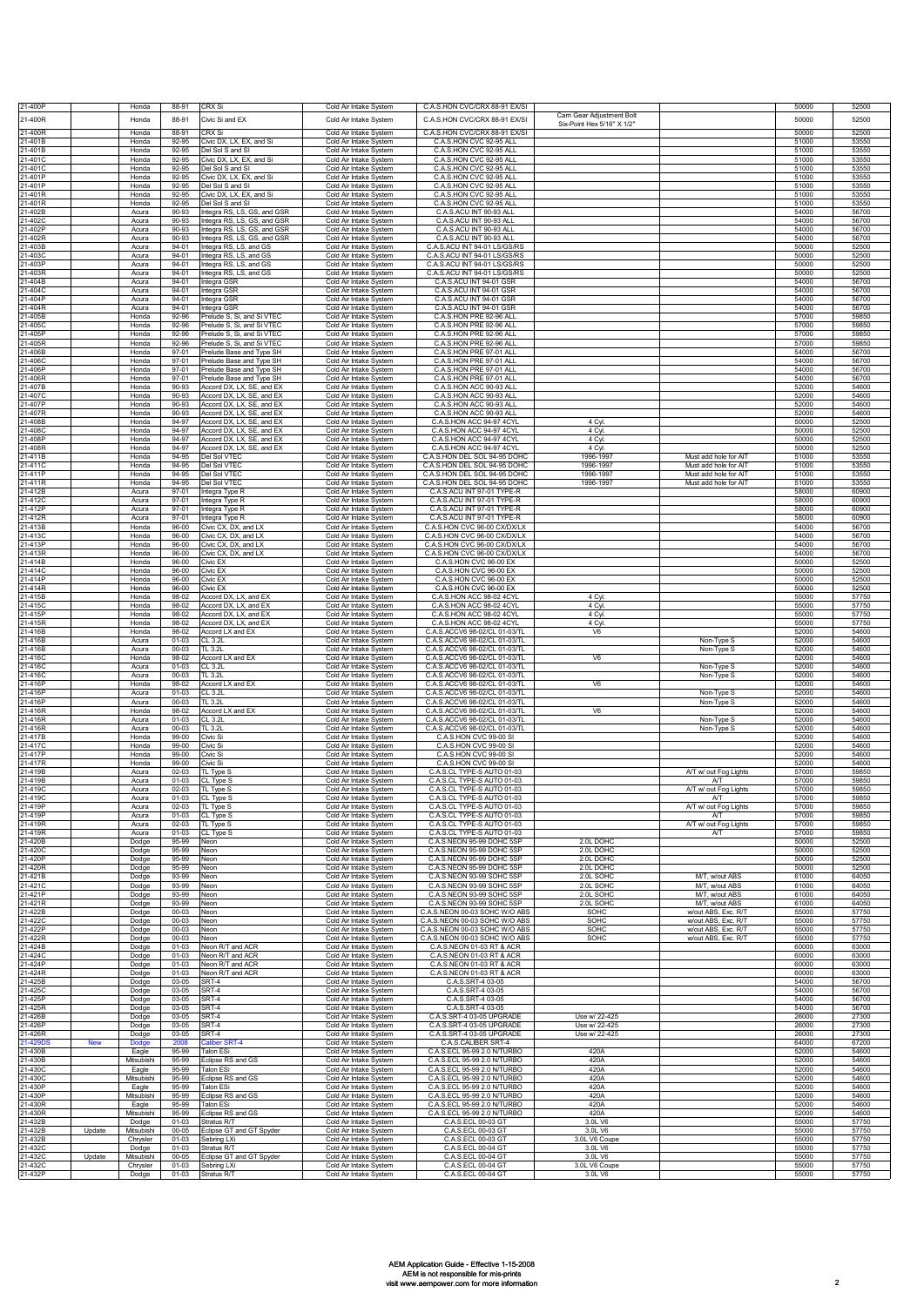| 21-400P                           | Honda               | 88-91                  | CRX Si                                                    | Cold Air Intake System                           | C.A.S.HON CVC/CRX 88-91 EX/SI                                  |                                                        |                                                | 50000          | 52500          |
|-----------------------------------|---------------------|------------------------|-----------------------------------------------------------|--------------------------------------------------|----------------------------------------------------------------|--------------------------------------------------------|------------------------------------------------|----------------|----------------|
| 21-400R                           | Honda               | 88-91                  | Civic Si and EX                                           | Cold Air Intake System                           | C.A.S.HON CVC/CRX 88-91 EX/SI                                  | Cam Gear Adjustment Bolt<br>Six-Point Hex 5/16" X 1/2" |                                                | 50000          | 52500          |
| 21-400R                           | Honda               | 88-91                  | CRX Si                                                    | Cold Air Intake System                           | C.A.S.HON CVC/CRX 88-91 EX/SI                                  |                                                        |                                                | 50000          | 52500          |
| 21-401B                           | Honda               | 92-95                  | Civic DX, LX, EX, and Si                                  | Cold Air Intake System                           | C.A.S.HON CVC 92-95 ALL                                        |                                                        |                                                | 51000          | 53550          |
| 21-401B<br>21-401C                | Honda<br>Honda      | 92-95<br>92-95         | Del Sol S and SI<br>Civic DX, LX, EX, and Si              | Cold Air Intake System                           | C.A.S.HON CVC 92-95 ALL<br>C.A.S.HON CVC 92-95 ALL             |                                                        |                                                | 51000<br>51000 | 53550<br>53550 |
| 1-401C                            | Honda               | 92-95                  | Del Sol S and SI                                          | Cold Air Intake System<br>Cold Air Intake System | C.A.S.HON CVC 92-95 ALL                                        |                                                        |                                                | 51000          | 53550          |
| 21-401P                           | Honda               | 92-95                  | Civic DX, LX, EX, and Si                                  | Cold Air Intake System                           | C.A.S.HON CVC 92-95 ALL                                        |                                                        |                                                | 51000          | 53550          |
| 21-401P<br>!1-401R                | Honda<br>Honda      | 92-95<br>92-95         | Del Sol S and SI<br>Civic DX, LX, EX, and Si              | Cold Air Intake System<br>Cold Air Intake System | C.A.S.HON CVC 92-95 ALL<br>C.A.S.HON CVC 92-95 ALL             |                                                        |                                                | 51000<br>51000 | 53550<br>53550 |
| 1-401R                            | Honda               | 92-95                  | Del Sol S and SI                                          | Cold Air Intake System                           | C.A.S.HON CVC 92-95 ALL                                        |                                                        |                                                | 51000          | 53550          |
| 1-402B<br>21-402C                 | Acura<br>Acura      | 90-93<br>90-93         | ntegra RS, LS, GS, and GSR<br>Integra RS, LS, GS, and GSR | Cold Air Intake System<br>Cold Air Intake System | C.A.S.ACU INT 90-93 ALL<br>C.A.S.ACU INT 90-93 ALL             |                                                        |                                                | 54000<br>54000 | 56700<br>56700 |
| 21-402P                           | Acura               | $90 - 93$              | Integra RS, LS, GS, and GSR                               | Cold Air Intake System                           | C.A.S.ACU INT 90-93 ALL                                        |                                                        |                                                | 54000          | 56700          |
| 1-402R                            | Acura               | 90-93                  | ntegra RS, LS, GS, and GSR                                | Cold Air Intake System                           | C.A.S.ACU INT 90-93 ALL                                        |                                                        |                                                | 54000          | 56700          |
| 21-403B<br>21-403C                | Acura<br>Acura      | $94 - 01$<br>$94 - 01$ | Integra RS, LS, and GS<br>Integra RS, LS, and GS          | Cold Air Intake System<br>Cold Air Intake System | C.A.S.ACU INT 94-01 LS/GS/RS<br>C.A.S.ACU INT 94-01 LS/GS/RS   |                                                        |                                                | 50000<br>50000 | 52500<br>52500 |
| 21-403P                           | Acura               | $94 - 01$              | Integra RS, LS, and GS                                    | Cold Air Intake System                           | C.A.S.ACU INT 94-01 LS/GS/RS                                   |                                                        |                                                | 50000          | 52500          |
| 1-403R<br>1-404B                  | Acura<br>Acura      | $94 - 01$<br>94-01     | ntegra RS, LS, and GS<br>ntegra GSR                       | Cold Air Intake System<br>Cold Air Intake System | C.A.S.ACU INT 94-01 LS/GS/RS<br>C.A.S.ACU INT 94-01 GSR        |                                                        |                                                | 50000<br>54000 | 52500<br>56700 |
| 21-404C                           | Acura               | 94-01                  | ntegra GSR                                                | Cold Air Intake System                           | C.A.S.ACU INT 94-01 GSR                                        |                                                        |                                                | 54000          | 56700          |
| 1-404P<br>21-404R                 | Acura<br>Acura      | $94 - 01$<br>$94 - 01$ | ntegra GSR<br>ntegra GSR                                  | Cold Air Intake System<br>Cold Air Intake System | C.A.S.ACU INT 94-01 GSR<br>C.A.S.ACU INT 94-01 GSR             |                                                        |                                                | 54000<br>54000 | 56700<br>56700 |
| 21-405B                           | Honda               | 92-96                  | Prelude S, Si, and Si VTEC                                | Cold Air Intake System                           | C.A.S.HON PRE 92-96 ALI                                        |                                                        |                                                | 57000          | 59850          |
| 21-405C<br>21-405P                | Honda<br>Honda      | 92-96                  | Prelude S, Si, and Si VTEC                                | Cold Air Intake System<br>Cold Air Intake System | C.A.S.HON PRE 92-96 ALL<br>C.A.S.HON PRE 92-96 ALL             |                                                        |                                                | 57000<br>57000 | 59850<br>59850 |
| 1-405R                            | Honda               | 92-96<br>92-96         | Prelude S, Si, and Si VTEC<br>Prelude S, Si, and Si VTEC  | Cold Air Intake System                           | C.A.S.HON PRE 92-96 ALL                                        |                                                        |                                                | 57000          | 59850          |
| 1-406B                            | Honda               | 97-01                  | Prelude Base and Type SH                                  | Cold Air Intake System                           | C.A.S.HON PRE 97-01 ALL                                        |                                                        |                                                | 54000          | 56700          |
| 1-406C<br>1-406P                  | Honda<br>Honda      | $97 - 01$<br>$97 - 01$ | Prelude Base and Type SH<br>Prelude Base and Type SH      | Cold Air Intake System<br>Cold Air Intake System | C.A.S.HON PRE 97-01 ALL<br>C.A.S.HON PRE 97-01 ALL             |                                                        |                                                | 54000<br>54000 | 56700<br>56700 |
| 1-406R                            | Honda               | $97-01$                | Prelude Base and Type SH                                  | Cold Air Intake System                           | C.A.S.HON PRE 97-01 ALL                                        |                                                        |                                                | 54000          | 56700          |
| 1-407B<br>21-407C                 | Honda<br>Honda      | 90-93<br>90-93         | Accord DX, LX, SE, and EX<br>Accord DX, LX, SE, and EX    | Cold Air Intake System<br>Cold Air Intake System | C.A.S.HON ACC 90-93 ALI<br>C.A.S.HON ACC 90-93 ALL             |                                                        |                                                | 52000<br>52000 | 54600<br>54600 |
| 21-407P                           | Honda               | 90-93                  | Accord DX, LX, SE, and EX                                 | Cold Air Intake System                           | C.A.S.HON ACC 90-93 ALL                                        |                                                        |                                                | 52000          | 54600          |
| 21-407R<br>1-408B                 | Honda<br>Honda      | $90-93$<br>94-97       | Accord DX, LX, SE, and EX<br>Accord DX, LX, SE, and EX    | Cold Air Intake System<br>Cold Air Intake System | C.A.S.HON ACC 90-93 ALL<br>C.A.S.HON ACC 94-97 4CYL            | 4 Cyl.                                                 |                                                | 52000<br>50000 | 54600<br>52500 |
| 21-408C                           | Honda               | 94-97                  | Accord DX, LX, SE, and EX                                 | Cold Air Intake System                           | C.A.S.HON ACC 94-97 4CYL                                       | 4 Cyl                                                  |                                                | 50000          | 52500          |
| 21-408P<br>1-408R                 | Honda<br>Honda      | 94-97<br>94-97         | Accord DX, LX, SE, and EX<br>Accord DX, LX, SE, and EX    | Cold Air Intake System                           | C.A.S.HON ACC 94-97 4CYL<br>C.A.S.HON ACC 94-97 4CYL           | 4 Cyl<br>4 Cyl.                                        |                                                | 50000<br>50000 | 52500<br>52500 |
| 21-411B                           | Honda               | 94-95                  | Del Sol VTEC                                              | Cold Air Intake System<br>Cold Air Intake System | C.A.S.HON DEL SOL 94-95 DOHC                                   | 1996-1997                                              | Must add hole for AIT                          | 51000          | 53550          |
| 21-411C                           | Honda               | 94-95                  | Del Sol VTEC                                              | Cold Air Intake System                           | C.A.S.HON DEL SOL 94-95 DOHC                                   | 1996-1997                                              | Must add hole for AIT                          | 51000          | 53550          |
| 21-411P<br>21-411R                | Honda<br>Honda      | 94-95<br>94-95         | Del Sol VTEC<br>Del Sol VTEC                              | Cold Air Intake System<br>Cold Air Intake System | C.A.S.HON DEL SOL 94-95 DOHC<br>C.A.S.HON DEL SOL 94-95 DOHC   | 1996-1997<br>1996-1997                                 | Must add hole for AIT<br>Must add hole for AIT | 51000<br>51000 | 53550<br>53550 |
| 21-412B                           | Acura               | $97 - 01$              | Integra Type R                                            | Cold Air Intake System                           | C.A.S.ACU INT 97-01 TYPE-R                                     |                                                        |                                                | 58000          | 60900          |
| 1-412C<br>21-412P                 | Acura<br>Acura      | 97-01<br>$97 - 01$     | ntegra Type R<br>ntegra Type R                            | Cold Air Intake System<br>Cold Air Intake System | C.A.S.ACU INT 97-01 TYPE-R<br>C.A.S.ACU INT 97-01 TYPE-R       |                                                        |                                                | 58000<br>58000 | 60900<br>60900 |
| 1-412R                            | Acura               | $97 - 01$              | ntegra Type R                                             | Cold Air Intake System                           | C.A.S.ACU INT 97-01 TYPE-R                                     |                                                        |                                                | 58000          | 60900          |
| 21-413B<br>21-413C                | Honda<br>Honda      | $96 - 00$<br>$96 - 00$ | Civic CX, DX, and LX<br>Civic CX, DX, and LX              | Cold Air Intake System<br>Cold Air Intake System | C.A.S.HON CVC 96-00 CX/DX/LX<br>C.A.S.HON CVC 96-00 CX/DX/LX   |                                                        |                                                | 54000<br>54000 | 56700<br>56700 |
| 21-413P                           | Honda               | 96-00                  | Civic CX, DX, and LX                                      | Cold Air Intake System                           | C.A.S.HON CVC 96-00 CX/DX/LX                                   |                                                        |                                                | 54000          | 56700          |
| 21-413R<br>1-414B                 | Honda<br>Honda      | $96 - 00$<br>$96 - 00$ | Civic CX, DX, and LX<br>Civic EX                          | Cold Air Intake System<br>Cold Air Intake System | C.A.S.HON CVC 96-00 CX/DX/LX<br>C.A.S.HON CVC 96-00 EX         |                                                        |                                                | 54000<br>50000 | 56700<br>52500 |
| 1-414C                            | Honda               | 96-00                  | Civic EX                                                  | Cold Air Intake System                           | C.A.S.HON CVC 96-00 EX                                         |                                                        |                                                | 50000          | 52500          |
| 21-414P<br>21-414R                | Honda<br>Honda      | 96-00<br>96-00         | Civic EX<br>Civic EX                                      | Cold Air Intake System<br>Cold Air Intake System | C.A.S.HON CVC 96-00 EX<br>C.A.S.HON CVC 96-00 EX               |                                                        |                                                | 50000<br>50000 | 52500<br>52500 |
| 1-415B                            | Honda               | 98-02                  | Accord DX, LX, and EX                                     | Cold Air Intake System                           | C.A.S.HON ACC 98-02 4CYL                                       | 4 Cvl.                                                 |                                                | 55000          | 57750          |
| 21-415C<br>21-415P                | Honda<br>Honda      | 98-02<br>98-02         | Accord DX, LX, and EX<br>Accord DX, LX, and EX            | Cold Air Intake System<br>Cold Air Intake System | C.A.S.HON ACC 98-02 4CYL<br>C.A.S.HON ACC 98-02 4CYL           | 4 Cyl.<br>4 Cyl.                                       |                                                | 55000<br>55000 | 57750<br>57750 |
| 21-415R                           | Honda               | 98-02                  | Accord DX, LX, and EX                                     | Cold Air Intake System                           | C.A.S.HON ACC 98-02 4CYL                                       | 4 Cyl.                                                 |                                                | 55000          | 57750          |
| 21-416B<br>1-416B                 | Honda<br>Acura      | 98-02<br>$01 - 03$     | Accord LX and EX<br>CL 3.2L                               | Cold Air Intake System<br>Cold Air Intake System | C.A.S.ACCV6 98-02/CL 01-03/TL<br>C.A.S.ACCV6 98-02/CL 01-03/TL | V6                                                     | Non-Type S                                     | 52000<br>52000 | 54600<br>54600 |
| 1-416B                            | Acura               | 00-03                  | TL 3.2L                                                   | Cold Air Intake System                           | C.A.S.ACCV6 98-02/CL 01-03/TL                                  |                                                        | Non-Type S                                     | 52000          | 54600          |
| 21-416C<br>1-416C                 | Honda<br>Acura      | 98-02<br>$01 - 03$     | <b>Accord LX and EX</b><br>CL 3.2L                        | Cold Air Intake System<br>Cold Air Intake System | C.A.S.ACCV6 98-02/CL 01-03/TL<br>C.A.S.ACCV6 98-02/CL 01-03/TL | V6                                                     |                                                | 52000<br>52000 | 54600<br>54600 |
| 21-416C                           | Acura               | $00 - 03$              | TL 3.2L                                                   | Cold Air Intake System                           | C.A.S.ACCV6 98-02/CL 01-03/TL                                  |                                                        | Non-Type S<br>Non-Type S                       | 52000          | 54600          |
| 21-416P<br>21-416P                | Honda<br>Acura      | 98-02<br>$01 - 03$     | Accord LX and EX<br>CL 3.2L                               | Cold Air Intake System<br>Cold Air Intake System | C.A.S.ACCV6 98-02/CL 01-03/TL<br>C.A.S.ACCV6 98-02/CL 01-03/TL | V <sub>6</sub>                                         | Non-Type S                                     | 52000<br>52000 | 54600<br>54600 |
| 21-416P                           | Acura               | $00 - 03$              | TL 3.2L                                                   | Cold Air Intake System                           | C.A.S.ACCV6 98-02/CL 01-03/TL                                  |                                                        | Non-Type S                                     | 52000          | 54600          |
| 1-416R<br>1-416R                  | Honda               | 98-02                  | Accord LX and EX                                          | Cold Air Intake System                           | C.A.S.ACCV6 98-02/CL 01-03/TL                                  | V <sub>6</sub>                                         |                                                | 52000          | 54600<br>54600 |
| 21-416R                           | Acura<br>Acura      | $01 - 03$<br>00-03     | CL 3.2L<br>TL 3.2L                                        | Cold Air Intake System<br>Cold Air Intake System | C.A.S.ACCV6 98-02/CL 01-03/TL<br>C.A.S.ACCV6 98-02/CL 01-03/TL |                                                        | Non-Type S<br>Non-Type S                       | 52000<br>52000 | 54600          |
| 21-417B                           | Honda               | 99-00<br>99-00         | Civic Si                                                  | Cold Air Intake System                           | C.A.S.HON CVC 99-00 SI                                         |                                                        |                                                | 52000          | 54600<br>54600 |
| 21-417C<br>21-417P                | Honda<br>Honda      | 99-00                  | Civic Si<br>Civic Si                                      | Cold Air Intake System<br>Cold Air Intake System | C.A.S.HON CVC 99-00 SI<br>C.A.S.HON CVC 99-00 SI               |                                                        |                                                | 52000<br>52000 | 54600          |
| 21-417R                           | Honda               | 99-00                  | Civic Si                                                  | Cold Air Intake System                           | C.A.S.HON CVC 99-00 SI                                         |                                                        |                                                | 52000          | 54600          |
| 21-419B<br>21-419B                | Acura<br>Acura      | $02 - 03$<br>$01 - 03$ | TL Type S<br>CL Type S                                    | Cold Air Intake System<br>Cold Air Intake System | C.A.S.CL TYPE-S AUTO 01-03<br>C.A.S.CL TYPE-S AUTO 01-03       |                                                        | A/T w/ out Fog Lights<br>A/T                   | 57000<br>57000 | 59850<br>59850 |
| 21-419C                           | Acura               | $02 - 03$              | TL Type S                                                 | Cold Air Intake System                           | C.A.S.CL TYPE-S AUTO 01-03                                     |                                                        | A/T w/ out Fog Lights                          | 57000          | 59850          |
| 21-419P                           | Acura               | $02 - 03$              | TL Type S                                                 | old Alf Intake<br>Cold Air Intake System         | TYP<br>C.A.S.CL TYPE-S AUTO 01-03                              |                                                        | A/T w/ out Fog Lights                          | 57000          | ספפ<br>59850   |
| 21-419P                           | Acura               | $01 - 03$              | CL Type S                                                 | Cold Air Intake System                           | C.A.S.CL TYPE-S AUTO 01-03                                     |                                                        | A/T                                            | 57000          | 59850          |
| 21-419R<br>21-419R                | Acura<br>Acura      | $02 - 03$<br>$01 - 03$ | TL Type S<br>CL Type S                                    | Cold Air Intake System<br>Cold Air Intake System | C.A.S.CL TYPE-S AUTO 01-03<br>C.A.S.CL TYPE-S AUTO 01-03       |                                                        | A/T w/ out Fog Lights<br>A/T                   | 57000<br>57000 | 59850<br>59850 |
| 21-420B                           | Dodge               | 95-99                  | Neon                                                      | Cold Air Intake System                           | C.A.S.NEON 95-99 DOHC 5SP                                      | 2.0L DOHC                                              |                                                | 50000          | 52500          |
| 21-420C<br>21-420P                | Dodge<br>Dodge      | 95-99<br>95-99         | Neon<br>Neon                                              | Cold Air Intake System<br>Cold Air Intake System | C.A.S.NEON 95-99 DOHC 5SP<br>C.A.S.NEON 95-99 DOHC 5SP         | 2.0L DOHC<br>2.0L DOHC                                 |                                                | 50000<br>50000 | 52500<br>52500 |
| 21-420R                           | Dodge               | 95-99                  | Neon                                                      | Cold Air Intake System                           | C.A.S.NEON 95-99 DOHC 5SP                                      | 2.0LDOHC                                               |                                                | 50000          | 52500          |
| 21-421B<br>21-421C                | Dodge<br>Dodge      | 93-99<br>93-99         | Neon<br>Neon                                              | Cold Air Intake System<br>Cold Air Intake System | C.A.S.NEON 93-99 SOHC 5SP<br>C.A.S.NEON 93-99 SOHC 5SP         | 2.0L SOHC<br>2.0L SOHC                                 | M/T, w/out ABS<br>M/T, w/out ABS               | 61000<br>61000 | 64050<br>64050 |
| 21-421P                           | Dodge               | 93-99                  | Neon                                                      | Cold Air Intake System                           | C.A.S.NEON 93-99 SOHC 5SP                                      | 2.0L SOHC                                              | M/T. w/out ABS                                 | 61000          | 64050          |
| 21-421R<br>21-422B                | Dodge<br>Dodge      | 93-99<br>00-03         | Neon<br>Neon                                              | Cold Air Intake System<br>Cold Air Intake System | C.A.S.NEON 93-99 SOHC 5SP<br>C.A.S.NEON 00-03 SOHC W/O ABS     | 2.0L SOHC<br>SOHC                                      | M/T, w/out ABS<br>w/out ABS, Exc. R/T          | 61000<br>55000 | 64050<br>57750 |
| 21-422C                           | Dodge               | $00 - 03$              | Neon                                                      | Cold Air Intake System                           | C.A.S.NEON 00-03 SOHC W/O ABS                                  | SOHC                                                   | w/out ABS, Exc. R/T                            | 55000          | 57750          |
| 21-422P<br>21-422R                | Dodge<br>Dodge      | 00-03<br>00-03         | Neon<br>Neon                                              | Cold Air Intake System<br>Cold Air Intake System | C.A.S.NEON 00-03 SOHC W/O ABS<br>C.A.S.NEON 00-03 SOHC W/O ABS | SOHC<br>SOHC                                           | w/out ABS, Exc. R/T<br>w/out ABS, Exc. R/T     | 55000<br>55000 | 57750<br>57750 |
| 21-424B                           | Dodge               | $01 - 03$              | Neon R/T and ACR                                          | Cold Air Intake System                           | C.A.S.NEON 01-03 RT & ACR                                      |                                                        |                                                | 60000          | 63000          |
| 21-424C<br>21-424P                | Dodge<br>Dodge      | $01 - 03$<br>$01 - 03$ | Neon R/T and ACR<br>Neon R/T and ACR                      | Cold Air Intake System<br>Cold Air Intake System | C.A.S.NEON 01-03 RT & ACR<br>C.A.S.NEON 01-03 RT & ACR         |                                                        |                                                | 60000<br>60000 | 63000<br>63000 |
| 21-424R                           | Dodge               | $01 - 03$              | Neon R/T and ACR                                          | Cold Air Intake System                           | C.A.S.NEON 01-03 RT & ACR                                      |                                                        |                                                | 60000          | 63000          |
| 21-425B<br>21-425C                | Dodge<br>Dodge      | 03-05<br>03-05         | SRT-4<br>SRT-4                                            | Cold Air Intake System<br>Cold Air Intake System | C.A.S.SRT-4 03-05<br>C.A.S.SRT-4 03-05                         |                                                        |                                                | 54000<br>54000 | 56700<br>56700 |
| 21-425P                           | Dodge               | 03-05                  | $\overline{\text{SRT-4}}$                                 | Cold Air Intake System                           | C.A.S.SRT-4 03-05                                              |                                                        |                                                | 54000          | 56700          |
| 21-425R<br>21-426B                | Dodge<br>Dodge      | 03-05<br>03-05         | SRT-4<br>SRT-4                                            | Cold Air Intake System<br>Cold Air Intake System | C.A.S.SRT-4 03-05<br>C.A.S.SRT-4 03-05 UPGRADE                 | Use w/ 22-425                                          |                                                | 54000<br>26000 | 56700<br>27300 |
| 21-426P                           | Dodge               | 03-05                  | SRT-4                                                     | Cold Air Intake System                           | C.A.S.SRT-4 03-05 UPGRADE                                      | Use w/ 22-425                                          |                                                | 26000          | 27300          |
| 21-426R<br>21-429D9<br><b>New</b> | Dodge<br>Dodge      | $03 - 05$<br>2008      | SRT-4<br>Caliber SRT-4                                    | Cold Air Intake System<br>Cold Air Intake System | C.A.S.SRT-4 03-05 UPGRADE<br>C.A.S.CALIBER SRT-4               | Use w/ 22-425                                          |                                                | 26000<br>64000 | 27300<br>67200 |
| 21-430B                           | Eagle               | 95-99                  | <b>Talon ESi</b>                                          | Cold Air Intake System                           | C.A.S.ECL 95-99 2.0 N/TURBO                                    | 420A                                                   |                                                | 52000          | 54600          |
| 21-430B<br>21-430C                | Mitsubishi<br>Eagle | 95-99<br>95-99         | Eclipse RS and GS<br><b>Talon ESi</b>                     | Cold Air Intake System<br>Cold Air Intake System | C.A.S.ECL 95-99 2.0 N/TURBO<br>C.A.S.ECL 95-99 2.0 N/TURBO     | 420A<br>420A                                           |                                                | 52000<br>52000 | 54600<br>54600 |
| 21-430C                           | Mitsubishi          | 95-99                  | Eclipse RS and GS                                         | Cold Air Intake System                           | C.A.S.ECL 95-99 2.0 N/TURBO                                    | 420A                                                   |                                                | 52000          | 54600          |
| 1-430P<br>21-430P                 | Eagle<br>Mitsubishi | 95-99<br>95-99         | Talon ESi<br>Eclipse RS and GS                            | Cold Air Intake System<br>Cold Air Intake System | C.A.S.ECL 95-99 2.0 N/TURBO<br>C.A.S.ECL 95-99 2.0 N/TURBO     | 420A<br>420A                                           |                                                | 52000<br>52000 | 54600<br>54600 |
| 21-430R                           | Eagle               | 95-99                  | Talon ESi                                                 | Cold Air Intake System                           | C.A.S.ECL 95-99 2.0 N/TURBO                                    | 420A                                                   |                                                | 52000          | 54600          |
| 21-430R<br>21-432B                | Mitsubishi          | 95-99<br>$01 - 03$     | Eclipse RS and GS<br>Stratus R/T                          | Cold Air Intake System<br>Cold Air Intake System | C.A.S.ECL 95-99 2.0 N/TURBO<br>C.A.S.ECL 00-03 GT              | 420A<br>3.0L V6                                        |                                                | 52000<br>55000 | 54600<br>57750 |
| 21-432B<br>Update                 | Dodge<br>Mitsubishi | 00-05                  | Eclipse GT and GT Spyder                                  | Cold Air Intake System                           | C.A.S.ECL 00-03 GT                                             | 3.0L V6                                                |                                                | 55000          | 57750          |
| 21-432B<br>21-432C                | Chrysler            | $01 - 03$<br>$01 - 03$ | Sebring LXi<br>Stratus R/T                                | Cold Air Intake System<br>Cold Air Intake System | C.A.S.ECL 00-03 GT<br>C.A.S.ECL 00-04 GT                       | 3.0L V6 Coupe<br>3.0L V6                               |                                                | 55000<br>55000 | 57750<br>57750 |
| 21-432C<br>Update                 | Dodge<br>Mitsubishi | $00 - 05$              | Eclipse GT and GT Spyder                                  | Cold Air Intake System                           | C.A.S.ECL 00-04 GT                                             | 3.0L V6                                                |                                                | 55000          | 57750          |
| 21-432C                           | Chrysler            | $01 - 03$              | Sebring LXi                                               | Cold Air Intake System                           | C.A.S.ECL 00-04 GT                                             | 3.0L V6 Coupe                                          |                                                | 55000          | 57750          |
| 21-432P                           | Dodge               | $01 - 03$              | Stratus R/T                                               | Cold Air Intake System                           | C.A.S.ECL 00-04 GT                                             | 3.0L V6                                                |                                                | 55000          | 57750          |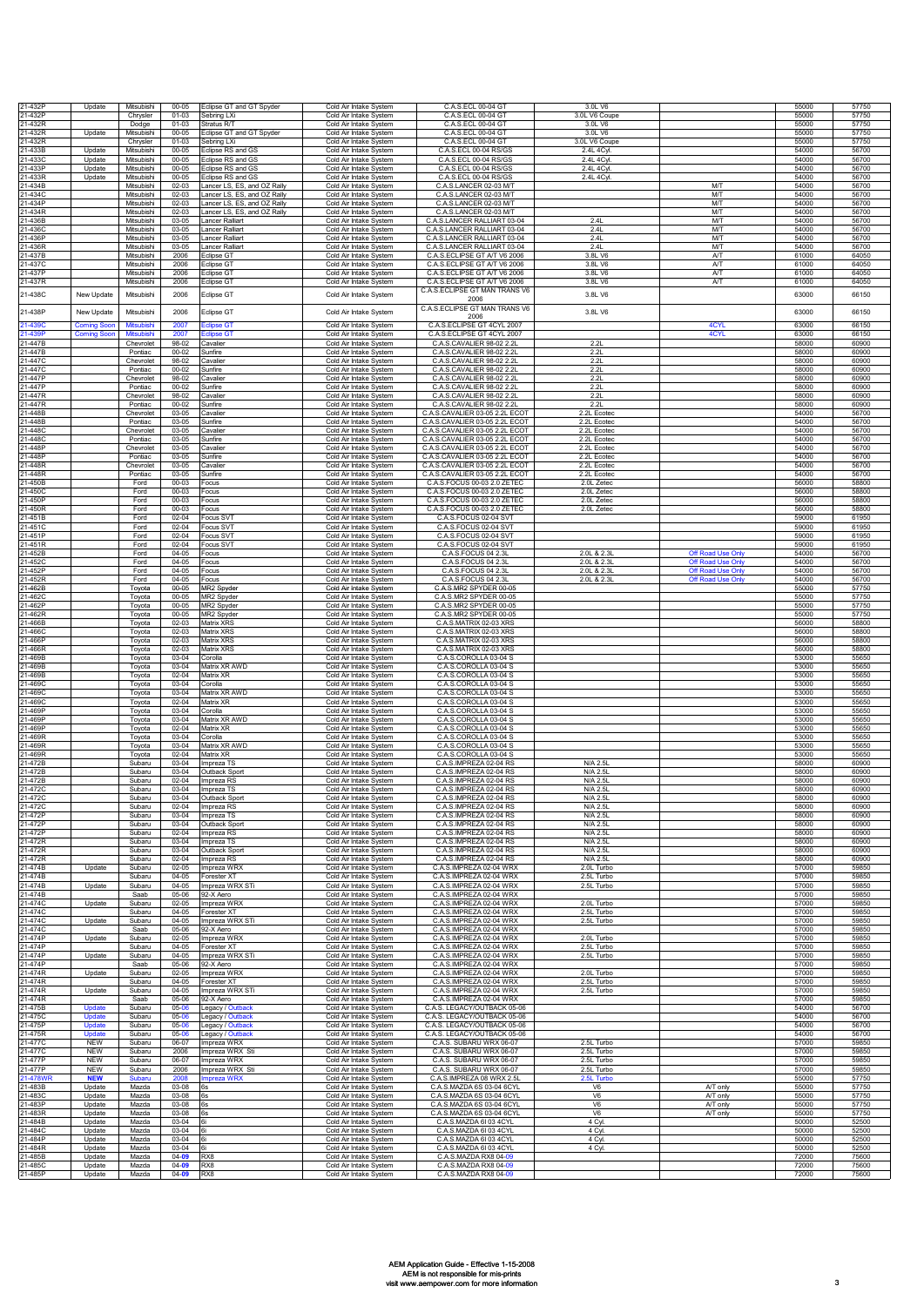| 21-432P             | Update                                  | Mitsubishi                     | $00 - 05$              | Eclipse GT and GT Spyder                                   | Cold Air Intake System                           | C.A.S.ECL 00-04 GT                                               | 3.0L V6                      |                                      | 55000          | 57750          |
|---------------------|-----------------------------------------|--------------------------------|------------------------|------------------------------------------------------------|--------------------------------------------------|------------------------------------------------------------------|------------------------------|--------------------------------------|----------------|----------------|
| 21-432P<br>21-432R  |                                         | Chrysler<br>Dodge              | $01 - 03$<br>$01 - 03$ | Sebring LXi<br>Stratus R/T                                 | Cold Air Intake System<br>Cold Air Intake System | C.A.S.ECL 00-04 GT<br>C.A.S.ECL 00-04 GT                         | 3.0L V6 Coupe<br>3.0L V6     |                                      | 55000<br>55000 | 57750<br>57750 |
| 21-432R             | Update                                  | Mitsubishi                     | 00-05                  | Eclipse GT and GT Spyder                                   | Cold Air Intake System                           | C.A.S.ECL 00-04 GT                                               | 3.0L V6                      |                                      | 55000          | 57750          |
| 21-432R             |                                         | Chrysler                       | $01 - 03$              | Sebring LXi                                                | Cold Air Intake System                           | C.A.S.ECL 00-04 GT                                               | 3.0L V6 Coupe                |                                      | 55000          | 57750          |
| 21-433B<br>21-433C  | Update                                  | Mitsubishi<br>Mitsubishi       | $00 - 05$<br>$00 - 05$ | Eclipse RS and GS<br>Eclipse RS and GS                     | Cold Air Intake System                           | C.A.S.ECL 00-04 RS/GS<br>C.A.S.ECL 00-04 RS/GS                   | 2.4L 4Cyl.<br>2.4L 4Cyl.     |                                      | 54000<br>54000 | 56700<br>56700 |
| 1-433P              | Update<br>Update                        | Mitsubishi                     | $00 - 05$              | Eclipse RS and GS                                          | Cold Air Intake System<br>Cold Air Intake System | C.A.S.ECL 00-04 RS/GS                                            | 2.4L 4Cyl                    |                                      | 54000          | 56700          |
| 21-433R             | Update                                  | Mitsubishi                     | $00 - 05$              | Eclipse RS and GS                                          | Cold Air Intake System                           | C.A.S.ECL 00-04 RS/GS                                            | 2.4L 4Cyl                    |                                      | 54000          | 56700          |
| 21-434B<br>1-434C   |                                         | Mitsubishi<br>Mitsubishi       | 02-03<br>$02 - 03$     | Lancer LS, ES, and OZ Rally<br>Lancer LS, ES, and OZ Rally | Cold Air Intake System<br>Cold Air Intake System | C.A.S.LANCER 02-03 M/T<br>C.A.S.LANCER 02-03 M/T                 |                              | <b>M/T</b><br>M/T                    | 54000<br>54000 | 56700<br>56700 |
| 1-434P              |                                         | Mitsubishi                     | 02-03                  | ancer LS, ES, and OZ Rally                                 | Cold Air Intake System                           | C.A.S.LANCER 02-03 M/T                                           |                              | M/T                                  | 54000          | 56700          |
| 21-434R<br>21-436B  |                                         | Mitsubishi<br>Mitsubishi       | $02 - 03$<br>03-05     | ancer LS. ES. and OZ Rally<br>Lancer Ralliart              | Cold Air Intake System<br>Cold Air Intake System | C.A.S.LANCER 02-03 M/T<br>C.A.S.LANCER RALLIART 03-04            | 2.41                         | <b>M/T</b><br><b>M/T</b>             | 54000<br>54000 | 56700<br>56700 |
| 21-436C             |                                         | Mitsubishi                     | 03-05                  | Lancer Ralliart                                            | Cold Air Intake System                           | CASIANCER RALLIART 03-04                                         | 2.41                         | <b>MT</b>                            | 54000          | 56700          |
| 1-436P              |                                         | Mitsubishi                     | 03-05                  | ancer Ralliart                                             | Cold Air Intake System                           | C.A.S.LANCER RALLIART 03-04                                      | 2.41                         | M/T                                  | 54000          | 56700          |
| 1-436R<br>21-437B   |                                         | Mitsubishi<br>Mitsubishi       | 03-05<br>2006          | ancer Ralliart<br>Eclipse GT                               | Cold Air Intake System<br>Cold Air Intake System | C.A.S.LANCER RALLIART 03-04<br>C.A.S.ECLIPSE GT A/T V6 2006      | 2.41<br>3.8L V6              | M/T<br>A/T                           | 54000<br>61000 | 56700<br>64050 |
| 1-437C              |                                         | Mitsubishi                     | 2006                   | Eclipse GT                                                 | Cold Air Intake System                           | C.A.S.ECLIPSE GT A/T V6 2006                                     | 3.8L V6                      | A/T                                  | 61000          | 64050          |
| 21-437P<br>21-437R  |                                         | Mitsubishi<br>Mitsubishi       | 2006<br>2006           | Eclipse G1<br>Eclipse GT                                   | Cold Air Intake System<br>Cold Air Intake System | C.A.S.ECLIPSE GT A/T V6 2006<br>C.A.S.ECLIPSE GT A/T V6 2006     | 3.8L V6<br>3.8L V6           | АЛ<br>A/T                            | 61000<br>61000 | 64050<br>64050 |
| 21-438C             | New Update                              | Mitsubishi                     | 2006                   | Eclipse GT                                                 | Cold Air Intake System                           | C.A.S.ECLIPSE GT MAN TRANS V6                                    | 3.8L V6                      |                                      | 63000          | 66150          |
|                     |                                         |                                |                        |                                                            |                                                  | 2006<br>C.A.S.ECLIPSE GT MAN TRANS V6                            |                              |                                      |                |                |
| 21-438P             | New Update                              | Mitsubishi                     | 2006                   | Eclipse GT                                                 | Cold Air Intake System                           | 2006                                                             | 3.8L V6                      |                                      | 63000          | 66150          |
| 21-439C<br>21-439P  | <b>Coming Soo</b><br><b>Coming Soor</b> | <b>Mitsubish</b><br>Mitsubishi | 2007<br>2007           | clipse G<br><b>Clipse G1</b>                               | Cold Air Intake System<br>Cold Air Intake System | C.A.S.ECLIPSE GT 4CYL 2007<br>C.A.S.ECLIPSE GT 4CYL 2007         |                              | 4CYL<br>4CYL                         | 63000<br>63000 | 66150<br>66150 |
| 21-447B             |                                         | Chevrolet                      | 98-02                  | Cavalier                                                   | Cold Air Intake System                           | C.A.S.CAVALIER 98-02 2.2L                                        | 2.2L                         |                                      | 58000          | 60900          |
| 21-447B             |                                         | Pontiac                        | $00 - 02$              | Sunfire                                                    | Cold Air Intake System                           | C.A.S.CAVALIER 98-02 2.2L                                        | 2.21                         |                                      | 58000          | 60900          |
| 21-447C<br>21-447C  |                                         | Chevrolet<br>Pontiac           | 98-02<br>$00 - 02$     | Cavalier<br>Sunfire                                        | Cold Air Intake System<br>Cold Air Intake System | C.A.S.CAVALIER 98-02 2.2L<br>C.A.S.CAVALIER 98-02 2.2L           | 2.2L<br>2.2L                 |                                      | 58000<br>58000 | 60900<br>60900 |
| 1-447P              |                                         | Chevrolet                      | 98-02                  | Cavalier                                                   | Cold Air Intake System                           | C.A.S.CAVALIER 98-02 2.2L                                        | 2.2L                         |                                      | 58000          | 60900          |
| 1-447P<br>1-447R    |                                         | Pontiac<br>Chevrolet           | $00 - 02$<br>98-02     | Sunfire<br>avalier                                         | Cold Air Intake System<br>Cold Air Intake System | C.A.S.CAVALIER 98-02 2.2L<br>C.A.S.CAVALIER 98-02 2.2            | 2.2L<br>2.2L                 |                                      | 58000<br>58000 | 60900<br>60900 |
| 21-447R             |                                         | Pontiac                        | $00 - 02$              | Sunfire                                                    | Cold Air Intake System                           | C.A.S.CAVALIER 98-02 2.2L                                        | 2.2L                         |                                      | 58000          | 60900          |
| 1-448R<br>1-448B    |                                         | Chevrolet<br>Pontiac           | 03-05<br>03-05         | Cavalier<br>Sunfire                                        | Cold Air Intake System<br>Cold Air Intake System | C.A.S.CAVALIER 03-05 2.2L ECOT<br>C.A.S.CAVALIER 03-05 2.2L ECOT | 2.2L Ecoted<br>2.2L Ecoted   |                                      | 54000<br>54000 | 56700<br>56700 |
| 1-448C              |                                         | Chevrolet                      | 03-05                  | Cavalier                                                   | Cold Air Intake System                           | C.A.S.CAVALIER 03-05 2.2L ECOT                                   | 2.2L Ecoted                  |                                      | 54000          | 56700          |
| 21-448C             |                                         | Pontiac                        | 03-05                  | Sunfire                                                    | Cold Air Intake System                           | C.A.S.CAVALIER 03-05 2.2L ECOT                                   | 2.2L Ecoted                  |                                      | 54000          | 56700          |
| 1-448P<br>21-448P   |                                         | Chevrolet<br>Pontiac           | 03-05<br>03-05         | Cavalier<br>Sunfire                                        | Cold Air Intake System<br>Cold Air Intake System | C.A.S.CAVALIER 03-05 2.2L ECOT<br>C.A.S.CAVALIER 03-05 2.2L ECOT | 2.2L Ecoted<br>2.2L Ecoted   |                                      | 54000<br>54000 | 56700<br>56700 |
| 1-448R              |                                         | Chevrolet                      | 03-05                  | Cavalier                                                   | Cold Air Intake System                           | C.A.S.CAVALIER 03-05 2.2L ECOT                                   | 2.2L Ecoted                  |                                      | 54000          | 56700          |
| 21-448R<br>1-450B   |                                         | Pontiac<br>Ford                | 03-05<br>$00 - 03$     | Sunfire<br>Focus                                           | Cold Air Intake System<br>Cold Air Intake System | C.A.S.CAVALIER 03-05 2.2L ECOT<br>C.A.S.FOCUS 00-03 2.0 ZETEC    | 2.2L Ecoted<br>2.0L Zetec    |                                      | 54000<br>56000 | 56700<br>58800 |
| 1-450C              |                                         | Ford                           | $00 - 03$              | Focus                                                      | Cold Air Intake System                           | C.A.S.FOCUS 00-03 2.0 ZETEC                                      | 2.0L Zetec                   |                                      | 56000          | 58800          |
| 1-450P              |                                         | Ford                           | 00-03                  | Focus                                                      | Cold Air Intake System                           | C.A.S.FOCUS 00-03 2.0 ZETEC                                      | 2.0L Zetec                   |                                      | 56000          | 58800<br>58800 |
| 21-450R<br>21-451B  |                                         | Ford<br>Ford                   | 00-03<br>$02 - 04$     | Focus<br>Focus SVT                                         | Cold Air Intake System<br>Cold Air Intake System | C.A.S.FOCUS 00-03 2.0 ZETEC<br>C.A.S.FOCUS 02-04 SVT             | 2.0L Zetec                   |                                      | 56000<br>59000 | 61950          |
| 21-451C             |                                         | Ford                           | $02 - 04$              | Focus SVT                                                  | Cold Air Intake System                           | C.A.S.FOCUS 02-04 SVT                                            |                              |                                      | 59000          | 61950          |
| 1-451P<br>1-451R    |                                         | Ford<br>Ford                   | $02 - 04$<br>$02 - 04$ | Focus SVT<br>Focus SVT                                     | Cold Air Intake System<br>Cold Air Intake System | C.A.S.FOCUS 02-04 SVT<br>C.A.S.FOCUS 02-04 SVT                   |                              |                                      | 59000<br>59000 | 61950<br>61950 |
| 21-452B             |                                         | Ford                           | $04 - 05$              | Focus                                                      | Cold Air Intake System                           | C.A.S.FOCUS 04 2.3L                                              | 2.0L & 2.3L                  | Off Road Use Only                    | 54000          | 56700          |
| 1-452C<br>1-452P    |                                         | Ford<br>Ford                   | $04 - 05$<br>$04 - 05$ | Focus<br>Focus                                             | Cold Air Intake System<br>Cold Air Intake System | C.A.S.FOCUS 04 2.3L<br>C.A.S.FOCUS 04 2.3L                       | 2.0L & 2.3L<br>2.0L & 2.3L   | Off Road Use Onl<br>Off Road Use Onl | 54000<br>54000 | 56700<br>56700 |
| 21-452R             |                                         | Ford                           | $04 - 05$              | Focus                                                      | Cold Air Intake System                           | C.A.S.FOCUS 04 2.3L                                              | 2.0L & 2.3L                  | Off Road Use Only                    | 54000          | 56700          |
| 21-462B<br>$1-462C$ |                                         | Toyota                         | $00 - 05$              | MR2 Spyder                                                 | Cold Air Intake System                           | C.A.S.MR2 SPYDER 00-05                                           |                              |                                      | 55000<br>55000 | 57750<br>57750 |
| 1-462P              |                                         | Toyota<br>Toyota               | $00 - 05$<br>$00 - 05$ | MR2 Spyder<br>MR2 Spyder                                   | Cold Air Intake System<br>Cold Air Intake System | C.A.S.MR2 SPYDER 00-05<br>C.A.S.MR2 SPYDER 00-05                 |                              |                                      | 55000          | 57750          |
| 1-462R              |                                         | Toyota                         | $00 - 05$              | MR2 Spyder                                                 | Cold Air Intake System                           | C.A.S.MR2 SPYDER 00-05                                           |                              |                                      | 55000          | 57750          |
| 1-466B<br>1-466C    |                                         | Toyota<br>Toyota               | 02-03<br>02-03         | Matrix XRS<br>Matrix XRS                                   | Cold Air Intake System<br>Cold Air Intake System | C.A.S.MATRIX 02-03 XRS<br>C.A.S.MATRIX 02-03 XRS                 |                              |                                      | 56000<br>56000 | 58800<br>58800 |
| 21-466P             |                                         | Toyota                         | $02 - 03$              | Matrix XRS                                                 | Cold Air Intake System                           | C.A.S.MATRIX 02-03 XRS                                           |                              |                                      | 56000          | 58800          |
| 1-466R<br>21-469B   |                                         | Toyota<br>Toyota               | 02-03<br>03-04         | Matrix XRS<br>Corolla                                      | Cold Air Intake System<br>Cold Air Intake System | C.A.S.MATRIX 02-03 XRS<br>C.A.S.COROLLA 03-04 S                  |                              |                                      | 56000<br>53000 | 58800<br>55650 |
| 21-469B             |                                         | Toyota                         | 03-04                  | Matrix XR AWD                                              | Cold Air Intake System                           | C.A.S.COROLLA 03-04 S                                            |                              |                                      | 53000          | 55650          |
| 1-469B              |                                         | Tovota                         | $02 - 04$              | Matrix XR                                                  | Cold Air Intake System                           | C.A.S.COROLLA 03-04 S                                            |                              |                                      | 53000          | 55650          |
| 1-469C<br>21-469C   |                                         | Toyota<br>Toyota               | 03-04<br>03-04         | Corolla<br>Matrix XR AWD                                   | Cold Air Intake System<br>Cold Air Intake System | C.A.S.COROLLA 03-04 S<br>C.A.S.COROLLA 03-04 S                   |                              |                                      | 53000<br>53000 | 55650<br>55650 |
| 1-469C              |                                         | Toyota                         | $02 - 04$              | Matrix XR                                                  | Cold Air Intake System                           | C.A.S.COROLLA 03-04 S                                            |                              |                                      | 53000          | 55650          |
| 21-469P<br>21-469P  |                                         | Toyota<br>Toyota               | 03-04<br>$03 - 04$     | Corolla<br>Matrix XR AWD                                   | Cold Air Intake System<br>Cold Air Intake System | C.A.S.COROLLA 03-04 S<br>C.A.S.COROLLA 03-04 S                   |                              |                                      | 53000<br>53000 | 55650<br>55650 |
| 21-469P             |                                         | Toyota                         | $02 - 04$              | Matrix XR                                                  | Cold Air Intake System                           | C.A.S.COROLLA 03-04 S                                            |                              |                                      | 53000          | 55650          |
| 21-469R<br>1-469R   |                                         | Toyota                         | 03-04<br>03-04         | Corolla<br>Matrix XR AWD                                   | Cold Air Intake System                           | C.A.S.COROLLA 03-04 S<br>C.A.S.COROLLA 03-04 S                   |                              |                                      | 53000<br>53000 | 55650<br>55650 |
| 1-469R              |                                         | Toyota<br>Toyota               | $02 - 04$              | <b>Matrix XR</b>                                           | Cold Air Intake System<br>Cold Air Intake System | C.A.S.COROLLA 03-04 S                                            |                              |                                      | 53000          | 55650          |
| 1-472B              |                                         | Subaru                         | 03-04<br>03-04         | mpreza TS                                                  | Cold Air Intake System                           | C.A.S.IMPREZA 02-04 RS<br>C.A.S.IMPREZA 02-04 RS                 | N/A 2.5L                     |                                      | 58000          | 60900<br>60900 |
| 21-472B<br>21-472B  |                                         | Subaru<br>Subaru               | $02 - 04$              | Outback Spor<br>Impreza RS                                 | Cold Air Intake System<br>Cold Air Intake System | C.A.S.IMPREZA 02-04 RS                                           | N/A 2.5L<br>N/A 2.51         |                                      | 58000<br>58000 | 60900          |
| 21-472C             |                                         | Subaru                         | 03-04                  | Impreza TS                                                 | Cold Air Intake System                           | C.A.S.IMPREZA 02-04 RS                                           | N/A 2.5L                     |                                      | 58000          | 60900          |
| 21-4720<br>21-472C  |                                         | Subaru<br>Subaru               | 03-04<br>$02 - 04$     | Outback Sport<br>Impreza RS                                | Cold Air Intake System<br>Cold Air Intake System | C A S IMPREZA 02-04 RS<br>C.A.S.IMPREZA 02-04 RS                 | N/A 2.5<br>N/A 2.5L          |                                      | 58000<br>58000 | 60900<br>60900 |
| 21-472P             |                                         | Subaru                         | $03-04$                | Impreza TS                                                 | Cold Air Intake System                           | C.A.S.IMPREZA 02-04 RS                                           | $N/A$ 2.51                   |                                      | 58000          | 60900          |
| 21-472P<br>21-472P  |                                         | Subaru<br>Subaru               | 03-04<br>$02 - 04$     | Outback Sport<br>Impreza RS                                | Cold Air Intake System<br>Cold Air Intake System | C.A.S.IMPREZA 02-04 RS<br>C.A.S.IMPREZA 02-04 RS                 | N/A 2.5L<br>N/A 2.5L         |                                      | 58000<br>58000 | 60900<br>60900 |
| 21-472R             |                                         | Subaru                         | 03-04                  | Impreza TS                                                 | Cold Air Intake System                           | C.A.S.IMPREZA 02-04 RS                                           | N/A 2.5L                     |                                      | 58000          | 60900          |
| 21-472R<br>21-472R  |                                         | Subaru<br>Subaru               | 03-04<br>$02 - 04$     | Outback Sport<br>Impreza RS                                | Cold Air Intake System<br>Cold Air Intake System | C.A.S.IMPREZA 02-04 RS<br>C.A.S.IMPREZA 02-04 RS                 | N/A 2.5L<br>N/A 2.5L         |                                      | 58000<br>58000 | 60900<br>60900 |
| 21-474B             | Update                                  | Subaru                         | $02 - 05$              | Impreza WRX                                                | Cold Air Intake System                           | C.A.S.IMPREZA 02-04 WRX                                          | 2.0L Turbo                   |                                      | 57000          | 59850          |
| 21-474B<br>21-474B  | Update                                  | Subaru<br>Subaru               | $04 - 05$<br>$04 - 05$ | Forester XT<br>Impreza WRX STi                             | Cold Air Intake System<br>Cold Air Intake System | C.A.S.IMPREZA 02-04 WRX<br>C.A.S.IMPREZA 02-04 WRX               | 2.5L Turbo<br>2.5L Turbo     |                                      | 57000<br>57000 | 59850<br>59850 |
| 21-474B             |                                         | Saab                           | 05-06                  | 92-X Aero                                                  | Cold Air Intake System                           | C.A.S.IMPREZA 02-04 WRX                                          |                              |                                      | 57000          | 59850          |
| 1-474C              | Update                                  | Subaru                         | $02 - 05$              | Impreza WRX                                                | Cold Air Intake System<br>Cold Air Intake System | C.A.S.IMPREZA 02-04 WRX                                          | 2.0L Turbo                   |                                      | 57000          | 59850<br>59850 |
| 21-474C<br>21-474C  | Update                                  | Subaru<br>Subaru               | $04 - 05$<br>$04 - 05$ | Forester XT<br>Impreza WRX STi                             | Cold Air Intake System                           | C.A.S.IMPREZA 02-04 WRX<br>C.A.S.IMPREZA 02-04 WRX               | 2.5L Turbo<br>2.5L Turbo     |                                      | 57000<br>57000 | 59850          |
| 21-474C             |                                         | Saab                           | 05-06                  | 92-X Aero                                                  | Cold Air Intake System                           | C.A.S.IMPREZA 02-04 WRX                                          |                              |                                      | 57000          | 59850          |
| 1-474P<br>21-474P   | Update                                  | Subaru<br>Subaru               | $02 - 05$<br>$04 - 05$ | Impreza WRX<br>Forester XT                                 | Cold Air Intake System<br>Cold Air Intake System | C.A.S.IMPREZA 02-04 WRX<br>C.A.S.IMPREZA 02-04 WRX               | 2.0L Turbo<br>2.5L Turbo     |                                      | 57000<br>57000 | 59850<br>59850 |
| 21-474P             | Update                                  | Subaru                         | $04 - 05$              | Impreza WRX STi                                            | Cold Air Intake System                           | C.A.S.IMPREZA 02-04 WRX                                          | 2.5L Turbo                   |                                      | 57000          | 59850          |
| 21-474P<br>1-474R   | Update                                  | Saab<br>Subaru                 | 05-06<br>$02 - 05$     | 92-X Aero<br>Impreza WRX                                   | Cold Air Intake System<br>Cold Air Intake System | C.A.S.IMPREZA 02-04 WRX<br>C.A.S.IMPREZA 02-04 WRX               | 2.0L Turbo                   |                                      | 57000<br>57000 | 59850<br>59850 |
| 1-474R              |                                         | Subaru                         | $04 - 05$              | Forester XT                                                | Cold Air Intake System                           | C.A.S.IMPREZA 02-04 WRX                                          | 2.5L Turbo                   |                                      | 57000          | 59850          |
| 21-474R<br>1-474R   | Update                                  | Subaru<br>Saab                 | $04 - 05$<br>05-06     | Impreza WRX STi<br>92-X Aero                               | Cold Air Intake System<br>Cold Air Intake System | C.A.S.IMPREZA 02-04 WRX<br>C.A.S.IMPREZA 02-04 WRX               | 2.5L Turbo                   |                                      | 57000<br>57000 | 59850<br>59850 |
| 1-475B              | Update                                  | Subaru                         | 05-06                  | Legacy / Outback                                           | Cold Air Intake System                           | C.A.S. LEGACY/OUTBACK 05-06                                      |                              |                                      | 54000          | 56700          |
| 21-475C<br>21-475P  | Update                                  | Subaru                         | $05 - 06$              | Legacy / Outback                                           | Cold Air Intake System                           | C.A.S. LEGACY/OUTBACK 05-06                                      |                              |                                      | 54000          | 56700          |
| 21-475R             | Update<br>Update                        | Subaru<br>Subaru               | 05-06<br>05-06         | Legacy / Outback<br>Legacy / Outback                       | Cold Air Intake System<br>Cold Air Intake System | C.A.S. LEGACY/OUTBACK 05-06<br>C.A.S. LEGACY/OUTBACK 05-06       |                              |                                      | 54000<br>54000 | 56700<br>56700 |
| 21-477C             | <b>NEW</b>                              | Subaru                         | 06-07                  | Impreza WRX                                                | Cold Air Intake System                           | C.A.S. SUBARU WRX 06-07                                          | 2.5L Turbo                   |                                      | 57000          | 59850          |
| 1-477C<br>21-477P   | <b>NEW</b><br><b>NEW</b>                | Subaru<br>Subaru               | 2006<br>06-07          | Impreza WRX Sti<br>Impreza WRX                             | Cold Air Intake System<br>Cold Air Intake System | C.A.S. SUBARU WRX 06-07<br>C.A.S. SUBARU WRX 06-07               | 2.5L Turbo<br>2.5L Turbo     |                                      | 57000<br>57000 | 59850<br>59850 |
| 21-477P             | <b>NEW</b>                              | Subaru                         | 2006                   | Impreza WRX Sti                                            | Cold Air Intake System                           | C.A.S. SUBARU WRX 06-07                                          | 2.5L Turbo                   |                                      | 57000          | 59850          |
| 1-478W<br>21-483B   | <b>NEW</b><br>Update                    | Subaru<br>Mazda                | 2008<br>03-08          | mpreza WRX<br>6s                                           | Cold Air Intake System<br>Cold Air Intake System | C.A.S.IMPREZA 08 WRX 2.5L<br>C.A.S.MAZDA 6S 03-04 6CYL           | 2.5L Turbo<br>V <sub>6</sub> | A/T only                             | 55000<br>55000 | 57750<br>57750 |
| 21-483C             | Update                                  | Mazda                          | 03-08                  | 6s                                                         | Cold Air Intake System                           | C.A.S.MAZDA 6S 03-04 6CYL                                        | V6                           | A/T only                             | 55000          | 57750          |
| 21-483P<br>1-483R   | Update                                  | Mazda<br>Mazda                 | $03 - 08$<br>$03-08$   | 6s<br>6s                                                   | Cold Air Intake System<br>Cold Air Intake System | C.A.S.MAZDA 6S 03-04 6CYL<br>C A S MAZDA 6S 03-04 6CYL           | V6<br>V <sub>6</sub>         | A/T only<br>A/T only                 | 55000<br>55000 | 57750<br>57750 |
| 1-484B              | Update<br>Update                        | Mazda                          | 03-04                  | ĥi.                                                        | Cold Air Intake System                           | C.A.S.MAZDA 6I 03 4CYL                                           | 4 Cyl.                       |                                      | 50000          | 52500          |
| 1-484C              | Update                                  | Mazda                          | 03-04                  |                                                            | Cold Air Intake System                           | C.A.S.MAZDA 6I 03 4CYL                                           | $4$ Cyl.                     |                                      | 50000          | 52500          |
| 1-484P<br>1-484R    | Update<br>Update                        | Mazda<br>Mazda                 | 03-04<br>$03 - 04$     | ĥi<br>6i                                                   | Cold Air Intake System<br>Cold Air Intake System | C.A.S.MAZDA 6I 03 4CYL<br>C.A.S.MAZDA 6I 03 4CYL                 | 4 Cyl.<br>4 Cyl.             |                                      | 50000<br>50000 | 52500<br>52500 |
| 21-485B             | Update                                  | Mazda                          | $04 - 09$              | RX8                                                        | Cold Air Intake System                           | C.A.S.MAZDA RX8 04-09                                            |                              |                                      | 72000          | 75600          |
| 21-485C<br>21-485P  | Update<br>Update                        | Mazda<br>Mazda                 | $04 - 09$<br>$04 - 09$ | RX8<br>RX8                                                 | Cold Air Intake System<br>Cold Air Intake System | C.A.S.MAZDA RX8 04-09<br>C.A.S.MAZDA RX8 04-09                   |                              |                                      | 72000<br>72000 | 75600<br>75600 |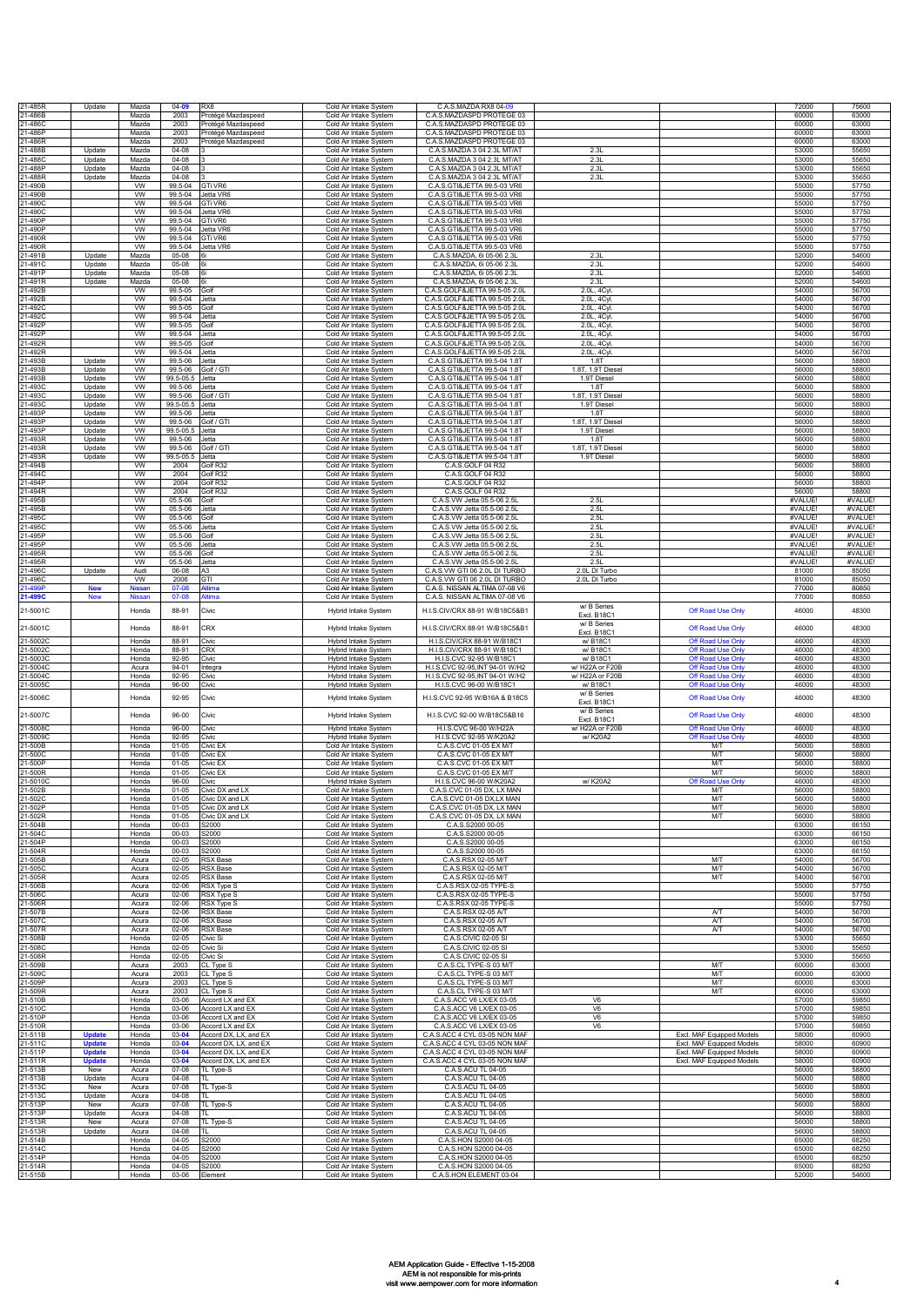| 21-485R              | Update                         | Mazda                  | $04 - 09$              | RX <sub>8</sub>                                | Cold Air Intake System                              | C.A.S.MAZDA RX8 04-09                                              |                                    |                                                        | 72000              | 75600              |
|----------------------|--------------------------------|------------------------|------------------------|------------------------------------------------|-----------------------------------------------------|--------------------------------------------------------------------|------------------------------------|--------------------------------------------------------|--------------------|--------------------|
| 1-486B<br>1-486C     |                                | Mazda<br>Mazda         | 2003<br>2003           | Protégé Mazdaspeed<br>Protégé Mazdaspeed       | Cold Air Intake System<br>Cold Air Intake System    | C.A.S.MAZDASPD PROTEGE 03<br>C.A.S.MAZDASPD PROTEGE 03             |                                    |                                                        | 60000<br>60000     | 63000<br>63000     |
| 1-486P               |                                | Mazda                  | 2003                   | Protégé Mazdaspeed                             | Cold Air Intake System                              | C.A.S.MAZDASPD PROTEGE 03                                          |                                    |                                                        | 60000              | 63000              |
| 1-486R               |                                | Mazda                  | 2003                   | Protégé Mazdaspeed                             | Cold Air Intake System                              | C.A.S.MAZDASPD PROTEGE 03                                          |                                    |                                                        | 60000              | 63000              |
| $1-488B$<br>1-488C   | Update<br>Update               | Mazda<br>Mazda         | $04 - 08$<br>$04 - 08$ |                                                | Cold Air Intake System<br>Cold Air Intake System    | C.A.S.MAZDA 3 04 2.3L MT/AT<br>C.A.S.MAZDA 3 04 2.3L MT/AT         | 2.3L<br>2.3L                       |                                                        | 53000<br>53000     | 55650<br>55650     |
| $1-488P$             | Update                         | Mazda                  | $04 - 08$              |                                                | Cold Air Intake System                              | C.A.S.MAZDA 3 04 2.3L MT/AT                                        | 2.3L                               |                                                        | 53000              | 55650              |
| 1-488R               | Update                         | Mazda                  | $04 - 08$              |                                                | Cold Air Intake System                              | C.A.S.MAZDA 3 04 2.3L MT/AT                                        | 2.31                               |                                                        | 53000              | 55650              |
| 1-490B<br>1-490B     |                                | <b>VW</b><br><b>VW</b> | 99.5-04<br>99.5-04     | GTi VR6<br>Jetta VR6                           | Cold Air Intake System<br>Cold Air Intake System    | C.A.S.GTI&JETTA 99.5-03 VR6<br>C.A.S.GTI&JETTA 99.5-03 VR6         |                                    |                                                        | 55000<br>55000     | 57750<br>57750     |
| 1-490C               |                                | <b>VW</b>              | 99.5-04                | GTi VR6                                        | Cold Air Intake System                              | C. A.S. GTI&JFTTA 99.5-03 VR6                                      |                                    |                                                        | 55000              | 57750              |
| 21-490C              |                                | <b>VW</b>              | 99.5-04                | Jetta VR6                                      | Cold Air Intake System                              | C.A.S.GTI&JETTA 99.5-03 VR6                                        |                                    |                                                        | 55000              | 57750              |
| 21-490F<br>1-490P    |                                | <b>VW</b><br><b>VW</b> | 99.5-04<br>99.5-04     | GTi VR6<br>letta VR6                           | Cold Air Intake System<br>Cold Air Intake System    | C.A.S.GTI&JETTA 99.5-03 VR6<br>C.A.S.GTI&JETTA 99.5-03 VR6         |                                    |                                                        | 55000<br>55000     | 57750<br>57750     |
| 1-490R               |                                | <b>VW</b>              | 99.5-04                | <b>GTi VR6</b>                                 | Cold Air Intake System                              | C.A.S.GTI&JETTA 99.5-03 VR6                                        |                                    |                                                        | 55000              | 57750              |
| 1-490R               |                                | <b>VW</b>              | 99.5-04                | Jetta VR6                                      | Cold Air Intake System                              | C.A.S.GTI&JETTA 99.5-03 VR6                                        | 2.31                               |                                                        | 55000              | 57750              |
| 1-491B<br>1-491C     | Update<br>Update               | Mazda<br>Mazda         | 05-08<br>$05 - 08$     | 6i<br>6i                                       | Cold Air Intake System<br>Cold Air Intake System    | C.A.S.MAZDA, 6i 05-06 2.3L<br>C.A.S.MAZDA, 6i 05-06 2.3L           | 2.3L                               |                                                        | 52000<br>52000     | 54600<br>54600     |
| 1-491P               | Update                         | Mazda                  | 05-08                  | 6i                                             | Cold Air Intake System                              | C.A.S.MAZDA, 6i 05-06 2.3L                                         | 2.3L                               |                                                        | 52000              | 54600              |
| 1-491R<br>$1-492B$   | Update                         | Mazda<br>W             | 05-08<br>99.5-05       | 6i<br>Golf                                     | Cold Air Intake System<br>Cold Air Intake System    | C.A.S.MAZDA, 6i 05-06 2.3L<br>C.A.S.GOLF&JETTA 99.5-05 2.0L        | 2.3L<br>2.0L, 4Cy                  |                                                        | 52000<br>54000     | 54600<br>56700     |
| 1-492B               |                                | W                      | 99.5-04                | Jetta                                          | Cold Air Intake System                              | C.A.S.GOLF&JETTA 99.5-05 2.0L                                      | 2.0L, 4Cyl                         |                                                        | 54000              | 56700              |
| 1-492C               |                                | <b>VW</b>              | 99.5-05                | Golt                                           | Cold Air Intake System                              | C.A.S.GOLF&JETTA 99.5-05 2.0L                                      | 2.0L, 4Cyl                         |                                                        | 54000              | 56700              |
| 1-492C<br>1-492P     |                                | <b>VW</b><br>W         | 99.5-04<br>99.5-05     | Jetta<br>Golf                                  | Cold Air Intake System<br>Cold Air Intake System    | C.A.S.GOLF&JETTA 99.5-05 2.0L<br>C.A.S.GOLF&JETTA 99.5-05 2.0L     | 2.0L, 4Cyl<br>2.0L, 4Cy            |                                                        | 54000<br>54000     | 56700<br>56700     |
| 1-492F               |                                | W                      | 99.5-04                | Jetta                                          | Cold Air Intake System                              | C.A.S.GOLF&JETTA 99.5-05 2.0L                                      | 2.0L, 4Cyl                         |                                                        | 54000              | 56700              |
| $1-492R$<br>1-492R   |                                | W<br><b>VW</b>         | 99.5-05<br>99.5-04     | Golf<br>Jetta                                  | Cold Air Intake System                              | C.A.S.GOLF&JETTA 99.5-05 2.0L<br>C.A.S.GOLF&JETTA 99.5-05 2.0L     | 2.0L, 4Cyl<br>2.0L, 4Cyl           |                                                        | 54000<br>54000     | 56700<br>56700     |
| 1-493B               | Update                         | <b>VW</b>              | 99.5-06                | Jetta                                          | Cold Air Intake System<br>Cold Air Intake System    | C.A.S.GTI&JETTA 99.5-04 1.8T                                       | 1.8T                               |                                                        | 56000              | 58800              |
| 1-493B               | Update                         | <b>VW</b>              | 99.5-06                | Golf / GTI                                     | Cold Air Intake System                              | C.A.S.GTI&JETTA 99.5-04 1.8T                                       | 1.8T, 1.9T Diesel                  |                                                        | 56000              | 58800              |
| 1-493B<br>1-493C     | Update<br>Update               | <b>VW</b><br><b>VW</b> | 99.5-05.5<br>99.5-06   | Jetta<br>Jetta                                 | Cold Air Intake System<br>Cold Air Intake System    | C.A.S.GTI&JETTA 99.5-04 1.8T<br>C.A.S.GTI&JETTA 99.5-04 1.8T       | 1.9T Diesel<br>1.8T                |                                                        | 56000<br>56000     | 58800<br>58800     |
| 1-493C               | Update                         | <b>VW</b>              | 99.5-06                | Golf / GTI                                     | Cold Air Intake System                              | C.A.S.GTI&JETTA 99.5-04 1.8T                                       | 1.8T, 1.9T Diesel                  |                                                        | 56000              | 58800              |
| 1-493C               | Update                         | <b>VW</b>              | 99.5-05.5              | Jetta                                          | Cold Air Intake System<br>Cold Air Intake System    | C A S GTI&JFTTA 99 5-04 1 8T<br>C.A.S.GTI&JETTA 99.5-04 1.8T       | 1.9T Diesel<br>1.87                |                                                        | 56000              | 58800              |
| 1-493P<br>1-493P     | Update<br>Update               | <b>VW</b><br><b>VW</b> | 99.5-06<br>99.5-06     | Jetta<br>Golf / GTI                            | Cold Air Intake System                              | C.A.S.GTI&JETTA 99.5-04 1.8T                                       | 1.8T, 1.9T Diesel                  |                                                        | 56000<br>56000     | 58800<br>58800     |
| 1-493P               | Update                         | <b>VW</b>              | 99.5-05.5              | Jetta                                          | Cold Air Intake System                              | C.A.S.GTI&JETTA 99.5-04 1.8T                                       | 1.9T Diesel                        |                                                        | 56000              | 58800              |
| 1-493R<br>1-493R     | Update<br>Update               | W<br><b>VW</b>         | 99.5-06<br>99.5-06     | Jetta<br>Golf / GTI                            | Cold Air Intake System<br>Cold Air Intake System    | C.A.S.GTI&JETTA 99.5-04 1.8T<br>C.A.S.GTI&JETTA 99.5-04 1.8T       | 1.8T<br>1.8T, 1.9T Diesel          |                                                        | 56000<br>56000     | 58800<br>58800     |
| 1-493R               | Update                         | <b>VW</b>              | 99.5-05.5              | Jetta                                          | Cold Air Intake System                              | C.A.S.GTI&JETTA 99.5-04 1.8T                                       | 1.9T Diesel                        |                                                        | 56000              | 58800              |
| 1-494B               |                                | <b>VW</b>              | 2004                   | Golf R32                                       | Cold Air Intake System                              | C.A.S.GOLF 04 R32                                                  |                                    |                                                        | 56000              | 58800              |
| 1-494C<br>1-494P     |                                | W<br>W                 | 2004<br>2004           | Golf R32<br>Golf R32                           | Cold Air Intake System<br>Cold Air Intake System    | C.A.S.GOLF 04 R32<br>C.A.S.GOLF 04 R32                             |                                    |                                                        | 56000<br>56000     | 58800<br>58800     |
| 1-494R               |                                | W                      | 2004                   | Golf R32                                       | Cold Air Intake System                              | C.A.S.GOLF 04 R32                                                  |                                    |                                                        | 56000              | 58800              |
| 1-495B<br>21-495B    |                                | <b>VW</b><br>W         | 05.5-06                | Golf<br>Jetta                                  | Cold Air Intake System                              | C.A.S.VW Jetta 05.5-06 2.5L                                        | 2.5L                               |                                                        | #VALUE!<br>#VALUE! | #VALUE<br>#VALUE!  |
| 1-495C               |                                | W                      | 05.5-06<br>05.5-06     | Golf                                           | Cold Air Intake System<br>Cold Air Intake System    | C.A.S.VW Jetta 05.5-06 2.5L<br>C.A.S.VW Jetta 05.5-06 2.5L         | 2.5L<br>2.5L                       |                                                        | #VALUE!            | #VALUE!            |
| 1-495C               |                                | <b>VW</b>              | 05.5-06                | Jetta                                          | Cold Air Intake System                              | C.A.S.VW Jetta 05.5-06 2.5L                                        | 2.5L                               |                                                        | #VALUE!            | #VALUE             |
| 1-495F<br>1-495P     |                                | <b>VW</b><br><b>VW</b> | 05.5-06<br>05.5-06     | Golf<br>Jetta                                  | Cold Air Intake System<br>Cold Air Intake System    | C.A.S.VW Jetta 05.5-06 2.5L<br>C.A.S.VW Jetta 05.5-06 2.5L         | 2.5L<br>2.5L                       |                                                        | #VALUE!<br>#VALUE! | #VALUE!<br>#VALUE! |
| 1-495R               |                                | W                      | 05.5-06                | Golf                                           | Cold Air Intake System                              | C.A.S.VW Jetta 05.5-06 2.5L                                        | 2.5L                               |                                                        | #VALUE!            | #VALUE!            |
| 1-495R               |                                | <b>VW</b>              | 05.5-06                | Jetta                                          | Cold Air Intake System                              | C.A.S.VW Jetta 05.5-06 2.5L                                        | 2.5L                               |                                                        | #VALUE!            | #VALUE!            |
| 1-496C<br>21-496C    | Update                         | Audi<br><b>VW</b>      | 06-08<br>2006          | A3<br>GTI                                      | Cold Air Intake System<br>Cold Air Intake System    | C.A.S.VW GTI 06 2.0L DI TURBO<br>C.A.S.VW GTI 06 2.0L DI TURBO     | 2.0L DI Turbo<br>2.0L DI Turbo     |                                                        | 81000<br>81000     | 85050<br>85050     |
| 21-499F              | <b>New</b>                     | Nissan                 | 07-08                  | Altima                                         | Cold Air Intake System                              | C.A.S. NISSAN ALTIMA 07-08 V6                                      |                                    |                                                        | 77000              | 80850              |
| 21-499C              | <b>New</b>                     | Nissan                 | 07-08                  | <b>Altima</b>                                  | Cold Air Intake System                              | C.A.S. NISSAN ALTIMA 07-08 V6                                      | w/ B Series                        |                                                        | 77000              | 80850              |
| 21-5001C             |                                | Honda                  | 88-91                  | Civic                                          | Hybrid Intake System                                | H.I.S.CIV/CRX 88-91 W/B18C5&B1                                     | Excl. B18C1                        | Off Road Use Only                                      | 46000              | 48300              |
| 21-5001C             |                                | Honda                  | 88-91                  | CRX                                            | Hybrid Intake System                                | H.I.S.CIV/CRX 88-91 W/B18C5&B1                                     | w/ B Series                        | Off Road Use Only                                      | 46000              | 48300              |
| 21-5002C             |                                | Honda                  | 88-91                  | Civic                                          | <b>Hybrid Intake System</b>                         | H.I.S.CIV/CRX 88-91 W/B18C1                                        | Excl. B18C1<br>w/ B18C1            | Off Road Use Onl                                       | 46000              | 48300              |
| 21-5002C             |                                | Honda                  | 88-91                  | <b>CRX</b>                                     | <b>Hybrid Intake System</b>                         | H.I.S.CIV/CRX 88-91 W/B18C1                                        | w/ B18C1                           | Off Road Use Onl                                       | 46000              | 48300              |
| 21-5003C             |                                | Honda                  | 92-95                  | Civic                                          | Hybrid Intake System                                | H.I.S.CVC 92-95 W/B18C1                                            | w/ B18C1                           | Off Road Use Only                                      | 46000              | 48300              |
| 21-5004C<br>21-5004C |                                | Acura<br>Honda         | $94 - 01$<br>92-95     | Integra<br>Civic                               | Hybrid Intake System<br><b>Hybrid Intake System</b> | H.I.S.CVC 92-95, INT 94-01 W/H2<br>H.I.S.CVC 92-95, INT 94-01 W/H2 | w/ H22A or F20B<br>w/ H22A or F20B | Off Road Use Only<br>Off Road Use Only                 | 46000<br>46000     | 48300<br>48300     |
| 21-5005C             |                                | Honda                  | 96-00                  | Civic                                          | Hybrid Intake System                                | H.I.S.CVC 96-00 W/B18C1                                            | w/ B18C1                           | Off Road Use Only                                      | 46000              | 48300              |
| 21-5006C             |                                | Honda                  | 92-95                  | Civic                                          | Hybrid Intake System                                | H.I.S.CVC 92-95 W/B16A & B18C5                                     | w/ B Series                        | Off Road Use Only                                      | 46000              | 48300              |
|                      |                                |                        |                        |                                                |                                                     |                                                                    | Excl. B18C1<br>w/ B Series         |                                                        |                    |                    |
| 21-5007C             |                                | Honda                  | 96-00                  | Civic                                          | Hybrid Intake System                                | H.I.S.CVC 92-00 W/B18C5&B16                                        | Excl. B18C1                        | Off Road Use Only                                      | 46000              | 48300              |
| 21-5008C<br>21-5009C |                                | Honda<br>Honda         | 96-00<br>$92 - 95$     | Civic<br>Civic                                 | Hybrid Intake System<br>Hybrid Intake System        | H.I.S.CVC 96-00 W/H22A<br>H.I.S.CVC 92-95 W/K20A2                  | w/ H22A or F20B<br>w/ K20A2        | Off Road Use Only<br>Off Road Use Only                 | 46000<br>46000     | 48300<br>48300     |
| 21-500B              |                                | Honda                  | $01 - 05$              | Civic EX                                       | Cold Air Intake System                              | C.A.S.CVC 01-05 EX MT                                              |                                    | M/T                                                    | 56000              | 58800              |
| 21-500C              |                                | Honda                  | $01 - 05$              | Civic EX                                       | Cold Air Intake System                              | C.A.S.CVC 01-05 EX M/T                                             |                                    | M/T                                                    | 56000              | 58800              |
| 1-500P<br>21-500R    |                                | Honda<br>Honda         | $01 - 05$<br>$01 - 05$ | Civic EX<br>Civic EX                           | Cold Air Intake System<br>Cold Air Intake System    | C.A.S.CVC 01-05 EX M/T<br>C.A.S.CVC 01-05 EX M/T                   |                                    | M/T<br>M/T                                             | 56000<br>56000     | 58800<br>58800     |
| 21-5010C             |                                | Honda                  | 96-00                  | Civic                                          | Hybrid Intake System                                | H.I.S.CVC 96-00 W/K20A2                                            | w/ K20A2                           | Off Road Lise Onl                                      | 46000              | 48300              |
| 21-502B              |                                | Honda                  | $01 - 05$              | Civic DX and LX                                | Cold Air Intake System                              | C.A.S.CVC 01-05 DX, LX MAN<br>CASCVC 01-05 DX IX MAN               |                                    | <b>M/T</b>                                             | 56000              | 58800              |
| 21-502C<br>21-502P   |                                | Honda<br>Honda         | $01 - 05$<br>$01 - 05$ | Civic DX and LX<br>Civic DX and LX             | Cold Air Intake System<br>Cold Air Intake System    | C.A.S.CVC 01-05 DX, LX MAN                                         |                                    | M/T<br><b>M/T</b>                                      | 56000<br>56000     | 58800<br>58800     |
| 21-502R              |                                | Honda                  | $01 - 05$              | Civic DX and LX                                | Cold Air Intake System                              | C.A.S.CVC 01-05 DX, LX MAN                                         |                                    | <b>M/T</b>                                             | 56000              | 58800              |
| 21-504B<br>21-504C   |                                | Honda<br>Honda         | 00-03<br>00-03         | S2000<br>S2000                                 | Cold Air Intake System<br>Cold Air Intake System    | C.A.S.S2000 00-05<br>C.A.S.S2000 00-05                             |                                    |                                                        | 63000<br>63000     | 66150<br>66150     |
| 21-504P              |                                | Honda                  | 00-03                  | S2000                                          | Cold Air Intake System                              | C.A.S.S2000 00-05                                                  |                                    |                                                        | 63000              | 66150              |
| 21-504R              |                                | Honda                  | $00 - 03$              | S2000                                          | Cold Air Intake System                              | C.A.S.S2000 00-05                                                  |                                    |                                                        | 63000              | 66150              |
| 1-505B<br>1-505C     |                                | Acura<br>Acura         | $02 - 05$<br>$02 - 05$ | <b>RSX Base</b><br><b>RSX Base</b>             | Cold Air Intake System<br>Cold Air Intake System    | C.A.S.RSX 02-05 M/T<br>C A S RSX 02-05 M/T                         |                                    | <b>M/T</b><br><b>M/T</b>                               | 54000<br>54000     | 56700<br>56700     |
| 21-505R              |                                | Acura                  | $02 - 05$              | <b>RSX Base</b>                                | Cold Air Intake System                              | C.A.S.RSX 02-05 M/T                                                |                                    | <b>M/T</b>                                             | 54000              | 56700              |
| 21-506B<br>21-506C   |                                | Acura<br>Acura         | 02-06<br>$02 - 06$     | RSX Type S<br><b>RSX Type S</b>                | Cold Air Intake System<br>Cold Air Intake System    | C.A.S.RSX 02-05 TYPE-S<br>C.A.S.RSX 02-05 TYPE-S                   |                                    |                                                        | 55000<br>55000     | 57750<br>57750     |
| 21-506R              |                                | Acura                  | 02-06                  | RSX Type S                                     | Cold Air Intake System                              | C.A.S.RSX 02-05 TYPE-S                                             |                                    |                                                        | 55000              | 57750              |
| 21-507B              |                                | Acura                  | 02-06                  | <b>RSX Base</b>                                | Cold Air Intake System                              | C.A.S.RSX 02-05 A/T                                                |                                    | A/T                                                    | 54000              | 56700              |
| 21-507C<br>21-507R   |                                | Acura<br>Acura         | 02-06<br>$02 - 06$     | <b>RSX Base</b><br><b>RSX Base</b>             | Cold Air Intake System<br>Cold Air Intake System    | C.A.S.RSX 02-05 A/T<br>C.A.S.RSX 02-05 A/T                         |                                    | A/T<br>A/T                                             | 54000<br>54000     | 56700<br>56700     |
| 21-508B              |                                | Honda                  | $02 - 05$              | Civic Si                                       | Cold Air Intake System                              | C.A.S.CIVIC 02-05 SI                                               |                                    |                                                        | 53000              | 55650              |
| 21-508C              |                                | Honda                  | $02 - 05$              | Civic Si                                       | Cold Air Intake System                              | C.A.S.CIVIC 02-05 SI                                               |                                    |                                                        | 53000              | 55650              |
| 21-508R<br>21-509B   |                                | Honda<br>Acura         | $02 - 05$<br>2003      | Civic Si<br>CL Type S                          | Cold Air Intake System<br>Cold Air Intake System    | C.A.S.CIVIC 02-05 SI<br>C.A.S.CL TYPE-S 03 M/T                     |                                    | <b>M/T</b>                                             | 53000<br>60000     | 55650<br>63000     |
| 21-509C              |                                | Acura                  | 2003                   | CL Type S                                      | Cold Air Intake System                              | C.A.S.CL TYPE-S 03 M/T                                             |                                    | <b>M/T</b>                                             | 60000              | 63000              |
| 21-509P<br>21-509R   |                                | Acura<br>Acura         | 2003<br>2003           | CL Type S<br>CL Type S                         | Cold Air Intake System<br>Cold Air Intake System    | C.A.S.CL TYPE-S 03 M/T<br>C.A.S.CL TYPE-S 03 M/T                   |                                    | <b>M/T</b><br>M/T                                      | 60000<br>60000     | 63000<br>63000     |
| 21-510B              |                                | Honda                  | 03-06                  | Accord LX and EX                               | Cold Air Intake System                              | C.A.S.ACC V6 LX/EX 03-05                                           | V <sub>6</sub>                     |                                                        | 57000              | 59850              |
| 1-510C               |                                | Honda                  | 03-06                  | Accord LX and EX                               | Cold Air Intake System                              | C.A.S.ACC V6 LX/EX 03-05                                           | V6                                 |                                                        | 57000              | 59850              |
| 21-510P<br>21-510R   |                                | Honda<br>Honda         | 03-06<br>03-06         | Accord LX and EX<br>Accord LX and EX           | Cold Air Intake System<br>Cold Air Intake System    | C.A.S.ACC V6 LX/EX 03-05<br>C.A.S.ACC V6 LX/EX 03-05               | V6<br>V6                           |                                                        | 57000<br>57000     | 59850<br>59850     |
| 21-511B              | <b>Update</b>                  | Honda                  | $03 - 04$              | Accord DX, LX, and EX                          | Cold Air Intake System                              | C.A.S.ACC 4 CYL 03-05 NON MAF                                      |                                    | Excl. MAF Equipped Models                              | 58000              | 60900              |
| 21-511C<br>21-511P   | <b>Update</b><br><b>Update</b> | Honda<br>Honda         | $03 - 04$<br>$03 - 04$ | Accord DX, LX, and EX<br>Accord DX, LX, and EX | Cold Air Intake System<br>Cold Air Intake System    | C.A.S.ACC 4 CYL 03-05 NON MAF<br>C.A.S.ACC 4 CYL 03-05 NON MAF     |                                    | Excl. MAF Equipped Models<br>Excl. MAF Equipped Models | 58000<br>58000     | 60900<br>60900     |
| 21-511R              | <b>Update</b>                  | Honda                  | $03 - 04$              | Accord DX, LX, and EX                          | Cold Air Intake System                              | C.A.S.ACC 4 CYL 03-05 NON MAF                                      |                                    | Excl. MAF Equipped Models                              | 58000              | 60900              |
| 21-513B              | New                            | Acura                  | $07 - 08$              | TL Type-S                                      | Cold Air Intake System                              | C.A.S.ACU TL 04-05                                                 |                                    |                                                        | 56000              | 58800              |
| 21-513B<br>21-513C   | Update<br>New                  | Acura<br>Acura         | $04 - 08$<br>$07 - 08$ | TL.<br>TL Type-S                               | Cold Air Intake System<br>Cold Air Intake System    | C.A.S.ACU TL 04-05<br>C.A.S.ACU TL 04-05                           |                                    |                                                        | 56000<br>56000     | 58800<br>58800     |
| 21-513C              | Update                         | Acura                  | 04-08                  | TL.                                            | Cold Air Intake System                              | C.A.S.ACU TL 04-05                                                 |                                    |                                                        | 56000              | 58800              |
| 21-513P<br>21-513P   | New<br>Update                  | Acura<br>Acura         | $07 - 08$<br>$04 - 08$ | TL Type-S<br>π.                                | Cold Air Intake System<br>Cold Air Intake System    | C.A.S.ACU TL 04-05<br>C.A.S.ACU TL 04-05                           |                                    |                                                        | 56000<br>56000     | 58800<br>58800     |
| 21-513R              | New                            | Acura                  | $07 - 08$              | TL Type-S                                      | Cold Air Intake System                              | C.A.S.ACU TL 04-05                                                 |                                    |                                                        | 56000              | 58800              |
| 21-513R              | Update                         | Acura                  | $04 - 08$              | TL.                                            | Cold Air Intake System                              | C.A.S.ACU TL 04-05                                                 |                                    |                                                        | 56000              | 58800              |
| 21-514B<br>21-514C   |                                | Honda<br>Honda         | $04 - 05$<br>$04 - 05$ | S2000<br>52000                                 | Cold Air Intake System<br>Cold Air Intake System    | C.A.S.HON S2000 04-05<br>C.A.S.HON S2000 04-05                     |                                    |                                                        | 65000<br>65000     | 68250<br>68250     |
| 21-514P              |                                | Honda                  | $04 - 05$              | S2000                                          | Cold Air Intake System                              | C.A.S.HON S2000 04-05                                              |                                    |                                                        | 65000              | 68250              |
| 21-514R<br>21-515B   |                                | Honda                  | $04 - 05$              | <b>S2000</b>                                   | Cold Air Intake System                              | C.A.S.HON S2000 04-05                                              |                                    |                                                        | 65000              | 68250              |
|                      |                                | Honda                  | 03-06                  | Element                                        | Cold Air Intake System                              | C.A.S.HON ELEMENT 03-04                                            |                                    |                                                        | 52000              | 54600              |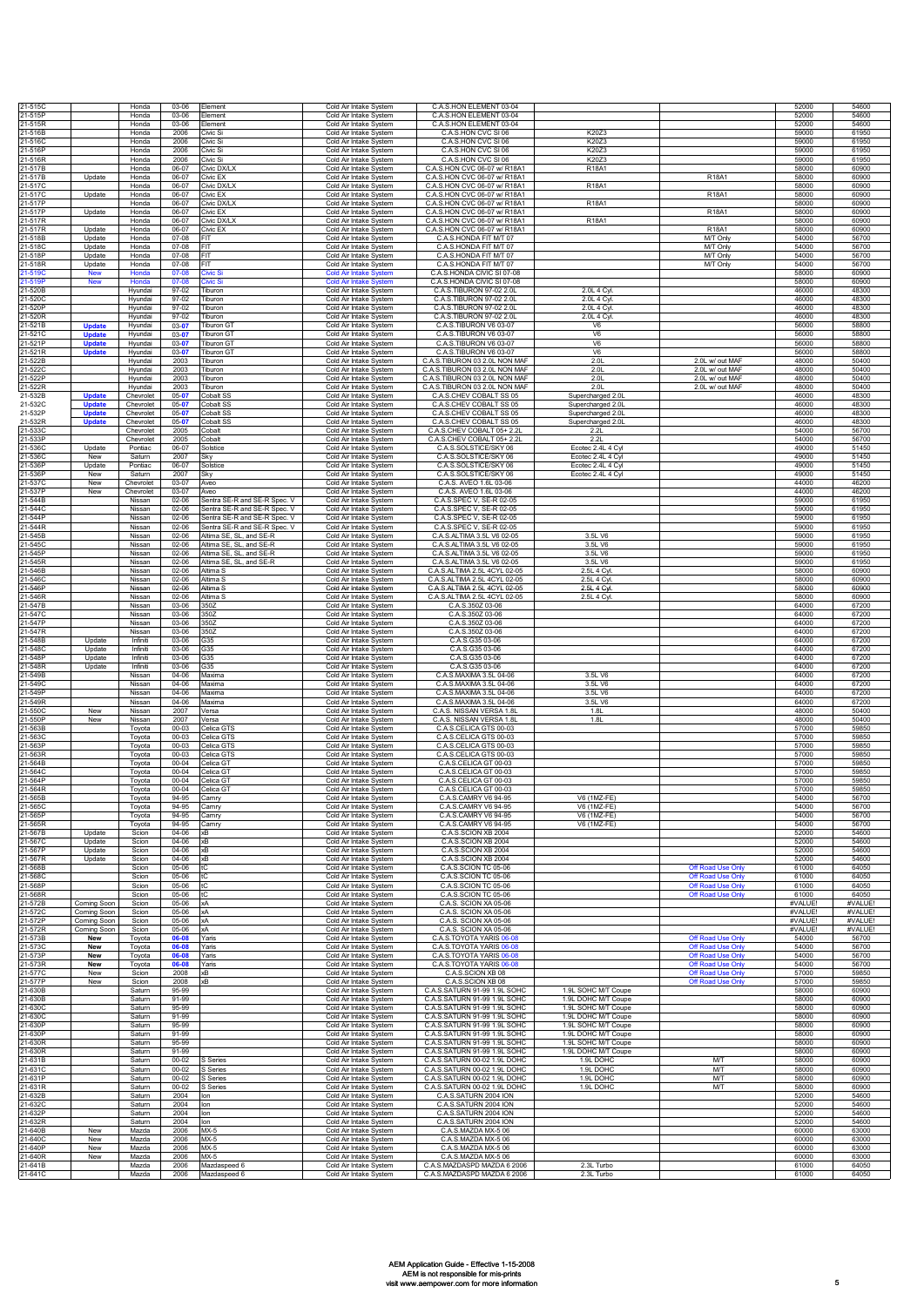| 21-515C            |                                | Honda                  | 03-06                  | Element                                                      | Cold Air Intake System                                       | C.A.S.HON ELEMENT 03-04                                        |                                            |                                        | 52000              | 54600             |
|--------------------|--------------------------------|------------------------|------------------------|--------------------------------------------------------------|--------------------------------------------------------------|----------------------------------------------------------------|--------------------------------------------|----------------------------------------|--------------------|-------------------|
| 21-515P<br>21-515R |                                | Honda<br>Honda         | 03-06<br>03-06         | Element<br>Element                                           | Cold Air Intake System<br>Cold Air Intake System             | C.A.S.HON ELEMENT 03-04<br>C.A.S.HON ELEMENT 03-04             |                                            |                                        | 52000<br>52000     | 54600<br>54600    |
| 21-516B<br>21-516C |                                | Honda<br>Honda         | 2006<br>2006           | Civic Si<br>Civic Si                                         | Cold Air Intake System<br>Cold Air Intake System             | C.A.S.HON CVC SI 06<br>C.A.S.HON CVC SI 06                     | K20Z3<br>K20Z3                             |                                        | 59000<br>59000     | 61950<br>61950    |
| 21-516P            |                                | Honda                  | 2006                   | Civic Si                                                     | Cold Air Intake System                                       | C.A.S.HON CVC SI 06                                            | K20Z3                                      |                                        | 59000              | 61950             |
| 21-516R<br>21-517B |                                | Honda<br>Honda         | 2006<br>06-07          | Civic Si<br>Civic DX/L>                                      | Cold Air Intake System<br>Cold Air Intake System             | C.A.S.HON CVC SI 06<br>C.A.S.HON CVC 06-07 w/ R18A1            | K20Z3<br>R18A1                             |                                        | 59000<br>58000     | 61950<br>60900    |
| 21-517B            | Update                         | Honda                  | 06-07                  | Civic EX                                                     | Cold Air Intake System                                       | C.A.S.HON CVC 06-07 w/ R18A1                                   |                                            | R18A1                                  | 58000              | 60900             |
| 21-517C<br>21-517C | Update                         | Honda<br>Honda         | 06-07<br>06-07         | Civic DX/L)<br>Civic EX                                      | Cold Air Intake System<br>Cold Air Intake System             | C.A.S.HON CVC 06-07 w/ R18A1<br>C.A.S.HON CVC 06-07 w/ R18A1   | R18A1                                      | R18A1                                  | 58000<br>58000     | 60900<br>60900    |
| 21-517P<br>21-517P | Update                         | Honda<br>Honda         | 06-07<br>06-07         | Civic DX/L><br>Civic EX                                      | Cold Air Intake System<br>Cold Air Intake System             | C.A.S.HON CVC 06-07 w/ R18A1<br>C.A.S. HON CVC 06-07 w/ R18A1  | R18A1                                      | R18A1                                  | 58000<br>58000     | 60900<br>60900    |
| 21-517R            |                                | Honda                  | 06-07                  | Civic DX/LX                                                  | Cold Air Intake System                                       | C.A.S.HON CVC 06-07 w/ R18A1                                   | R18A1                                      |                                        | 58000              | 60900             |
| 21-517R<br>21-518B | Update<br>Update               | Honda<br>Honda         | 06-07<br>$07 - 08$     | Civic EX<br>FIT                                              | Cold Air Intake System<br>Cold Air Intake System             | C.A.S.HON CVC 06-07 w/ R18A1<br>C.A.S.HONDA FIT M/T 07         |                                            | R18A1<br>M/T Only                      | 58000<br>54000     | 60900<br>56700    |
| 21-518C<br>21-518P | Update<br>Update               | Honda<br>Honda         | 07-08<br>07-08         | FIT<br>FIT                                                   | Cold Air Intake System<br>Cold Air Intake System             | C.A.S.HONDA FIT M/T 07<br>C.A.S.HONDA FIT M/T 07               |                                            | M/T Only<br>M/T Only                   | 54000<br>54000     | 56700<br>56700    |
| 21-518R            | Update                         | Honda                  | $07 - 08$              | <b>FIT</b>                                                   | Cold Air Intake System                                       | C.A.S.HONDA FIT M/T 07                                         |                                            | M/T Only                               | 54000              | 56700             |
| 21-5190<br>21-519F | New<br><b>New</b>              | Honda<br>Honda         | 07-08<br>07-08         | Civic S<br>ivic S                                            | <b>Cold Air Intake Syste</b><br><b>Cold Air Intake Syste</b> | C.A.S.HONDA CIVIC SI 07-08<br>C A S HONDA CIVIC SL07-08        |                                            |                                        | 58000<br>58000     | 60900<br>60900    |
| 21-520B            |                                | Hyundai                | 97-02                  | Tiburon                                                      | Cold Air Intake System                                       | C.A.S.TIBURON 97-02 2.0L                                       | 2.0L 4 Cyl.                                |                                        | 46000              | 48300<br>48300    |
| 21-520C<br>21-520F |                                | Hyundai<br>Hvundai     | 97-02<br>$97 - 02$     | Tiburon<br>Tiburon                                           | Cold Air Intake System<br>Cold Air Intake System             | C.A.S.TIBURON 97-02 2.0L<br>C.A.S.TIBURON 97-02 2.0L           | 2.0L 4 Cyl<br>2.0L 4 Cyl.                  |                                        | 46000<br>46000     | 48300             |
| 21-520R<br>21-521B | <b>Update</b>                  | Hyundai<br>Hyundai     | 97-02<br>03-07         | Tiburon<br>Tiburon Gʻ                                        | Cold Air Intake System<br>Cold Air Intake System             | C.A.S.TIBURON 97-02 2.0L<br>C.A.S.TIBURON V6 03-07             | 2.0L 4 Cyl.<br>V6                          |                                        | 46000<br>56000     | 48300<br>58800    |
| 21-521C            | <b>Update</b>                  | Hyundai                | $03 - 07$              | <b>Fiburon GT</b>                                            | Cold Air Intake System                                       | C.A.S.TIBURON V6 03-07                                         | V <sub>6</sub>                             |                                        | 56000              | 58800             |
| 21-521P<br>21-521R | <b>Update</b><br><b>Update</b> | Hyundai<br>Hvundai     | $03 - 07$<br>03-07     | <b>Tiburon G'</b><br><b>Tiburon GT</b>                       | Cold Air Intake System<br>Cold Air Intake System             | C.A.S.TIBURON V6 03-07<br>C.A.S.TIBURON V6 03-07               | V <sub>6</sub><br>V6                       |                                        | 56000<br>56000     | 58800<br>58800    |
| 21-522B<br>21-522C |                                | Hyundai<br>Hyundai     | 2003<br>2003           | Tiburon<br>Tiburon                                           | Cold Air Intake System<br>Cold Air Intake System             | C.A.S.TIBURON 03 2.0L NON MAF<br>C.A.S.TIBURON 03 2.0L NON MAF | 2.0 <sub>L</sub><br>2.01                   | 2.0L w/ out MAF<br>2.0L w/ out MAF     | 48000<br>48000     | 50400<br>50400    |
| 21-522P            |                                | Hyundai                | 2003                   | Tiburon                                                      | Cold Air Intake System                                       | C.A.S.TIBURON 03 2.0L NON MAF                                  | 2.01                                       | 2.0L w/ out MAF                        | 48000              | 50400             |
| 21-522R<br>21-532B | <b>Update</b>                  | Hyundai<br>Chevrolet   | 2003<br>05-07          | <b>Tiburon</b><br>cobalt SS                                  | Cold Air Intake System<br>Cold Air Intake System             | C.A.S.TIBURON 03 2.0L NON MAF<br>C.A.S.CHEV COBALT SS 05       | 2.01<br>Supercharged 2.0L                  | 2.0L w/ out MAF                        | 48000<br>46000     | 50400<br>48300    |
| 21-532C            | <b>Update</b>                  | Chevrolet              | $05 - 07$              | Cobalt SS                                                    | Cold Air Intake System                                       | C.A.S.CHEV COBALT SS 05                                        | Supercharged 2.0L                          |                                        | 46000              | 48300<br>48300    |
| 21-532P<br>21-532R | <b>Update</b><br><b>Update</b> | Chevrolet<br>Chevrolet | $05 - 07$<br>$05 - 07$ | Cobalt SS<br>Cobalt SS                                       | Cold Air Intake System<br>Cold Air Intake System             | C.A.S.CHEV COBALT SS 05<br>C.A.S.CHEV COBALT SS 05             | Supercharged 2.0L<br>Supercharged 2.0L     |                                        | 46000<br>46000     | 48300             |
| 21-533C<br>21-533P |                                | Chevrolet<br>Chevrolet | 2005<br>2005           | Cobalt<br>Cobalt                                             | Cold Air Intake System<br>Cold Air Intake System             | C.A.S.CHEV COBALT 05+2.2L<br>C.A.S.CHEV COBALT 05+ 2.2L        | 2.2L<br>2.2L                               |                                        | 54000<br>54000     | 56700<br>56700    |
| 21-536C            | Update                         | Pontiac                | 06-07                  | Solstice                                                     | Cold Air Intake System                                       | C.A.S.SOLSTICE/SKY 06                                          | Ecotec 2.4L 4 Cyl                          |                                        | 49000              | 51450             |
| 21-536C<br>21-536F | New<br>Update                  | Saturn<br>Pontiac      | 2007<br>06-07          | Sky<br>Solstice                                              | Cold Air Intake System<br>Cold Air Intake System             | C.A.S.SOLSTICE/SKY 06<br>C.A.S.SOLSTICE/SKY 06                 | Ecotec 2.4L 4 Cvl<br>Ecotec 2.4L 4 Cyl     |                                        | 49000<br>49000     | 51450<br>51450    |
| 21-536F<br>21-537C | New<br>New                     | Saturn<br>Chevrolet    | 2007<br>03-07          | Skγ<br>Aveo                                                  | Cold Air Intake System<br>Cold Air Intake System             | C.A.S.SOLSTICE/SKY 06<br>C.A.S. AVEO 1.6L 03-06                | Ecotec 2.4L 4 Cyl                          |                                        | 49000<br>44000     | 51450<br>46200    |
| 21-537F            | New                            | Chevrolet              | 03-07                  | Aveo                                                         | Cold Air Intake System                                       | C.A.S. AVEO 1.6L 03-06                                         |                                            |                                        | 44000              | 46200             |
| 21-544B<br>21-544C |                                | Nissan<br>Nissan       | $02 - 06$<br>$02 - 06$ | Sentra SE-R and SE-R Spec. V<br>Sentra SE-R and SE-R Spec. V | Cold Air Intake System<br>Cold Air Intake System             | C.A.S.SPEC V. SE-R 02-05<br>C.A.S.SPEC V, SE-R 02-05           |                                            |                                        | 59000<br>59000     | 61950<br>61950    |
| 21-544P<br>21-544R |                                | Nissan<br>Nissan       | $02 - 06$<br>$02 - 06$ | Sentra SE-R and SE-R Spec. V<br>Sentra SE-R and SE-R Spec. V | Cold Air Intake System<br>Cold Air Intake System             | C.A.S.SPEC V, SE-R 02-05<br>C.A.S.SPEC V. SE-R 02-05           |                                            |                                        | 59000<br>59000     | 61950<br>61950    |
| 21-545B            |                                | Nissan                 | $02-06$                | ltima SE. SL. and SE-R                                       | Cold Air Intake System                                       | C A S AI TIMA 3 5L V6 02-05                                    | 3.5L V6                                    |                                        | 59000              | 61950             |
| 21-5450<br>21-545P |                                | Nissan<br>Nissan       | 02-06<br>$02 - 06$     | Altima SE. SL. and SE-R<br>Altima SE, SL, and SE-R           | Cold Air Intake System<br>Cold Air Intake System             | C A S AI TIMA 3 5L V6 02-05<br>C.A.S.ALTIMA 3.5L V6 02-05      | 3.5L V6<br>3.5L V6                         |                                        | 59000<br>59000     | 61950<br>61950    |
| 21-545R            |                                | Nissan                 | $02 - 06$              | Altima SE. SL. and SE-R                                      | Cold Air Intake System                                       | C.A.S.ALTIMA 3.5L V6 02-05                                     | 3.5L V6                                    |                                        | 59000              | 61950             |
| 21-546B<br>21-546C |                                | Nissan<br>Nissan       | $02 - 06$<br>$02 - 06$ | Altima S<br>Altima S                                         | Cold Air Intake System<br>Cold Air Intake System             | C.A.S.ALTIMA 2.5L 4CYL 02-05<br>C.A.S.ALTIMA 2.5L 4CYL 02-05   | 2.5L 4 Cyl<br>2.5L 4 Cyl                   |                                        | 58000<br>58000     | 60900<br>60900    |
| 21-546P<br>21-546R |                                | Nissan<br>Nissan       | $02 - 06$<br>$02 - 06$ | Altima S<br>Altima S                                         | Cold Air Intake System<br>Cold Air Intake System             | C.A.S.ALTIMA 2.5L 4CYL 02-05<br>C.A.S.ALTIMA 2.5L 4CYL 02-05   | 2.5L 4 Cyl<br>2.5L 4 Cyl                   |                                        | 58000<br>58000     | 60900<br>60900    |
| 21-547B            |                                | Nissan                 | 03-06                  | 350Z                                                         | Cold Air Intake System                                       | C.A.S.350Z 03-06                                               |                                            |                                        | 64000              | 67200             |
| 21-547C<br>21-547P |                                | Nissan<br>Nissan       | 03-06<br>03-06         | <b>50Z</b><br>350Z                                           | Cold Air Intake System<br>Cold Air Intake System             | C.A.S.350Z 03-06<br>C.A.S.350Z 03-06                           |                                            |                                        | 64000<br>64000     | 67200<br>67200    |
| 21-547R<br>21-548B | Update                         | Nissan<br>Infiniti     | 03-06<br>03-06         | 350Z<br>335                                                  | Cold Air Intake System<br>Cold Air Intake System             | C.A.S.350Z 03-06<br>C.A.S.G35 03-06                            |                                            |                                        | 64000<br>64000     | 67200<br>67200    |
| 21-548C            | Update                         | Infiniti               | 03-06                  | 335                                                          | Cold Air Intake System                                       | C.A.S.G35 03-06                                                |                                            |                                        | 64000              | 67200             |
| 21-548P<br>21-548R | Update<br>Update               | Infiniti<br>Infiniti   | 03-06<br>03-06         | G35<br>G35                                                   | Cold Air Intake System<br>Cold Air Intake System             | C.A.S.G35 03-06<br>C.A.S.G35 03-06                             |                                            |                                        | 64000<br>64000     | 67200<br>67200    |
| 21-549B            |                                | Nissan<br>Nissan       | 04-06<br>04-06         | Maxima                                                       | Cold Air Intake System<br>Cold Air Intake System             | C.A.S.MAXIMA 3.5L 04-06<br>C.A.S.MAXIMA 3.5L 04-06             | 3.5L V6<br>3.5L V6                         |                                        | 64000<br>64000     | 67200<br>67200    |
| 21-549C<br>21-549F |                                | Nissan                 | 04-06                  | Aaxima<br>Vlaxima                                            | Cold Air Intake System                                       | C.A.S.MAXIMA 3.5L 04-06                                        | 3.5L V6                                    |                                        | 64000              | 67200             |
| 21-549R<br>21-550C | New                            | Nissan<br>Nissan       | 04-06<br>2007          | Vlaxima<br>Versa                                             | Cold Air Intake System<br>Cold Air Intake System             | C.A.S.MAXIMA 3.5L 04-06<br>C.A.S. NISSAN VERSA 1.8L            | 3.5L V6<br>1.8L                            |                                        | 64000<br>48000     | 67200<br>50400    |
| 21-550P            | New                            | Nissan                 | 2007                   | /ersa                                                        | Cold Air Intake System                                       | C.A.S. NISSAN VERSA 1.8L                                       | 1.8L                                       |                                        | 48000              | 50400             |
| 21-563B<br>21-563C |                                | Toyota<br>Toyota       | 00-03<br>00-03         | Celica GTS<br>Celica GTS                                     | Cold Air Intake System<br>Cold Air Intake System             | C.A.S.CELICA GTS 00-03<br>C.A.S.CELICA GTS 00-03               |                                            |                                        | 57000<br>57000     | 59850<br>59850    |
| 21-563P<br>21-563R |                                | Toyota<br>Toyota       | $00 - 03$<br>00-03     | Celica GTS<br>elica GTS                                      | Cold Air Intake System<br>Cold Air Intake System             | C.A.S.CELICA GTS 00-03<br>C.A.S.CELICA GTS 00-03               |                                            |                                        | 57000<br>57000     | 59850<br>59850    |
| 21-564B            |                                | Toyota                 | $00 - 04$              | elica GT                                                     | Cold Air Intake System                                       | C.A.S.CELICA GT 00-03                                          |                                            |                                        | 57000              | 59850             |
| 21-564C<br>21-564P |                                | Toyota<br>Toyota       | 00-04<br>$00 - 04$     | elica GT<br>Celica GT                                        | Cold Air Intake System<br>Cold Air Intake System             | C.A.S.CELICA GT 00-03<br>C.A.S.CELICA GT 00-03                 |                                            |                                        | 57000<br>57000     | 59850<br>59850    |
| 21-564R<br>21-565B |                                | Tovota<br>Toyota       | $00 - 04$<br>94-95     | Celica GT<br>Camry                                           | Cold Air Intake System<br>Cold Air Intake System             | C.A.S.CELICA GT 00-03<br>C.A.S.CAMRY V6 94-95                  | <b>V6 (1MZ-FE</b>                          |                                        | 57000<br>54000     | 59850<br>56700    |
| 21-565C            |                                | Toyota                 | 94-95                  | Camry                                                        | Cold Air Intake System                                       | C.A.S.CAMRY V6 94-95                                           | V6 (1MZ-FE)                                |                                        | 54000              | 56700             |
| 21-565P<br>21-565R |                                | Toyota<br>Toyota       | 94-95<br>94-95         | Camrv<br>Camry                                               | Cold Air Intake System<br>Cold Air Intake System             | C A S CAMRY V6 94-95<br>C.A.S.CAMRY V6 94-95                   | V6 (1MZ-FE)<br>V6 (1MZ-FE)                 |                                        | 54000<br>54000     | 56700<br>56700    |
| 21-567B            | Update                         | Scion                  | 04-06                  | xВ                                                           | Cold Air Intake System                                       | C.A.S.SCION XB 2004                                            |                                            |                                        | 52000              | 54600             |
| 21-567C<br>21-567P | Update<br>Update               | Scion<br>Scion         | 04-06<br>04-06         | хB<br>хB                                                     | Cold Air Intake System<br>Cold Air Intake System             | C.A.S.SCION XB 2004<br>C.A.S.SCION XB 2004                     |                                            |                                        | 52000<br>52000     | 54600<br>54600    |
| 21-567R<br>21-568B | Update                         | Scion<br>Scion         | 04-06<br>05-06         | хB<br>tC                                                     | Cold Air Intake System<br>Cold Air Intake System             | C.A.S.SCION XB 2004<br>C.A.S.SCION TC 05-06                    |                                            | <b>Off Road Use Onl</b>                | 52000<br>61000     | 54600<br>64050    |
| 21-568C            |                                | Scion                  | 05-06                  | tC                                                           | Cold Air Intake System                                       | C.A.S.SCION TC 05-06                                           |                                            | Off Road Use Only                      | 61000              | 64050<br>64050    |
| 21-568P<br>21-568R |                                | Scion<br>Scion         | 05-06<br>05-06         | tC<br>tC                                                     | Cold Air Intake System<br>Cold Air Intake System             | C.A.S.SCION TC 05-06<br>C.A.S.SCION TC 05-06                   |                                            | Off Road Use Only<br>Off Road Use Only | 61000<br>61000     | 64050             |
| 21-572B<br>21-572C | Coming Soon<br>Coming Soon     | Scion<br>Scion         | 05-06<br>05-06         | хA<br>хA                                                     | Cold Air Intake System<br>Cold Air Intake System             | C.A.S. SCION XA 05-06<br>C.A.S. SCION XA 05-06                 |                                            |                                        | #VALUE!<br>#VALUE! | #VALUE<br>#VALUE! |
| 21-572P            | Coming Soon                    | Scion                  | 05-06                  | хA                                                           | Cold Air Intake System                                       | C.A.S. SCION XA 05-06                                          |                                            |                                        | #VALUE!            | #VALUE!           |
| 21-572R<br>21-573B | Coming Soon<br><b>New</b>      | Scion<br>Tovota        | 05-06<br>06-08         | хA<br>Yaris                                                  | Cold Air Intake System<br>Cold Air Intake System             | C.A.S. SCION XA 05-06<br>C.A.S.TOYOTA YARIS 06-01              |                                            | Off Road Use Onl                       | #VALUE!<br>54000   | #VALUE!<br>56700  |
| 21-573C<br>21-573P | <b>New</b><br>New              | Toyota<br>Toyota       | 06-08<br>06-08         | Yaris<br>Yaris                                               | Cold Air Intake System<br>Cold Air Intake System             | C.A.S.TOYOTA YARIS 06-08<br>C.A.S.TOYOTA YARIS 06-08           |                                            | Off Road Use Only<br>Off Road Use Only | 54000<br>54000     | 56700<br>56700    |
| 21-573R            | <b>New</b>                     | Toyota                 | 06-08                  | Yaris                                                        | Cold Air Intake System                                       | C. A S TOYOTA YARIS 06-08                                      |                                            | Off Road Use Only                      | 54000              | 56700             |
| 21-577C<br>21-577P | New<br>New                     | Scion<br>Scion         | 2008<br>2008           | хB<br>хB                                                     | Cold Air Intake System<br>Cold Air Intake System             | C.A.S.SCION XB 08<br>C.A.S.SCION XB 08                         |                                            | Off Road Use Only<br>Off Road Use Only | 57000<br>57000     | 59850<br>59850    |
| 21-630B<br>21-630B |                                | Saturn<br>Saturn       | 95-99<br>91-99         |                                                              | Cold Air Intake System<br>Cold Air Intake System             | C.A.S.SATURN 91-99 1.9L SOHC<br>C.A.S.SATURN 91-99 1.9L SOHC   | 1.9L SOHC M/T Coupe<br>1.9L DOHC M/T Coupe |                                        | 58000<br>58000     | 60900<br>60900    |
| 21-630C            |                                | Saturn                 | 95-99                  |                                                              | Cold Air Intake System                                       | C.A.S.SATURN 91-99 1.9L SOHC                                   | 1.9L SOHC M/T Coupe                        |                                        | 58000              | 60900             |
| 21-630C<br>21-630P |                                | Saturn<br>Saturn       | 91-99<br>95-99         |                                                              | Cold Air Intake System<br>Cold Air Intake System             | C.A.S.SATURN 91-99 1.9L SOHC<br>C.A.S.SATURN 91-99 1.9L SOHC   | 1.9L DOHC M/T Coupe<br>1.9L SOHC M/T Coupe |                                        | 58000<br>58000     | 60900<br>60900    |
| 21-630P<br>21-630R |                                | Saturn<br>Saturn       | 91-99<br>95-99         |                                                              | Cold Air Intake System<br>Cold Air Intake System             | C.A.S.SATURN 91-99 1.9L SOHC<br>C.A.S.SATURN 91-99 1.9L SOHC   | 1.9L DOHC M/T Coupe<br>1.9L SOHC M/T Coupe |                                        | 58000<br>58000     | 60900<br>60900    |
| 21-630R            |                                | Saturn                 | 91-99                  |                                                              | Cold Air Intake System                                       | C.A.S.SATURN 91-99 1.9L SOHC                                   | 1.9L DOHC M/T Coupe                        |                                        | 58000              | 60900             |
| 21-631B<br>21-631C |                                | Saturn<br>Saturn       | $00 - 02$<br>$00 - 02$ | Series<br>Series                                             | Cold Air Intake System<br>Cold Air Intake System             | C.A.S.SATURN 00-02 1.9L DOHC<br>C.A.S.SATURN 00-02 1.9L DOHC   | 1.9L DOHC<br>1.9L DOHC                     | <b>MT</b><br><b>M/T</b>                | 58000<br>58000     | 60900<br>60900    |
| 21-631F            |                                | Saturn                 | $00 - 02$              | Series                                                       | Cold Air Intake System                                       | C.A.S.SATURN 00-02 1.9L DOHC<br>C.A.S.SATURN 00-02 1.9L DOHC   | 1.9L DOHC                                  | <b>M/T</b>                             | 58000              | 60900             |
| 21-631R<br>21-632B |                                | Saturn<br>Saturn       | 00-02<br>2004          | Series<br>lon                                                | Cold Air Intake System<br>Cold Air Intake System             | C.A.S.SATURN 2004 ION                                          | 1.9L DOHC                                  | <b>M/T</b>                             | 58000<br>52000     | 60900<br>54600    |
| 21-632C<br>21-632P |                                | Saturn<br>Saturn       | 2004<br>2004           | lon<br>lon                                                   | Cold Air Intake System<br>Cold Air Intake System             | C.A.S.SATURN 2004 ION<br>C.A.S.SATURN 2004 ION                 |                                            |                                        | 52000<br>52000     | 54600<br>54600    |
| 21-632R            |                                | Saturn                 | 2004                   | lon                                                          | Cold Air Intake System                                       | C.A.S.SATURN 2004 ION                                          |                                            |                                        | 52000              | 54600             |
| 21-640B<br>21-640C | New<br>New                     | Mazda<br>Mazda         | 2006<br>2006           | $MX-5$<br>MX-5                                               | Cold Air Intake System<br>Cold Air Intake System             | C.A.S.MAZDA MX-5 06<br>C.A.S.MAZDA MX-5 06                     |                                            |                                        | 60000<br>60000     | 63000<br>63000    |
| 21-640P<br>21-640R | New<br>New                     | Mazda<br>Mazda         | 2006<br>2006           | MX-5<br>MX-5                                                 | Cold Air Intake System<br>Cold Air Intake System             | C.A.S.MAZDA MX-5 06<br>C.A.S.MAZDA MX-5 06                     |                                            |                                        | 60000<br>60000     | 63000<br>63000    |
| $21 - 641B$        |                                | Mazda                  | 2006                   | Mazdaspeed 6                                                 | Cold Air Intake System                                       | C.A.S.MAZDASPD MAZDA 6 2006                                    | 2.3L Turbo                                 |                                        | 61000              | 64050             |
| 21-641C            |                                | Mazda                  | 2006                   | Mazdaspeed 6                                                 | Cold Air Intake System                                       | C.A.S.MAZDASPD MAZDA 6 2006                                    | 2.3L Turbo                                 |                                        | 61000              | 64050             |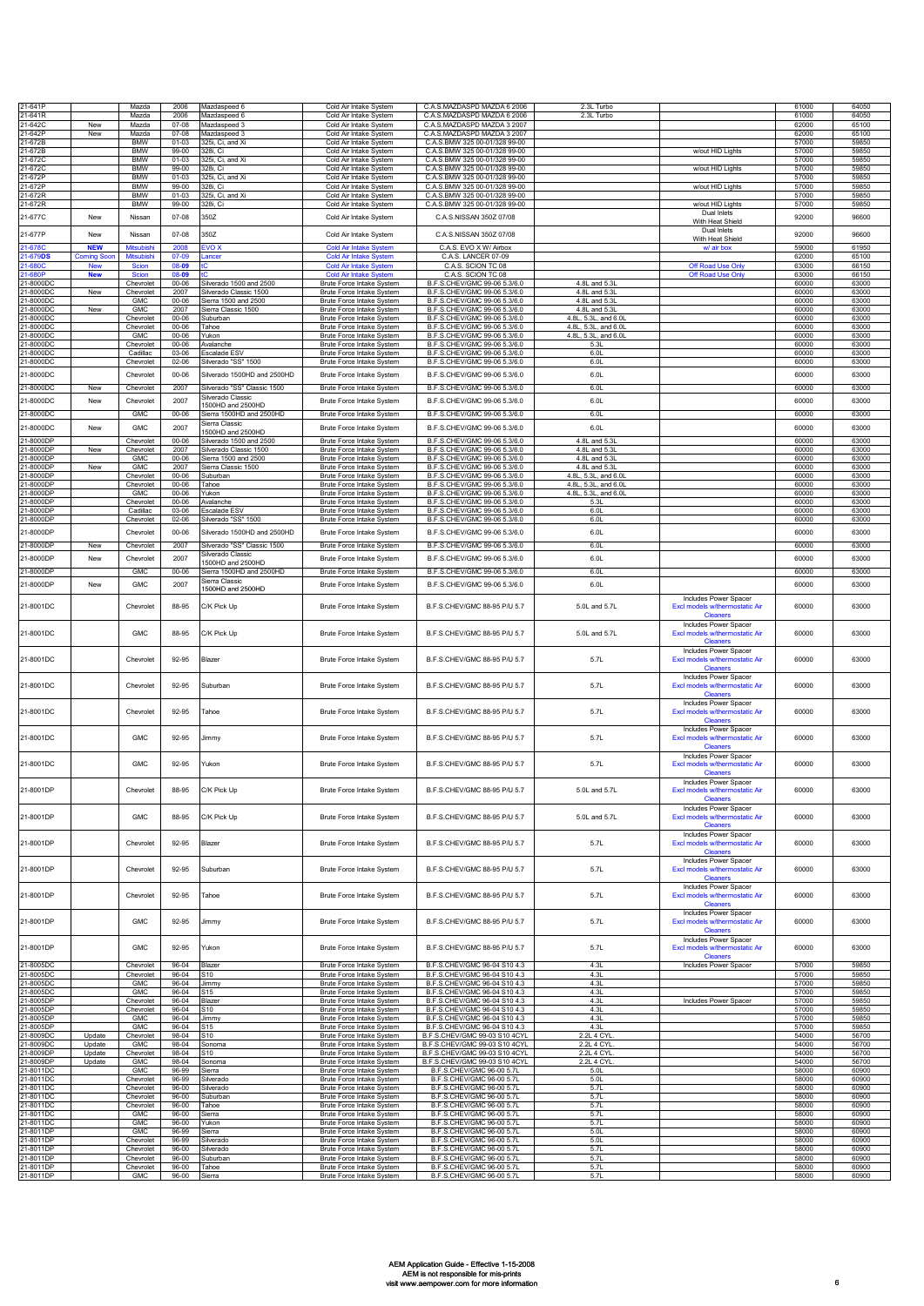| 21-641P                |                          | Mazda                            | 2006                   | Mazdaspeed 6                                   | Cold Air Intake System                                         | C.A.S.MAZDASPD MAZDA 6 2006                                    | 2.3L Turbo                                   |                                                                            | 61000          | 64050          |
|------------------------|--------------------------|----------------------------------|------------------------|------------------------------------------------|----------------------------------------------------------------|----------------------------------------------------------------|----------------------------------------------|----------------------------------------------------------------------------|----------------|----------------|
| 21-641R                |                          | Mazda                            | 2006                   | Mazdaspeed 6                                   | Cold Air Intake System                                         | C.A.S.MAZDASPD MAZDA 6 2006                                    | 2.3L Turbo                                   |                                                                            | 61000          | 64050          |
| 21-642C<br>21-642P     | New<br>New               | Mazda<br>Mazda                   | $07 - 08$<br>$07 - 08$ | Mazdaspeed 3<br>Mazdaspeed 3                   | Cold Air Intake System<br>Cold Air Intake System               | C.A.S.MAZDASPD MAZDA 3 2007<br>C.A.S.MAZDASPD MAZDA 3 2007     |                                              |                                                                            | 62000<br>62000 | 65100<br>65100 |
| 21-672B                |                          | <b>BMW</b>                       | $01 - 03$              | 325i, Ci, and Xi                               | Cold Air Intake System                                         | C.A.S.BMW 325 00-01/328 99-00                                  |                                              |                                                                            | 57000          | 59850          |
| 21-672B                |                          | <b>BMW</b>                       | 99-00                  | 328i, Ci                                       | Cold Air Intake System                                         | C.A.S.BMW 325 00-01/328 99-00                                  |                                              | w/out HID Lights                                                           | 57000          | 59850          |
| 21-672C<br>21-672C     |                          | <b>BMW</b><br><b>BMW</b>         | $01 - 03$<br>99-00     | 325i, Ci, and Xi<br>328i, Ci                   | Cold Air Intake System<br>Cold Air Intake System               | C.A.S.BMW 325 00-01/328 99-00<br>C.A.S.BMW 325 00-01/328 99-00 |                                              | w/out HID Lights                                                           | 57000<br>57000 | 59850<br>59850 |
| 21-672P                |                          | <b>BMW</b>                       | $01 - 03$              | 325i, Ci, and Xi                               | Cold Air Intake System                                         | C.A.S.BMW 325 00-01/328 99-00                                  |                                              |                                                                            | 57000          | 59850          |
| 21-672P                |                          | <b>BMW</b>                       | 99-00                  | 328i, Ci                                       | Cold Air Intake System                                         | C.A.S.BMW 325 00-01/328 99-00                                  |                                              | w/out HID Lights                                                           | 57000          | 59850          |
| 21-672R<br>21-672R     |                          | <b>BMW</b><br><b>BMW</b>         | $01-03$<br>99-00       | 325i, Ci, and Xi<br>328i, Ci                   | Cold Air Intake System<br>Cold Air Intake System               | C.A.S.BMW 325 00-01/328 99-00<br>C.A.S.BMW 325 00-01/328 99-00 |                                              | w/out HID Lights                                                           | 57000<br>57000 | 59850<br>59850 |
| 21-677C                | New                      | Nissan                           | $07 - 08$              | 350Z                                           | Cold Air Intake System                                         | C.A.S.NISSAN 350Z 07/08                                        |                                              | Dual Inlets                                                                | 92000          | 96600          |
|                        |                          |                                  |                        |                                                |                                                                |                                                                |                                              | With Heat Shield                                                           |                |                |
| 21-677P                | New                      | Nissan                           | $07 - 08$              | 350Z                                           | Cold Air Intake System                                         | C.A.S.NISSAN 350Z 07/08                                        |                                              | Dual Inlets<br>With Heat Shield                                            | 92000          | 96600          |
| 21-678C                | <b>NEW</b>               | <b>Mitsubishi</b>                | 2008                   | EVO X                                          | <b>Cold Air Intake System</b>                                  | C.A.S. EVO X W/ Airbox                                         |                                              | w/ air box                                                                 | 59000          | 61950          |
| 1-679DS<br>21-680C     | Coming Soo<br><b>New</b> | <b>Mitsubish</b><br><b>Scion</b> | 07-09<br>08-09         | ancer                                          | <b>Cold Air Intake System</b><br><b>Cold Air Intake System</b> | C.A.S. LANCER 07-09<br>C.A.S. SCION TC 08                      |                                              | Off Road Use Only                                                          | 62000<br>63000 | 65100<br>66150 |
| 21-680P                | <b>New</b>               | Scion                            | 08-09                  |                                                | Cold Air Intake Sv                                             | C.A.S. SCION TC 08                                             |                                              | Off Road Use Only                                                          | 63000          | 66150          |
| 21-8000DC              |                          | Chevrolet                        | $00 - 06$              | Silverado 1500 and 2500                        | <b>Brute Force Intake System</b>                               | B.F.S.CHEV/GMC 99-06 5.3/6.0                                   | 4.8L and 5.3L                                |                                                                            | 60000          | 63000          |
| 21-8000DC<br>21-8000DC | New                      | Chevrolet<br><b>GMC</b>          | 2007<br>00-06          | Silverado Classic 1500<br>Sierra 1500 and 2500 | Brute Force Intake System<br>Brute Force Intake System         | B.F.S.CHEV/GMC 99-06 5.3/6.0<br>B.F.S.CHEV/GMC 99-06 5.3/6.0   | 4.8L and 5.3L<br>4.8L and 5.3L               |                                                                            | 60000<br>60000 | 63000<br>63000 |
| 21-8000DC              | New                      | <b>GMC</b>                       | 2007                   | Sierra Classic 1500                            | Brute Force Intake System                                      | B.F.S.CHEV/GMC 99-06 5.3/6.0                                   | 4.8L and 5.3L                                |                                                                            | 60000          | 63000          |
| 21-8000DC              |                          | Chevrolet                        | 00-06                  | Suburban                                       | Brute Force Intake System                                      | B.F.S.CHEV/GMC 99-06 5.3/6.0                                   | 4.8L, 5.3L, and 6.0L                         |                                                                            | 60000          | 63000          |
| 21-8000DC<br>21-8000DC |                          | Chevrolet<br><b>GMC</b>          | $00 - 06$<br>$00 - 06$ | Tahoe<br>Yukon                                 | Brute Force Intake System<br>Brute Force Intake System         | B.F.S.CHEV/GMC 99-06 5.3/6.0<br>B.F.S.CHEV/GMC 99-06 5.3/6.0   | 4.8L, 5.3L, and 6.0L<br>4.8L, 5.3L, and 6.0L |                                                                            | 60000<br>60000 | 63000<br>63000 |
| 21-8000DC              |                          | Chevrolet                        | 00-06                  | Avalanche                                      | Brute Force Intake System                                      | B.F.S.CHEV/GMC 99-06 5.3/6.0                                   | 5.3L                                         |                                                                            | 60000          | 63000          |
| 21-8000DC              |                          | Cadillac                         | 03-06                  | Escalade ESV                                   | <b>Brute Force Intake System</b>                               | B.F.S.CHEV/GMC 99-06 5.3/6.0                                   | 6.01                                         |                                                                            | 60000          | 63000          |
| 21-8000DC              |                          | Chevrolet                        | $02 - 06$              | Silverado "SS" 1500                            | Brute Force Intake System                                      | B.F.S.CHEV/GMC 99-06 5.3/6.0                                   | 6.0L                                         |                                                                            | 60000          | 63000          |
| 21-8000DC              |                          | Chevrolet                        | 00-06                  | Silverado 1500HD and 2500HD                    | Brute Force Intake System                                      | B.F.S.CHEV/GMC 99-06 5.3/6.0                                   | 6.0L                                         |                                                                            | 60000          | 63000          |
| 21-8000DC              | New                      | Chevrolet                        | 2007                   | Silverado "SS" Classic 1500                    | Brute Force Intake System                                      | B.F.S.CHEV/GMC 99-06 5.3/6.0                                   | 6.0L                                         |                                                                            | 60000          | 63000          |
| 21-8000DC              | New                      | Chevrolet                        | 2007                   | Silverado Classic<br>500HD and 2500HD          | Brute Force Intake System                                      | B.F.S.CHEV/GMC 99-06 5.3/6.0                                   | 6.0L                                         |                                                                            | 60000          | 63000          |
| 21-8000DC              |                          | <b>GMC</b>                       | 00-06                  | Sierra 1500HD and 2500HD                       | Brute Force Intake System                                      | B.F.S.CHEV/GMC 99-06 5.3/6.0                                   | 6.0L                                         |                                                                            | 60000          | 63000          |
| 21-8000DC              | New                      | GMC                              | 2007                   | Sierra Classic                                 | Brute Force Intake System                                      | B.F.S.CHEV/GMC 99-06 5.3/6.0                                   | 6.0L                                         |                                                                            | 60000          | 63000          |
| 21-8000DP              |                          | Chevrolet                        | $00 - 06$              | 500HD and 2500HD<br>Silverado 1500 and 2500    | Brute Force Intake System                                      | B.F.S.CHEV/GMC 99-06 5.3/6.0                                   | 4.8L and 5.3L                                |                                                                            | 60000          | 63000          |
| 21-8000DP              | New                      | Chevrolet                        | 2007                   | Silverado Classic 1500                         | Brute Force Intake System                                      | B.F.S.CHEV/GMC 99-06 5.3/6.0                                   | 4.8L and 5.3L                                |                                                                            | 60000          | 63000          |
| 21-8000DP              |                          | <b>GMC</b>                       | 00-06                  | Sierra 1500 and 2500                           | Brute Force Intake System                                      | B.F.S.CHEV/GMC 99-06 5.3/6.0<br>B.F.S.CHEV/GMC 99-06 5.3/6.0   | 4.8L and 5.3L<br>4.8L and 5.3L               |                                                                            | 60000          | 63000          |
| 21-8000DF<br>1-8000DF  | New                      | <b>GMC</b><br>Chevrolet          | 2007<br>$00 - 06$      | Sierra Classic 1500<br>Suburban                | Brute Force Intake System<br>Brute Force Intake System         | B.F.S.CHEV/GMC 99-06 5.3/6.0                                   | 4.8L, 5.3L, and 6.0L                         |                                                                            | 60000<br>60000 | 63000<br>63000 |
| 21-8000DF              |                          | Chevrolet                        | 00-06                  | Tahoe                                          | Brute Force Intake System                                      | B.F.S.CHEV/GMC 99-06 5.3/6.0                                   | 4.8L, 5.3L, and 6.0L                         |                                                                            | 60000          | 63000          |
| 21-8000DF              |                          | <b>GMC</b>                       | $00 - 06$              | Yukon                                          | Brute Force Intake System                                      | B.F.S.CHEV/GMC 99-06 5.3/6.0                                   | 4.8L, 5.3L, and 6.0L                         |                                                                            | 60000          | 63000          |
| 21-8000DF<br>21-8000DF |                          | Chevrolet<br>Cadillac            | $00 - 06$<br>03-06     | Avalanche<br>Escalade ESV                      | Brute Force Intake System<br>Brute Force Intake System         | B.F.S.CHEV/GMC 99-06 5.3/6.0<br>B.F.S.CHEV/GMC 99-06 5.3/6.0   | 5.31<br>6.0L                                 |                                                                            | 60000<br>60000 | 63000<br>63000 |
| 21-8000DP              |                          | Chevrolet                        | $02 - 06$              | Silverado "SS" 1500                            | Brute Force Intake System                                      | B.F.S.CHEV/GMC 99-06 5.3/6.0                                   | 6.0L                                         |                                                                            | 60000          | 63000          |
| 21-8000DP              |                          | Chevrolet                        | 00-06                  | Silverado 1500HD and 2500HD                    | Brute Force Intake System                                      | B.F.S.CHEV/GMC 99-06 5.3/6.0                                   | 6.0L                                         |                                                                            | 60000          | 63000          |
| 21-8000DP              | New                      | Chevrolet                        | 2007                   | Silverado "SS" Classic 1500                    | Brute Force Intake System                                      | B.F.S.CHEV/GMC 99-06 5.3/6.0                                   | 6.0L                                         |                                                                            | 60000          | 63000          |
| 21-8000DP              | New                      | Chevrolet                        | 2007                   | Silverado Classic                              | Brute Force Intake System                                      | B.F.S.CHEV/GMC 99-06 5.3/6.0                                   | 6.0L                                         |                                                                            | 60000          | 63000          |
|                        |                          |                                  |                        | 1500HD and 2500HD                              |                                                                |                                                                |                                              |                                                                            | 60000          |                |
| 21-8000DP              |                          | <b>GMC</b>                       | $00 - 06$              | Sierra 1500HD and 2500HD<br>Sierra Classic     | Brute Force Intake System                                      | B.F.S.CHEV/GMC 99-06 5.3/6.0                                   | 6.01                                         |                                                                            |                | 63000          |
| 21-8000DP              | New                      | <b>GMC</b>                       | 2007                   | 1500HD and 2500HD                              | Brute Force Intake System                                      | B.F.S.CHEV/GMC 99-06 5.3/6.0                                   | 6.0L                                         |                                                                            | 60000          | 63000          |
| 21-8001DC              |                          | Chevrolet                        | 88-95                  | C/K Pick Up                                    | Brute Force Intake System                                      | B.F.S.CHEV/GMC 88-95 P/U 5.7                                   | 5.0L and 5.7L                                | Includes Power Spacer<br>Excl models w/thermostatic Air<br><b>Cleaners</b> | 60000          | 63000          |
| 21-8001DC              |                          | <b>GMC</b>                       | 88-95                  | C/K Pick Up                                    | Brute Force Intake System                                      | B.F.S.CHEV/GMC 88-95 P/U 5.7                                   | 5.0L and 5.7L                                | Includes Power Spacer<br>Excl models w/thermostatic Air<br>Cleaners        | 60000          | 63000          |
| 21-8001DC              |                          | Chevrolet                        | 92-95                  | Blazer                                         | Brute Force Intake System                                      | B.F.S.CHEV/GMC 88-95 P/U 5.7                                   | 5.7L                                         | Includes Power Spacer<br>Excl models w/thermostatic Air<br><b>Cleaners</b> | 60000          | 63000          |
| 21-8001DC              |                          | Chevrolet                        | 92-95                  | Suburban                                       | Brute Force Intake System                                      | B.F.S.CHEV/GMC 88-95 P/U 5.7                                   | 5.7L                                         | Includes Power Spacer<br>Excl models w/thermostatic Air                    | 60000          | 63000          |
| 21-8001DC              |                          | Chevrolet                        | 92-95                  | Tahoe                                          | Brute Force Intake System                                      | B.F.S.CHEV/GMC 88-95 P/U 5.7                                   | 5.7L                                         | <b>Cleaners</b><br>Includes Power Spacer<br>Excl models w/thermostatic Air | 60000          | 63000          |
| 21-8001DC              |                          | <b>GMC</b>                       | 92-95                  | Jimmy                                          | Brute Force Intake System                                      | B.F.S.CHEV/GMC 88-95 P/U 5.7                                   | 5.7L                                         | <b>Cleaners</b><br>Includes Power Spacer<br>Excl models w/thermostatic Air | 60000          | 63000          |
| 21-8001DC              |                          | <b>GMC</b>                       | 92-95                  | Yukon                                          | Brute Force Intake System                                      | B.F.S.CHEV/GMC 88-95 P/U 5.7                                   | 5.7L                                         | <b>Cleaners</b><br>Includes Power Spacer<br>Excl models w/thermostatic Air | 60000          | 63000          |
|                        |                          |                                  |                        |                                                |                                                                |                                                                |                                              | Includes Power Spacer                                                      |                |                |
| 21-8001DP              |                          | Chevrolet                        | 88-95                  | C/K Pick Up                                    | Brute Force Intake System                                      | B.F.S.CHEV/GMC 88-95 P/U 5.7                                   | 5.0L and 5.7L                                | Excl models w/thermostatic Air<br><b>Cleaners</b><br>Includes Power Spacer | 60000          | 63000          |
| 21-8001DP              |                          | <b>GMC</b>                       | 88-95                  | C/K Pick Up                                    | Brute Force Intake System                                      | B.F.S.CHEV/GMC 88-95 P/U 5.7                                   | 5.0L and 5.7L                                | Excl models w/thermostatic Air<br><b>Cleaners</b><br>Includes Power Spacer | 60000          | 63000          |
| 21-8001DP              |                          | Chevrolet                        | 92-95                  | Blazer                                         | Brute Force Intake System                                      | B.F.S.CHEV/GMC 88-95 P/U 5.7                                   | 5.7L                                         | Excl models w/thermostatic Air<br><b>Cleaners</b><br>Includes Power Spacer | 60000          | 63000          |
| 21-8001DP              |                          | Chevrolet                        | 92-95                  | Suburban                                       | Brute Force Intake System                                      | B.F.S.CHEV/GMC 88-95 P/U 5.7                                   | 5.7L                                         | Excl models w/thermostatic Air<br><b>Cleaners</b><br>Includes Power Spacer | 60000          | 63000          |
| 21-8001DP              |                          | Chevrolet                        | 92-95                  | Tahoe                                          | Brute Force Intake System                                      | B.F.S.CHEV/GMC 88-95 P/U 5.7                                   | 5.7L                                         | Excl models w/thermostatic Air<br><b>Cleaners</b>                          | 60000          | 63000          |
| 21-8001DP              |                          | <b>GMC</b>                       | 92-95                  | Jimmy                                          | Brute Force Intake System                                      | B.F.S.CHEV/GMC 88-95 P/U 5.7                                   | 5.7L                                         | Includes Power Spacer<br>Excl models w/thermostatic Air<br><b>Cleaners</b> | 60000          | 63000          |
| 21-8001DP              |                          | <b>GMC</b>                       | 92-95                  | Yukon                                          | Brute Force Intake System                                      | B.F.S.CHEV/GMC 88-95 P/U 5.7                                   | 5.7L                                         | Includes Power Spacer<br>Excl models w/thermostatic Air<br><b>Cleaners</b> | 60000          | 63000          |
| 21-8005DC              |                          | Chevrolet                        | 96-04                  | Blazer                                         | Brute Force Intake System                                      | B.F.S.CHEV/GMC 96-04 S10 4.3                                   | 4.3L                                         | Includes Power Spacer                                                      | 57000          | 59850          |
| 21-8005DC<br>21-8005DC |                          | Chevrolet<br><b>GMC</b>          | 96-04<br>96-04         | S10<br>Jimmy                                   | Brute Force Intake System<br>Brute Force Intake System         | B.F.S.CHEV/GMC 96-04 S10 4.3<br>B.F.S.CHEV/GMC 96-04 S10 4.3   | 4.3L<br>4.3L                                 |                                                                            | 57000<br>57000 | 59850<br>59850 |
| 21-8005DC              |                          | GMC                              | 96-04                  | 315                                            | Brute Force Intake System                                      | B.F.S.CHEV/GMC 96-04 S10 4.3                                   | 4.3L                                         |                                                                            | 57000          | 59850          |
| 21-8005DF              |                          | Chevrolet                        | 96-04                  | Blazer                                         | Brute Force Intake System                                      | B.F.S.CHEV/GMC 96-04 S10 4.3                                   | 4.3L<br>4.3L                                 | Includes Power Spacer                                                      | 57000          | 59850          |
| 21-8005DP<br>21-8005DP |                          | Chevrolet<br><b>GMC</b>          | 96-04<br>96-04         | 510<br>Jimmy                                   | Brute Force Intake System<br>Brute Force Intake System         | B.F.S.CHEV/GMC 96-04 S10 4.3<br>B.F.S.CHEV/GMC 96-04 S10 4.3   | 4.3L                                         |                                                                            | 57000<br>57000 | 59850<br>59850 |
| 21-8005DP              |                          | <b>GMC</b>                       | 96-04                  | S15                                            | Brute Force Intake System                                      | B.F.S.CHEV/GMC 96-04 S10 4.3                                   | 4.3L                                         |                                                                            | 57000          | 59850          |
| 21-8009DC<br>21-8009DC | Update<br>Update         | Chevrolet<br><b>GMC</b>          | 98-04<br>98-04         | S10<br>Sonoma                                  | Brute Force Intake System<br>Brute Force Intake System         | B.F.S.CHEV/GMC 99-03 S10 4CYL<br>B.F.S.CHEV/GMC 99-03 S10 4CYL | 2.2L 4 CYL<br>2.2L 4 CYL.                    |                                                                            | 54000<br>54000 | 56700<br>56700 |
| 21-8009DP              | Update                   | Chevrolet                        | 98-04                  | S10                                            | Brute Force Intake System                                      | B.F.S.CHEV/GMC 99-03 S10 4CYL                                  | 2.2L 4 CYL                                   |                                                                            | 54000          | 56700          |
| 21-8009DF              | Update                   | <b>GMC</b>                       | 98-04                  | Sonoma                                         | Brute Force Intake System                                      | B.F.S.CHEV/GMC 99-03 S10 4CYL                                  | 2.2L 4 CYL                                   |                                                                            | 54000          | 56700          |
| 21-8011DC<br>21-8011DC |                          | <b>GMC</b><br>Chevrolet          | 96-99<br>96-99         | Sierra<br>Silverado                            | Brute Force Intake System<br>Brute Force Intake System         | B.F.S.CHEV/GMC 96-00 5.7L<br>B.F.S.CHEV/GMC 96-00 5.7L         | 5.01<br>5.01                                 |                                                                            | 58000<br>58000 | 60900<br>60900 |
| 21-8011DC              |                          | Chevrolet                        | 96-00                  | Silverado                                      | Brute Force Intake System                                      | B.F.S.CHEV/GMC 96-00 5.7L                                      | 5.71                                         |                                                                            | 58000          | 60900          |
| 21-8011DC              |                          | Chevrolet                        | 96-00                  | Suburban                                       | Brute Force Intake System                                      | B.F.S.CHEV/GMC 96-00 5.7L                                      | 5.71                                         |                                                                            | 58000          | 60900          |
| 21-8011DC<br>21-8011DC |                          | Chevrolet<br>GMC                 | 96-00<br>96-00         | Tahoe<br>Sierra                                | Brute Force Intake System<br>Brute Force Intake System         | B.F.S.CHEV/GMC 96-00 5.7L<br>B.F.S.CHEV/GMC 96-00 5.7L         | 5.7L<br>5.7L                                 |                                                                            | 58000<br>58000 | 60900<br>60900 |
| 21-8011DC              |                          | <b>GMC</b>                       | $96 - 00$              | Yukon                                          | Brute Force Intake System                                      | B.F.S.CHEV/GMC 96-00 5.7L                                      | 5.7L                                         |                                                                            | 58000          | 60900          |
| 21-8011DP<br>21-8011DP |                          | <b>GMC</b><br>Chevrolet          | 96-99<br>96-99         | Sierra<br>Silverado                            | Brute Force Intake System<br>Brute Force Intake System         | B.F.S.CHEV/GMC 96-00 5.7L<br>B.F.S.CHEV/GMC 96-00 5.7L         | 5.0L<br>5.0L                                 |                                                                            | 58000<br>58000 | 60900<br>60900 |
| 21-8011DP              |                          | Chevrolet                        | $96 - 00$              | Silverado                                      | Brute Force Intake System                                      | B.F.S.CHEV/GMC 96-00 5.7L                                      | 5.7L                                         |                                                                            | 58000          | 60900          |
| 21-8011DP              |                          | Chevrolet                        | 96-00                  | Suburbar                                       | Brute Force Intake System                                      | B.F.S.CHEV/GMC 96-00 5.7L                                      | 5.7L                                         |                                                                            | 58000          | 60900          |
| 21-8011DP<br>21-8011DP |                          | Chevrolet<br><b>GMC</b>          | $96 - 00$<br>$96 - 00$ | Tahoe<br>Sierra                                | <b>Brute Force Intake System</b><br>Brute Force Intake System  | B.F.S.CHEV/GMC 96-00 5.7L<br>B.F.S.CHEV/GMC 96-00 5.7L         | 5.7L<br>5.7L                                 |                                                                            | 58000<br>58000 | 60900<br>60900 |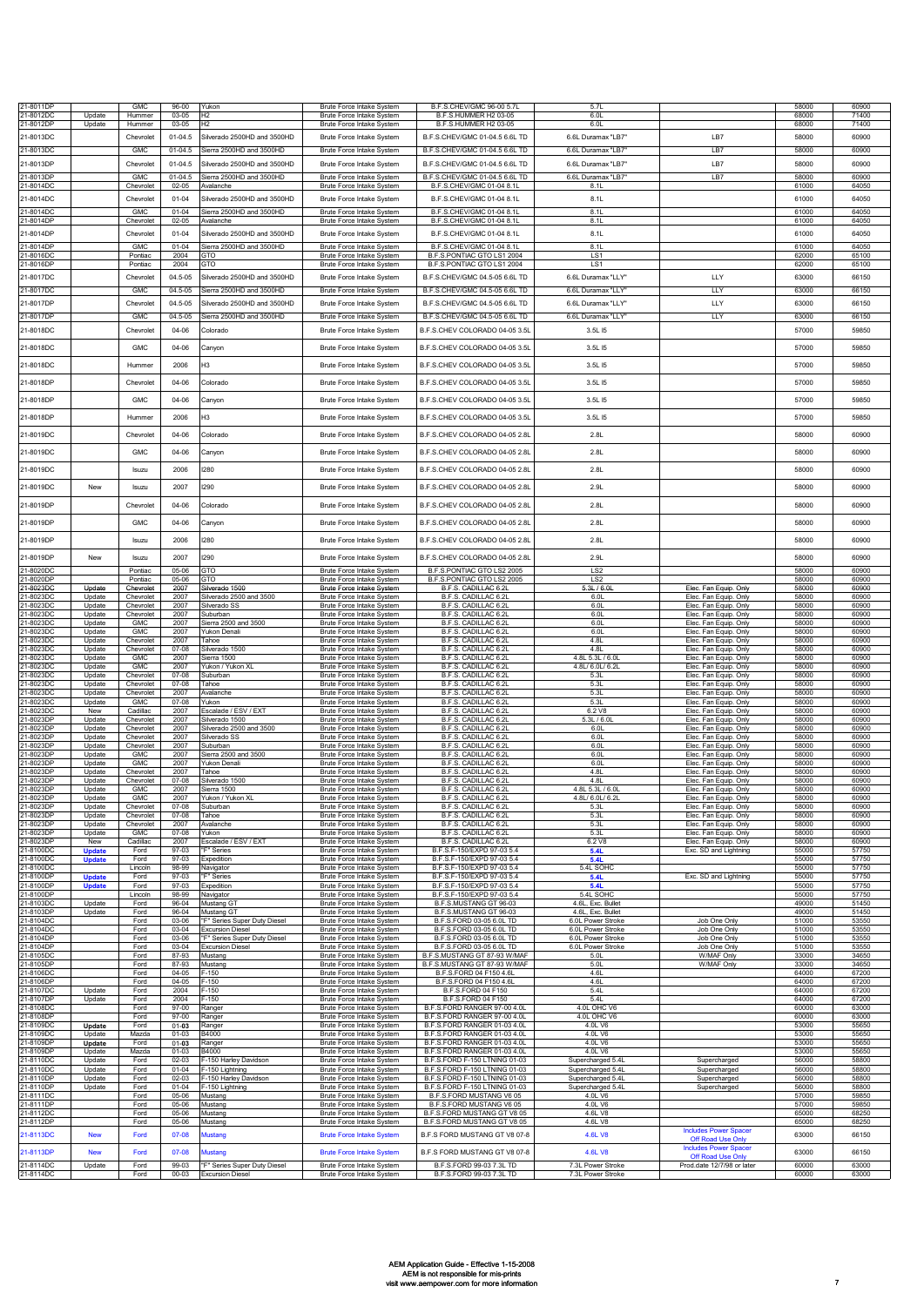| 21-8011DP              |                                | <b>GMC</b>               | $96 - 00$                | Yukon                                                   | Brute Force Intake System                                            | B.F.S.CHEV/GMC 96-00 5.7L                                      | 5.7L                                   |                                                          | 58000          | 60900          |
|------------------------|--------------------------------|--------------------------|--------------------------|---------------------------------------------------------|----------------------------------------------------------------------|----------------------------------------------------------------|----------------------------------------|----------------------------------------------------------|----------------|----------------|
| 21-8012DC<br>21-8012DP | Update<br>Update               | Hummer<br>Hummer         | 03-05<br>03-05           | H <sub>2</sub><br>H2                                    | <b>Brute Force Intake System</b><br>Brute Force Intake System        | B.F.S.HUMMER H2 03-05<br>B.F.S.HUMMER H2 03-05                 | 6.0L<br>6.0L                           |                                                          | 68000<br>68000 | 71400<br>71400 |
|                        |                                |                          |                          |                                                         |                                                                      |                                                                |                                        | LB7                                                      |                |                |
| 21-8013DC              |                                | Chevrolet                | 01-04.5                  | Silverado 2500HD and 3500HD<br>Sierra 2500HD and 3500HD | Brute Force Intake System                                            | B.F.S.CHEV/GMC 01-04.5 6.6L TD                                 | 6.6L Duramax "LB7"                     |                                                          | 58000          | 60900          |
| 21-8013DC              |                                | <b>GMC</b>               | $01-04.5$                |                                                         | Brute Force Intake System                                            | B.F.S.CHEV/GMC 01-04.5 6.6L TD                                 | 6.6L Duramax "LB7"                     | LB7                                                      | 58000          | 60900          |
| 21-8013DP              |                                | Chevrolet                | $01 - 04.5$              | Silverado 2500HD and 3500HD                             | Brute Force Intake System                                            | B.F.S.CHEV/GMC 01-04.5 6.6L TD                                 | 6.6L Duramax "LB7                      | LB7                                                      | 58000          | 60900          |
| 21-8013DP<br>21-8014DC |                                | GMC<br>Chevrolet         | $01 - 04.5$<br>$02 - 05$ | Sierra 2500HD and 3500HD<br>Avalanche                   | Brute Force Intake System<br>Brute Force Intake System               | B.F.S.CHEV/GMC 01-04.5 6.6L TD<br>B.F.S.CHEV/GMC 01-04 8.1L    | 6.6L Duramax "LB7"<br>8.11             | LB7                                                      | 58000<br>61000 | 60900<br>64050 |
| 21-8014DC              |                                | Chevrolet                | $01 - 04$                | Silverado 2500HD and 3500HD                             | Brute Force Intake System                                            | B.F.S.CHEV/GMC 01-04 8.1L                                      | 8.1L                                   |                                                          | 61000          | 64050          |
| 21-8014DC              |                                | <b>GMC</b>               | $01 - 04$                | Sierra 2500HD and 3500HD                                | Brute Force Intake System                                            | B.F.S.CHEV/GMC 01-04 8.1L                                      | 8.1L                                   |                                                          | 61000          | 64050          |
| 21-8014DP              |                                | Chevrolet                | $02 - 05$                | Avalanche                                               | <b>Brute Force Intake System</b>                                     | B.F.S.CHEV/GMC 01-04 8.1L                                      | 8.1L                                   |                                                          | 61000          | 64050          |
| 21-8014DP              |                                | Chevrolet                | $01 - 04$                | Silverado 2500HD and 3500HD                             | <b>Brute Force Intake System</b>                                     | B.F.S.CHEV/GMC 01-04 8.1L                                      | 8.1L                                   |                                                          | 61000          | 64050          |
| 21-8014DP              |                                | GMC                      | $01 - 04$                | Sierra 2500HD and 3500HD<br>GTO                         | Brute Force Intake System                                            | B.F.S.CHEV/GMC 01-04 8.1L                                      | 8.1L<br>1S1                            |                                                          | 61000          | 64050          |
| 21-8016DC<br>21-8016DF |                                | Pontiac<br>Pontiac       | 2004<br>2004             | GTO                                                     | <b>Brute Force Intake System</b><br><b>Brute Force Intake System</b> | B.F.S.PONTIAC GTO LS1 2004<br>B.F.S.PONTIAC GTO LS1 2004       | LS1                                    |                                                          | 62000<br>62000 | 65100<br>65100 |
| 21-8017DC              |                                | Chevrolet                | 04.5-05                  | Silverado 2500HD and 3500HD                             | Brute Force Intake System                                            | B.F.S.CHEV/GMC 04.5-05 6.6L TD                                 | 6.6L Duramax "LLY"                     | LLY                                                      | 63000          | 66150          |
| 21-8017DC              |                                | <b>GMC</b>               | 04.5-05                  | Sierra 2500HD and 3500HD                                | Brute Force Intake System                                            | B.F.S.CHEV/GMC 04.5-05 6.6L TD                                 | 6.6L Duramax "LLY"                     | <b>LLY</b>                                               | 63000          | 66150          |
| 21-8017DP              |                                | Chevrolet                | 04.5-05                  | Silverado 2500HD and 3500HD                             | <b>Brute Force Intake System</b>                                     | B.F.S.CHEV/GMC 04.5-05 6.6L TD                                 | 6.6L Duramax "LLY"                     | LLY                                                      | 63000          | 66150          |
| 21-8017DF              |                                | <b>GMC</b>               | 04.5-05                  | Sierra 2500HD and 3500HD                                | Brute Force Intake System                                            | B.F.S.CHEV/GMC 04.5-05 6.6L TD                                 | 6.6L Duramax "LLY"                     | <b>LLY</b>                                               | 63000          | 66150          |
| 21-8018DC              |                                | Chevrolet                | 04-06                    | Colorado                                                | <b>Brute Force Intake System</b>                                     | B.F.S.CHEV COLORADO 04-05 3.5L                                 | 3.5L I5                                |                                                          | 57000          | 59850          |
| 21-8018DC              |                                | <b>GMC</b>               | 04-06                    | Canyon                                                  | Brute Force Intake System                                            | B.F.S.CHEV COLORADO 04-05 3.5L                                 | 3.5L I5                                |                                                          | 57000          | 59850          |
|                        |                                |                          |                          |                                                         |                                                                      |                                                                |                                        |                                                          |                |                |
| 21-8018DC              |                                | Hummer                   | 2006                     | $+3$                                                    | <b>Brute Force Intake System</b>                                     | B.F.S.CHEV COLORADO 04-05 3.5L                                 | 3.5L I5                                |                                                          | 57000          | 59850          |
| 21-8018DF              |                                | Chevrolet                | 04-06                    | Colorado                                                | Brute Force Intake System                                            | B.F.S.CHEV COLORADO 04-05 3.5L                                 | 3.5L I5                                |                                                          | 57000          | 59850          |
| 21-8018DP              |                                | GMC                      | 04-06                    | Canyon                                                  | <b>Brute Force Intake System</b>                                     | B.F.S.CHEV COLORADO 04-05 3.5L                                 | 3.5L I5                                |                                                          | 57000          | 59850          |
|                        |                                |                          |                          |                                                         |                                                                      |                                                                |                                        |                                                          |                |                |
| 21-8018DP              |                                | Hummer                   | 2006                     | H3                                                      | Brute Force Intake System                                            | B.F.S.CHEV COLORADO 04-05 3.5L                                 | 3.5L I5                                |                                                          | 57000          | 59850          |
| 21-8019DC              |                                | Chevrolet                | 04-06                    | Colorado                                                | Brute Force Intake System                                            | B.F.S.CHEV COLORADO 04-05 2.8L                                 | 2.8L                                   |                                                          | 58000          | 60900          |
| 21-8019DC              |                                | <b>GMC</b>               | 04-06                    | Canyon                                                  | Brute Force Intake System                                            | B.F.S.CHEV COLORADO 04-05 2.8L                                 | 2.8L                                   |                                                          | 58000          | 60900          |
| 21-8019DC              |                                | Isuzu                    | 2006                     | 1280                                                    | Brute Force Intake System                                            | B.F.S.CHEV COLORADO 04-05 2.8L                                 | 2.8L                                   |                                                          | 58000          | 60900          |
|                        |                                |                          |                          |                                                         |                                                                      |                                                                |                                        |                                                          |                |                |
| 21-8019DC              | New                            | Isuzu                    | 2007                     | 290                                                     | Brute Force Intake System                                            | B.F.S.CHEV COLORADO 04-05 2.8L                                 | 2.9L                                   |                                                          | 58000          | 60900          |
| 21-8019DP              |                                | Chevrolet                | 04-06                    | Colorado                                                | Brute Force Intake System                                            | B.F.S.CHEV COLORADO 04-05 2.8L                                 | 2.8L                                   |                                                          | 58000          | 60900          |
| 21-8019DP              |                                | GMC                      | 04-06                    | Canyon                                                  | Brute Force Intake System                                            | B.F.S.CHEV COLORADO 04-05 2.8L                                 | 2.8L                                   |                                                          | 58000          | 60900          |
|                        |                                |                          |                          |                                                         |                                                                      |                                                                |                                        |                                                          |                |                |
| 21-8019DP              |                                | Isuzu                    | 2006                     | 1280                                                    | Brute Force Intake System                                            | B.F.S.CHEV COLORADO 04-05 2.8L                                 | 2.8L                                   |                                                          | 58000          | 60900          |
| 21-8019DP              | New                            | Isuzu                    | 2007                     | 1290                                                    | Brute Force Intake System                                            | B.F.S.CHEV COLORADO 04-05 2.8L                                 | 2.9L                                   |                                                          | 58000          | 60900          |
| 21-8020DC              |                                | Pontiac                  | 05-06                    | <b>GTO</b>                                              | Brute Force Intake System                                            | B.F.S.PONTIAC GTO LS2 2005                                     | LS <sub>2</sub>                        |                                                          | 58000          | 60900          |
| 21-8020DP<br>21-8023DC | Update                         | Pontiac<br>Chevrolet     | 05-06<br>2007            | GTO<br>Silverado 1500                                   | Brute Force Intake System<br>Brute Force Intake System               | B.F.S.PONTIAC GTO LS2 2005<br>B.F.S. CADILLAC 6.2L             | LS <sub>2</sub><br>5.3L / 6.0L         | Elec. Fan Equip. Only                                    | 58000<br>58000 | 60900<br>60900 |
| 21-8023DC              | Update                         | Chevrolet                | 2007                     | Silverado 2500 and 3500                                 | Brute Force Intake System                                            | B.F.S. CADILLAC 6.2L                                           | 6.0L                                   | Elec. Fan Equip. Only                                    | 58000          | 60900          |
| 21-8023DC<br>21-8023DC | Update<br>Update               | Chevrolet<br>Chevrolet   | 2007<br>2007             | Silverado SS<br>Suburban                                | Brute Force Intake System<br>Brute Force Intake System               | B.F.S. CADILLAC 6.2L<br>B.F.S. CADILLAC 6.2L                   | 6.01<br>6.01                           | Elec. Fan Equip. Only<br>Elec. Fan Equip. Only           | 58000<br>58000 | 60900<br>60900 |
| 21-8023DC              | Update                         | <b>GMC</b>               | 2007                     | Sierra 2500 and 3500                                    | <b>Brute Force Intake System</b>                                     | B.F.S. CADILLAC 6.2L                                           | 6.01                                   | Elec. Fan Equip. Only                                    | 58000          | 60900          |
| 21-8023DC<br>21-8023DC | Update<br>Update               | <b>GMC</b><br>Chevrolet  | 2007<br>2007             | Yukon Denali<br>Tahoe                                   | Brute Force Intake System<br>Brute Force Intake System               | B.F.S. CADILLAC 6.2L<br>B.F.S. CADILLAC 6.2L                   | 6.01<br>4.8L                           | Elec. Fan Equip. Only<br>Elec. Fan Equip. Only           | 58000<br>58000 | 60900<br>60900 |
| 21-8023DC              | Update                         | Chevrolet<br>GMC         | 07-08                    | Silverado 1500                                          | Brute Force Intake System                                            | B.F.S. CADILLAC 6.2L                                           | 4.8L                                   | Elec. Fan Equip. Only                                    | 58000<br>58000 | 60900          |
| 21-8023DC<br>21-8023DC | Update<br>Update               | <b>GMC</b>               | 2007<br>2007             | Sierra 1500<br>Yukon / Yukon XL                         | Brute Force Intake System<br>Brute Force Intake System               | B.F.S. CADILLAC 6.2L<br>B.F.S. CADILLAC 6.2L                   | 4.8L 5.3L / 6.0L<br>4.8L/6.0L/6.2L     | Elec. Fan Equip. Only<br>Elec. Fan Equip. Only           | 58000          | 60900<br>60900 |
| 21-8023DC<br>21-8023DC | Update<br>Update               | Chevrolet<br>Chevrolet   | 07-08<br>07-08           | Suburban<br>Tahoe                                       | Brute Force Intake System<br>Brute Force Intake System               | B.F.S. CADILLAC 6.2L<br>B.F.S. CADILLAC 6.2L                   | 5.3L<br>5.3L                           | Elec. Fan Equip. Only<br>Elec. Fan Equip. Only           | 58000<br>58000 | 60900<br>60900 |
| 21-8023DC              | Update                         | Chevrolet                | 2007                     | Avalanche                                               | <b>Brute Force Intake System</b>                                     | B.F.S. CADILLAC 6.2L                                           | 5.31                                   | Elec. Fan Equip. Only                                    | 58000          | 60900          |
| 21-8023DC<br>21-8023DC | Update<br>New                  | <b>GMC</b><br>Cadillac   | $07-08$<br>2007          | Yukon<br>Fscalade / FSV / FXT                           | <b>Brute Force Intake System</b><br>Brute Force Intake System        | B.F.S. CADILLAC 6.2L<br>B.F.S. CADILLAC 6.2L                   | 5.3L<br>6.2 V8                         | Elec. Fan Equip. Only<br>Elec. Fan Equip. Only           | 58000<br>58000 | 60900<br>60900 |
| 21-8023DP              | Update                         | Chevrolet                | 2007                     | Silverado 1500                                          | Brute Force Intake System                                            | B.F.S. CADILLAC 6.2L                                           | 5.3L / 6.0L                            | Elec. Fan Equip. Only                                    | 58000          | 60900          |
| 21-8023DF<br>21-8023DP | Update<br>Update               | Chevrolet<br>Chevrolet   | 2007<br>2007             | Silverado 2500 and 3500<br>Silverado SS                 | Brute Force Intake System<br>Brute Force Intake System               | B.F.S. CADILLAC 6.2L<br>B.F.S. CADILLAC 6.2L                   | 6.0L<br>6.0L                           | Elec. Fan Equip. Only<br>Elec. Fan Equip. Only           | 58000<br>58000 | 60900<br>60900 |
| 21-8023DP              | Update                         | Chevrolet                | 2007                     | Suburban                                                | Brute Force Intake System                                            | B.F.S. CADILLAC 6.2L                                           | 6.0L                                   | Elec. Fan Equip. Only                                    | 58000          | 60900          |
| 21-8023DF<br>21-8023DP | Update<br>Update               | <b>GMC</b><br><b>GMC</b> | 2007<br>2007             | Sierra 2500 and 3500<br>Yukon Denali                    | Brute Force Intake System<br><b>Brute Force Intake System</b>        | B.F.S. CADILLAC 6.2L<br>B.F.S. CADILLAC 6.2L                   | 6.01<br>6.0L                           | Elec. Fan Equip. Only<br>Elec. Fan Equip. Only           | 58000<br>58000 | 60900<br>60900 |
| 21-8023DP              | Update                         | Chevrolet                | 2007                     | Tahoe                                                   | <b>Brute Force Intake System</b>                                     | B.F.S. CADILLAC 6.2L                                           | 4 81                                   | Elec. Fan Equip. Only                                    | 58000          | 60900          |
| 21-8023DP<br>21-8023DP | Update<br>Update               | Chevrolet<br><b>GMC</b>  | $07 - 08$<br>2007        | Silverado 1500<br>Sierra 1500                           | Brute Force Intake System<br>Brute Force Intake System               | B.F.S. CADILLAC 6.2L<br>B.F.S. CADILLAC 6.2L                   | 4.8L<br>4.8L 5.3L / 6.0L               | Elec. Fan Equip. Only<br>Elec. Fan Equip. Only           | 58000<br>58000 | 60900<br>60900 |
| 21-8023DP              | Update                         | <b>GMC</b>               | 2007                     | Yukon / Yukon XL                                        | <b>Brute Force Intake System</b>                                     | B.F.S. CADILLAC 6.2L                                           | 4.8L/6.0L/6.2L                         | Elec. Fan Equip. Only                                    | 58000<br>58000 | 60900<br>60900 |
| 21-8023DP<br>21-8023DF | Update<br>Update               | Chevrolet<br>Chevrolet   | 07-08<br>07-08           | Suburban<br>Tahoe                                       | Brute Force Intake System<br>Brute Force Intake System               | B.F.S. CADILLAC 6.2L<br>B.F.S. CADILLAC 6.2L                   | 5.3L<br>5.3L                           | Elec. Fan Equip. Only<br>Elec. Fan Equip. Only           | 58000          | 60900          |
| 21-8023DF              | Update                         | Chevrolet                | 2007                     | Avalanche                                               | Brute Force Intake System                                            | B.F.S. CADILLAC 6.2L                                           | 5.3L                                   | Elec. Fan Equip. Only<br>Elec. Fan Equip. Only           | 58000          | 60900          |
| 21-8023DF<br>21-8023DF | Update<br>New                  | <b>GMC</b><br>Cadillac   | 07-08<br>2007            | Yukon<br>Escalade / ESV / EXT                           | Brute Force Intake System<br>Brute Force Intake System               | B.F.S. CADILLAC 6.2L<br>B.F.S. CADILLAC 6.2L                   | 5.3L<br>6.2 V8                         | Elec. Fan Equip. Only                                    | 58000<br>58000 | 60900<br>60900 |
| 21-8100DC<br>21-8100DC | <b>Update</b><br><b>Update</b> | Ford<br>Ford             | $97-03$<br>$97-03$       | "F" Series<br>Expedition                                | Brute Force Intake System<br>Brute Force Intake System               | B.F.S.F-150/EXPD 97-03 5.4<br>B.F.S.F-150/EXPD 97-03 5.4       | 5.4L<br>5.4L                           | Exc. SD and Lightning                                    | 55000<br>55000 | 57750<br>57750 |
| 21-8100DC              |                                | Lincoln                  | 98-99                    | Navigator                                               | Brute Force Intake System                                            | B.F.S.F-150/EXPD 97-03 5.4                                     | 5.4L SOHC                              |                                                          | 55000          | 57750          |
| 21-8100DP<br>21-8100DF | <b>Update</b><br><b>Update</b> | Ford<br>Ford             | 97-03<br>$97-03$         | "F" Series<br>Expedition                                | Brute Force Intake System<br>Brute Force Intake System               | B.F.S.F-150/EXPD 97-03 5.4<br>B.F.S.F-150/EXPD 97-03 5.4       | 5.4L<br>5.41                           | Exc. SD and Lightning                                    | 55000<br>55000 | 57750<br>57750 |
| 21-8100DF              |                                | Lincoln                  | 98-99                    | Navigator                                               | Brute Force Intake System                                            | B.F.S.F-150/EXPD 97-03 5.4                                     | 5.4L SOHC                              |                                                          | 55000          | 57750          |
| 21-8103DC<br>21-8103DP | Update<br>Update               | Ford<br>Ford             | 96-04<br>96-04           | Mustang GT<br>Mustang G <sup>-</sup>                    | Brute Force Intake System<br><b>Brute Force Intake System</b>        | B.F.S.MUSTANG GT 96-03<br>B.F.S.MUSTANG GT 96-03               | 4.6L, Exc. Bullet<br>4.6L, Exc. Bullet |                                                          | 49000<br>49000 | 51450<br>51450 |
| 21-8104DC              |                                | Ford                     | 03-06                    | "F" Series Super Duty Diesel                            | Brute Force Intake System                                            | B.F.S.FORD 03-05 6.0L TD                                       | 6.0L Power Stroke                      | Job One Only                                             | 51000          | 53550          |
| 21-8104DC<br>21-8104DP |                                | Ford<br>Ford             | 03-04<br>03-06           | <b>Excursion Diesel</b><br>"F" Series Super Duty Diesel | Brute Force Intake System<br>Brute Force Intake System               | B.F.S.FORD 03-05 6.0L TD<br>B.F.S.FORD 03-05 6.0L TD           | 6.0L Power Stroke<br>6.0L Power Stroke | Job One Only<br>Job One Only                             | 51000<br>51000 | 53550<br>53550 |
| 21-8104DP              |                                | Ford                     | 03-04                    | <b>Excursion Diesel</b>                                 | Brute Force Intake System                                            | B.F.S.FORD 03-05 6.0L TD                                       | 6.0L Power Stroke                      | Job One Only                                             | 51000          | 53550<br>34650 |
| 21-8105DC<br>21-8105DP |                                | Ford<br>Ford             | 87-93<br>87-93           | Mustang<br>Mustang                                      | Brute Force Intake System<br>Brute Force Intake System               | B.F.S.MUSTANG GT 87-93 W/MAF<br>B.F.S.MUSTANG GT 87-93 W/MAF   | 5.0L<br>5.0L                           | W/MAF Only<br>W/MAF Only                                 | 33000<br>33000 | 34650          |
| 21-8106DC<br>21-8106DP |                                | Ford<br>Ford             | $04 - 05$<br>$04 - 05$   | -150<br>F-150                                           | Brute Force Intake System<br>Brute Force Intake System               | B.F.S.FORD 04 F150 4.6L<br>B.F.S.FORD 04 F150 4.6L             | 4.6L<br>4.6L                           |                                                          | 64000<br>64000 | 67200<br>67200 |
| 21-8107DC              | Update                         | Ford                     | 2004                     | $F-150$                                                 | <b>Brute Force Intake System</b>                                     | <b>B.F.S.FORD 04 F150</b>                                      | 5.4L                                   |                                                          | 64000          | 67200          |
| 21-8107DP<br>21-8108DC | Update                         | Ford<br>Ford             | 2004<br>$97 - 00$        | $F-150$<br>Ranger                                       | Brute Force Intake System<br>Brute Force Intake System               | B.F.S.FORD 04 F150<br>B.F.S.FORD RANGER 97-00 4.0L             | 5.4L<br>4.0L OHC V6                    |                                                          | 64000<br>60000 | 67200<br>63000 |
| 21-8108DP              |                                | Ford                     | 97-00                    | Ranger                                                  | Brute Force Intake System                                            | B.F.S.FORD RANGER 97-00 4.0L                                   | 4.0L OHC V6                            |                                                          | 60000          | 63000          |
| 21-8109DC<br>21-8109DC | Update<br>Update               | Ford<br>Mazda            | $01 - 03$<br>$01 - 03$   | Ranger<br>B4000                                         | <b>Brute Force Intake System</b><br>Brute Force Intake System        | B.F.S.FORD RANGER 01-03 4.0L<br>B.F.S.FORD RANGER 01-03 4.0L   | 4.0L V6<br>4.0L V6                     |                                                          | 53000<br>53000 | 55650<br>55650 |
| 21-8109DF              | Update                         | Ford                     | $01 - 03$                | Ranger                                                  | Brute Force Intake System                                            | B.F.S.FORD RANGER 01-03 4.0L                                   | 4.0L V6                                |                                                          | 53000          | 55650          |
| 21-8109DF<br>21-8110DC | Update<br>Update               | Mazda<br>Ford            | $01 - 03$<br>$02 - 03$   | B4000<br>F-150 Harley Davidson                          | Brute Force Intake System<br>Brute Force Intake System               | B.F.S.FORD RANGER 01-03 4.0L<br>B.F.S.FORD F-150 LTNING 01-03  | 4.0L V6<br>Supercharged 5.4L           | Supercharged                                             | 53000<br>56000 | 55650<br>58800 |
| 21-8110DC              | Update                         | Ford                     | $01 - 04$                | F-150 Lightning                                         | Brute Force Intake System                                            | B.F.S.FORD F-150 LTNING 01-03                                  | Supercharged 5.4L                      | Supercharged                                             | 56000          | 58800          |
| 21-8110DF<br>21-8110DP | Update<br>Update               | Ford<br>Ford             | $02 - 03$<br>$01 - 04$   | F-150 Harley Davidson<br>F-150 Lightning                | Brute Force Intake System<br>Brute Force Intake System               | B.F.S.FORD F-150 LTNING 01-03<br>B.F.S.FORD F-150 LTNING 01-03 | Supercharged 5.4L<br>Supercharged 5.4L | Supercharged<br>Supercharged                             | 56000<br>56000 | 58800<br>58800 |
| 21-8111DC<br>21-8111DF |                                | Ford<br>Ford             | 05-06<br>05-06           | Mustang<br>Mustano                                      | Brute Force Intake System<br>Brute Force Intake System               | B.F.S.FORD MUSTANG V6 05<br>B.F.S.FORD MUSTANG V6 05           | 4.0L V6<br>4.0L V6                     |                                                          | 57000<br>57000 | 59850<br>59850 |
| 21-8112DC              |                                | Ford                     | 05-06                    | Mustano                                                 | Brute Force Intake System                                            | B.F.S.FORD MUSTANG GT V8 05                                    | 4.6L V8                                |                                                          | 65000          | 68250          |
| 21-8112DF              |                                | Ford                     | 05-06                    | Mustang                                                 | Brute Force Intake System                                            | B.F.S.FORD MUSTANG GT V8 05                                    | 4.6L V8                                |                                                          | 65000          | 68250          |
| 21-8113DC              | <b>New</b>                     | Ford                     | 07-08                    | Austang                                                 | <b>Brute Force Intake System</b>                                     | B.F.S FORD MUSTANG GT V8 07-8                                  | 4.6L V8                                | <b>Includes Power Space</b><br>Off Road Use Only         | 63000          | 66150          |
| 21-8113DF              | <b>New</b>                     | Ford                     | 07-08                    | Austang                                                 | <b>Brute Force Intake System</b>                                     | B.F.S FORD MUSTANG GT V8 07-8                                  | 4.6L V8                                | <b>Includes Power Spacer</b><br><b>Off Road Use Only</b> | 63000          | 66150          |
| 21-8114DC              | Update                         | Ford                     | 99-03                    | "F" Series Super Duty Diesel                            | Brute Force Intake System                                            | B.F.S.FORD 99-03 7.3L TD                                       | 7.3L Power Stroke                      | Prod.date 12/7/98 or later                               | 60000          | 63000          |
| 21-8114DC              |                                | Ford                     | $00 - 03$                | <b>Excursion Diesel</b>                                 | Brute Force Intake System                                            | B.F.S.FORD 99-03 7.3L TD                                       | 7.3L Power Stroke                      |                                                          | 60000          | 63000          |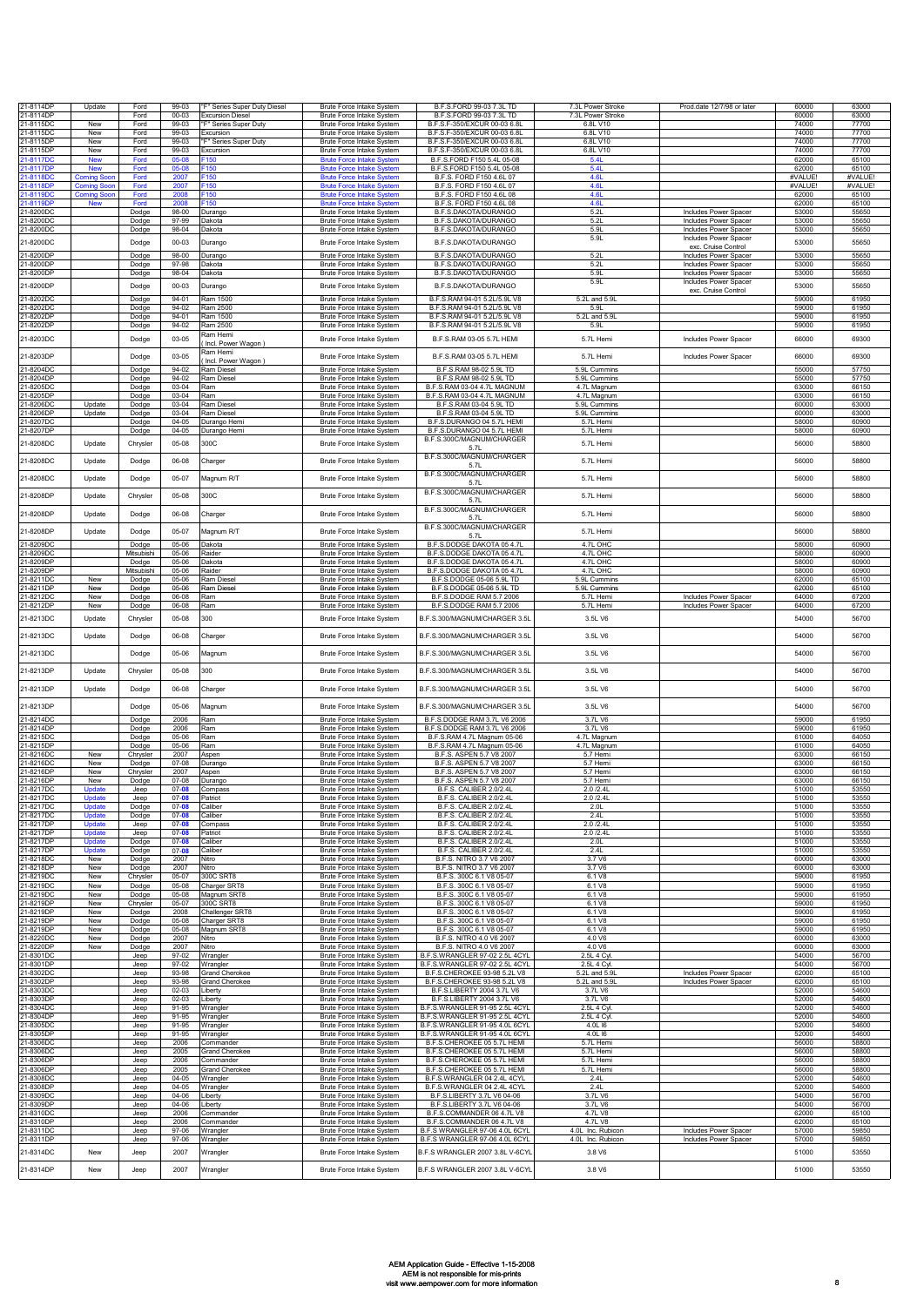| 21-8114DP                           | Update                         | Ford                | 99-03                  | "F" Series Super Duty Diesel                     | Brute Force Intake System                                            | B.F.S.FORD 99-03 7.3L TD                                         | 7.3L Power Stroke             | Prod.date 12/7/98 or later                     | 60000            | 63000            |
|-------------------------------------|--------------------------------|---------------------|------------------------|--------------------------------------------------|----------------------------------------------------------------------|------------------------------------------------------------------|-------------------------------|------------------------------------------------|------------------|------------------|
| 21-8114DF<br>21-8115DC              | New                            | Ford<br>Ford        | 00-03<br>99-03         | <b>Excursion Diesel</b><br>"F" Series Super Duty | <b>Brute Force Intake System</b><br>Brute Force Intake System        | B.F.S.FORD 99-03 7.3L TD<br>B.F.S.F-350/EXCUR 00-03 6.8L         | 7.3L Power Stroke<br>6.8L V10 |                                                | 60000<br>74000   | 63000<br>77700   |
| 21-8115DC                           | New                            | Ford                | 99-03                  | Excursion                                        | Brute Force Intake System                                            | B.F.S.F-350/EXCUR 00-03 6.8L                                     | 6.8L V10                      |                                                | 74000            | 77700            |
| 21-8115DP<br>21-8115DF              | New<br>New                     | Ford<br>Ford        | 99-03<br>99-03         | "F" Series Super Duty<br>Excursion               | <b>Brute Force Intake System</b><br>Brute Force Intake System        | B.F.S.F-350/EXCUR 00-03 6.8L<br>B.F.S.F-350/EXCUR 00-03 6.8L     | 6.8L V10<br>6.8L V10          |                                                | 74000<br>74000   | 77700<br>77700   |
| 21-8117D0                           | <b>New</b>                     | Ford                | 05-08                  | -150                                             | <b>Brute Force Intake System</b>                                     | B.F.S.FORD F150 5.4L 05-08                                       | 5.4L                          |                                                | 62000            | 65100            |
| 1-8117DR<br>21-8118D0               | <b>New</b>                     | Ford<br>Ford        | 2007                   | -150<br>F150                                     | <b>Brute Force Intake System</b><br><b>Brute Force Intake Syster</b> | B.F.S.FORD F150 5.4L 05-08<br>B.F.S. FORD F150 4.6L 07           | 5.41<br><b>4.6L</b>           |                                                | 62000<br>#VALUE! | 65100<br>#VALUE! |
| 21-8118DF<br>1-8119D0               | <b>Coming Soc</b><br>Comina Se | Ford<br>Ford        | 2007<br>2008           | F150<br>$-150$                                   | <b>Brute Force Intake System</b><br><b>Brute Force Intake System</b> | B.F.S. FORD F150 4.6L 07<br>B.F.S. FORD F150 4.6L 08             | 4.61<br>4.61                  |                                                | #VAI UF<br>62000 | #VAI UF<br>65100 |
| 21-8119DP                           | <b>New</b>                     | Ford                | 2008                   | F150                                             | <b>Brute Force Intake System</b>                                     | B.F.S. FORD F150 4.6L 08                                         | 4.6L                          |                                                | 62000            | 65100            |
| 21-8200DC<br>21-8200DC              |                                | Dodge<br>Dodge      | 98-00<br>97-99         | Durango<br>Dakota                                | Brute Force Intake System<br>Brute Force Intake System               | B.F.S.DAKOTA/DURANGO<br>B.F.S.DAKOTA/DURANGO                     | 5.2L<br>5.2L                  | Includes Power Spacer<br>Includes Power Spacer | 53000<br>53000   | 55650<br>55650   |
| 21-8200DC                           |                                | Dodge               | 98-04                  | Dakota                                           | Brute Force Intake System                                            | B.F.S.DAKOTA/DURANGO                                             | 5.9L                          | Includes Power Spacer                          | 53000            | 55650            |
| 21-8200DC                           |                                | Dodge               | 00-03                  | Durango                                          | Brute Force Intake System                                            | B.F.S.DAKOTA/DURANGO                                             | 5.9L                          | Includes Power Spacer<br>exc. Cruise Control   | 53000            | 55650            |
| 21-8200DP<br>21-8200DF              |                                | Dodge<br>Dodge      | 98-00<br>97-98         | Durango<br>Dakota                                | Brute Force Intake System<br>Brute Force Intake System               | B.F.S.DAKOTA/DURANGO<br><b>B.F.S.DAKOTA/DURANGO</b>              | 5.2L<br>5.2L                  | Includes Power Spacer<br>Includes Power Spacer | 53000<br>53000   | 55650<br>55650   |
| 21-8200DF                           |                                | Dodge               | 98-04                  | Dakota                                           | Brute Force Intake System                                            | B.F.S.DAKOTA/DURANGO                                             | 5.9L                          | Includes Power Spacer                          | 53000            | 55650            |
| 21-8200DP                           |                                | Dodge               | 00-03                  | Durango                                          | Brute Force Intake System                                            | B.F.S.DAKOTA/DURANGO                                             | 5.9L                          | Includes Power Spacer<br>exc. Cruise Control   | 53000            | 55650            |
| 21-8202DC<br>21-8202DC              |                                | Dodge<br>Dodge      | $94 - 01$<br>94-02     | Ram 1500<br>Ram 2500                             | Brute Force Intake System<br><b>Brute Force Intake System</b>        | B.F.S.RAM 94-01 5.2L/5.9L V8<br>B.F.S.RAM 94-01 5.2L/5.9L V8     | 5.2L and 5.9L<br>5.91         |                                                | 59000<br>59000   | 61950<br>61950   |
| 21-8202DF                           |                                | Dodge               | 94-01                  | Ram 1500                                         | Brute Force Intake System                                            | B.F.S.RAM 94-01 5.2L/5.9L V8                                     | 5.2L and 5.9L                 |                                                | 59000            | 61950            |
| 21-8202DF                           |                                | Dodge               | $94 - 02$              | Ram 2500<br>Ram Hemi                             | Brute Force Intake System                                            | B.F.S.RAM 94-01 5.2L/5.9L V8                                     | 5.91                          |                                                | 59000            | 61950            |
| 21-8203DC                           |                                | Dodge               | 03-05                  | Incl. Power Wagon)<br>Ram Hemi                   | Brute Force Intake System                                            | B.F.S.RAM 03-05 5.7L HEMI                                        | 5.7L Hemi                     | Includes Power Spacer                          | 66000            | 69300            |
| 21-8203DP                           |                                | Dodge               | 03-05                  | Incl. Power Wagon)                               | Brute Force Intake System                                            | B.F.S.RAM 03-05 5.7L HEMI                                        | 5.7L Hemi                     | Includes Power Spacer                          | 66000            | 69300            |
| 21-8204DC<br>21-8204DF              |                                | Dodge<br>Dodge      | $94 - 02$<br>94-02     | Ram Diesel<br>Ram Diesel                         | Brute Force Intake System<br>Brute Force Intake System               | B.F.S.RAM 98-02 5.9L TD<br>B.F.S.RAM 98-02 5.9L TD               | 5.9L Cummins<br>5.9L Cummins  |                                                | 55000<br>55000   | 57750<br>57750   |
| 21-8205DC<br>21-8205DF              |                                | Dodge<br>Dodge      | 03-04<br>$03 - 04$     | Ram<br>Ram                                       | Brute Force Intake System<br>Brute Force Intake System               | B.F.S.RAM 03-04 4.7L MAGNUM<br>B.F.S.RAM 03-04 4.7L MAGNUM       | 4.7L Magnum<br>4.7L Magnum    |                                                | 63000<br>63000   | 66150<br>66150   |
| 21-8206DC                           | Undate                         | Dodge               | $03 - 04$              | Ram Diesel                                       | <b>Brute Force Intake System</b>                                     | B.F.S.RAM 03-04 5.9L TD                                          | 5.9L Cummins                  |                                                | 60000            | 63000            |
| 21-8206DF<br>21-8207DC              | Update                         | Dodge<br>Dodge      | 03-04<br>$04 - 05$     | Ram Diesel<br>Durango Hem                        | Brute Force Intake System<br>Brute Force Intake System               | B.F.S.RAM 03-04 5.9L TD<br>B.F.S.DURANGO 04 5.7L HEMI            | 5.9L Cummins<br>5.7L Hemi     |                                                | 60000<br>58000   | 63000<br>60900   |
| 21-8207DP                           |                                | Dodge               | $04 - 05$              | Durango Hemi                                     | Brute Force Intake System                                            | B.F.S.DURANGO 04 5.7L HEMI<br>B.F.S.300C/MAGNUM/CHARGER          | 5.7L Hemi                     |                                                | 58000            | 60900            |
| 21-8208DC                           | Update                         | Chrysler            | 05-08                  | 300C                                             | Brute Force Intake System                                            | 5.71                                                             | 5.7L Hemi                     |                                                | 56000            | 58800            |
| 21-8208DC                           | Update                         | Dodge               | 06-08                  | Charger                                          | Brute Force Intake System                                            | B.F.S.300C/MAGNUM/CHARGER<br>5.71                                | 5.7L Hemi                     |                                                | 56000            | 58800            |
| 21-8208DC                           | Update                         | Dodge               | 05-07                  | Magnum R/T                                       | Brute Force Intake System                                            | B.F.S.300C/MAGNUM/CHARGER<br>5.7L                                | 5.7L Hemi                     |                                                | 56000            | 58800            |
| 21-8208DP                           | Update                         | Chrysler            | 05-08                  | 300C                                             | Brute Force Intake System                                            | B.F.S.300C/MAGNUM/CHARGER                                        | 5.7L Hemi                     |                                                | 56000            | 58800            |
|                                     |                                |                     |                        |                                                  |                                                                      | 5.7L<br>B.F.S.300C/MAGNUM/CHARGER                                |                               |                                                |                  |                  |
| 21-8208DP                           | Update                         | Dodge               | 06-08                  | Charger                                          | Brute Force Intake System                                            | 5.7L<br>B.F.S.300C/MAGNUM/CHARGER                                | 5.7L Hemi                     |                                                | 56000            | 58800            |
| 21-8208DP                           | Update                         | Dodge               | 05-07                  | Magnum R/T                                       | Brute Force Intake System                                            | 5.7L                                                             | 5.7L Hemi                     |                                                | 56000            | 58800            |
| 21-8209DC<br>21-8209DC              |                                | Dodge<br>Mitsubishi | 05-06<br>05-06         | Dakota<br>Raider                                 | Brute Force Intake System<br><b>Brute Force Intake System</b>        | B.F.S.DODGE DAKOTA 05 4.7L<br>B.F.S.DODGE DAKOTA 05 4.7L         | 4.7L OHC<br>4.71 OHC          |                                                | 58000<br>58000   | 60900<br>60900   |
| 21-8209DP                           |                                | Dodge               | 05-06<br>05-06         | Dakota<br>Raider                                 | Brute Force Intake System                                            | B.F.S.DODGE DAKOTA 05 4.7L<br>B.F.S.DODGE DAKOTA 05 4.7L         | 4.7L OHC<br>4.7L OHC          |                                                | 58000<br>58000   | 60900<br>60900   |
| 21-8209DP<br>21-8211DC              | New                            | Mitsubishi<br>Dodge | 05-06                  | Ram Diesel                                       | Brute Force Intake System<br>Brute Force Intake System               | B.F.S.DODGE 05-06 5.9L TD                                        | 5.9L Cummins                  |                                                | 62000            | 65100            |
| 21-8211DF<br>21-8212DC              | New<br>New                     | Dodge<br>Dodge      | 05-06<br>06-08         | Ram Diesel<br>Ram                                | Brute Force Intake System<br>Brute Force Intake System               | B.F.S.DODGE 05-06 5.9L TD<br>B.F.S.DODGE RAM 5.7 2006            | 5.9L Cummins<br>5.7L Hemi     | Includes Power Spacer                          | 62000<br>64000   | 65100<br>67200   |
| 21-8212DF                           | New                            | Dodge               | 06-08                  | Ram                                              | Brute Force Intake System                                            | B.F.S.DODGE RAM 5.7 2006                                         | 5.7L Hemi                     | Includes Power Spacer                          | 64000            | 67200            |
| 21-8213DC                           | Update                         | Chrysler            | 05-08                  | 300                                              | Brute Force Intake System                                            | B.F.S.300/MAGNUM/CHARGER 3.5L                                    | 3.5L V6                       |                                                | 54000            | 56700            |
| 21-8213DC                           | Update                         | Dodge               | 06-08                  | Charger                                          | Brute Force Intake System                                            | B.F.S.300/MAGNUM/CHARGER 3.5L                                    | 3.5L V6                       |                                                | 54000            | 56700            |
| 21-8213DC                           |                                | Dodge               | 05-06                  | Vlagnum                                          | Brute Force Intake System                                            | B.F.S.300/MAGNUM/CHARGER 3.5L                                    | 3.5L V6                       |                                                | 54000            | 56700            |
| 21-8213DP                           | Update                         | Chrysler            | 05-08                  | 300                                              | Brute Force Intake System                                            | B.F.S.300/MAGNUM/CHARGER 3.5L                                    | 3.5L V6                       |                                                | 54000            | 56700            |
|                                     |                                |                     |                        |                                                  |                                                                      |                                                                  |                               |                                                |                  |                  |
| 21-8213DP                           | Update                         | Dodge               | 06-08                  | Charger                                          | Brute Force Intake System                                            | B.F.S.300/MAGNUM/CHARGER 3.5L                                    | 3.5L V6                       |                                                | 54000            | 56700            |
| 21-8213DP                           |                                | Dodge               | 05-06                  | Magnum                                           | Brute Force Intake System                                            | B.F.S.300/MAGNUM/CHARGER 3.5L                                    | 3.5L V6                       |                                                | 54000            | 56700            |
| 21-8214DC<br>21-8214DP              |                                | Dodge<br>Dodge      | 2006<br>2006           | Ram<br>Ram                                       | Brute Force Intake System<br>Brute Force Intake System               | B.F.S.DODGE RAM 3.7L V6 2006<br>B.F.S.DODGE RAM 3.7L V6 2006     | 3.7L V6<br>3.7L V6            |                                                | 59000<br>59000   | 61950<br>61950   |
| 21-8215DC                           |                                | Dodge               | 05-06                  | Ram                                              | Brute Force Intake System                                            | B.F.S.RAM 4.7L Magnum 05-06                                      | 4.7L Magnum                   |                                                | 61000            | 64050            |
| 21-8215DF<br>21-8216DC              | New                            | Dodge<br>Chrysler   | 05-06<br>2007          | Ram<br>Aspen                                     | Brute Force Intake System<br>Brute Force Intake System               | B.F.S.RAM 4.7L Magnum 05-06<br>B.F.S. ASPEN 5.7 V8 2007          | 4.7L Magnum<br>5.7 Hemi       |                                                | 61000<br>63000   | 64050<br>66150   |
| 21-8216DC<br>21-8216DF              | New<br>New                     | Dodge<br>Chrysler   | 07-08<br>2007          | Durang<br>Aspen                                  | <b>Brute Force Intake System</b><br><b>Brute Force Intake System</b> | B.F.S. ASPEN 5.7 V8 2007<br>B.F.S. ASPEN 5.7 V8 2007             | 5.7 Hemi<br>5.7 Hemi          |                                                | 63000<br>63000   | 66150<br>66150   |
| 21-8216DF                           | New                            | Dodge               | $07 - 08$              | Durango                                          | Brute Force Intake System                                            | B.F.S. ASPEN 5.7 V8 2007                                         | 5.7 Hemi                      |                                                | 63000            | 66150            |
| 21-8217DC<br>21-8217DC              | Update                         | Jeep<br>Jeep        | $07 - 08$<br>$07 - 01$ | Compass<br>Patriot                               | Brute Force Intake System<br><b>Brute Force Intake System</b>        | B.F.S. CALIBER 2.0/2.4L<br><b>B.F.S. CALIBER 2.0/2.4I</b>        | 2.0 / 2.41<br>2.0 /2.4l       |                                                | 51000<br>51000   | 53550<br>53550   |
| 21-8217DC<br>21-8217DC              | Update<br>Update               | Dodge<br>Dodge      | $07 - 08$<br>$07 - 08$ | Caliber<br>Caliber                               | Brute Force Intake System<br>Brute Force Intake System               | B.F.S. CALIBER 2.0/2.4L<br>B.F.S. CALIBER 2.0/2.4L               | 2.0L<br>2.4L                  |                                                | 51000<br>51000   | 53550<br>53550   |
| 21-8217DF                           | Update                         | Jeep                | $07 - 08$              | Compass                                          | Brute Force Intake System                                            | B.F.S. CALIBER 2.0/2.4L                                          | 2.0 /2.4L                     |                                                | 51000            | 53550            |
| 21-8217DF<br>21-8217DP              | Update<br>Update               | Jeep<br>Dodge       | $07 - 08$<br>$07 - 08$ | Patriot<br>Caliber                               | Brute Force Intake System<br>Brute Force Intake System               | B.F.S. CALIBER 2.0/2.4L<br>B.F.S. CALIBER 2.0/2.4L               | 2.0 /2.4L<br>2.0 <sub>L</sub> |                                                | 51000<br>51000   | 53550<br>53550   |
| 21-8217DF<br>21-8218DC              | Update<br>New                  | Dodge<br>Dodge      | $07 - 08$<br>2007      | Caliber<br>Nitro                                 | Brute Force Intake System<br>Brute Force Intake System               | B.F.S. CALIBER 2.0/2.4L<br>B.F.S. NITRO 3.7 V6 2007              | 2.4L<br>3.7 V6                |                                                | 51000<br>60000   | 53550<br>63000   |
| 21-8218DP                           | New                            | Dodge               | 2007                   | Nitro                                            | Brute Force Intake System                                            | B.F.S. NITRO 3.7 V6 2007                                         | 3.7 V6                        |                                                | 60000            | 63000            |
| 21-8219DC<br>21-8219DC              | New<br>New                     | Chrysler<br>Dodge   | 05-07<br>05-08         | 300C SRT8<br>Charger SRT8                        | Brute Force Intake System<br><b>Brute Force Intake System</b>        | B.F.S. 300C 6.1 V8 05-07<br>B.F.S. 300C 6.1 V8 05-07             | 6.1 V8<br>6.1 V8              |                                                | 59000<br>59000   | 61950<br>61950   |
| 21-8219DC<br>21-8219DP<br>21-8219DP | New<br>New                     | Dodge<br>Chrysler   | 05-08<br>05-07         | Magnum SRT8<br>300C SRT8                         | Brute Force Intake System<br><b>Brute Force Intake System</b>        | B.F.S. 300C 6.1 V8 05-07<br>B.F.S. 300C 6.1 V8 05-07             | 6.1 V8<br>6.1 V8              |                                                | 59000<br>59000   | 61950<br>61950   |
|                                     | New                            | Dodge               | 2008                   | Challenger SRT8                                  | <b>Brute Force Intake System</b>                                     | B.F.S. 300C 6.1 V8 05-07                                         | 6.1 V8                        |                                                | 59000            | 61950            |
| 21-8219DF<br>21-8219DF              | New<br>New                     | Dodge<br>Dodge      | $05-08$<br>$05-08$     | Charger SRT8<br>Magnum SRT8                      | <b>Brute Force Intake System</b><br>Brute Force Intake System        | B.F.S. 300C 6.1 V8 05-07<br>B.F.S. 300C 6.1 V8 05-07             | 6.1 V8<br>6.1 V8              |                                                | 59000<br>59000   | 61950<br>61950   |
| 21-8220DC<br>21-8220DP              | New<br>New                     | Dodge<br>Dodge      | 2007<br>2007           | Nitro<br>Nitro                                   | Brute Force Intake System<br>Brute Force Intake System               | B.F.S. NITRO 4.0 V6 2007<br>B.F.S. NITRO 4.0 V6 2007             | 4.0 V6<br>4.0 V6              |                                                | 60000<br>60000   | 63000<br>63000   |
| 21-8301DC                           |                                | Jeep                | 97-02                  | Wrangler                                         | Brute Force Intake System                                            | B.F.S.WRANGLER 97-02 2.5L 4CYL                                   | 2.5L 4 Cyl.                   |                                                | 54000            | 56700            |
| 21-8301DP                           |                                | Jeep<br>Jeep        | 97-02<br>93-98         | Wrangler<br>Grand Cherokee                       | Brute Force Intake System<br>Brute Force Intake System               | B.F.S.WRANGLER 97-02 2.5L 4CYL<br>B.F.S.CHEROKEE 93-98 5.2L V8   | 2.5L 4 Cyl.<br>5.2L and 5.9L  | Includes Power Spacer                          | 54000<br>62000   | 56700<br>65100   |
| 21-8302DC<br>21-8302DP<br>21-8303DC |                                | Jeep<br>Jeep        | 93-98<br>$02 - 03$     | <b>Grand Cherokee</b><br>Liberty                 | Brute Force Intake System<br><b>Brute Force Intake System</b>        | B.F.S.CHEROKEE 93-98 5.2L V8<br>B.F.S.LIBERTY 2004 3.7L V6       | 5.2L and 5.9L<br>3.7L V6      | Includes Power Spacer                          | 62000<br>52000   | 65100<br>54600   |
| 21-8303DP                           |                                | Jeep                | $02 - 03$              | Liberty                                          | Brute Force Intake System                                            | B.F.S.LIBERTY 2004 3.7L V6                                       | 3.7L V6                       |                                                | 52000            | 54600            |
| 21-8304DC<br>21-8304DP              |                                | Jeep<br>Jeep        | 91-95<br>91-95         | Wrangler<br>Wrangler                             | <b>Brute Force Intake System</b><br>Brute Force Intake System        | B.F.S.WRANGLER 91-95 2.5L 4CYL<br>B.F.S.WRANGLER 91-95 2.5L 4CYL | 2.5L 4 Cyl<br>2.5L 4 Cyl.     |                                                | 52000<br>52000   | 54600<br>54600   |
| 21-8305DC<br>21-8305DF              |                                | Jeep<br>Jeep        | $91 - 95$<br>91-95     | Wrangler<br>Wrangler                             | <b>Brute Force Intake System</b><br>Brute Force Intake System        | B.F.S.WRANGLER 91-95 4.0L 6CYL<br>B.F.S.WRANGLER 91-95 4.0L 6CYL | 4.0L I6<br>4.0L I6            |                                                | 52000<br>52000   | 54600<br>54600   |
| 21-8306DC                           |                                | Jeep                | 2006                   | Commander                                        | Brute Force Intake System                                            | B.F.S.CHEROKEE 05 5.7L HEMI                                      | 5.7L Hemi                     |                                                | 56000            | 58800            |
| 21-8306DC<br>21-8306DP              |                                | Jeep<br>Jeep        | 2005<br>2006           | Grand Cherokee<br>Commander                      | Brute Force Intake System<br>Brute Force Intake System               | B.F.S.CHEROKEE 05 5.7L HEMI<br>B.F.S.CHEROKEE 05 5.7L HEMI       | 5.7L Hemi<br>5.7L Hemi        |                                                | 56000<br>56000   | 58800<br>58800   |
| 21-8306DF<br>21-8308DC              |                                | Jeep                | 2005<br>$04 - 05$      | <b>Grand Cherokee</b>                            | Brute Force Intake System                                            | B.F.S.CHEROKEE 05 5.7L HEMI                                      | 5.7L Hemi                     |                                                | 56000<br>52000   | 58800<br>54600   |
| 21-8308DP                           |                                | Jeep<br>Jeep        | 04-05                  | Wrangler<br>Wrangler                             | Brute Force Intake System<br>Brute Force Intake System               | B.F.S.WRANGLER 04 2.4L 4CYL<br>B.F.S.WRANGLER 04 2.4L 4CYL       | 2.4L<br>2.4L                  |                                                | 52000            | 54600            |
| 21-8309DC<br>21-8309DF              |                                | Jeep<br>Jeep        | 04-06<br>$04 - 06$     | Liberty<br>Liberty                               | <b>Brute Force Intake System</b><br>Brute Force Intake System        | B.F.S.LIBERTY 3.7L V6 04-06<br>B.F.S.LIBERTY 3.7L V6 04-06       | 3.7L V6<br>3.7L V6            |                                                | 54000<br>54000   | 56700<br>56700   |
| 21-8310DC                           |                                | Jeep                | 2006                   | Commander                                        | Brute Force Intake System                                            | B.F.S.COMMANDER 06 4.7L V8                                       | 4.7L V8                       |                                                | 62000            | 65100            |
| 21-8310DF<br>21-8311DC              |                                | Jeep<br>Jeep        | 2006<br>97-06          | Commander<br>Wrangler                            | Brute Force Intake System<br>Brute Force Intake System               | B.F.S.COMMANDER 06 4.7L V8<br>B.F.S WRANGLER 97-06 4.0L 6CYI     | 4.7L V8<br>4.0L Inc. Rubicon  | Includes Power Spacer                          | 62000<br>57000   | 65100<br>59850   |
| 21-8311DP                           |                                | Jeep                | 97-06                  | Wrangler                                         | <b>Brute Force Intake System</b>                                     | B.F.S WRANGLER 97-06 4.0L 6CYL                                   | 4.0L Inc. Rubicon             | <b>Includes Power Spacer</b>                   | 57000            | 59850            |
| 21-8314DC                           | New                            | Jeep                | 2007                   | Wrangler                                         | Brute Force Intake System                                            | B.F.S WRANGLER 2007 3.8L V-6CYL                                  | 3.8 V6                        |                                                | 51000            | 53550            |
| 21-8314DP                           | New                            | Jeep                | 2007                   | Wrangler                                         | Brute Force Intake System                                            | B.F.S WRANGLER 2007 3.8L V-6CYL                                  | 3.8 V6                        |                                                | 51000            | 53550            |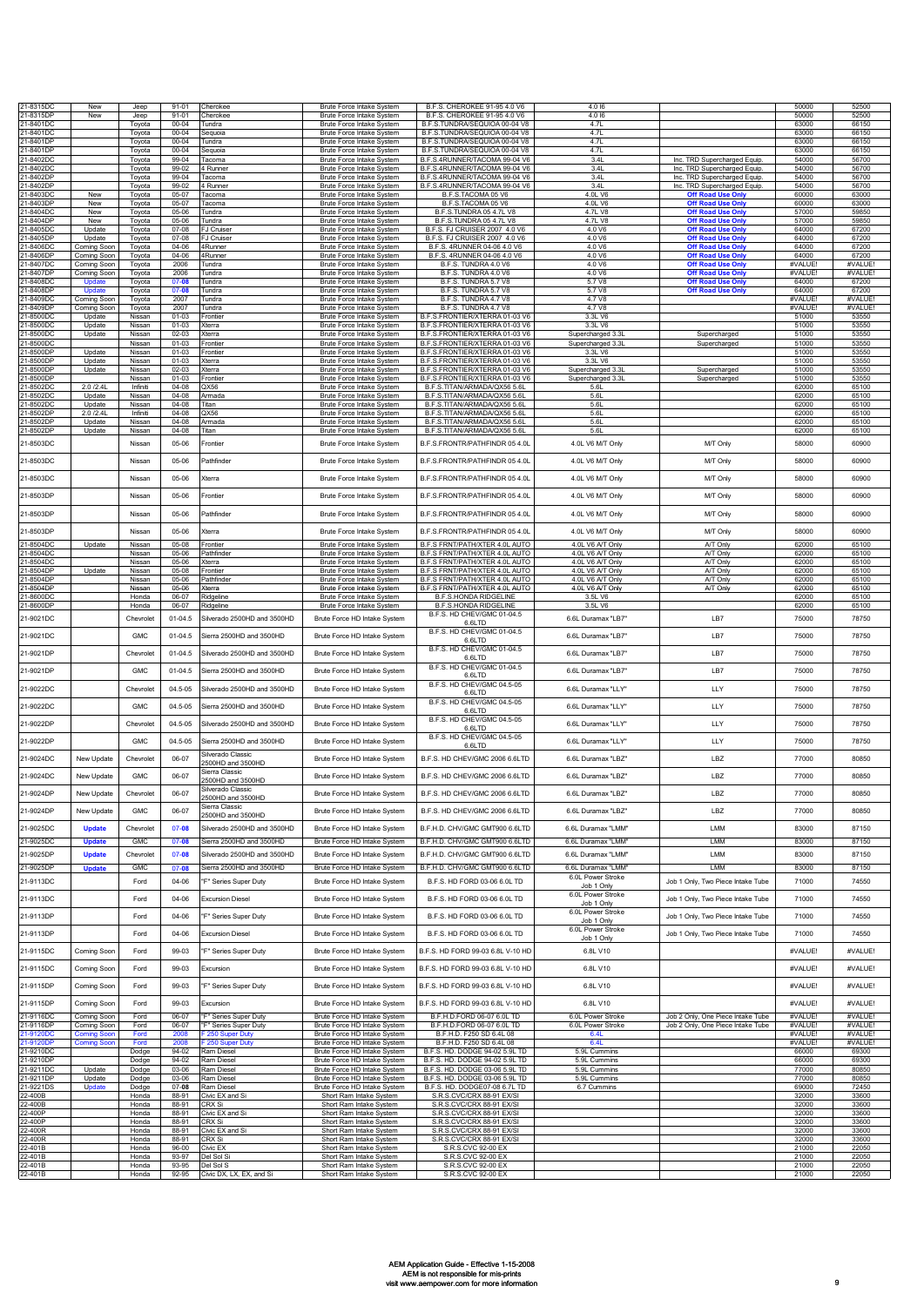| 21-8315DC              | New                               | Jeep             | $91 - 01$              | Cherokee                                  | Brute Force Intake System                                     | B.F.S. CHEROKEE 91-95 4.0 V6                                     | 4.0 16                               |                                                              | 50000              | 52500              |
|------------------------|-----------------------------------|------------------|------------------------|-------------------------------------------|---------------------------------------------------------------|------------------------------------------------------------------|--------------------------------------|--------------------------------------------------------------|--------------------|--------------------|
| 21-8315DF              | New                               | Jeep             | $91 - 01$              | <b>Cherokee</b>                           | Brute Force Intake System                                     | B.F.S. CHEROKEE 91-95 4.0 V6                                     | 4.0 16                               |                                                              | 50000              | 52500              |
| 21-8401DC              |                                   | Toyota           | $00 - 04$              | Tundra                                    | Brute Force Intake System                                     | B.F.S.TUNDRA/SEQUIOA 00-04 V8                                    | 4.71                                 |                                                              | 63000              | 66150              |
| 21-8401DC<br>21-8401DF |                                   | Tovota<br>Toyota | $00 - 04$<br>$00 - 04$ | Seguoia<br>Tundra                         | <b>Brute Force Intake System</b><br>Brute Force Intake System | B.F.S.TUNDRA/SEQUIOA 00-04 V8<br>B.F.S.TUNDRA/SEQUIOA 00-04 V8   | 4.7L<br>4.7                          |                                                              | 63000<br>63000     | 66150<br>66150     |
| 21-8401DP              |                                   | Toyota           | $00 - 04$              | Sequoia                                   | Brute Force Intake System                                     | B.F.S.TUNDRA/SEQUIOA 00-04 V8                                    | 4.7L                                 |                                                              | 63000              | 66150              |
| 21-8402DC              |                                   | Toyota           | 99-04                  | Tacoma                                    | Brute Force Intake System                                     | B.F.S.4RUNNER/TACOMA 99-04 V6                                    | 3.4L                                 | Inc. TRD Supercharged Equip.                                 | 54000              | 56700              |
| 21-8402DC              |                                   | Toyota           | 99-02                  | 4 Runner                                  | Brute Force Intake System                                     | B.F.S.4RUNNER/TACOMA 99-04 V6                                    | 3.4L                                 | Inc. TRD Supercharged Equip.                                 | 54000              | 56700              |
| 21-8402DP<br>21-8402DF |                                   | Toyota<br>Toyota | 99-04<br>99-02         | Tacoma<br>4 Runner                        | Brute Force Intake System<br>Brute Force Intake System        | B.F.S.4RUNNER/TACOMA 99-04 V6<br>B.F.S.4RUNNER/TACOMA 99-04 V6   | 3.4L<br>3.4L                         | Inc. TRD Supercharged Equip.<br>Inc. TRD Supercharged Equip. | 54000<br>54000     | 56700<br>56700     |
| 21-8403DC              | New                               | Toyota           | 05-07                  | Tacoma                                    | Brute Force Intake System                                     | B.F.S.TACOMA 05 V6                                               | 4.0L V6                              | <b>Off Road Use Only</b>                                     | 60000              | 63000              |
| 21-8403DP              | New                               | Toyota           | 05-07                  | Tacoma                                    | Brute Force Intake System                                     | B.F.S.TACOMA 05 V6                                               | 4.0L V6                              | <b>Off Road Use Only</b>                                     | 60000              | 63000              |
| 21-8404DC<br>21-8404DF | New<br>New                        | Toyota<br>Toyota | 05-06<br>05-06         | Tundra<br>Tundra                          | <b>Brute Force Intake System</b><br>Brute Force Intake System | B.F.S.TUNDRA 05 4.7L V8<br>B.F.S.TUNDRA 05 4.7L V8               | 4.7L V8<br>4.7L V8                   | <b>Off Road Use On</b><br><b>Off Road Use Only</b>           | 57000<br>57000     | 59850<br>59850     |
| 21-8405DC              | Update                            | Toyota           | 07-08                  | FJ Cruiser                                | Brute Force Intake System                                     | B.F.S. FJ CRUISER 2007 4.0 V6                                    | 4.0 V6                               | <b>Off Road Use Only</b>                                     | 64000              | 67200              |
| 21-8405DP              | Update                            | Toyota           | $07 - 08$              | <b>FJ Cruiser</b>                         | Brute Force Intake System                                     | B.F.S. FJ CRUISER 2007 4.0 V6                                    | 4.0 V6                               | <b>Off Road Use Only</b>                                     | 64000              | 67200              |
| 21-8406DC              | Coming Soon                       | Toyota           | $04 - 06$<br>04-06     | 4Runner                                   | Brute Force Intake System<br>Brute Force Intake System        | B.F.S. 4RUNNER 04-06 4.0 V6<br>B.F.S. 4RUNNER 04-06 4.0 V6       | 4.0 V6<br>4.0 V6                     | <b>Off Road Use Only</b><br><b>Off Road Use Only</b>         | 64000<br>64000     | 67200              |
| 21-8406DF<br>21-8407DC | Coming Soon<br>Coming Soon        | Toyota<br>Toyota | 2006                   | 4Runner<br>Tundra                         | Brute Force Intake System                                     | B.F.S. TUNDRA 4.0 V6                                             | 4.0 V6                               | <b>Off Road Use Only</b>                                     | #VALUE!            | 67200<br>#VALUE    |
| 21-8407DP              | Coming Soon                       | Toyota           | 2006                   | Tundra                                    | <b>Brute Force Intake System</b>                              | B.F.S. TUNDRA 4.0 V6                                             | 4.0 V6                               | <b>Off Road Use Only</b>                                     | #VALUE!            | #VALUE!            |
| 21-8408DC              | Update                            | Toyota           | $07 - 08$              | Tundra                                    | <b>Brute Force Intake System</b>                              | B.F.S. TUNDRA 5.7 V8                                             | 5.7 V8                               | <b>Off Road Use Onl</b>                                      | 64000              | 67200              |
| 21-8408DP<br>21-8409DC | Update<br>Coming Soon             | Toyota<br>Toyota | $07 - 08$<br>2007      | Tundra<br>Tundra                          | Brute Force Intake System<br>Brute Force Intake System        | B.F.S. TUNDRA 5.7 V8<br>B.F.S. TUNDRA 4.7 V8                     | 5.7 V8<br>4.7 V8                     | <b>Off Road Use Only</b>                                     | 64000<br>#VALUE!   | 67200<br>#VALUE    |
| 21-8409DP              | Coming Soon                       | Toyota           | 2007                   | Tundra                                    | <b>Brute Force Intake System</b>                              | B.F.S. TUNDRA 4.7 V8                                             | 4.7 V8                               |                                                              | #VALUE!            | #VALUE             |
| 21-8500DC              | Update                            | Nissan           | $01 - 03$              | Frontier                                  | <b>Brute Force Intake System</b>                              | B.F.S.FRONTIER/XTERRA 01-03 V6                                   | 3.3L V6                              |                                                              | 51000              | 53550              |
| 21-8500DC<br>21-8500DC | Update<br>Update                  | Nissan<br>Nissan | $01 - 03$<br>02-03     | Kterra<br>Xterra                          | Brute Force Intake System<br>Brute Force Intake System        | B.F.S.FRONTIER/XTERRA 01-03 V6<br>B.F.S.FRONTIER/XTERRA 01-03 V6 | 3.3L V6<br>Supercharged 3.3L         | Supercharged                                                 | 51000<br>51000     | 53550<br>53550     |
| 21-8500DC              |                                   | Nissan           | $01 - 03$              | Frontier                                  | Brute Force Intake System                                     | B.F.S.FRONTIER/XTERRA 01-03 V6                                   | Supercharged 3.3L                    | Supercharged                                                 | 51000              | 53550              |
| 21-8500DP              | Update                            | Nissan           | $01 - 03$              | Frontie                                   | Brute Force Intake System                                     | B.F.S.FRONTIER/XTERRA 01-03 V6                                   | 3.3L V6                              |                                                              | 51000              | 53550              |
| 21-8500DF<br>21-8500DP | Update<br>Update                  | Nissan<br>Nissan | $01 - 03$<br>$02 - 03$ | Xterra<br>Xterra                          | Brute Force Intake System<br>Brute Force Intake System        | B.F.S.FRONTIER/XTERRA 01-03 V6<br>B.F.S.FRONTIER/XTERRA 01-03 V6 | 3.3L V6<br>Supercharged 3.3L         | Supercharged                                                 | 51000<br>51000     | 53550<br>53550     |
| 21-8500DP              |                                   | Nissan           | $01 - 03$              | Frontier                                  | Brute Force Intake System                                     | B.F.S.FRONTIER/XTERRA 01-03 V6                                   | Supercharged 3.3L                    | Supercharged                                                 | 51000              | 53550              |
| 21-8502DC              | 2.0 /2.4L                         | Infiniti         | $04 - 08$              | QX56                                      | Brute Force Intake System                                     | B F S TITAN/ARMADA/OX56 5 6                                      | 5.6L                                 |                                                              | 62000              | 65100              |
| 21-8502DC<br>21-8502DC | Update<br>Update                  | Nissan<br>Nissan | $04 - 08$<br>$04 - 08$ | Armada<br>Titan                           | Brute Force Intake System<br>Brute Force Intake System        | B.F.S.TITAN/ARMADA/QX56 5.6L<br>B.F.S.TITAN/ARMADA/QX56 5.6L     | 5.6L<br>5.61                         |                                                              | 62000<br>62000     | 65100<br>65100     |
| 21-8502DP              | 2.0 /2.4L                         | Infiniti         | $04 - 08$              | QX56                                      | Brute Force Intake System                                     | B.F.S.TITAN/ARMADA/QX56 5.6L                                     | 5.6L                                 |                                                              | 62000              | 65100              |
| 21-8502DF              | Update                            | Nissan           | $04 - 08$              | Armada                                    | <b>Brute Force Intake System</b>                              | B.F.S.TITAN/ARMADA/QX56 5.6L                                     | 5.61                                 |                                                              | 62000              | 65100              |
| 21-8502DP              | Update                            | Nissan           | $04 - 08$              | Titan                                     | Brute Force Intake System                                     | B.F.S.TITAN/ARMADA/QX56 5.6L                                     | 5.61                                 |                                                              | 62000              | 65100              |
| 21-8503DC              |                                   | Nissan           | 05-06                  | Frontier                                  | Brute Force Intake System                                     | B.F.S.FRONTR/PATHFINDR 05 4.0L                                   | 4.0L V6 M/T Only                     | M/T Only                                                     | 58000              | 60900              |
| 21-8503DC              |                                   | Nissan           | 05-06                  | Pathfinder                                | Brute Force Intake System                                     | B.F.S.FRONTR/PATHFINDR 05 4.0L                                   | 4.0L V6 M/T Only                     | M/T Only                                                     | 58000              | 60900              |
|                        |                                   |                  |                        |                                           |                                                               |                                                                  |                                      |                                                              |                    |                    |
| 21-8503DC              |                                   | Nissan           | 05-06                  | Xterra                                    | Brute Force Intake System                                     | B.F.S.FRONTR/PATHFINDR 05 4.0L                                   | 4.0L V6 M/T Only                     | M/T Only                                                     | 58000              | 60900              |
| 21-8503DP              |                                   | Nissan           | 05-06                  | Frontier                                  | Brute Force Intake System                                     | B.F.S. FRONTR/PATHFINDR 05 4 01                                  | 4.0L V6 M/T Only                     | M/T Only                                                     | 58000              | 60900              |
| 21-8503DP              |                                   | Nissan           | 05-06                  | Pathfinder                                | Brute Force Intake System                                     | B.F.S.FRONTR/PATHFINDR 05 4.0L                                   | 4.0L V6 M/T Only                     | M/T Only                                                     | 58000              | 60900              |
|                        |                                   |                  |                        |                                           |                                                               |                                                                  |                                      |                                                              |                    |                    |
| 21-8503DP              |                                   | Nissan           | 05-06                  | Xterra                                    | <b>Brute Force Intake System</b>                              | B.F.S.FRONTR/PATHFINDR 05 4.0L                                   | 4.0L V6 M/T Only                     | M/T Only                                                     | 58000              | 60900              |
| 21-8504DC              | Update                            | Nissan           | $05-08$                | Frontier                                  | Brute Force Intake System                                     | B.F.S FRNT/PATH/XTER 4.0L AUTO                                   | 4.0L V6 A/T Only                     | A/T Only                                                     | 62000              | 65100              |
| 21-8504DC<br>21-8504DC |                                   | Nissan<br>Nissan | 05-06<br>05-06         | Pathfinder<br>Xterra                      | Brute Force Intake System<br>Brute Force Intake System        | B.F.S FRNT/PATH/XTER 4.0L AUTO<br>B.F.S FRNT/PATH/XTER 4.0L AUTO | 4.0L V6 A/T Only<br>4.0L V6 A/T Only | A/T Only<br>A/T Only                                         | 62000<br>62000     | 65100<br>65100     |
| 21-8504DF              | Update                            | Nissan           | $05-08$                | Frontier                                  | <b>Brute Force Intake System</b>                              | B.F.S FRNT/PATH/XTER 4.0L AUTO                                   | 4.0L V6 A/T Only                     | A/T Only                                                     | 62000              | 65100              |
| 21-8504DP              |                                   | Nissan           | 05-06                  | Pathfinder                                | <b>Brute Force Intake System</b>                              | B.F.S FRNT/PATH/XTER 4.0L AUTO                                   | 4.0L V6 A/T Only                     | A/T Only                                                     | 62000              | 65100              |
| 21-8504DP<br>21-8600DC |                                   | Nissan<br>Honda  | 05-06<br>06-07         | Xterra<br>Ridgeline                       | <b>Brute Force Intake System</b><br>Brute Force Intake System | B.F.S FRNT/PATH/XTER 4.0L AUTO<br><b>B.F.S.HONDA RIDGELINE</b>   | 4.0L V6 A/T Only<br>3.5L V6          | A/T Only                                                     | 62000<br>62000     | 65100<br>65100     |
| 21-8600DP              |                                   | Honda            | 06-07                  | Ridgeline                                 | <b>Brute Force Intake System</b>                              | <b>B.F.S.HONDA RIDGELINE</b>                                     | 3.5L V6                              |                                                              | 62000              | 65100              |
| 21-9021DC              |                                   | Chevrolet        | $01-04.5$              | Silverado 2500HD and 3500HD               | Brute Force HD Intake System                                  | B.F.S. HD CHEV/GMC 01-04.5<br>6.6LTD                             | 6.6L Duramax "LB7"                   | LB7                                                          | 75000              | 78750              |
|                        |                                   |                  |                        |                                           |                                                               | B.F.S. HD CHEV/GMC 01-04.5                                       |                                      |                                                              |                    |                    |
| 21-9021DC              |                                   | <b>GMC</b>       | 01-04.5                | Sierra 2500HD and 3500HD                  | Brute Force HD Intake System                                  | 6.6LTD                                                           | 6.6L Duramax "LB7"                   | LB7                                                          | 75000              | 78750              |
| 21-9021DP              |                                   | Chevrolet        | 01-04.5                | Silverado 2500HD and 3500HD               | Brute Force HD Intake System                                  | B.F.S. HD CHEV/GMC 01-04.5<br>6.6LTD                             | 6.6L Duramax "LB7"                   | LB7                                                          | 75000              | 78750              |
|                        |                                   |                  |                        |                                           |                                                               | B.F.S. HD CHEV/GMC 01-04.5                                       |                                      | LB7                                                          |                    |                    |
| 21-9021DP              |                                   | <b>GMC</b>       | 01-04.5                | Sierra 2500HD and 3500HD                  | Brute Force HD Intake System                                  | 6.6LTD                                                           | 6.6L Duramax "LB7"                   |                                                              | 75000              | 78750              |
| 21-9022DC              |                                   | Chevrolet        | 04.5-05                | Silverado 2500HD and 3500HD               | Brute Force HD Intake System                                  | B.F.S. HD CHEV/GMC 04.5-05<br>6.6LTD                             | 6.6L Duramax "LLY"                   | <b>LLY</b>                                                   | 75000              | 78750              |
| 21-9022DC              |                                   | <b>GMC</b>       | 04.5-05                | Sierra 2500HD and 3500HD                  | Brute Force HD Intake System                                  | B.F.S. HD CHEV/GMC 04.5-05                                       | 6.6L Duramax "LLY"                   | LLY                                                          | 75000              | 78750              |
|                        |                                   |                  |                        |                                           |                                                               | 6.6LTD                                                           |                                      |                                                              |                    |                    |
| 21-9022DP              |                                   | Chevrolet        | 04.5-05                | Silverado 2500HD and 3500HD               | Brute Force HD Intake System                                  | B.F.S. HD CHEV/GMC 04.5-05<br>6.6LTD                             | 6.6L Duramax "LLY"                   | LLY                                                          | 75000              | 78750              |
| 21-9022DP              |                                   | <b>GMC</b>       | 04.5-05                | Sierra 2500HD and 3500HD                  | Brute Force HD Intake System                                  | B.F.S. HD CHEV/GMC 04.5-05                                       | 6.6L Duramax "LLY"                   | <b>LLY</b>                                                   | 75000              | 78750              |
|                        |                                   |                  |                        | Silverado Classic                         |                                                               | 6.6LTD                                                           |                                      |                                                              |                    |                    |
| 21-9024DC              | New Update                        | Chevrolet        | 06-07                  | 2500HD and 3500HD                         | Brute Force HD Intake System                                  | B.F.S. HD CHEV/GMC 2006 6.6LTD                                   | 6.6L Duramax "LBZ"                   | LBZ                                                          | 77000              | 80850              |
| 21-9024DC              | New Update                        | <b>GMC</b>       | 06-07                  | Sierra Classic                            | Brute Force HD Intake System                                  | B.F.S. HD CHEV/GMC 2006 6.6LTD                                   | 6.6L Duramax "LBZ"                   | LBZ                                                          | 77000              | 80850              |
|                        |                                   |                  |                        | 2500HD and 3500HD<br>Silverado Classic    |                                                               |                                                                  |                                      |                                                              |                    |                    |
| 21-9024DP              | New Update                        | Chevrolet        | 06-07                  | 2500HD and 3500HD                         | Brute Force HD Intake System                                  | B.F.S. HD CHEV/GMC 2006 6.6LTD                                   | 6.6L Duramax "LBZ"                   | <b>IBZ</b>                                                   | 77000              | 80850              |
| 21-9024DP              | New Update                        | <b>GMC</b>       | 06-07                  | Sierra Classic                            | Brute Force HD Intake System                                  | B.F.S. HD CHEV/GMC 2006 6.6LTD                                   | 6.6L Duramax "LBZ"                   | LBZ                                                          | 77000              | 80850              |
|                        |                                   |                  |                        | 2500HD and 3500HD                         |                                                               |                                                                  |                                      |                                                              |                    |                    |
| 21-9025DC              | <b>Update</b>                     | Chevrolet        | $07 - 08$              | Silverado 2500HD and 3500HD               | Brute Force HD Intake System                                  | B.F.H.D. CHV/GMC GMT900 6.6LTD                                   | 6.6L Duramax "LMM"                   | LMM                                                          | 83000              | 87150              |
| 21-9025DC              | <b>Update</b>                     | <b>GMC</b>       | $07 - 08$              | Sierra 2500HD and 3500HD                  | Brute Force HD Intake System                                  | B.F.H.D. CHV/GMC GMT900 6.6LTD                                   | 6.6L Duramax "LMM"                   | <b>LMM</b>                                                   | 83000              | 87150              |
| 21-9025DP              | <b>Update</b>                     | Chevrolet        | $07 - 08$              | Silverado 2500HD and 3500HD               | Brute Force HD Intake System                                  | B.F.H.D. CHV/GMC GMT900 6.6LTD                                   | 6.6L Duramax "LMM"                   | LMM                                                          | 83000              | 87150              |
| 21-9025DP              | <b>Update</b>                     | <b>GMC</b>       | $07 - 08$              | Sierra 2500HD and 3500HD                  | Brute Force HD Intake System                                  | B.F.H.D. CHV/GMC GMT900 6.6LTD                                   | 6.6L Duramax "LMM"                   | <b>LMM</b>                                                   | 83000              | 87150              |
| 21-9113DC              |                                   | Ford             | 04-06                  | "F" Series Super Duty                     | Brute Force HD Intake System                                  | B.F.S. HD FORD 03-06 6.0L TD                                     | 6.0L Power Stroke<br>Job 1 Only      | Job 1 Only, Two Piece Intake Tube                            | 71000              | 74550              |
| 21-9113DC              |                                   | Ford             | $04 - 06$              | <b>Excursion Diesel</b>                   | Brute Force HD Intake System                                  | B.F.S. HD FORD 03-06 6.0L TD                                     | 6.0L Power Stroke                    | Job 1 Only, Two Piece Intake Tube                            | 71000              | 74550              |
|                        |                                   |                  |                        |                                           |                                                               |                                                                  | Job 1 Only<br>6.0L Power Stroke      |                                                              |                    |                    |
| 21-9113DP              |                                   | Ford             | $04 - 06$              | "F" Series Super Duty                     | Brute Force HD Intake System                                  | B.F.S. HD FORD 03-06 6.0L TD                                     | Job 1 Only                           | Job 1 Only, Two Piece Intake Tube                            | 71000              | 74550              |
| 21-9113DP              |                                   | Ford             | 04-06                  | <b>Excursion Diesel</b>                   | Brute Force HD Intake System                                  | B.F.S. HD FORD 03-06 6.0L TD                                     | 6.0L Power Stroke                    | Job 1 Only, Two Piece Intake Tube                            | 71000              | 74550              |
|                        |                                   |                  |                        |                                           |                                                               |                                                                  | Job 1 Only                           |                                                              |                    |                    |
| 21-9115DC              | Coming Soor                       | Ford             | 99-03                  | "F" Series Super Duty                     | Brute Force HD Intake System                                  | B.F.S. HD FORD 99-03 6.8L V-10 HD                                | 6.8L V10                             |                                                              | #VALUE!            | #VALUE             |
| 21-9115DC              | Coming Soon                       | Ford             | 99-03                  | Excursion                                 | Brute Force HD Intake System                                  | B.F.S. HD FORD 99-03 6.8L V-10 HD                                | 6.8L V10                             |                                                              | #VALUE!            | #VALUE!            |
| 21-9115DP              | Coming Soon                       | Ford             | 99-03                  | 'F" Series Super Duty                     | Brute Force HD Intake System                                  | B.F.S. HD FORD 99-03 6.8L V-10 HD                                | 6.8L V10                             |                                                              | #VALUE!            | #VALUE!            |
|                        |                                   |                  |                        |                                           |                                                               |                                                                  |                                      |                                                              |                    |                    |
| 21-9115DP              | Coming Soor                       | Ford             | 99-03                  | Excursion                                 | Brute Force HD Intake System                                  | B.F.S. HD FORD 99-03 6.8L V-10 HD                                | 6.8L V10                             |                                                              | #VALUE!            | #VALUE!            |
| 21-9116DC              | Coming Soon                       | Ford             | 06-07                  | "F" Series Super Duty                     | Brute Force HD Intake System                                  | B.F.H.D.FORD 06-07 6.0L TD                                       | 6.0L Power Stroke                    | Job 2 Only, One Piece Intake Tube                            | #VALUE!            | #VALUE!            |
| 21-9116DP<br>21-9120DC | Coming Soon<br><b>Coming Soon</b> | Ford<br>Ford     | 06-07<br>2008          | "F" Series Super Duty<br>F 250 Super Duty | Brute Force HD Intake System<br>Brute Force HD Intake System  | B.F.H.D.FORD 06-07 6.0L TD<br>B.F.H.D. F250 SD 6.4L 08           | 6.0L Power Stroke<br>6.4L            | Job 2 Only, One Piece Intake Tube                            | #VALUE!<br>#VALUE! | #VALUE!<br>#VALUE! |
| 21-9120DP              | <b>Coming Soon</b>                | Ford             | 2008                   | F 250 Super Duty                          | Brute Force HD Intake System                                  | B.F.H.D. F250 SD 6.4L 08                                         | 6.4L                                 |                                                              | #VALUE!            | #VALUE!            |
| 21-9210DC<br>21-9210DP |                                   | Dodge<br>Dodge   | $94 - 02$<br>94-02     | Ram Diesel<br>Ram Diesel                  | Brute Force HD Intake System<br>Brute Force HD Intake System  | B.F.S. HD. DODGE 94-02 5.9L TD<br>B.F.S. HD. DODGE 94-02 5.9L TD | 5.9L Cummins<br>5.9L Cummins         |                                                              | 66000<br>66000     | 69300<br>69300     |
| 21-9211DC              | Update                            | Dodge            | 03-06                  | Ram Diesel                                | Brute Force HD Intake System                                  | B.F.S. HD. DODGE 03-06 5.9L TD                                   | 5.9L Cummins                         |                                                              | 77000              | 80850              |
| 21-9211DP              | Update                            | Dodge            | 03-06                  | Ram Diesel                                | Brute Force HD Intake System                                  | B.F.S. HD. DODGE 03-06 5.9L TD                                   | 5.9L Cummins                         |                                                              | 77000              | 80850              |
| 21-9221DS<br>22-400B   | Update                            | Dodge<br>Honda   | $07 - 08$<br>88-91     | Ram Diesel<br>Civic EX and Si             | Brute Force HD Intake System<br>Short Ram Intake System       | B.F.S. HD. DODGE07-08 6.7L TD<br>S.R.S.CVC/CRX 88-91 EX/SI       | 6.7 Cummins                          |                                                              | 69000<br>32000     | 72450<br>33600     |
| 22-400B                |                                   | Honda            | 88-91                  | CRX Si                                    | Short Ram Intake System                                       | S.R.S.CVC/CRX 88-91 EX/SI                                        |                                      |                                                              | 32000              | 33600              |
| 22-400P                |                                   | Honda            | 88-91                  | Civic EX and Si                           | Short Ram Intake System                                       | S.R.S.CVC/CRX 88-91 EX/SI                                        |                                      |                                                              | 32000              | 33600              |
| 22-400P<br>22-400R     |                                   | Honda<br>Honda   | 88-91<br>88-91         | CRX Si<br>Civic EX and Si                 | Short Ram Intake System<br>Short Ram Intake System            | S.R.S.CVC/CRX 88-91 EX/SI<br>S.R.S.CVC/CRX 88-91 EX/SI           |                                      |                                                              | 32000<br>32000     | 33600<br>33600     |
| 22-400R                |                                   | Honda            | 88-91                  | CRX Si                                    | Short Ram Intake System                                       | S.R.S.CVC/CRX 88-91 EX/SI                                        |                                      |                                                              | 32000              | 33600              |
| 22-401B                |                                   | Honda            | 96-00                  | Civic EX                                  | Short Ram Intake System                                       | S.R.S.CVC 92-00 EX                                               |                                      |                                                              | 21000<br>21000     | 22050<br>22050     |
|                        |                                   |                  |                        |                                           |                                                               |                                                                  |                                      |                                                              |                    |                    |
| 22-401B<br>22-401B     |                                   | Honda<br>Honda   | 93-97<br>93-95         | Del Sol S<br>Del Sol S                    | Short Ram Intake System<br>Short Ram Intake System            | S.R.S.CVC 92-00 EX<br>S.R.S.CVC 92-00 EX                         |                                      |                                                              | 21000              | 22050              |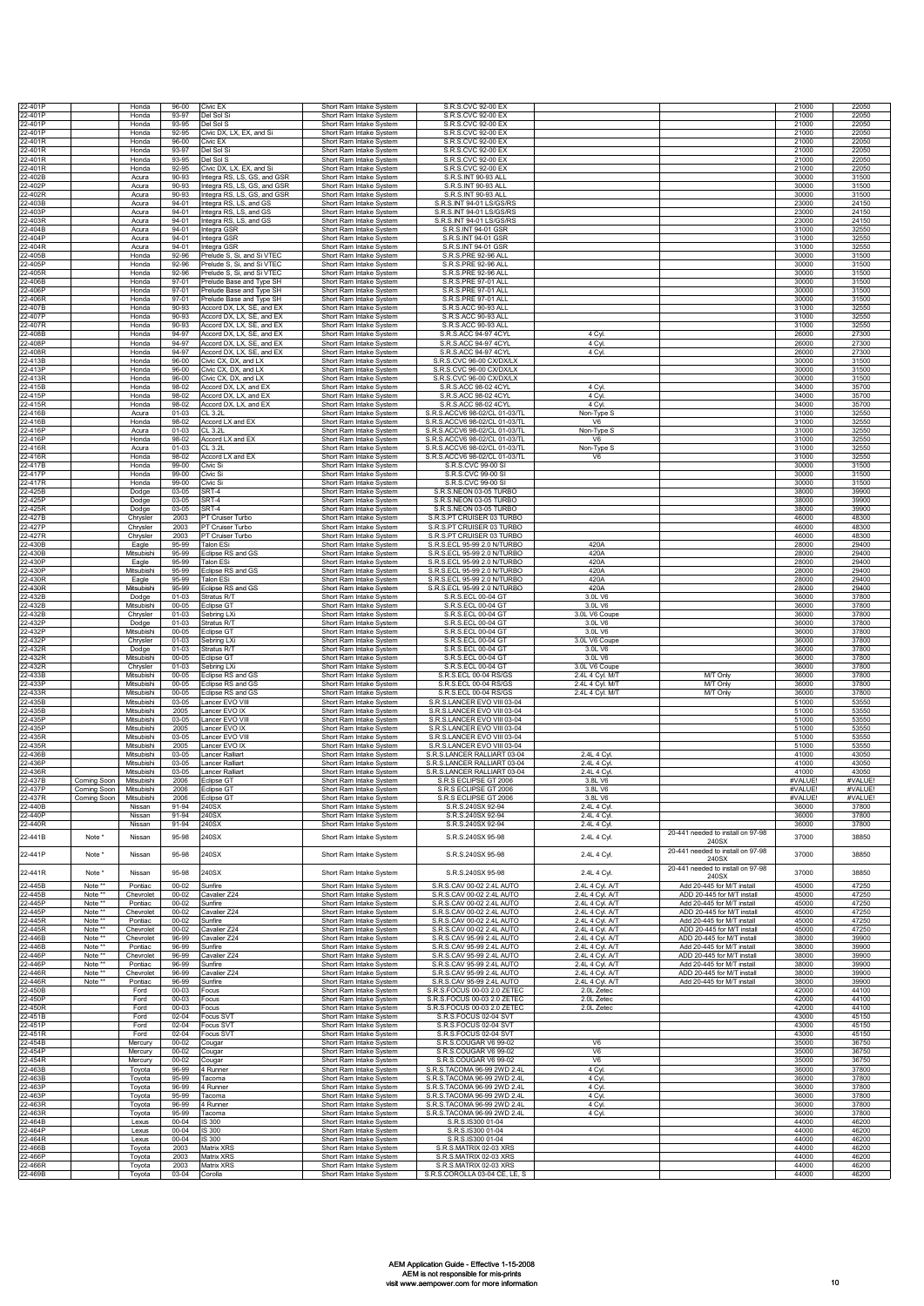| 22-401P                       |                              | Honda                    | $96 - 00$              | Civic EX                                               | Short Ram Intake System                                                       | S.R.S.CVC 92-00 EX                                                                |                                    |                                                          | 21000                   | 22050                   |
|-------------------------------|------------------------------|--------------------------|------------------------|--------------------------------------------------------|-------------------------------------------------------------------------------|-----------------------------------------------------------------------------------|------------------------------------|----------------------------------------------------------|-------------------------|-------------------------|
| 22-401P                       |                              | Honda                    | 93-97                  | Del Sol Si                                             | Short Ram Intake System                                                       | S.R.S.CVC 92-00 EX                                                                |                                    |                                                          | 21000                   | 22050                   |
| 22-401P                       |                              | Honda                    | 93-95                  | Del Sol S                                              | Short Ram Intake System                                                       | SR S CVC 92-00 FX                                                                 |                                    |                                                          | 21000                   | 22050<br>22050          |
| 22-401P<br>22-401R            |                              | Honda<br>Honda           | 92-95<br>$96 - 00$     | Civic DX, LX, EX, and Si<br>Civic EX                   | Short Ram Intake System<br>Short Ram Intake System                            | S.R.S.CVC 92-00 EX<br>S.R.S.CVC 92-00 EX                                          |                                    |                                                          | 21000<br>21000          | 22050                   |
| 22-401R                       |                              | Honda                    | 93-97                  | Del Sol Si                                             | Short Ram Intake System                                                       | S R S CVC 92-00 FX                                                                |                                    |                                                          | 21000                   | 22050                   |
| 2-401R                        |                              | Honda                    | 93-95                  | Del Sol S                                              | Short Ram Intake System                                                       | S.R.S.CVC 92-00 EX                                                                |                                    |                                                          | 21000                   | 22050                   |
| 2-401R<br>2-402B              |                              | Honda<br>Acura           | 92-95<br>90-93         | Civic DX, LX, EX, and Si<br>ntegra RS, LS, GS, and GSR | Short Ram Intake System<br>Short Ram Intake System                            | S.R.S.CVC 92-00 EX<br>S.R.S.INT 90-93 ALL                                         |                                    |                                                          | 21000<br>30000          | 22050<br>31500          |
| 22-402P                       |                              | Acura                    | $90-93$                | Integra RS, LS, GS, and GSR                            | Short Ram Intake System                                                       | S.R.S.INT 90-93 ALI                                                               |                                    |                                                          | 30000                   | 31500                   |
| 2-402R                        |                              | Acura                    | 90-93                  | ntegra RS, LS, GS, and GSR                             | Short Ram Intake System                                                       | S.R.S.INT 90-93 ALL                                                               |                                    |                                                          | 30000                   | 31500                   |
| 2-403B<br>2-403P              |                              | Acura<br>Acura           | $94 - 01$<br>94-01     | Integra RS, LS, and GS<br>Integra RS, LS, and GS       | Short Ram Intake System<br>Short Ram Intake System                            | S.R.S.INT 94-01 LS/GS/RS<br>S.R.S.INT 94-01 LS/GS/RS                              |                                    |                                                          | 23000<br>23000          | 24150<br>24150          |
| 2-403R                        |                              | Acura                    | $94 - 01$              | Integra RS, LS, and GS                                 | Short Ram Intake System                                                       | S.R.S.INT 94-01 LS/GS/RS                                                          |                                    |                                                          | 23000                   | 24150                   |
| 2-404B                        |                              | Acura                    | 94-01                  | Integra GSR                                            | Short Ram Intake System                                                       | S.R.S.INT 94-01 GSR                                                               |                                    |                                                          | 31000                   | 32550                   |
| 2-404P<br>2-404R              |                              | Acura<br>Acura           | 94-01<br>$94 - 01$     | Integra GSR<br>ntegra GSR                              | Short Ram Intake System<br>Short Ram Intake System                            | S.R.S.INT 94-01 GSR<br>S.R.S.INT 94-01 GSR                                        |                                    |                                                          | 31000<br>31000          | 32550<br>32550          |
| 22-405B                       |                              | Honda                    | 92-96                  | Prelude S, Si, and Si VTEC                             | Short Ram Intake System                                                       | S.R.S.PRE 92-96 ALL                                                               |                                    |                                                          | 30000                   | 31500                   |
| 22-405P                       |                              | Honda                    | 92-96                  | Prelude S. Si. and Si VTFC                             | Short Ram Intake System                                                       | S.R.S.PRE 92-96 ALL                                                               |                                    |                                                          | 30000                   | 31500                   |
| 22-405R<br>22-406B            |                              | Honda<br>Honda           | 92-96<br>97-01         | Prelude S. Si. and Si VTEC<br>Prelude Base and Type SH | Short Ram Intake System<br>Short Ram Intake System                            | S.R.S.PRE 92-96 ALI<br>S.R.S.PRE 97-01 ALL                                        |                                    |                                                          | 30000<br>30000          | 31500<br>31500          |
| 22-406P                       |                              | Honda                    | $97 - 01$              | Prelude Base and Type SH                               | Short Ram Intake System                                                       | S.R.S.PRE 97-01 ALL                                                               |                                    |                                                          | 30000                   | 31500                   |
| 22-406R<br>2-407B             |                              | Honda<br>Honda           | $97 - 01$<br>90-93     | Prelude Base and Type SH<br>Accord DX, LX, SE, and EX  | Short Ram Intake System<br>Short Ram Intake System                            | S.R.S.PRE 97-01 ALL<br>S.R.S.ACC 90-93 ALL                                        |                                    |                                                          | 30000<br>31000          | 31500<br>32550          |
| 2-407P                        |                              | Honda                    | 90-93                  | Accord DX, LX, SE, and EX                              | Short Ram Intake System                                                       | S.R.S.ACC 90-93 ALL                                                               |                                    |                                                          | 31000                   | 32550                   |
| 2-407R<br>22-408B             |                              | Honda<br>Honda           | 90-93<br>94-97         | Accord DX, LX, SE, and EX<br>Accord DX, LX, SE, and EX | Short Ram Intake System<br>Short Ram Intake System                            | S.R.S.ACC 90-93 ALL<br>S.R.S.ACC 94-97 4CYL                                       | 4 Cyl                              |                                                          | 31000<br>26000          | 32550<br>27300          |
| 2-408P                        |                              | Honda                    | 94-97                  | Accord DX, LX, SE, and EX                              | Short Ram Intake System                                                       | S.R.S.ACC 94-97 4CYL                                                              | 4 Cvl                              |                                                          | 26000                   | 27300                   |
| 2-408R                        |                              | Honda                    | 94-97                  | Accord DX, LX, SE, and EX                              | Short Ram Intake System                                                       | S.R.S.ACC 94-97 4CYL                                                              | 4 Cyl.                             |                                                          | 26000                   | 27300                   |
| 2-413B<br>22-413P             |                              | Honda<br>Honda           | 96-00<br>96-00         | Civic CX, DX, and LX<br>Civic CX. DX. and LX           | Short Ram Intake System<br>Short Ram Intake System                            | S.R.S.CVC 96-00 CX/DX/LX<br>S.R.S.CVC 96-00 CX/DX/LX                              |                                    |                                                          | 30000<br>30000          | 31500<br>31500          |
| 2-413R                        |                              | Honda                    | 96-00                  | Civic CX. DX. and LX                                   | Short Ram Intake System                                                       | S.R.S.CVC 96-00 CX/DX/LX                                                          |                                    |                                                          | 30000                   | 31500                   |
| 2-415B<br>2-415P              |                              | Honda                    | 98-02<br>98-02         | Accord DX, LX, and EX                                  | Short Ram Intake System                                                       | S.R.S.ACC 98-02 4CYL                                                              | 4 Cv                               |                                                          | 34000                   | 35700<br>35700          |
| 22-415R                       |                              | Honda<br>Honda           | 98-02                  | Accord DX, LX, and EX<br>Accord DX, LX, and EX         | Short Ram Intake System<br>Short Ram Intake System                            | S.R.S.ACC 98-02 4CYL<br>S.R.S.ACC 98-02 4CYL                                      | 4 Cyl<br>4 Cvl                     |                                                          | 34000<br>34000          | 35700                   |
| 22-416B                       |                              | Acura                    | $01 - 03$              | CL 3.2L                                                | Short Ram Intake System                                                       | S.R.S.ACCV6 98-02/CL 01-03/TL                                                     | Non-Type S                         |                                                          | 31000                   | 32550                   |
| 22-416B<br>22-416P            |                              | Honda<br>Acura           | 98-02<br>$01 - 03$     | Accord LX and EX<br>CL 3.2L                            | Short Ram Intake System<br>Short Ram Intake System                            | S.R.S.ACCV6 98-02/CL 01-03/TL<br>S.R.S.ACCV6 98-02/CL 01-03/TL                    | V <sub>6</sub><br>Non-Type S       |                                                          | 31000<br>31000          | 32550<br>32550          |
| 22-416P                       |                              | Honda                    | 98-02                  | Accord LX and EX                                       | Short Ram Intake System                                                       | S.R.S.ACCV6 98-02/CL 01-03/TL                                                     | V <sub>6</sub>                     |                                                          | 31000                   | 32550                   |
| 22-416R<br>2-416R             |                              | Acura<br>Honda           | $01 - 03$<br>98-02     | CL 3.2L<br>Accord LX and EX                            | Short Ram Intake System<br>Short Ram Intake System                            | S.R.S.ACCV6 98-02/CL 01-03/TL<br>S.R.S.ACCV6 98-02/CL 01-03/TL                    | Non-Type S<br>V6                   |                                                          | 31000<br>31000          | 32550<br>32550          |
| 2-417B                        |                              | Honda                    | 99-00                  | Civic Si                                               | Short Ram Intake System                                                       | S.R.S.CVC 99-00 SI                                                                |                                    |                                                          | 30000                   | 31500                   |
| 22-417P<br>22-417R            |                              | Honda<br>Honda           | 99-00<br>99-00         | Civic Si<br>Civic Si                                   | Short Ram Intake System                                                       | S.R.S.CVC 99-00 SI<br>S.R.S.CVC 99-00 SI                                          |                                    |                                                          | 30000<br>30000          | 31500<br>31500          |
| 22-425B                       |                              | Dodge                    | $03-05$                | SRT-4                                                  | Short Ram Intake System<br>Short Ram Intake System                            | S.R.S.NEON 03-05 TURBO                                                            |                                    |                                                          | 38000                   | 39900                   |
| 22-425P                       |                              | Dodge                    | 03-05                  | SRT-4                                                  | Short Ram Intake System                                                       | S.R.S.NEON 03-05 TURBO                                                            |                                    |                                                          | 38000                   | 39900                   |
| 22-425R<br>22-427B            |                              | Dodge<br>Chrysler        | 03-05<br>2003          | SRT-4<br><sup>2</sup> T Cruiser Turbo                  | Short Ram Intake System<br>Short Ram Intake System                            | S.R.S.NEON 03-05 TURBO<br>S.R.S.PT CRUISER 03 TURBO                               |                                    |                                                          | 38000<br>46000          | 39900<br>48300          |
| 2-427P                        |                              | Chrysler                 | 2003                   | <sup>2</sup> T Cruiser Turbo                           | Short Ram Intake System                                                       | S.R.S.PT CRUISER 03 TURBC                                                         |                                    |                                                          | 46000                   | 48300                   |
| 2-427R                        |                              | Chrysler                 | 2003                   | <sup>2</sup> T Cruiser Turbo                           | Short Ram Intake System                                                       | S.R.S.PT CRUISER 03 TURBO                                                         |                                    |                                                          | 46000                   | 48300                   |
| 2-430B<br>22-430B             |                              | Eagle<br>Mitsubishi      | 95-99<br>95-99         | <b>Talon ESi</b><br>Eclipse RS and GS                  | Short Ram Intake System<br>Short Ram Intake System                            | S.R.S.ECL 95-99 2.0 N/TURBO<br>S.R.S.ECL 95-99 2.0 N/TURBO                        | 420A<br>420A                       |                                                          | 28000<br>28000          | 29400<br>29400          |
| 22-430P                       |                              | Eagle                    | 95-99                  | Talon ESi                                              | Short Ram Intake System                                                       | S.R.S.ECL 95-99 2.0 N/TURBO                                                       | 420A                               |                                                          | 28000                   | 29400                   |
| 2-430P<br>22-430R             |                              | Mitsubishi<br>Eagle      | 95-99<br>95-99         | Eclipse RS and GS<br>Talon ESi                         | Short Ram Intake System<br>Short Ram Intake System                            | S.R.S.ECL 95-99 2.0 N/TURBO<br>S.R.S.ECL 95-99 2.0 N/TURBO                        | 420A<br>420A                       |                                                          | 28000<br>28000          | 29400<br>29400          |
| 22-430R                       |                              | Mitsubishi               | 95-99                  | Eclipse RS and GS                                      | Short Ram Intake System                                                       | S.R.S.ECL 95-99 2.0 N/TURBO                                                       | 420A                               |                                                          | 28000                   | 29400                   |
| 22-432B                       |                              | Dodge                    | $01 - 03$              | stratus R/T                                            | Short Ram Intake System                                                       | S.R.S.ECL 00-04 GT                                                                | 3.0L V6                            |                                                          | 36000                   | 37800                   |
| 2-432B<br>22-432B             |                              | Mitsubishi<br>Chrysler   | 00-05<br>$01 - 03$     | clipse GT<br>Sebring LXi                               | Short Ram Intake System<br>Short Ram Intake System                            | S.R.S.ECL 00-04 GT<br>S.R.S.ECL 00-04 GT                                          | 3.0L V6<br>3.0L V6 Coup            |                                                          | 36000<br>36000          | 37800<br>37800          |
| 22-432P                       |                              | Dodge                    | $01 - 03$              | Stratus R/T                                            | Short Ram Intake System                                                       | S.R.S.ECL 00-04 GT                                                                | 3.0L V6                            |                                                          | 36000                   | 37800                   |
| 22-432P<br>22-432P            |                              | Mitsubishi               | $00 - 05$<br>$01 - 03$ | Eclipse GT                                             | Short Ram Intake System                                                       | S.R.S.ECL 00-04 GT<br>S.R.S.ECL 00-04 GT                                          | 3.0L V6<br>3.0L V6 Coupe           |                                                          | 36000                   | 37800<br>37800          |
| 22-432R                       |                              | Chrysler<br>Dodge        | $01 - 03$              | Sebring LXi<br>Stratus R/T                             | Short Ram Intake System<br>Short Ram Intake System                            | S.R.S.ECL 00-04 GT                                                                | 3.0L V6                            |                                                          | 36000<br>36000          | 37800                   |
| 22-432R                       |                              | Mitsubishi               | $00 - 05$              | Eclipse GT                                             | Short Ram Intake System                                                       | S.R.S.ECL 00-04 GT                                                                | 3.0L V6                            |                                                          | 36000                   | 37800                   |
| 22-432R<br>2-433B             |                              | Chrysler<br>Mitsubishi   | $01 - 03$<br>00-05     | Sebrina LXi<br>clipse RS and GS                        | Short Ram Intake System<br>Short Ram Intake System                            | S.R.S.ECL 00-04 GT<br>S.R.S.ECL 00-04 RS/GS                                       | 3.0L V6 Coupe<br>2.4L 4 Cyl. M/T   | M/T Only                                                 | 36000<br>36000          | 37800<br>37800          |
| 22-433P                       |                              | Mitsubishi               | $00 - 05$              | clipse RS and GS:                                      | Short Ram Intake System                                                       | S.R.S.ECL 00-04 RS/GS                                                             | 2.4L 4 Cyl. M/T                    | M/T Only                                                 | 36000                   | 37800                   |
| 22-433R                       |                              | Mitsubishi               | $00 - 05$              | Eclipse RS and GS                                      | Short Ram Intake System                                                       | S.R.S.ECL 00-04 RS/GS                                                             | 2.4L 4 Cyl. M/T                    | M/T Only                                                 | 36000                   | 37800                   |
| 22-435B<br>22-435B            |                              | Mitsubishi<br>Mitsubishi | $03 - 05$<br>2005      | Lancer EVO VIII<br>Lancer EVO IX                       | Short Ram Intake System<br>Short Ram Intake System                            | S.R.S.LANCER EVO VIII 03-04<br>S.R.S.LANCER EVO VIII 03-04                        |                                    |                                                          | 51000<br>51000          | 53550<br>53550          |
| 22-435P                       |                              | Mitsubishi               | 03-05                  | Lancer EVO VIII                                        | Short Ram Intake System                                                       | S.R.S.LANCER EVO VIII 03-04                                                       |                                    |                                                          | 51000                   | 53550                   |
| 22-435P<br>22-435R            |                              | Mitsubishi<br>Mitsubishi | 2005<br>03-05          | ancer FVO IX<br>Lancer EVO VIII                        | Short Ram Intake System                                                       | S.R.S.LANCER EVO VIII 03-04<br>S.R.S.LANCER EVO VIII 03-04                        |                                    |                                                          | 51000<br>51000          | 53550<br>53550          |
| 22-435R                       |                              | Mitsubishi               | 2005                   | ancer EVO IX                                           | Short Ram Intake System<br>Short Ram Intake System                            | S.R.S.LANCER EVO VIII 03-04                                                       |                                    |                                                          | 51000                   | 53550                   |
| 2-436B                        |                              | Mitsubishi               | 03-05                  | ancer Ralliart                                         | Short Ram Intake System                                                       | S.R.S.LANCER RALLIART 03-04                                                       | 2.4L 4 Cv                          |                                                          | 41000                   | 43050                   |
| 22-436P<br>22-436R            |                              | Mitsubishi<br>Mitsubishi | 03-05<br>$03-05$       | ancer Ralliart<br>ancer Ralliart                       | Short Ram Intake System<br>Short Ram Intake System                            | S.R.S.LANCER RALLIART 03-04<br>S.R.S.LANCER RALLIART 03-04                        | 2.4L 4 Cyl<br>2.4L 4 Cyl.          |                                                          | 41000<br>41000          | 43050<br>43050          |
| 22-437B                       | Coming Soor                  | Mitsubishi               | 2006                   | Eclipse G1                                             | Short Ram Intake System                                                       | S.R.S ECLIPSE GT 2006                                                             | 3.8L V6                            |                                                          | #VALUE!                 | #VALUE                  |
| 22-437P                       | Coming Soon                  | Mitsubishi               | 2006                   | Eclipse GT                                             | Short Ram Intake System                                                       | S.R.S ECLIPSE GT 2006<br>S.R.S ECLIPSE GT 2006                                    | 3.8L V6                            |                                                          | #VALUE!                 | #VALUE!                 |
| 22-437R<br>22-440B            | Coming Soon   Mitsubishi     | Nissan                   | 2006<br>91-94          | Eclipse G'<br>240SX                                    | Short Ram Intake System<br>Short Ram Intake System                            | S.R.S.240SX 92-94                                                                 | 3.8L V6<br>2.4L 4 Cyl.             |                                                          | #VALUE<br>36000         | #VALUE!<br>37800        |
| 2-440P                        |                              | Nissan                   | 91-94                  | 240SX                                                  | Short Ram Intake System                                                       | S.R.S.240SX 92-94                                                                 | 2.4L 4 Cyl.                        |                                                          | 36000                   | 37800                   |
| 22-440R                       |                              | Nissan                   | 91-94                  | 240SX                                                  | Short Ram Intake System                                                       | S.R.S.240SX 92-94                                                                 | 2.4L 4 Cyl.                        | 20-441 needed to install on 97-98                        | 36000                   | 37800                   |
| 22-441B                       | Note *                       | Nissan                   | 95-98                  | 240SX                                                  | Short Ram Intake System                                                       | S.R.S.240SX 95-98                                                                 | 2.4L 4 Cyl.                        | 240SX                                                    | 37000                   | 38850                   |
| 22-441P                       | Note                         | Nissan                   | 95-98                  | 240SX                                                  | Short Ram Intake System                                                       | S.R.S.240SX 95-98                                                                 | 2.4L 4 Cyl.                        | 20-441 needed to install on 97-98<br>240SX               | 37000                   | 38850                   |
| 22-441R                       | Note *                       | Nissan                   | 95-98                  | 240SX                                                  | Short Ram Intake System                                                       | S.R.S.240SX 95-98                                                                 |                                    | 20-441 needed to install on 97-98                        | 37000                   | 38850                   |
| 22-445B                       | Note <sup>*</sup>            | Pontiac                  | $00 - 02$              | Sunfire                                                | Short Ram Intake System                                                       | S.R.S.CAV 00-02 2.4L AUTO                                                         | 2.4L 4 Cyl.<br>2.4L 4 Cyl. A/T     | 240SX<br>Add 20-445 for M/T install                      | 45000                   | 47250                   |
| 22-445B                       | Note                         | Chevrolet                | 00-02                  | Cavalier Z24                                           | Short Ram Intake System                                                       | S.R.S.CAV 00-02 2.4L AUTO                                                         | 2.4L 4 Cyl. A/T                    | ADD 20-445 for M/T install                               | 45000                   | 47250                   |
| 22-445P                       | Note                         | Pontiac                  | $00 - 02$              | Sunfire                                                | Short Ram Intake System                                                       | S.R.S.CAV 00-02 2.4L AUTO                                                         | 2.4L 4 Cyl. A/T                    | Add 20-445 for M/T install                               | 45000                   | 47250                   |
| 22-445P<br>22-445R            | Note <sup>'</sup><br>Note ** | Chevrolet<br>Pontiac     | $00 - 02$<br>$00 - 02$ | Cavalier Z24<br>Sunfire                                | Short Ram Intake System<br>Short Ram Intake System                            | S.R.S.CAV 00-02 2.4L AUTO<br>S.R.S.CAV 00-02 2.4L AUTO                            | 2.4L 4 Cyl. A/T<br>2.4L 4 Cyl. A/T | ADD 20-445 for M/T install<br>Add 20-445 for M/T install | 45000<br>45000          | 47250<br>47250          |
| 22-445R                       | Note **                      | Chevrolet                | $00 - 02$              | Cavalier Z24                                           | Short Ram Intake System                                                       | S.R.S.CAV 00-02 2.4L AUTO                                                         | 2.4L 4 Cyl. A/T                    | ADD 20-445 for M/T install                               | 45000                   | 47250                   |
| 22-446B<br>22-446B            | Note **<br>Note **           | Chevrolet<br>Pontiac     | 96-99<br>96-99         | Cavalier Z24<br>Sunfire                                | Short Ram Intake System<br>Short Ram Intake System                            | S.R.S.CAV 95-99 2.4L AUTO<br>S.R.S.CAV 95-99 2.4L AUTO                            | 2.4L 4 Cyl. A/T<br>2.4L 4 Cyl. A/T | ADD 20-445 for M/T install<br>Add 20-445 for M/T install | 38000<br>38000          | 39900<br>39900          |
| 22-446P                       | Note **                      | Chevrolet                | 96-99                  | Cavalier Z24                                           | Short Ram Intake System                                                       | S.R.S.CAV 95-99 2.4L AUTO                                                         | 2.4L 4 Cyl. A/T                    | ADD 20-445 for M/T install                               | 38000                   | 39900                   |
| 2-446P                        | Note **                      | Pontiac                  | 96-99                  | Sunfire                                                | Short Ram Intake System                                                       | S.R.S.CAV 95-99 2.4L AUTO                                                         | 2.4L 4 Cyl. A/T                    | Add 20-445 for M/T install                               | 38000                   | 39900                   |
| 2-446R<br>2-446R              | Note **<br>Note **           | Chevrolet<br>Pontiac     | 96-99<br>96-99         | Cavalier Z24<br>Sunfire                                | Short Ram Intake System<br>Short Ram Intake System                            | S.R.S.CAV 95-99 2.4L AUTO<br>S.R.S.CAV 95-99 2.4L AUTO                            | 2.4L 4 Cyl. A/T<br>2.4L 4 Cyl. A/T | ADD 20-445 for M/T install<br>Add 20-445 for M/T install | 38000<br>38000          | 39900<br>39900          |
| 22-450B                       |                              | Ford                     | 00-03                  | Focus                                                  | Short Ram Intake System                                                       | S.R.S.FOCUS 00-03 2.0 ZETEC                                                       | 2.0L Zetec                         |                                                          | 42000                   | 44100                   |
| 22-450P<br>22-450R            |                              | Ford<br>Ford             | 00-03<br>00-03         | Focus<br>Focus                                         | Short Ram Intake System<br>Short Ram Intake System                            | S.R.S.FOCUS 00-03 2.0 ZETEC<br>S.R.S.FOCUS 00-03 2.0 ZETEC                        | 2.0L Zetec<br>2.0L Zetec           |                                                          | 42000<br>42000          | 44100<br>44100          |
| 22-451B                       |                              | Ford                     | $02 - 04$              | Focus SVT                                              | Short Ram Intake System                                                       | S.R.S.FOCUS 02-04 SVT                                                             |                                    |                                                          | 43000                   | 45150                   |
| 22-451P<br>22-451R            |                              | Ford<br>Ford             | $02 - 04$<br>$02 - 04$ | Focus SVT<br>Focus SVT                                 | Short Ram Intake System<br>Short Ram Intake System                            | S.R.S.FOCUS 02-04 SVT<br>S.R.S.FOCUS 02-04 SVT                                    |                                    |                                                          | 43000<br>43000          | 45150<br>45150          |
| 22-454B                       |                              | Mercury                  | $00 - 02$              | Cougar                                                 | Short Ram Intake System                                                       | S.R.S.COUGAR V6 99-02                                                             | V6                                 |                                                          | 35000                   | 36750                   |
| 22-454P                       |                              | Mercury                  | $00 - 02$              | Cougar                                                 | Short Ram Intake System                                                       | S.R.S.COUGAR V6 99-02                                                             | V6                                 |                                                          | 35000                   | 36750                   |
| 22-454R<br>22-463B            |                              | Mercury<br>Toyota        | $00 - 02$<br>96-99     | Cougar<br>4 Runner                                     | Short Ram Intake System<br>Short Ram Intake System                            | S.R.S.COUGAR V6 99-02<br>S.R.S.TACOMA 96-99 2WD 2.4L                              | V <sub>6</sub><br>4 Cyl            |                                                          | 35000<br>36000          | 36750<br>37800          |
| 22-463B                       |                              | Toyota                   | 95-99                  | Tacoma                                                 | Short Ram Intake System                                                       | S.R.S.TACOMA 96-99 2WD 2.4L                                                       | 4 Cyl.                             |                                                          | 36000                   | 37800                   |
| 22-463P<br>22-463P            |                              | Toyota                   | 96-99<br>95-99         | 4 Runner<br>Tacoma                                     | Short Ram Intake System<br>Short Ram Intake System                            | S.R.S.TACOMA 96-99 2WD 2.4L<br>S.R.S.TACOMA 96-99 2WD 2.4L                        | 4 Cyl.                             |                                                          | 36000<br>36000          | 37800<br>37800          |
| 22-463R                       |                              | Toyota<br>Toyota         | 96-99                  | 4 Runner                                               | Short Ram Intake System                                                       | S.R.S.TACOMA 96-99 2WD 2.4L                                                       | 4 Cyl.<br>4 Cyl.                   |                                                          | 36000                   | 37800                   |
| 2-463R                        |                              | Toyota                   | 95-99                  | Tacoma                                                 | Short Ram Intake System                                                       | S.R.S.TACOMA 96-99 2WD 2.4L                                                       | 4 Cyl.                             |                                                          | 36000                   | 37800                   |
| 2-464B<br>2-464P              |                              | Lexus<br>Lexus           | $00 - 04$<br>00-04     | S 300<br>IS 300                                        | Short Ram Intake System<br>Short Ram Intake System                            | S.R.S.IS300 01-04<br>S.R.S.IS300 01-04                                            |                                    |                                                          | 44000<br>44000          | 46200<br>46200          |
| 22-464R                       |                              | Lexus                    | $00 - 04$              | IS 300                                                 | Short Ram Intake System                                                       | S.R.S.IS300 01-04                                                                 |                                    |                                                          | 44000                   | 46200                   |
| 22-466B                       |                              | Toyota                   | 2003                   | Matrix XRS                                             | Short Ram Intake System                                                       | S.R.S.MATRIX 02-03 XRS                                                            |                                    |                                                          | 44000                   | 46200                   |
|                               |                              |                          |                        |                                                        |                                                                               |                                                                                   |                                    |                                                          |                         |                         |
| 22-466P<br>22-466R<br>22-469B |                              | Toyota<br>Toyota         | 2003<br>2003<br>03-04  | Matrix XRS<br>Matrix XRS                               | Short Ram Intake System<br>Short Ram Intake System<br>Short Ram Intake System | S.R.S.MATRIX 02-03 XRS<br>S.R.S.MATRIX 02-03 XRS<br>S.R.S.COROLLA 03-04 CE, LE, S |                                    |                                                          | 44000<br>44000<br>44000 | 46200<br>46200<br>46200 |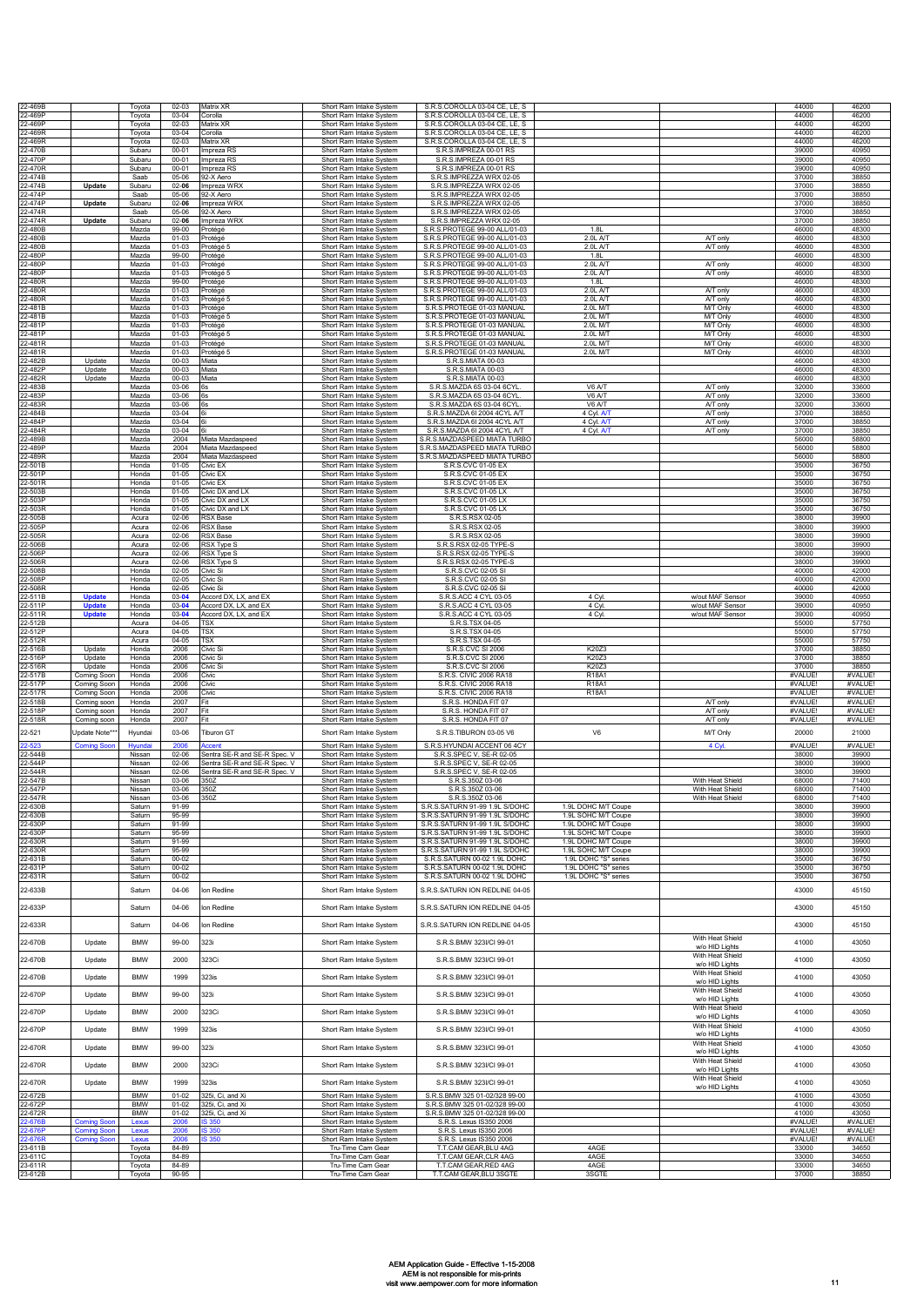| 22-469B            |                                | Toyota                     | $02 - 03$              | Matrix XR                                      | Short Ram Intake System                            | S.R.S.COROLLA 03-04 CE, LE, S                                    |                                              |                                      | 44000              | 46200             |
|--------------------|--------------------------------|----------------------------|------------------------|------------------------------------------------|----------------------------------------------------|------------------------------------------------------------------|----------------------------------------------|--------------------------------------|--------------------|-------------------|
| 22-469P            |                                | Toyota                     | 03-04                  | Corolla                                        | Short Ram Intake System                            | S.R.S.COROLLA 03-04 CE, LE, S                                    |                                              |                                      | 44000              | 46200             |
| 22-469P<br>22-469R |                                | Toyota<br>Tovota           | $02 - 03$<br>03-04     | Matrix XR<br>Corolla                           | Short Ram Intake System<br>Short Ram Intake System | S.R.S.COROLLA 03-04 CE, LE, S<br>S.R.S.COROLLA 03-04 CE, LE, S   |                                              |                                      | 44000<br>44000     | 46200<br>46200    |
| 22-469R            |                                | Toyota                     | $02 - 03$              | Matrix XF                                      | Short Ram Intake System                            | S.R.S.COROLLA 03-04 CE. LE. S                                    |                                              |                                      | 44000              | 46200             |
| 22-470B            |                                | Subaru                     | $00 - 01$              | Impreza RS                                     | Short Ram Intake System                            | S.R.S.IMPREZA 00-01 RS                                           |                                              |                                      | 39000              | 40950             |
| 22-470P<br>22-470R |                                | Subaru<br>Subaru           | $00 - 01$<br>00-01     | Impreza RS<br>Impreza RS                       | Short Ram Intake System<br>Short Ram Intake System | S.R.S.IMPREZA 00-01 RS<br>S.R.S.IMPREZA 00-01 RS                 |                                              |                                      | 39000<br>39000     | 40950<br>40950    |
| 22-474B            |                                | Saab                       | 05-06                  | 92-X Aero                                      | Short Ram Intake System                            | S.R.S.IMPREZZA WRX 02-05                                         |                                              |                                      | 37000              | 38850             |
| 22-474B<br>22-474P | Update                         | Subaru<br>Saab             | $02 - 06$<br>05-06     | Impreza WRX<br>92-X Aero                       | Short Ram Intake System<br>Short Ram Intake System | S.R.S.IMPREZZA WRX 02-05<br>S.R.S.IMPREZZA WRX 02-05             |                                              |                                      | 37000<br>37000     | 38850<br>38850    |
| 22-474P            | Update                         | Subaru                     | $02 - 06$              | Impreza WRX                                    | Short Ram Intake System                            | S.R.S.IMPREZZA WRX 02-05                                         |                                              |                                      | 37000              | 38850             |
| 22-474R<br>22-474R |                                | Saab                       | 05-06<br>$02 - 06$     | 92-X Aero                                      | Short Ram Intake System                            | S.R.S.IMPREZZA WRX 02-05<br>S.R.S.IMPREZZA WRX 02-05             |                                              |                                      | 37000<br>37000     | 38850<br>38850    |
| 22-480B            | Update                         | Subaru<br>Mazda            | 99-00                  | Impreza WRX<br>Protégé                         | Short Ram Intake System<br>Short Ram Intake System | S.R.S.PROTEGE 99-00 ALL/01-03                                    | 1.8L                                         |                                      | 46000              | 48300             |
| 22-480B            |                                | Mazda                      | $01 - 03$              | Protégé                                        | Short Ram Intake System                            | S.R.S.PROTEGE 99-00 ALL/01-03                                    | 2.0L A/T                                     | A/T only                             | 46000              | 48300             |
| 22-480B<br>22-480P |                                | Mazda<br>Mazda             | $01 - 03$<br>99-00     | Protéaé 5<br>Protégé                           | Short Ram Intake System<br>Short Ram Intake System | S.R.S.PROTEGE 99-00 ALL/01-03<br>S.R.S.PROTEGE 99-00 ALL/01-03   | 2.0L A/T<br>1.8L                             | A/T only                             | 46000<br>46000     | 48300<br>48300    |
| 22-480P            |                                | Mazda                      | $01 - 03$              | Protégé                                        | Short Ram Intake System                            | S.R.S.PROTEGE 99-00 ALL/01-03                                    | 2.0L A/T                                     | A/T only                             | 46000              | 48300             |
| 22-480P<br>22-480R |                                | Mazda<br>Mazda             | $01 - 03$<br>99-00     | Protégé 5<br>Protégé                           | Short Ram Intake System<br>Short Ram Intake System | S.R.S.PROTEGE 99-00 ALL/01-03<br>S.R.S.PROTEGE 99-00 ALL/01-03   | 2.0L A/T<br>1.8L                             | A/T only                             | 46000<br>46000     | 48300<br>48300    |
| 22-480R            |                                | Mazda                      | $01 - 03$              | Protégé                                        | Short Ram Intake System                            | S.R.S.PROTEGE 99-00 ALL/01-03                                    | 2.0L A/T                                     | A/T only                             | 46000              | 48300             |
| 22-480R            |                                | Mazda                      | $01 - 03$              | Protégé 5                                      | Short Ram Intake System                            | S.R.S.PROTEGE 99-00 ALL/01-03                                    | 2.0L A/T                                     | A/T only                             | 46000              | 48300             |
| 22-481B<br>22-481B |                                | Mazda<br>Mazda             | $01 - 03$<br>$01 - 03$ | Protégé<br>Protégé 5                           | Short Ram Intake System<br>Short Ram Intake System | S.R.S.PROTEGE 01-03 MANUAL<br>S.R.S.PROTEGE 01-03 MANUAL         | 2.0L M/T<br>2.0L M/T                         | M/T Only<br>M/T Only                 | 46000<br>46000     | 48300<br>48300    |
| 22-481P            |                                | Mazda                      | $01 - 03$              | rotégé                                         | Short Ram Intake System                            | S.R.S.PROTEGE 01-03 MANUAL                                       | 2.0L M/T                                     | M/T Only                             | 46000              | 48300             |
| 22-481P<br>22-481R |                                | Mazda<br>Mazda             | 01-03<br>$01 - 03$     | Protégé 5<br>Protégé                           | Short Ram Intake System<br>Short Ram Intake System | S.R.S.PROTEGE 01-03 MANUAL<br>S.R.S.PROTEGE 01-03 MANUAL         | 2.0L M/T<br>2.0L M/T                         | M/T Only<br>M/T Only                 | 46000<br>46000     | 48300<br>48300    |
| 22-481R            |                                | Mazda                      | $01 - 03$              | Protégé 5                                      | Short Ram Intake System                            | S.R.S.PROTEGE 01-03 MANUAL                                       | 2.0L M/T                                     | M/T Only                             | 46000              | 48300             |
| 22-482B<br>22-482P | Update                         | Mazda                      | $00 - 03$<br>00-03     | Miata<br>Miata                                 | Short Ram Intake System                            | S.R.S.MIATA 00-03<br>S.R.S.MIATA 00-03                           |                                              |                                      | 46000<br>46000     | 48300<br>48300    |
| 22-482R            | Update<br>Update               | Mazda<br>Mazda             | 00-03                  | Miata                                          | Short Ram Intake System<br>Short Ram Intake System | S.R.S.MIATA 00-03                                                |                                              |                                      | 46000              | 48300             |
| 22-483B            |                                | Mazda                      | 03-06                  | 6s                                             | Short Ram Intake System                            | S.R.S.MAZDA 6S 03-04 6CYL                                        | V6 A/T                                       | A/T only                             | 32000              | 33600             |
| 22-483P<br>22-483R |                                | Mazda<br>Mazda             | 03-06<br>03-06         | ĥѕ                                             | Short Ram Intake System<br>Short Ram Intake System | S.R.S.MAZDA 6S 03-04 6CYL<br>S.R.S.MAZDA 6S 03-04 6CYL           | V6 A/T<br>V6 A/T                             | A/T only<br>A/T only                 | 32000<br>32000     | 33600<br>33600    |
| 22-484B            |                                | Mazda                      | 03-04                  |                                                | Short Ram Intake System                            | S.R.S.MAZDA 6I 2004 4CYL A/T                                     | 4 Cyl. A/T                                   | A/T only                             | 37000              | 38850             |
| 22-484P<br>22-484R |                                | Mazda<br>Mazda             | $03 - 04$<br>03-04     |                                                | Short Ram Intake System<br>Short Ram Intake System | S.R.S.MAZDA 6I 2004 4CYL A/T<br>S.R.S.MAZDA 6I 2004 4CYL A/T     | 4 Cyl. A/T<br>4 Cyl. A/T                     | A/T only<br>A/T only                 | 37000<br>37000     | 38850<br>38850    |
| 22-489B            |                                | Mazda                      | 2004                   | Miata Mazdaspeed                               | Short Ram Intake System                            | S.R.S.MAZDASPEED MIATA TURBC                                     |                                              |                                      | 56000              | 58800             |
| 22-489P            |                                | Mazda                      | 2004                   | Miata Mazdaspeed                               | Short Ram Intake System                            | S.R.S.MAZDASPEED MIATA TURBO<br>S.R.S.MAZDASPEED MIATA TURBO     |                                              |                                      | 56000              | 58800<br>58800    |
| 22-489R<br>22-501B |                                | Mazda<br>Honda             | 2004<br>$01 - 05$      | Miata Mazdaspeed<br>Civic EX                   | Short Ram Intake System<br>Short Ram Intake System | S R S CVC 01-05 FX                                               |                                              |                                      | 56000<br>35000     | 36750             |
| 22-501P            |                                | Honda                      | $01 - 05$              | Civic EX                                       | Short Ram Intake System                            | S.R.S.CVC 01-05 EX                                               |                                              |                                      | 35000              | 36750             |
| 22-501R<br>22-503B |                                | Honda<br>Honda             | $01 - 05$<br>$01 - 05$ | Civic EX<br>Civic DX and LX                    | Short Ram Intake System<br>Short Ram Intake System | S.R.S.CVC 01-05 EX<br>S.R.S.CVC 01-05 LX                         |                                              |                                      | 35000<br>35000     | 36750<br>36750    |
| 22-503F            |                                | Honda                      | $01 - 05$              | Civic DX and LX                                | Short Ram Intake System                            | S.R.S.CVC 01-05 LX                                               |                                              |                                      | 35000              | 36750             |
| 22-503R<br>22-505B |                                | Honda<br>Acura             | $01 - 05$<br>02-06     | Civic DX and LX<br><b>RSX Base</b>             | Short Ram Intake System<br>Short Ram Intake System | S.R.S.CVC 01-05 LX<br>S.R.S.RSX 02-05                            |                                              |                                      | 35000<br>38000     | 36750<br>39900    |
| 22-505P            |                                | Acura                      | 02-06                  | <b>RSX Base</b>                                | Short Ram Intake System                            | S.R.S.RSX 02-05                                                  |                                              |                                      | 38000              | 39900             |
| 22-505R<br>22-506B |                                | Acura<br>Acura             | $02 - 06$<br>02-06     | <b>RSX Base</b>                                | Short Ram Intake System<br>Short Ram Intake System | S.R.S.RSX 02-05<br>S.R.S.RSX 02-05 TYPE-S                        |                                              |                                      | 38000<br>38000     | 39900<br>39900    |
| 22-506P            |                                | Acura                      | 02-06                  | RSX Type S<br>RSX Type S                       | Short Ram Intake System                            | S.R.S.RSX 02-05 TYPE-9                                           |                                              |                                      | 38000              | 39900             |
| 22-506R            |                                | Acura                      | 02-06                  | RSX Type S                                     | Short Ram Intake System                            | S.R.S.RSX 02-05 TYPE-S                                           |                                              |                                      | 38000              | 39900             |
| 22-508B<br>22-508P |                                | Honda<br>Honda             | $02 - 05$<br>$02 - 05$ | Civic Si<br>Civic Si                           | Short Ram Intake System<br>Short Ram Intake System | S.R.S.CVC 02-05 SI<br>S.R.S.CVC 02-05 SI                         |                                              |                                      | 40000<br>40000     | 42000<br>42000    |
| 22-508R            |                                | Honda                      | $02 - 05$              | Civic Si                                       | Short Ram Intake System                            | S.R.S.CVC 02-05 SI                                               |                                              |                                      | 40000              | 42000             |
| 22-511B<br>22-511P | <b>Update</b><br><b>Update</b> | Honda<br>Honda             | $03 - 04$<br>$03 - 04$ | Accord DX, LX, and EX<br>Accord DX, LX, and EX | Short Ram Intake System<br>Short Ram Intake System | S.R.S.ACC 4 CYL 03-05<br>S.R.S.ACC 4 CYL 03-05                   | 4 Cyl<br>4 Cyl.                              | w/out MAF Sensor<br>w/out MAF Sensor | 39000<br>39000     | 40950<br>40950    |
| 22-511R            | <b>Update</b>                  | Honda                      | $03 - 04$              | Accord DX, LX, and EX                          | Short Ram Intake System                            | S.R.S.ACC 4 CYL 03-05                                            | 4 Cyl                                        | w/out MAF Sensor                     | 39000              | 40950             |
| 22-512B<br>22-512P |                                | Acura                      | $04 - 05$              | <b>TSX</b>                                     | Short Ram Intake System                            | S.R.S.TSX 04-05                                                  |                                              |                                      | 55000              | 57750<br>57750    |
| 22-512R            |                                | Acura<br>Acura             | 04-05<br>$04 - 05$     | <b>TSX</b><br><b>TSX</b>                       | Short Ram Intake System<br>Short Ram Intake System | S.R.S.TSX 04-05<br>S.R.S.TSX 04-05                               |                                              |                                      | 55000<br>55000     | 57750             |
|                    |                                |                            |                        |                                                |                                                    |                                                                  |                                              |                                      |                    |                   |
| 22-516B            | Update                         | Honda                      | 2006                   | Civic Si                                       | Short Ram Intake System                            | S.R.S.CVC SI 2006                                                | K20Z3                                        |                                      | 37000              | 38850             |
| 22-516P            | Update                         | Honda                      | 2006                   | Civic Si                                       | Short Ram Intake System                            | S.R.S.CVC SI 2006                                                | K20Z3                                        |                                      | 37000              | 38850<br>38850    |
| 22-516R<br>22-517B | Update<br>Coming Soon          | Honda<br>Honda             | 2006<br>2006           | Civic Si<br>Civic                              | Short Ram Intake System<br>Short Ram Intake System | S.R.S.CVC SI 2006<br>S.R.S. CIVIC 2006 RA18                      | K20Z3<br>R18A1                               |                                      | 37000<br>#VALUE!   | #VALUE            |
| 22-517P            | Coming Soon                    | Honda                      | 2006                   | Civic                                          | Short Ram Intake System                            | S.R.S. CIVIC 2006 RA18                                           | R18A1                                        |                                      | #VALUE!            | #VALUE            |
| 22-517R<br>22-518B | Coming Soon<br>Coming soon     | Honda<br>Honda             | 2006<br>2007           | Civic<br>Fit                                   | Short Ram Intake System<br>Short Ram Intake System | S.R.S. CIVIC 2006 RA18<br>S.R.S. HONDA FIT 07                    | R18A1                                        | A/T only                             | #VALUE!<br>#VALUE! | #VALUE<br>#VALUE! |
| 22-518P            | Coming soon                    | Honda                      | 2007                   | Fit                                            | Short Ram Intake System                            | S.R.S. HONDA FIT 07                                              |                                              | A/T only                             | #VALUE!            | #VALUE!           |
| 22-518R            | Coming soon                    | Honda                      | 2007                   | Fit                                            | Short Ram Intake System                            | S.R.S. HONDA FIT 07                                              |                                              | A/T only                             | #VALUE!            | #VALUE!           |
| 22-521             | Update Note*                   | Hyundai                    | 03-06                  | <b>Tiburon GT</b>                              | Short Ram Intake System                            | S.R.S.TIBURON 03-05 V6                                           | V <sub>6</sub>                               | M/T Only                             | 20000              | 21000             |
| 22-523             | <b>Coming Soo</b>              | Hyundai<br>Nissan          | 2006<br>$02 - 06$      | <b>ccent</b><br>Sentra SE-R and SE-R Spec. V   | Short Ram Intake System<br>Short Ram Intake System | S.R.S.HYUNDAI ACCENT 06 4CY<br>S.R.S.SPEC V, SE-R 02-05          |                                              | 4 Cyl.                               | #VALUE!<br>38000   | #VALUE!<br>39900  |
| 22-544B<br>22-544P |                                | Nissan                     | $02 - 06$              | Sentra SE-R and SE-R Spec. V                   | Short Ram Intake System                            | S.R.S.SPEC V, SE-R 02-05                                         |                                              |                                      | 38000              | 39900             |
| 22-544R            |                                | Nissan                     | 02-06                  | Sentra SE-R and SE-R Spec. V                   | Short Ram Intake System                            | S.R.S.SPEC V, SE-R 02-05                                         |                                              |                                      | 38000<br>68000     | 39900             |
| 22-547B<br>22-547P |                                | Nissan<br>Nissan           | 03-06<br>$03-06$       | 350Z<br>3507                                   | Short Ram Intake System<br>Short Ram Intake System | S.R.S.350Z 03-06<br>S.R.S.350Z 03-06                             |                                              | With Heat Shield<br>With Heat Shield | 68000              | 71400<br>71400    |
| 22-547R            |                                | Nissan                     | 03-06                  | 350Z                                           | Short Ram Intake System                            | S.R.S.350Z 03-06                                                 |                                              | With Heat Shield                     | 68000              | 71400             |
| 22-630B<br>22-630B |                                | Saturn<br>Saturn           | 91-99<br>95-99         |                                                | Short Ram Intake System<br>Short Ram Intake System | S.R.S.SATURN 91-99 1.9L S/DOHC<br>S.R.S.SATURN 91-99 1.9L S/DOHC | 1.9L DOHC M/T Coupe<br>1.9L SOHC M/T Coupe   |                                      | 38000<br>38000     | 39900<br>39900    |
| 22-630P            |                                | Saturn                     | 91-99                  |                                                | Short Ram Intake System                            | S.R.S.SATURN 91-99 1.9L S/DOHC                                   | 1.9L DOHC M/T Coupe                          |                                      | 38000              | 39900             |
| 22-630P<br>22-630R |                                | Saturn<br>Saturn           | 95-99<br>91-99         |                                                | Short Ram Intake System<br>Short Ram Intake System | S.R.S.SATURN 91-99 1.9L S/DOHC<br>S.R.S.SATURN 91-99 1.9L S/DOHC | 1.9L SOHC M/T Coupe<br>1.9L DOHC M/T Coupe   |                                      | 38000<br>38000     | 39900<br>39900    |
| 22-630R            |                                | Saturn                     | 95-99                  |                                                | Short Ram Intake System                            | S.R.S.SATURN 91-99 1.9L S/DOHC                                   | 1.9L SOHC M/T Coupe                          |                                      | 38000              | 39900             |
| 22-631B<br>22-631P |                                | Saturn<br>Saturn           | $00 - 02$<br>$00 - 02$ |                                                | Short Ram Intake System<br>Short Ram Intake System | S.R.S.SATURN 00-02 1.9L DOHC<br>S.R.S.SATURN 00-02 1.9L DOHC     | 1.9L DOHC "S" series<br>1.9L DOHC "S" series |                                      | 35000<br>35000     | 36750<br>36750    |
| 22-631R            |                                | Saturn                     | $00 - 02$              |                                                | Short Ram Intake System                            | S.R.S.SATURN 00-02 1.9L DOHC                                     | 1.9L DOHC "S" series                         |                                      | 35000              | 36750             |
| 22-633B            |                                | Saturn                     | 04-06                  | Ion Redline                                    | Short Ram Intake System                            | S.R.S.SATURN ION REDLINE 04-05                                   |                                              |                                      | 43000              | 45150             |
|                    |                                | Saturn                     |                        | lon Redline                                    |                                                    |                                                                  |                                              |                                      |                    |                   |
| 22-633P            |                                |                            | $04 - 06$              |                                                | Short Ram Intake System                            | S.R.S.SATURN ION REDLINE 04-05                                   |                                              |                                      | 43000              | 45150             |
| 22-633R            |                                | Saturn                     | 04-06                  | Ion Redline                                    | Short Ram Intake System                            | S.R.S.SATURN ION REDLINE 04-05                                   |                                              |                                      | 43000              | 45150             |
| 22-670B            | Update                         | <b>BMW</b>                 | 99-00                  | 323i                                           | Short Ram Intake System                            | S.R.S.BMW 323I/CI 99-01                                          |                                              | With Heat Shield                     | 41000              | 43050             |
|                    |                                |                            |                        |                                                |                                                    |                                                                  |                                              | w/o HID Lights<br>With Heat Shield   |                    |                   |
| 22-670B            | Update                         | <b>BMW</b>                 | 2000                   | 323Ci                                          | Short Ram Intake System                            | S.R.S.BMW 323I/CI 99-01                                          |                                              | w/o HID Lights                       | 41000              | 43050             |
| 22-670B            | Update                         | <b>BMW</b>                 | 1999                   | 323is                                          | Short Ram Intake System                            | S.R.S.BMW 323I/Cl 99-01                                          |                                              | With Heat Shield<br>w/o HID Lights   | 41000              | 43050             |
| 22-670P            | Update                         | <b>BMW</b>                 | 99-00                  | 323i                                           | Short Ram Intake System                            | S.R.S.BMW 323I/Cl 99-01                                          |                                              | With Heat Shield                     | 41000              | 43050             |
|                    |                                |                            |                        |                                                |                                                    |                                                                  |                                              | w/o HID Lights                       |                    |                   |
| 22-670P            | Update                         | <b>BMW</b>                 | 2000                   | 323Ci                                          | Short Ram Intake System                            | S.R.S.BMW 323I/CI 99-01                                          |                                              | With Heat Shield<br>w/o HID Lights   | 41000              | 43050             |
| 22-670P            | Update                         | <b>BMW</b>                 | 1999                   | 323is                                          | Short Ram Intake System                            | S.R.S.BMW 323I/Cl 99-01                                          |                                              | With Heat Shield                     | 41000              | 43050             |
|                    |                                |                            |                        |                                                |                                                    |                                                                  |                                              | w/o HID Lights<br>With Heat Shield   |                    |                   |
| 22-670R            | Update                         | <b>BMW</b>                 | 99-00                  | 323i                                           | Short Ram Intake System                            | S.R.S.BMW 323I/CI 99-01                                          |                                              | w/o HID Lights                       | 41000              | 43050             |
| 22-670R            | Update                         | <b>BMW</b>                 | 2000                   | 323Ci                                          | Short Ram Intake System                            | S.R.S.BMW 323I/CI 99-01                                          |                                              | With Heat Shield<br>w/o HID Lights   | 41000              | 43050             |
|                    |                                | <b>BMW</b>                 | 1999                   | 323is                                          |                                                    |                                                                  |                                              | With Heat Shield                     | 41000              | 43050             |
| 22-670R            | Update                         | <b>BMW</b>                 | $01 - 02$              |                                                | Short Ram Intake System                            | S.R.S.BMW 323I/Cl 99-01                                          |                                              | w/o HID Lights                       | 41000              | 43050             |
| 22-672B<br>22-672P |                                | <b>BMW</b>                 | $01 - 02$              | 325i, Ci, and Xi<br>325i, Ci, and Xi           | Short Ram Intake System<br>Short Ram Intake System | S.R.S.BMW 325 01-02/328 99-00<br>S.R.S.BMW 325 01-02/328 99-00   |                                              |                                      | 41000              | 43050             |
| 22-672R            |                                | <b>BMW</b>                 | $01 - 02$              | 325i, Ci, and Xi                               | Short Ram Intake System                            | S.R.S.BMW 325 01-02/328 99-00                                    |                                              |                                      | 41000              | 43050<br>#VALUE   |
| 22-676B<br>22-676P | <b>Coming Soor</b><br>Coming S | Lexus<br>Lexus             | 2006<br>2006           | S 350<br>350                                   | Short Ram Intake System<br>Short Ram Intake System | S.R.S. Lexus IS350 2006<br>S.R.S. Lexus IS350 2006               |                                              |                                      | #VALUE!<br>#VALUE! | #VALUE!           |
| 22-676R            | <b>Coming Soon</b>             | Lexus                      | 2006                   | 350                                            | Short Ram Intake System                            | S.R.S. Lexus IS350 2006                                          |                                              |                                      | #VALUE!            | #VALUE!           |
| 23-611B<br>23-611C |                                | Toyota                     | 84-89<br>84-89         |                                                | Tru-Time Cam Gear<br>Tru-Time Cam Gear             | T.T.CAM GEAR, BLU 4AG<br>T.T.CAM GEAR,CLR 4AG                    | 4AGE<br>4AGE                                 |                                      | 33000<br>33000     | 34650<br>34650    |
| 23-611R<br>23-612B |                                | Toyota<br>Toyota<br>Toyota | 84-89<br>90-95         |                                                | Tru-Time Cam Gear<br>Tru-Time Cam Gear             | T.T.CAM GEAR, RED 4AG<br>T.T.CAM GEAR, BLU 3SGTE                 | 4AGE<br>3SGTE                                |                                      | 33000<br>37000     | 34650<br>38850    |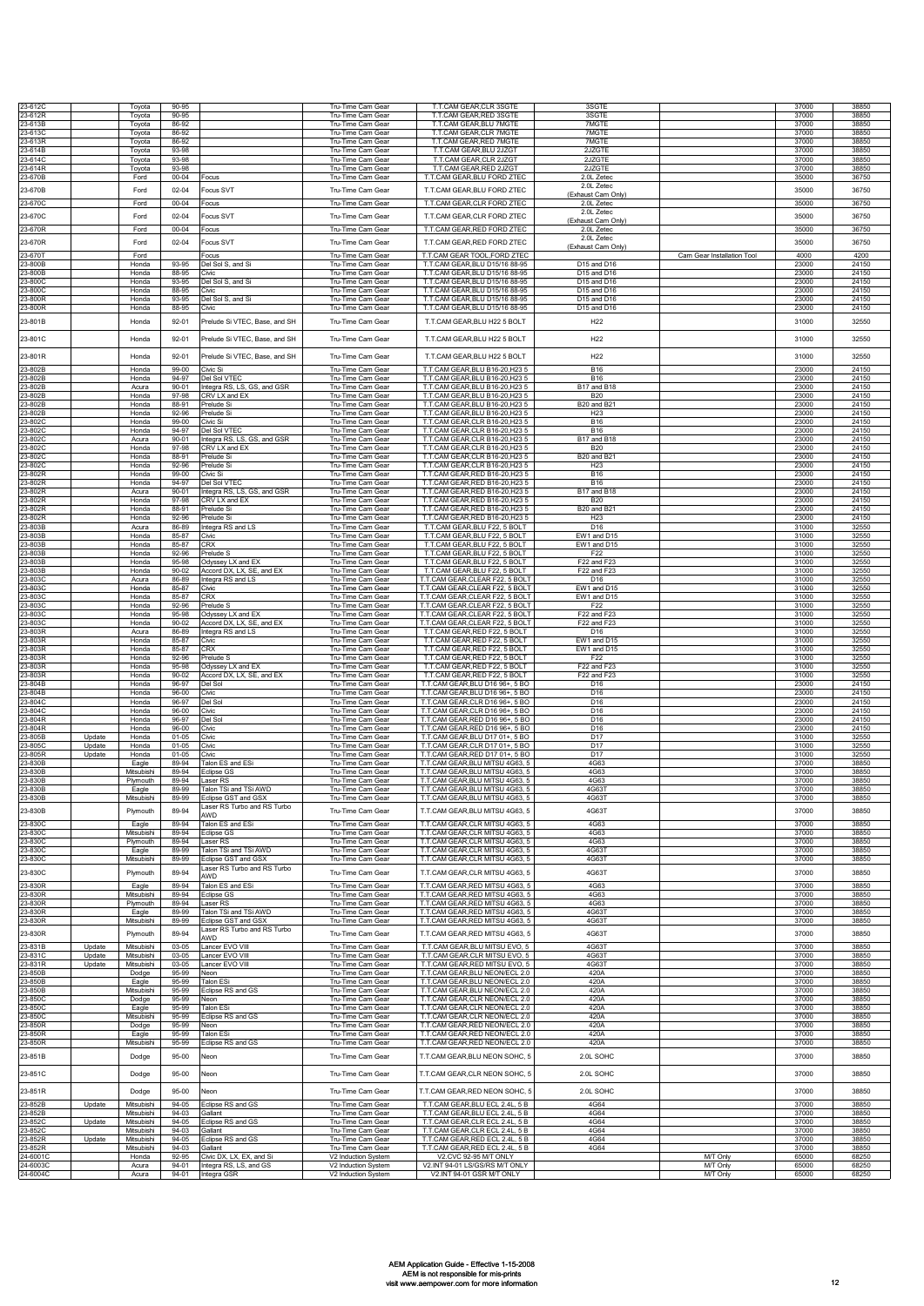| 23-612C<br>23-612R   |                  | Tovota                   | 90-95<br>90-95         |                                                    | Tru-Time Cam Gear<br>Tru-Time Cam Gea      | T.T.CAM GEAR, CLR 3SGTE<br>T.T.CAM GEAR.RED 3SGTE                  | 3SGTE<br>3SGTE                                     |                            | 37000<br>37000 | 38850<br>38850 |
|----------------------|------------------|--------------------------|------------------------|----------------------------------------------------|--------------------------------------------|--------------------------------------------------------------------|----------------------------------------------------|----------------------------|----------------|----------------|
| 23-613B              |                  | Toyota<br>Toyota         | 86-92                  |                                                    | Tru-Time Cam Gear                          | T.T.CAM GEAR, BLU 7MGTE                                            | 7MGTE                                              |                            | 37000          | 38850          |
| 23-613C<br>23-613R   |                  | Toyota<br>Toyota         | 86-92<br>86-92         |                                                    | Tru-Time Cam Gear<br>Tru-Time Cam Gear     | T.T.CAM GEAR,CLR 7MGTE<br>T.T.CAM GEAR.RED 7MGTE                   | 7MGTE<br>7MGTE                                     |                            | 37000<br>37000 | 38850<br>38850 |
| 23-614B<br>23-614C   |                  | Toyota<br>Toyota         | 93-98<br>93-98         |                                                    | Tru-Time Cam Gear<br>Tru-Time Cam Gear     | T.T.CAM GEAR, BLU 2JZGT<br>T.T.CAM GEAR, CLR 2JZGT                 | 2JZGTE<br>2JZGTE                                   |                            | 37000<br>37000 | 38850<br>38850 |
| 23-614R              |                  | Toyota                   | 93-98                  |                                                    | Tru-Time Cam Gear                          | T.T.CAM GEAR, RED 2JZGT                                            | 2JZGTE                                             |                            | 37000          | 38850          |
| 23-670B<br>23-670B   |                  | Ford<br>Ford             | $00 - 04$<br>$02 - 04$ | Focus<br>Focus SVT                                 | Tru-Time Cam Gear<br>Tru-Time Cam Gear     | T.T.CAM GEAR, BLU FORD ZTEC<br>T.T.CAM GEAR, BLU FORD ZTEC         | 2.0L Zetec<br>2.0L Zetec                           |                            | 35000<br>35000 | 36750<br>36750 |
| 23-670C              |                  | Ford                     | $00 - 04$              | Focus                                              | Tru-Time Cam Gear                          | T.T.CAM GEAR, CLR FORD ZTEC                                        | (Exhaust Cam Only)<br>2.0L Zetec                   |                            | 35000          | 36750          |
| 23-670C              |                  | Ford                     | $02 - 04$              | Focus SVT                                          | Tru-Time Cam Gear                          | T.T.CAM GEAR, CLR FORD ZTEC                                        | 2.0L Zetec<br>(Exhaust Cam Only)                   |                            | 35000          | 36750          |
| 23-670R              |                  | Ford                     | $00 - 04$              | Focus                                              | Tru-Time Cam Gear                          | T.T.CAM GEAR, RED FORD ZTEC                                        | 2.0L Zetec                                         |                            | 35000          | 36750          |
| 23-670R              |                  | Ford                     | $02 - 04$              | Focus SVT                                          | Tru-Time Cam Gear                          | T.T.CAM GEAR.RED FORD ZTEC                                         | 2.0L Zetec<br>(Exhaust Cam Only)                   |                            | 35000          | 36750          |
| 23-670T<br>23-800B   |                  | Ford<br>Honda            | 93-95                  | Focus<br>Del Sol S, and Si                         | Tru-Time Cam Gear<br>Tru-Time Cam Gear     | T.T.CAM GEAR TOOL, FORD ZTEC<br>T.T.CAM GEAR, BLU D15/16 88-95     | D15 and D16                                        | Cam Gear Installation Tool | 4000<br>23000  | 4200<br>24150  |
| 23-800B              |                  | Honda                    | 88-95                  | Civic                                              | Tru-Time Cam Gear                          | T.T.CAM GEAR, BLU D15/16 88-95                                     | D15 and D16                                        |                            | 23000          | 24150          |
| 23-800C<br>23-800C   |                  | Honda<br>Honda           | 93-95<br>88-95         | Del Sol S, and Si<br>Civic                         | Tru-Time Cam Gear<br>Tru-Time Cam Gear     | T.T.CAM GEAR, BLU D15/16 88-95<br>T.T.CAM GEAR.BLU D15/16 88-95    | D <sub>15</sub> and D <sub>16</sub><br>D15 and D16 |                            | 23000<br>23000 | 24150<br>24150 |
| 23-800R<br>23-800R   |                  | Honda<br>Honda           | 93-95<br>88-95         | Del Sol S, and Si<br>Civic                         | Tru-Time Cam Gear<br>Tru-Time Cam Gear     | T.T.CAM GEAR, BLU D15/16 88-95<br>T.T.CAM GEAR, BLU D15/16 88-95   | D15 and D16<br>D15 and D16                         |                            | 23000<br>23000 | 24150<br>24150 |
| 23-801B              |                  | Honda                    | $92 - 01$              | Prelude Si VTEC, Base, and SH                      | Tru-Time Cam Gear                          | T.T.CAM GEAR, BLU H22 5 BOLT                                       | H <sub>22</sub>                                    |                            | 31000          | 32550          |
| 23-801C              |                  | Honda                    | $92 - 01$              | Prelude Si VTEC, Base, and SH                      | Tru-Time Cam Gear                          | T.T.CAM GEAR, BLU H22 5 BOLT                                       | H <sub>22</sub>                                    |                            | 31000          | 32550          |
| 23-801R              |                  | Honda                    | $92 - 01$              | Prelude Si VTEC, Base, and SH                      | Tru-Time Cam Gear                          | T.T.CAM GEAR, BLU H22 5 BOLT                                       | H <sub>22</sub>                                    |                            | 31000          | 32550          |
| 23-802B              |                  | Honda                    | 99-00                  | Civic Si                                           | Tru-Time Cam Gear                          | T.T.CAM GEAR, BLU B16-20, H23 5                                    | <b>B16</b>                                         |                            | 23000          | 24150          |
| 23-802B              |                  | Honda                    | 94-97                  | Del Sol VTEC                                       | Tru-Time Cam Gear                          | T.T.CAM GEAR.BLU B16-20.H23 5                                      | <b>B16</b>                                         |                            | 23000<br>23000 | 24150<br>24150 |
| 23-802B<br>23-802B   |                  | Acura<br>Honda           | $90 - 01$<br>97-98     | Integra RS, LS, GS, and GSR<br>CRV I X and FX      | Tru-Time Cam Gear<br>Tru-Time Cam Gear     | T.T.CAM GEAR, BLU B16-20, H23 5<br>T.T.CAM GEAR.BLU B16-20.H23 5   | B17 and B18<br><b>B20</b>                          |                            | 23000          | 24150          |
| 23-802B<br>23-802B   |                  | Honda<br>Honda           | 88-91<br>92-96         | Prelude Si<br>Prelude Si                           | Tru-Time Cam Gear<br>Tru-Time Cam Gear     | T.T.CAM GEAR, BLU B16-20, H23 5<br>T.T.CAM GEAR, BLU B16-20, H23 5 | B20 and B21<br>H <sub>23</sub>                     |                            | 23000<br>23000 | 24150<br>24150 |
| 23-802C<br>23-802C   |                  | Honda<br>Honda           | 99-00<br>94-97         | Civic Si<br>Del Sol VTEC                           | Tru-Time Cam Gear<br>Tru-Time Cam Gear     | T.T.CAM GEAR,CLR B16-20,H23 5<br>T.T.CAM GEAR, CLR B16-20, H23 5   | <b>B16</b><br><b>B16</b>                           |                            | 23000<br>23000 | 24150<br>24150 |
| 23-802C              |                  | Acura                    | $90 - 01$              | Integra RS, LS, GS, and GSR<br><b>RV LX and EX</b> | Tru-Time Cam Gear<br>Tru-Time Cam Gear     | T.T.CAM GEAR, CLR B16-20, H23 5<br>T.T.CAM GEAR, CLR B16-20, H23 5 | B17 and B18<br><b>B20</b>                          |                            | 23000<br>23000 | 24150<br>24150 |
| 23-802C<br>23-802C   |                  | Honda<br>Honda           | 97-98<br>88-91         | Prelude Si                                         | Tru-Time Cam Gear                          | T.T.CAM GEAR,CLR B16-20,H23 5                                      | <b>B20 and B21</b>                                 |                            | 23000          | 24150          |
| 23-802C<br>23-802R   |                  | Honda<br>Honda           | 92-96<br>99-00         | Prelude Si<br>Civic Si                             | Tru-Time Cam Gear<br>Tru-Time Cam Gear     | T.T.CAM GEAR, CLR B16-20, H23 5<br>T.T.CAM GEAR, RED B16-20, H23 5 | H <sub>23</sub><br><b>B16</b>                      |                            | 23000<br>23000 | 24150<br>24150 |
| 23-802R<br>23-802R   |                  | Honda<br>Acura           | 94-97<br>$90 - 01$     | Del Sol VTEC<br>Integra RS, LS, GS, and GSR        | Tru-Time Cam Gear<br>Tru-Time Cam Gear     | T.T.CAM GEAR.RED B16-20.H23 5<br>T.T.CAM GEAR, RED B16-20, H23 5   | <b>B16</b><br>B17 and B18                          |                            | 23000<br>23000 | 24150<br>24150 |
| 23-802R<br>23-802R   |                  | Honda<br>Honda           | 97-98<br>88-91         | CRV LX and EX<br>Prelude Si                        | Tru-Time Cam Gear<br>Tru-Time Cam Gear     | T.T.CAM GEAR, RED B16-20, H23 5<br>T.T.CAM GEAR, RED B16-20, H23 5 | <b>B20</b><br><b>B20 and B21</b>                   |                            | 23000<br>23000 | 24150<br>24150 |
| 23-802R              |                  | Honda                    | 92-96                  | Prelude Si                                         | Tru-Time Cam Gear                          | T.T.CAM GEAR RED B16-20 H23 5                                      | H <sub>23</sub>                                    |                            | 23000          | 24150          |
| 3-803B<br>23-803B    |                  | Acura<br>Honda           | 86-89<br>85-87         | ntegra RS and LS<br>Civic                          | Tru-Time Cam Gear<br>Tru-Time Cam Gear     | T.T.CAM GEAR, BLU F22, 5 BOLT<br>T.T.CAM GEAR, BLU F22, 5 BOLT     | D16<br>EW1 and D15                                 |                            | 31000<br>31000 | 32550<br>32550 |
| 23-803B<br>23-803B   |                  | Honda<br>Honda           | 85-87<br>92-96         | <b>CRX</b><br>Prelude S                            | Tru-Time Cam Gear<br>Tru-Time Cam Gear     | T.T.CAM GEAR BLU E22, 5 BOLT<br>T.T.CAM GEAR, BLU F22, 5 BOLT      | EW1 and D15<br>F <sub>22</sub>                     |                            | 31000<br>31000 | 32550<br>32550 |
| 23-803B              |                  | Honda                    | 95-98                  | Odyssey LX and EX                                  | Tru-Time Cam Gear                          | T.T.CAM GEAR, BLU F22, 5 BOLT                                      | F22 and F23                                        |                            | 31000          | 32550          |
| 23-803B<br>23-803C   |                  | Honda<br>Acura           | $90 - 02$<br>86-89     | Accord DX, LX, SE, and EX<br>Integra RS and LS     | Tru-Time Cam Gear<br>Tru-Time Cam Gear     | T.T.CAM GEAR, BLU F22, 5 BOLT<br>T.T.CAM GEAR, CLEAR F22, 5 BOLT   | F22 and F23<br>D <sub>16</sub>                     |                            | 31000<br>31000 | 32550<br>32550 |
| 23-803C<br>23-803C   |                  | Honda<br>Honda           | 85-87<br>85-87         | Civic<br>CRX                                       | Tru-Time Cam Gear<br>Tru-Time Cam Gear     | T.T.CAM GEAR, CLEAR F22, 5 BOLT<br>T.T.CAM GEAR, CLEAR F22, 5 BOLT | EW1 and D15<br>EW1 and D15                         |                            | 31000<br>31000 | 32550<br>32550 |
| 23-803C<br>23-803C   |                  | Honda<br>Honda           | 92-96<br>95-98         | Prelude S                                          | Tru-Time Cam Gear                          | T.T.CAM GEAR, CLEAR F22, 5 BOLT<br>T.T.CAM GEAR, CLEAR F22, 5 BOLT | F22                                                |                            | 31000<br>31000 | 32550<br>32550 |
| 23-803C              |                  | Honda                    | $90 - 02$              | Odyssey LX and EX<br>Accord DX, LX, SE, and EX     | Tru-Time Cam Gear<br>Tru-Time Cam Gear     | T.T.CAM GEAR, CLEAR F22, 5 BOLT                                    | F22 and F23<br>F22 and F23                         |                            | 31000          | 32550          |
| 23-803R<br>23-803R   |                  | Acura<br>Honda           | 86-89<br>85-87         | Integra RS and LS<br>Civic                         | Tru-Time Cam Gear<br>Tru-Time Cam Gear     | T.T.CAM GEAR, RED F22, 5 BOLT<br>T.T.CAM GEAR, RED F22, 5 BOLT     | D <sub>16</sub><br>EW1 and D15                     |                            | 31000<br>31000 | 32550<br>32550 |
| 23-803R<br>23-803R   |                  | Honda<br>Honda           | 85-87<br>92-96         | CRX<br>Prelude S                                   | Tru-Time Cam Gear<br>Tru-Time Cam Gear     | T.T.CAM GEAR, RED F22, 5 BOLT<br>T.T.CAM GEAR, RED F22, 5 BOLT     | EW1 and D15<br>F22                                 |                            | 31000<br>31000 | 32550<br>32550 |
| 23-803R<br>3-803R    |                  | Honda<br>Honda           | 95-98<br>$90 - 02$     | Odyssey LX and EX<br>Accord DX, LX, SE, and EX     | Tru-Time Cam Gear<br>Tru-Time Cam Gear     | T.T.CAM GEAR.RED F22. 5 BOLT<br>T.T.CAM GEAR, RED F22, 5 BOLT      | F22 and F23<br>F22 and F23                         |                            | 31000<br>31000 | 32550<br>32550 |
| 23-804B              |                  | Honda                    | 96-97                  | Del Sol                                            | Tru-Time Cam Gear                          | T.T.CAM GEAR, BLU D16 96+, 5 BO                                    | D <sub>16</sub>                                    |                            | 23000          | 24150          |
| 23-804B<br>23-804C   |                  | Honda<br>Honda           | $96 - 00$<br>96-97     | Civic<br>Del Sol                                   | Tru-Time Cam Gear<br>Tru-Time Cam Gear     | T.T.CAM GEAR, BLU D16 96+, 5 BO<br>T.T.CAM GEAR, CLR D16 96+, 5 BO | D <sub>16</sub><br>D <sub>16</sub>                 |                            | 23000<br>23000 | 24150<br>24150 |
| 23-804C<br>23-804R   |                  | Honda<br>Honda           | $96 - 00$<br>96-97     | Civic<br>Del Sol                                   | Tru-Time Cam Gear<br>Tru-Time Cam Gear     | T.T.CAM GEAR, CLR D16 96+, 5 BO<br>T.T.CAM GEAR.RED D16 96+, 5 BO  | D <sub>16</sub><br>D <sub>16</sub>                 |                            | 23000<br>23000 | 24150<br>24150 |
| 23-804R<br>23-805B   | Update           | Honda<br>Honda           | $96 - 00$<br>$01 - 05$ | Civic<br>Civic                                     | Tru-Time Cam Gear<br>Tru-Time Cam Gear     | T.T.CAM GEAR.RED D16 96+, 5 BO<br>T.T.CAM GEAR, BLU D17 01+, 5 BO  | D <sub>16</sub><br>D17                             |                            | 23000<br>31000 | 24150<br>32550 |
| 23-805C              | Update           | Honda                    | $01 - 05$              | Civic                                              | Tru-Time Cam Gear                          | T.T.CAM GEAR, CLR D17 01+, 5 BO                                    | D17                                                |                            | 31000          | 32550          |
| 23-805R<br>23-830B   | Update           | Honda<br>Eagle           | $01 - 05$<br>89-94     | Civic<br>Talon ES and ESi                          | Tru-Time Cam Gear<br>Tru-Time Cam Gear     | T.T.CAM GEAR, RED D17 01+, 5 BO<br>T.T.CAM GEAR, BLU MITSU 4G63, 5 | D17<br>4G63                                        |                            | 31000<br>37000 | 32550<br>38850 |
| 23-830B<br>23-830B   |                  | Mitsubishi<br>Plymouth   | 89-94<br>89-94         | Eclipse GS<br>aser RS                              | Tru-Time Cam Gear<br>Tru-Time Cam Gear     | T.T.CAM GEAR.BLU MITSU 4G63.5<br>T.T.CAM GEAR, BLU MITSU 4G63, 5   | 4G63<br>4G63                                       |                            | 37000<br>37000 | 38850<br>38850 |
| 23-830B              |                  | Eagle                    | 89-99                  | Talon TSi and TSi AWD                              | Tru-Time Cam Gear                          | T.T.CAM GEAR, BLU MITSU 4G63, 5                                    | 4G63T                                              |                            | 37000          | 38850          |
| 23-830B<br>23-830B   |                  | Mitsubishi<br>Plymouth   | 89-99<br>89-94         | Eclipse GST and GSX<br>aser RS Turbo and RS Turbo  | Tru-Time Cam Gear<br>Tru-Time Cam Gear     | T.T.CAM GEAR, BLU MITSU 4G63, 5<br>T.T.CAM GEAR, BLU MITSU 4G63, 5 | 4G63T<br>4G63T                                     |                            | 37000<br>37000 | 3885C<br>38850 |
| 23-830C              |                  | Eagle                    | 89-94                  | AWD<br>Talon ES and ESi                            | Tru-Time Cam Gear                          | T.T.CAM GEAR,CLR MITSU 4G63, 5                                     | 4G63                                               |                            | 37000          | 38850          |
| 23-830C<br>23-830C   |                  | Mitsubishi<br>Plymouth   | 89-94<br>89-94         | Eclipse GS<br>Laser RS                             | Tru-Time Cam Gear<br>Tru-Time Cam Gear     | T.T.CAM GEAR, CLR MITSU 4G63, 5<br>T.T.CAM GEAR.CLR MITSU 4G63.5   | 4G63<br>4G63                                       |                            | 37000<br>37000 | 38850<br>38850 |
| 23-830C              |                  | Eagle                    | 89-99                  | Talon TSi and TSi AWD                              | Tru-Time Cam Gear                          | T.T.CAM GEAR, CLR MITSU 4G63, 5<br>T.T.CAM GEAR, CLR MITSU 4G63, 5 | 4G631                                              |                            | 37000          | 38850<br>38850 |
| 23-830C<br>23-830C   |                  | Mitsubishi<br>Plymouth   | 89-99<br>89-94         | Eclipse GST and GSX<br>Laser RS Turbo and RS Turbo | Tru-Time Cam Gear<br>Tru-Time Cam Gear     | T.T.CAM GEAR, CLR MITSU 4G63, 5                                    | 4G63T<br>4G63T                                     |                            | 37000<br>37000 | 38850          |
| 23-830R              |                  | Eagle                    | 89-94                  | AWD<br>Talon ES and ESi                            | Tru-Time Cam Gear                          | T.T.CAM GEAR, RED MITSU 4G63, 5                                    | 4G63                                               |                            | 37000          | 38850          |
| 23-830R<br>23-830R   |                  | Mitsubishi<br>Plymouth   | 89-94<br>89-94         | Eclipse GS<br>Laser <sub>RS</sub>                  | Tru-Time Cam Gear<br>Tru-Time Cam Gear     | T.T.CAM GEAR, RED MITSU 4G63, 5<br>T.T.CAM GEAR, RED MITSU 4G63, 5 | 4G63<br>4G63                                       |                            | 37000<br>37000 | 38850<br>38850 |
| 23-830R              |                  | Eagle<br>Mitsubishi      | 89-99<br>89-99         | Talon TSi and TSi AWD<br>Eclipse GST and GSX       | Tru-Time Cam Gear<br>Tru-Time Cam Gear     | T.T.CAM GEAR, RED MITSU 4G63, 5<br>T.T.CAM GEAR, RED MITSU 4G63, 5 | 4G63T<br>4G63T                                     |                            | 37000<br>37000 | 38850<br>38850 |
| 23-830R<br>23-830R   |                  | Plymouth                 | 89-94                  | aser RS Turbo and RS Turbo                         | Tru-Time Cam Gear                          | T.T.CAM GEAR, RED MITSU 4G63, 5                                    | 4G63T                                              |                            | 37000          | 38850          |
| 23-831B              | Update           | Mitsubishi               | $03 - 05$              | AWD<br>Lancer EVO VIII                             | Tru-Time Cam Gear                          | T.T.CAM GEAR, BLU MITSU EVO, 5                                     | 4G63T                                              |                            | 37000          | 38850          |
| 23-831C<br>23-831R   | Update<br>Update | Mitsubishi<br>Mitsubishi | 03-05<br>03-05         | ancer EVO VIII<br>ancer EVO VIII                   | Tru-Time Cam Gear<br>Tru-Time Cam Gear     | T.T.CAM GEAR, CLR MITSU EVO, 5<br>T.T.CAM GEAR, RED MITSU EVO, 5   | 4G63T<br>4G63T                                     |                            | 37000<br>37000 | 38850<br>38850 |
| 23-850B<br>23-850B   |                  | Dodge                    | 95-99<br>95-99         | Neon<br><b>Talon ESi</b>                           | Tru-Time Cam Gear                          | T.T.CAM GEAR, BLU NEON/ECL 2.0<br>T.T.CAM GEAR, BLU NEON/ECL 2.0   | 420A<br>420A                                       |                            | 37000<br>37000 | 38850<br>38850 |
| 23-850B              |                  | Eagle<br>Mitsubishi      | 95-99                  | Eclipse RS and GS                                  | Tru-Time Cam Gear<br>Tru-Time Cam Gear     | T.T.CAM GEAR.BLU NEON/ECL 2.0                                      | 420A                                               |                            | 37000          | 38850          |
| 23-850C<br>23-850C   |                  | Dodge<br>Eagle           | 95-99<br>95-99         | Neon<br>Talon ESi                                  | Tru-Time Cam Gear<br>Tru-Time Cam Gear     | T.T.CAM GEAR, CLR NEON/ECL 2.0<br>T.T.CAM GEAR, CLR NEON/ECL 2.0   | 420A<br>420A                                       |                            | 37000<br>37000 | 38850<br>38850 |
| 23-850C<br>23-850R   |                  | Mitsubishi<br>Dodge      | 95-99<br>95-99         | Eclipse RS and GS<br>Neon                          | Tru-Time Cam Gear<br>Tru-Time Cam Gear     | T.T.CAM GEAR, CLR NEON/ECL 2.0<br>T.T.CAM GEAR, RED NEON/ECL 2.0   | 420A<br>420A                                       |                            | 37000<br>37000 | 38850<br>38850 |
| 23-850R              |                  | Eagle                    | 95-99                  | <b>Talon ESi</b>                                   | Tru-Time Cam Gear                          | T.T.CAM GEAR, RED NEON/ECL 2.0                                     | 420A                                               |                            | 37000          | 38850          |
| 23-850R<br>23-851B   |                  | Mitsubishi<br>Dodge      | 95-99<br>$95 - 00$     | Eclipse RS and GS<br>Neon                          | Tru-Time Cam Gear<br>Tru-Time Cam Gear     | T.T.CAM GEAR, RED NEON/ECL 2.0<br>T.T.CAM GEAR, BLU NEON SOHC, 5   | 420A<br>2.0L SOHC                                  |                            | 37000<br>37000 | 38850<br>38850 |
|                      |                  |                          |                        |                                                    |                                            |                                                                    |                                                    |                            | 37000          | 38850          |
| 23-851C              |                  | Dodge                    | 95-00                  | Neon                                               | Tru-Time Cam Gear                          | T.T.CAM GEAR, CLR NEON SOHC, 5                                     | 2.0L SOHC                                          |                            |                |                |
| 23-851R              |                  | Dodge                    | $95 - 00$              | Neon                                               | Tru-Time Cam Gear                          | T.T.CAM GEAR, RED NEON SOHC, 5                                     | 2.0L SOHC                                          |                            | 37000          | 38850          |
| 23-852B<br>23-852B   | Update           | Mitsubishi<br>Mitsubishi | $94 - 05$<br>$94 - 03$ | Eclipse RS and GS<br>Gallant                       | Tru-Time Cam Gear<br>Tru-Time Cam Gear     | T.T.CAM GEAR, BLU ECL 2.4L, 5 B<br>T.T.CAM GEAR, BLU ECL 2.4L, 5 B | 4G64<br>4G64                                       |                            | 37000<br>37000 | 38850<br>38850 |
| 23-852C<br>23-852C   | Update           | Mitsubishi<br>Mitsubishi | 94-05<br>$94 - 03$     | Eclipse RS and GS<br>Gallant                       | Tru-Time Cam Gear<br>Tru-Time Cam Gear     | T.T.CAM GEAR, CLR ECL 2.4L, 5 B<br>T.T.CAM GEAR, CLR ECL 2.4L, 5 B | 4G64<br>4G64                                       |                            | 37000<br>37000 | 38850<br>38850 |
| 23-852R<br>23-852R   | Update           | Mitsubishi<br>Mitsubishi | $94 - 05$<br>$94 - 03$ | Eclipse RS and GS<br>Gallant                       | Tru-Time Cam Gear<br>Tru-Time Cam Gear     | T.T.CAM GEAR, RED ECL 2.4L, 5 B<br>T.T.CAM GEAR, RED ECL 2.4L, 5 B | 4G64<br>4G64                                       |                            | 37000<br>37000 | 38850<br>38850 |
| 24-6001C             |                  | Honda                    | 92-95<br>$94 - 01$     | Civic DX, LX, EX, and Si                           | V2 Induction System                        | V2.CVC 92-95 M/T ONLY<br>V2.INT 94-01 LS/GS/RS M/T ONLY            |                                                    | M/T Only<br>M/T Only       | 65000          | 68250          |
| 24-6003C<br>24-6004C |                  | Acura<br>Acura           | $94 - 01$              | Integra RS, LS, and GS<br>Integra GSR              | V2 Induction System<br>V2 Induction System | V2.INT 94-01 GSR M/T ONLY                                          |                                                    | M/T Only                   | 65000<br>65000 | 68250<br>68250 |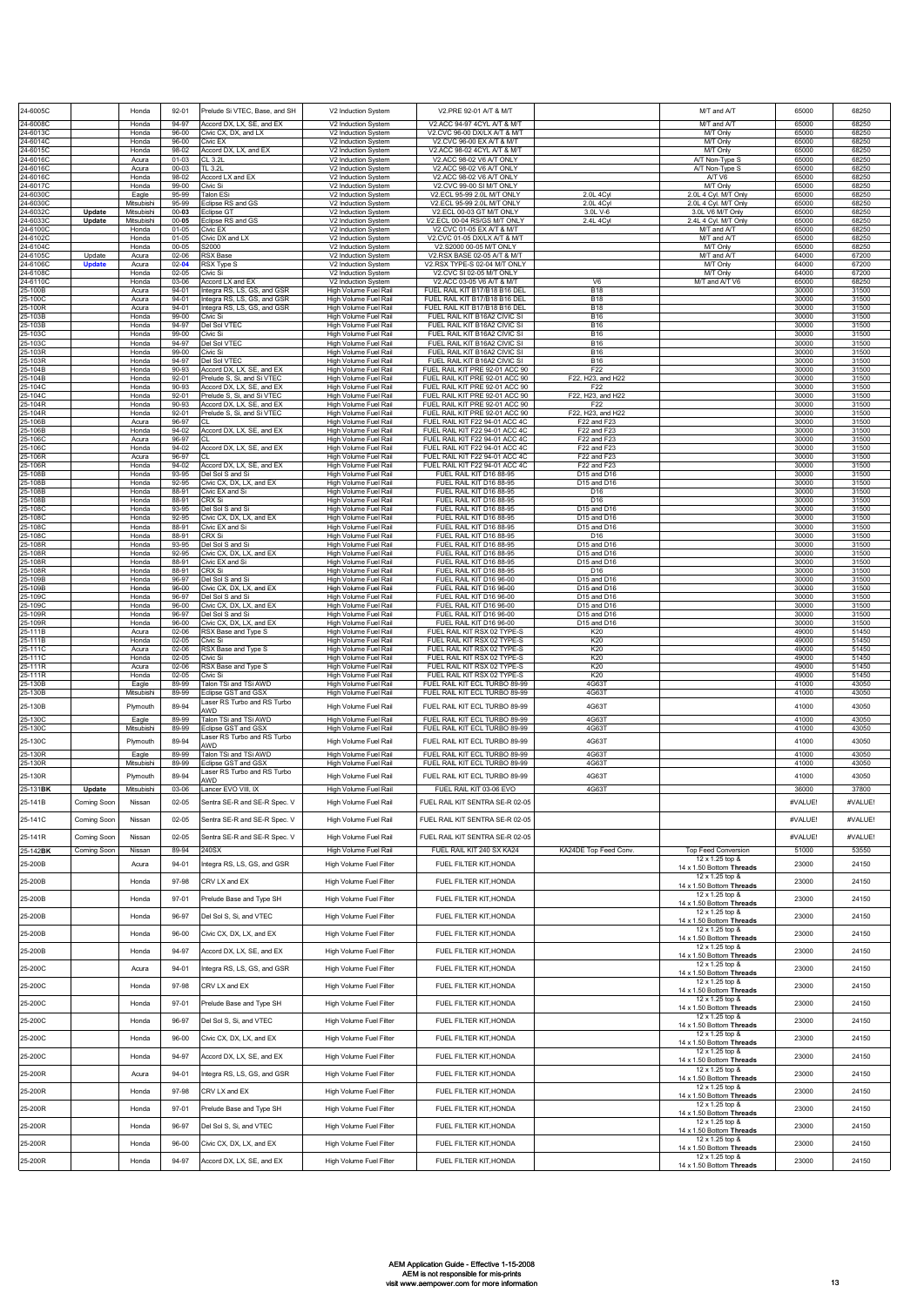| 24-6005C             |                  | Honda                    | $92 - 01$              | Prelude Si VTEC, Base, and SH                              | V2 Induction System                            | V2.PRE 92-01 A/T & M/T                                           |                                                        | M/T and A/T                                 | 65000          | 68250          |
|----------------------|------------------|--------------------------|------------------------|------------------------------------------------------------|------------------------------------------------|------------------------------------------------------------------|--------------------------------------------------------|---------------------------------------------|----------------|----------------|
| 24-6008C             |                  | Honda                    | 94-97                  | Accord DX, LX, SE, and EX                                  | V2 Induction System                            | V2.ACC 94-97 4CYL A/T & M/T                                      |                                                        | M/T and A/T                                 | 65000          | 68250          |
| 24-6013C<br>24-6014C |                  | Honda<br>Honda           | $96 - 00$<br>96-00     | Civic CX. DX. and LX<br>Civic EX                           | V2 Induction System<br>V2 Induction System     | V2.CVC 96-00 DX/LX A/T & M/T<br>V2.CVC 96-00 EX A/T & M/T        |                                                        | <b>M/T Only</b><br>M/T Only                 | 65000<br>65000 | 68250<br>68250 |
| 24-6015C<br>24-6016C |                  | Honda<br>Acura           | 98-02<br>$01 - 03$     | Accord DX, LX, and EX<br>CL 3.2L                           | V2 Induction System<br>V2 Induction System     | V2.ACC 98-02 4CYL A/T & M/T<br>V2.ACC 98-02 V6 A/T ONLY          |                                                        | M/T Only<br>A/T Non-Type S                  | 65000<br>65000 | 68250<br>68250 |
| 24-6016C<br>24-6016C |                  | Acura<br>Honda           | 00-03<br>98-02         | TL 3.2L<br>Accord LX and EX                                | V2 Induction System<br>V2 Induction System     | V2.ACC 98-02 V6 A/T ONLY<br>V2.ACC 98-02 V6 A/T ONLY             |                                                        | A/T Non-Type S<br>A/T V6                    | 65000<br>65000 | 68250<br>68250 |
| 24-6017C             |                  | Honda                    | 99-00                  | Civic Si                                                   | V2 Induction System                            | V2.CVC 99-00 SI M/T ONLY                                         |                                                        | M/T Only<br>2.0L 4 Cyl. M/T Only            | 65000          | 68250          |
| 24-6030C<br>24-6030C |                  | Eagle<br>Mitsubishi      | 95-99<br>95-99         | Talon ESi<br>Eclipse RS and GS                             | V2 Induction System<br>V2 Induction System     | V2.ECL 95-99 2.0L M/T ONLY<br>V2 FCL 95-99 2.0L M/T ONLY         | 2.0L 4Cyl<br>2.0L 4Cvl                                 | 2.0L 4 Cyl. M/T Only                        | 65000<br>65000 | 68250<br>68250 |
| 24-6032C<br>24-6033C | Update<br>Update | Mitsubishi<br>Mitsubishi | $00 - 03$<br>$00 - 05$ | Eclipse GT<br>clipse RS and GS                             | V2 Induction System<br>V2 Induction System     | V2.ECL 00-03 GT M/T ONLY<br>V2.ECL 00-04 RS/GS M/T ONLY          | 3.0L V-6<br>2.4L 4Cyl                                  | 3.0L V6 M/T Only<br>2.4L 4 Cyl. M/T Only    | 65000<br>65000 | 68250<br>68250 |
| 24-6100C<br>24-6102C |                  | Honda<br>Honda           | $01 - 05$<br>$01 - 05$ | Civic EX<br>Civic DX and LX                                | V2 Induction System<br>V2 Induction System     | V2.CVC 01-05 EX A/T & M/T<br>V2.CVC 01-05 DX/LX A/T & M/T        |                                                        | M/T and A/T<br>M/T and A/T                  | 65000<br>65000 | 68250<br>68250 |
| 24-6104C<br>24-6105C | Update           | Honda<br>Acura           | $00 - 05$<br>$02 - 06$ | S2000<br><b>RSX Base</b>                                   | V2 Induction System<br>V2 Induction System     | V2.S2000 00-05 M/T ONLY<br>V2.RSX BASE 02-05 A/T & M/T           |                                                        | M/T Only<br>M/T and A/T                     | 65000<br>64000 | 68250<br>67200 |
| 24-6106C<br>24-6108C | <b>Update</b>    | Acura                    | $02 - 04$              | RSX Type S                                                 | V2 Induction System                            | V2.RSX TYPE-S 02-04 M/T ONLY                                     |                                                        | M/T Only<br>M/T Only                        | 64000<br>64000 | 67200<br>67200 |
| 24-6110C             |                  | Honda<br>Honda           | $02 - 05$<br>03-06     | Civic Si<br>Accord LX and EX                               | V2 Induction System<br>V2 Induction System     | V2.CVC SI 02-05 M/T ONLY<br>V2.ACC 03-05 V6 A/T & M/T            | V <sub>6</sub>                                         | M/T and A/T V6                              | 65000          | 68250          |
| 25-100B<br>25-100C   |                  | Acura<br>Acura           | $94 - 01$<br>94-01     | Integra RS, LS, GS, and GSR<br>Integra RS, LS, GS, and GSR | High Volume Fuel Rail<br>High Volume Fuel Rail | FUEL RAIL KIT B17/B18 B16 DEL<br>FUEL RAIL KIT B17/B18 B16 DEL   | <b>B18</b><br><b>B18</b>                               |                                             | 30000<br>30000 | 31500<br>31500 |
| 25-100R<br>25-103B   |                  | Acura<br>Honda           | 94-01<br>99-00         | Integra RS, LS, GS, and GSR<br>Civic Si                    | High Volume Fuel Rail<br>High Volume Fuel Rail | FUEL RAIL KIT B17/B18 B16 DEL<br>FUEL RAIL KIT B16A2 CIVIC SI    | <b>B18</b><br><b>B16</b>                               |                                             | 30000<br>30000 | 31500<br>31500 |
| 25-103B<br>25-103C   |                  | Honda<br>Honda           | 94-97<br>99-00         | Del Sol VTEC<br>Civic Si                                   | High Volume Fuel Rail<br>High Volume Fuel Rail | FUEL RAIL KIT B16A2 CIVIC SI<br>FUEL RAIL KIT B16A2 CIVIC SI     | <b>B16</b><br><b>B16</b>                               |                                             | 30000<br>30000 | 31500<br>31500 |
| 25-103C<br>25-103R   |                  | Honda<br>Honda           | 94-97<br>99-00         | Del Sol VTEC<br>Civic Si                                   | High Volume Fuel Rail<br>High Volume Fuel Rail | FUEL RAIL KIT B16A2 CIVIC SI<br>FUEL RAIL KIT B16A2 CIVIC SI     | <b>B16</b><br><b>B16</b>                               |                                             | 30000<br>30000 | 31500<br>31500 |
| 25-103R<br>25-104B   |                  | Honda<br>Honda           | 94-97<br>90-93         | Del Sol VTEC<br>Accord DX, LX, SE, and EX                  | High Volume Fuel Rail<br>High Volume Fuel Rail | FUEL RAIL KIT B16A2 CIVIC SI<br>FUEL RAIL KIT PRE 92-01 ACC 90   | <b>B16</b><br>F <sub>22</sub>                          |                                             | 30000<br>30000 | 31500<br>31500 |
| 25-104B              |                  | Honda                    | $92 - 01$              | Prelude S, Si, and Si VTEC                                 | High Volume Fuel Rail                          | FUEL RAIL KIT PRE 92-01 ACC 90                                   | F22, H23, and H22<br>F22                               |                                             | 30000          | 31500<br>31500 |
| 25-104C<br>25-104C   |                  | Honda<br>Honda           | 90-93<br>$92 - 01$     | Accord DX, LX, SE, and EX<br>Prelude S, Si, and Si VTEC    | High Volume Fuel Rail<br>High Volume Fuel Rail | FUEL RAIL KIT PRE 92-01 ACC 90<br>FUEL RAIL KIT PRE 92-01 ACC 90 | F22, H23, and H22                                      |                                             | 30000<br>30000 | 31500          |
| 25-104R<br>25-104R   |                  | Honda<br>Honda           | 90-93<br>$92 - 01$     | Accord DX, LX, SE, and EX<br>Prelude S, Si, and Si VTEC    | High Volume Fuel Rail<br>High Volume Fuel Rail | FUEL RAIL KIT PRE 92-01 ACC 90<br>FUEL RAIL KIT PRE 92-01 ACC 90 | F22<br>F22, H23, and H22                               |                                             | 30000<br>30000 | 31500<br>31500 |
| 25-106B<br>25-106B   |                  | Acura<br>Honda           | 96-97<br>94-02         | СL<br>Accord DX, LX, SE, and EX                            | High Volume Fuel Rail<br>High Volume Fuel Rail | FUEL RAIL KIT F22 94-01 ACC 4C<br>FUEL RAIL KIT F22 94-01 ACC 4C | F22 and F23<br>F22 and F23                             |                                             | 30000<br>30000 | 31500<br>31500 |
| 25-106C<br>25-106C   |                  | Acura<br>Honda           | 96-97<br>94-02         | Accord DX, LX, SE, and EX                                  | High Volume Fuel Rail<br>High Volume Fuel Rail | FUEL RAIL KIT F22 94-01 ACC 4C<br>FUEL RAIL KIT F22 94-01 ACC 4C | F22 and F23<br>F22 and F23                             |                                             | 30000<br>30000 | 31500<br>31500 |
| 25-106R<br>25-106R   |                  | Acura<br>Honda           | 96-97<br>$94 - 02$     | Accord DX, LX, SE, and EX                                  | High Volume Fuel Rail<br>High Volume Fuel Rail | FUEL RAIL KIT F22 94-01 ACC 4C<br>FUEL RAIL KIT F22 94-01 ACC 4C | F22 and F23<br>F22 and F23                             |                                             | 30000<br>30000 | 31500<br>31500 |
| 25-108B<br>25-108B   |                  | Honda<br>Honda           | 93-95<br>92-95         | Del Sol S and Si<br>Civic CX, DX, LX, and EX               | High Volume Fuel Rail<br>High Volume Fuel Rail | FUEL RAIL KIT D16 88-95<br>FUEL RAIL KIT D16 88-95               | D <sub>15</sub> and D <sub>16</sub><br>D15 and D16     |                                             | 30000<br>30000 | 31500<br>31500 |
| 25-108B              |                  | Honda                    | 88-91                  | Civic EX and Si                                            | High Volume Fuel Rail<br>High Volume Fuel Rail | FUEL RAIL KIT D16 88-95                                          | D16                                                    |                                             | 30000          | 31500          |
| 25-108B<br>25-108C   |                  | Honda<br>Honda           | 88-91<br>93-95         | CRX Si<br>Del Sol S and Si                                 | High Volume Fuel Rail                          | FUEL RAIL KIT D16 88-95<br>FUEL RAIL KIT D16 88-95               | D <sub>16</sub><br>D <sub>15</sub> and D <sub>16</sub> |                                             | 30000<br>30000 | 31500<br>31500 |
| 25-108C<br>25-108C   |                  | Honda<br>Honda           | 92-95<br>88-91         | Civic CX, DX, LX, and EX<br>Civic EX and Si                | High Volume Fuel Rail<br>High Volume Fuel Rail | FUEL RAIL KIT D16 88-95<br>FUEL RAIL KIT D16 88-95               | D15 and D16<br>D15 and D16                             |                                             | 30000<br>30000 | 31500<br>31500 |
| 25-108C<br>25-108R   |                  | Honda<br>Honda           | 88-91<br>93-95         | CRX Si<br>Del Sol S and Si                                 | High Volume Fuel Rail<br>High Volume Fuel Rail | FUEL RAIL KIT D16 88-95<br>FUEL RAIL KIT D16 88-95               | D <sub>16</sub><br>D15 and D16                         |                                             | 30000<br>30000 | 31500<br>31500 |
| 25-108R<br>25-108R   |                  | Honda<br>Honda           | 92-95<br>88-91         | Civic CX, DX, LX, and EX<br>Civic EX and Si                | High Volume Fuel Rail<br>High Volume Fuel Rail | FUEL RAIL KIT D16 88-95<br>FUEL RAIL KIT D16 88-95               | D <sub>15</sub> and D <sub>16</sub><br>D15 and D16     |                                             | 30000<br>30000 | 31500<br>31500 |
| 25-108R<br>25-109B   |                  | Honda<br>Honda           | 88-91<br>96-97         | CRX Si<br>Del Sol S and Si                                 | High Volume Fuel Rail<br>High Volume Fuel Rail | FUEL RAIL KIT D16 88-95<br>FUEL RAIL KIT D16 96-00               | D <sub>16</sub><br>D15 and D16                         |                                             | 30000<br>30000 | 31500<br>31500 |
| 25-109B              |                  | Honda                    | 96-00                  | Civic CX, DX, LX, and EX                                   | High Volume Fuel Rail                          | FUEL RAIL KIT D16 96-00                                          | D <sub>15</sub> and D <sub>16</sub>                    |                                             | 30000<br>30000 | 31500<br>31500 |
| 25-109C<br>25-109C   |                  | Honda<br>Honda           | 96-97<br>96-00         | Del Sol S and Si<br>Civic CX, DX, LX, and EX               | High Volume Fuel Rail<br>High Volume Fuel Rail | FUEL RAIL KIT D16 96-00<br>FUEL RAIL KIT D16 96-00               | D15 and D16<br>D <sub>15</sub> and D <sub>16</sub>     |                                             | 30000          | 31500          |
| 25-109R<br>25-109R   |                  | Honda<br>Honda           | 96-97<br>96-00         | Del Sol S and Si<br>Civic CX, DX, LX, and EX               | High Volume Fuel Rail<br>High Volume Fuel Rail | FUEL RAIL KIT D16 96-00<br>FUEL RAIL KIT D16 96-00               | D15 and D16<br>D15 and D16                             |                                             | 30000<br>30000 | 31500<br>31500 |
| 25-111B<br>25-111B   |                  | Acura<br>Honda           | 02-06<br>$02 - 05$     | RSX Base and Type S<br>Civic Si                            | High Volume Fuel Rail<br>High Volume Fuel Rail | FUEL RAIL KIT RSX 02 TYPE-S<br>FUEL RAIL KIT RSX 02 TYPE-S       | K20<br>K20                                             |                                             | 49000<br>49000 | 51450<br>51450 |
| 25-111C<br>25-111C   |                  | Acura<br>Honda           | $02 - 06$<br>$02 - 05$ | RSX Base and Type S<br>Civic Si                            | High Volume Fuel Rail<br>High Volume Fuel Rail | FUEL RAIL KIT RSX 02 TYPE-S<br>FUEL RAIL KIT RSX 02 TYPE-S       | K20<br>K20                                             |                                             | 49000<br>49000 | 51450<br>51450 |
| 25-111R<br>25-111R   |                  | Acura<br>Honda           | 02-06<br>$02 - 05$     | RSX Base and Type S<br>Civic Si                            | High Volume Fuel Rail<br>High Volume Fuel Rail | FUEL RAIL KIT RSX 02 TYPE-S<br>FUEL RAIL KIT RSX 02 TYPE-S       | K20<br>K20                                             |                                             | 49000<br>49000 | 51450<br>51450 |
| 25-130B<br>25-130B   |                  | Eagle<br>Mitsubishi      | 89-99<br>89-99         | Talon TSi and TSi AWD<br>Eclipse GST and GSX               | High Volume Fuel Rail<br>High Volume Fuel Rail | FUEL RAIL KIT ECL TURBO 89-99<br>FUEL RAIL KIT ECL TURBO 89-99   | 4G631<br>4G631                                         |                                             | 41000<br>41000 | 43050<br>43050 |
| 25-130B              |                  | Plymouth                 | 89-94                  | aser RS Turbo and RS Turbo<br>AWD                          | High Volume Fuel Rail                          | FUEL RAIL KIT ECL TURBO 89-99                                    | 4G63T                                                  |                                             | 41000          | 43050          |
| 25-130C              |                  | Eagle                    | 89-99                  | Falon TSi and TSi AWD                                      | High Volume Fuel Rail                          | FUEL RAIL KIT ECL TURBO 89-99                                    | 4G63T                                                  |                                             | 41000          | 43050          |
| 25-130C<br>25-130C   |                  | Mitsubishi<br>Plymouth   | 89-99<br>89-94         | clipse GST and GSX<br>aser RS Turbo and RS Turbo.          | High Volume Fuel Rail<br>High Volume Fuel Rail | FUEL RAIL KIT ECL TURBO 89-99<br>FUEL RAIL KIT ECL TURBO 89-99   | 4G63T<br>4G63T                                         |                                             | 41000<br>41000 | 43050<br>43050 |
| 25-130R              |                  | Eagle                    | 89-99                  | AWD<br>Talon TSi and TSi AWD                               | High Volume Fuel Rail                          | FUEL RAIL KIT ECL TURBO 89-99                                    | 4G63T                                                  |                                             | 41000          | 43050          |
| 25-130R              |                  | Mitsubishi               | 89-99                  | Eclipse GST and GSX<br>aser RS Turbo and RS Turbo          | High Volume Fuel Rail                          | FUEL RAIL KIT ECL TURBO 89-99                                    | 4G63T                                                  |                                             | 41000          | 43050          |
| 25-130R<br>25-131BK  | Update           | Plymouth<br>Mitsubishi   | 89-94<br>03-06         | AWD<br>Lancer EVO VIII, IX                                 | High Volume Fuel Rail<br>High Volume Fuel Rail | FUEL RAIL KIT ECL TURBO 89-99<br>FUEL RAIL KIT 03-06 EVO         | 4G63T<br>4G63T                                         |                                             | 41000<br>36000 | 43050<br>37800 |
| 25-141B              | Coming Soon      | Nissan                   | $02 - 05$              | Sentra SE-R and SE-R Spec. V                               | High Volume Fuel Rail                          | FUEL RAIL KIT SENTRA SE-R 02-05                                  |                                                        |                                             | #VALUE!        | #VALUE!        |
| 25-141C              | Coming Soor      | Nissan                   | $02 - 05$              | Sentra SE-R and SE-R Spec. V                               | High Volume Fuel Rail                          | FUEL RAIL KIT SENTRA SE-R 02-05                                  |                                                        |                                             | #VALUE!        | #VALUE!        |
| 25-141R              | Coming Soon      | Nissan                   | $02 - 05$              | Sentra SE-R and SE-R Spec. V                               | High Volume Fuel Rail                          | FUEL RAIL KIT SENTRA SE-R 02-05                                  |                                                        |                                             | #VALUE!        | #VALUE!        |
| 25-142BK             | Coming Soon      | Nissan                   | 89-94                  | 240SX                                                      | High Volume Fuel Rail                          | FUEL RAIL KIT 240 SX KA24                                        | KA24DE Top Feed Conv.                                  | Top Feed Conversion                         | 51000          | 53550          |
| 25-200B              |                  | Acura                    | 94-01                  | Integra RS, LS, GS, and GSR                                | High Volume Fuel Filter                        | FUEL FILTER KIT, HONDA                                           |                                                        | 12 x 1.25 top &<br>14 x 1.50 Bottom Threads | 23000          | 24150          |
| 25-200B              |                  | Honda                    | 97-98                  | CRV LX and EX                                              | High Volume Fuel Filter                        | FUEL FILTER KIT, HONDA                                           |                                                        | 12 x 1.25 top &<br>14 x 1.50 Bottom Threads | 23000          | 24150          |
| 25-200B              |                  | Honda                    | $97 - 01$              | Prelude Base and Type SH                                   | High Volume Fuel Filter                        | FUEL FILTER KIT, HONDA                                           |                                                        | 12 x 1.25 top &<br>14 x 1.50 Bottom Threads | 23000          | 24150          |
| 25-200B              |                  | Honda                    | 96-97                  | Del Sol S, Si, and VTEC                                    | High Volume Fuel Filter                        | FUEL FILTER KIT, HONDA                                           |                                                        | 12 x 1.25 top &<br>14 x 1.50 Bottom Threads | 23000          | 24150          |
| 25-200B              |                  | Honda                    | $96-00$                | Civic CX, DX, LX, and EX                                   | High Volume Fuel Filter                        | FUEL FILTER KIT, HONDA                                           |                                                        | 12 x 1.25 top &<br>14 x 1.50 Bottom Threads | 23000          | 24150          |
| 25-200B              |                  | Honda                    | 94-97                  | Accord DX, LX, SE, and EX                                  | High Volume Fuel Filter                        | FUEL FILTER KIT, HONDA                                           |                                                        | 12 x 1.25 top &                             | 23000          | 24150          |
| 25-200C              |                  | Acura                    | $94 - 01$              | Integra RS, LS, GS, and GSR                                | High Volume Fuel Filter                        | FUEL FILTER KIT, HONDA                                           |                                                        | 14 x 1.50 Bottom Threads<br>12 x 1.25 top & | 23000          | 24150          |
| 25-200C              |                  | Honda                    | 97-98                  | CRV LX and EX                                              | High Volume Fuel Filter                        | FUEL FILTER KIT, HONDA                                           |                                                        | 14 x 1.50 Bottom Threads<br>12 x 1.25 top & | 23000          | 24150          |
| 25-200C              |                  | Honda                    | 97-01                  | Prelude Base and Type SH                                   | High Volume Fuel Filter                        | FUEL FILTER KIT, HONDA                                           |                                                        | 14 x 1.50 Bottom Threads<br>12 x 1.25 top & | 23000          | 24150          |
|                      |                  |                          |                        |                                                            |                                                |                                                                  |                                                        | 14 x 1.50 Bottom Threads<br>12 x 1.25 top & |                |                |
| 25-200C              |                  | Honda                    | 96-97                  | Del Sol S, Si, and VTEC                                    | High Volume Fuel Filter                        | FUEL FILTER KIT, HONDA                                           |                                                        | 14 x 1.50 Bottom Threads<br>12 x 1.25 top & | 23000          | 24150          |
| 25-200C              |                  | Honda                    | 96-00                  | Civic CX, DX, LX, and EX                                   | High Volume Fuel Filter                        | FUEL FILTER KIT, HONDA                                           |                                                        | 14 x 1.50 Bottom Threads<br>12 x 1.25 top & | 23000          | 24150          |
| 25-200C              |                  | Honda                    | 94-97                  | Accord DX, LX, SE, and EX                                  | High Volume Fuel Filter                        | FUEL FILTER KIT, HONDA                                           |                                                        | 14 x 1.50 Bottom Threads<br>12 x 1.25 top & | 23000          | 24150          |
| 25-200R              |                  | Acura                    | $94 - 01$              | Integra RS, LS, GS, and GSR                                | High Volume Fuel Filter                        | FUEL FILTER KIT, HONDA                                           |                                                        | 14 x 1.50 Bottom Threads                    | 23000          | 24150          |
| 25-200R              |                  | Honda                    | 97-98                  | CRV LX and EX                                              | High Volume Fuel Filter                        | FUEL FILTER KIT, HONDA                                           |                                                        | 12 x 1.25 top &<br>14 x 1.50 Bottom Threads | 23000          | 24150          |
| 25-200R              |                  | Honda                    | $97 - 01$              | Prelude Base and Type SH                                   | High Volume Fuel Filter                        | FUEL FILTER KIT, HONDA                                           |                                                        | 12 x 1.25 top &<br>14 x 1.50 Bottom Threads | 23000          | 24150          |
| 25-200R              |                  | Honda                    | 96-97                  | Del Sol S, Si, and VTEC                                    | High Volume Fuel Filter                        | FUEL FILTER KIT, HONDA                                           |                                                        | 12 x 1.25 top &<br>14 x 1.50 Bottom Threads | 23000          | 24150          |
| 25-200R              |                  | Honda                    | $96-00$                | Civic CX, DX, LX, and EX                                   | High Volume Fuel Filter                        | FUEL FILTER KIT, HONDA                                           |                                                        | 12 x 1.25 top &<br>14 x 1.50 Bottom Threads | 23000          | 24150          |
| 25-200R              |                  | Honda                    | 94-97                  | Accord DX, LX, SE, and EX                                  | High Volume Fuel Filter                        | FUEL FILTER KIT, HONDA                                           |                                                        | 12 x 1.25 top &<br>14 x 1.50 Bottom Threads | 23000          | 24150          |
|                      |                  |                          |                        |                                                            |                                                |                                                                  |                                                        |                                             |                |                |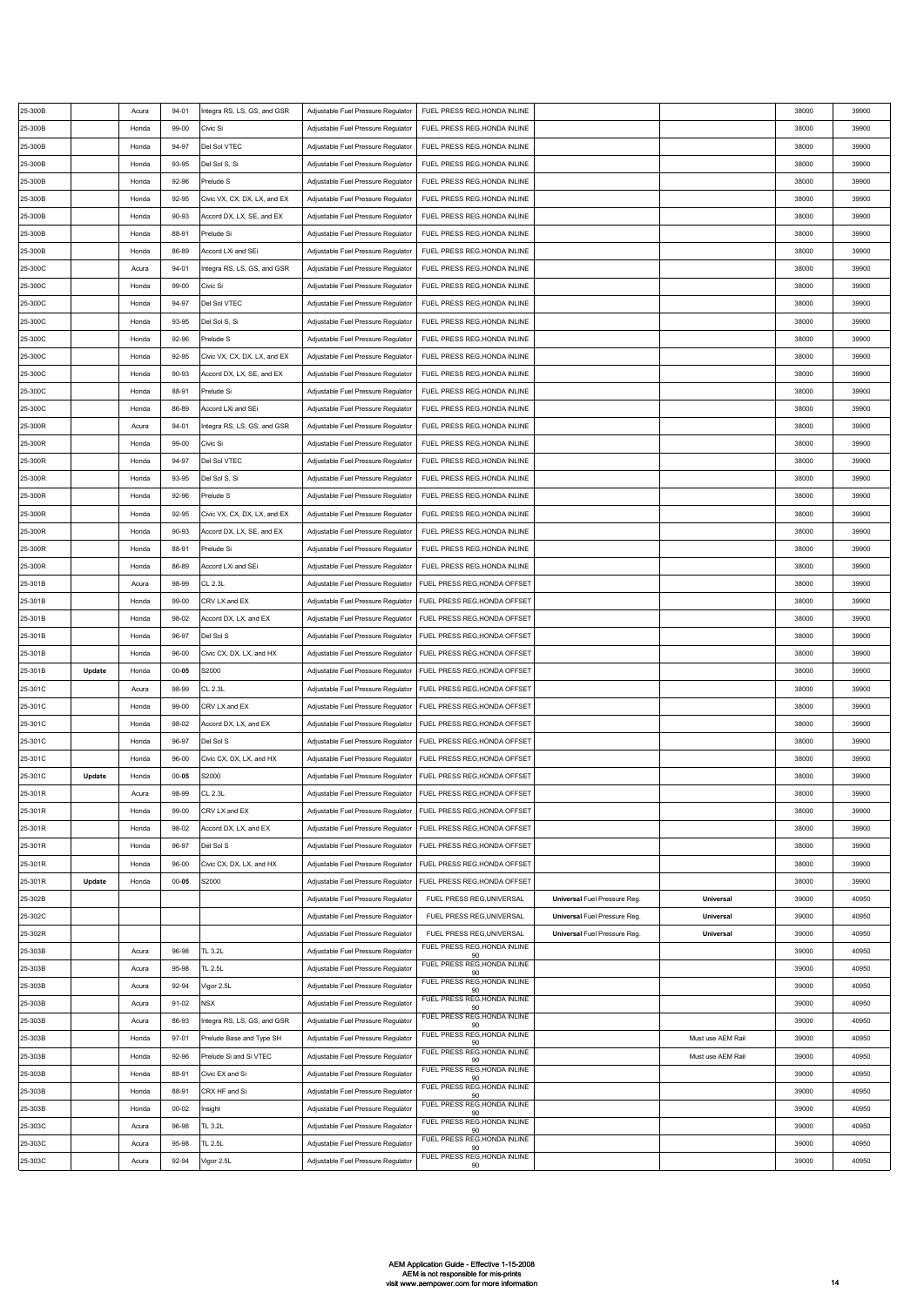| 25-300B |        | Acura | $94 - 01$ | Integra RS, LS, GS, and GSR  | Adjustable Fuel Pressure Regulator | FUEL PRESS REG, HONDA INLINE                                    |                                     |                   | 38000 | 39900 |
|---------|--------|-------|-----------|------------------------------|------------------------------------|-----------------------------------------------------------------|-------------------------------------|-------------------|-------|-------|
| 25-300B |        | Honda | 99-00     | Civic Si                     | Adjustable Fuel Pressure Regulator | FUEL PRESS REG, HONDA INLINE                                    |                                     |                   | 38000 | 39900 |
| 25-300B |        | Honda | 94-97     | Del Sol VTEC                 | Adjustable Fuel Pressure Regulator | FUEL PRESS REG, HONDA INLINE                                    |                                     |                   | 38000 | 39900 |
| 25-300B |        | Honda | 93-95     | Del Sol S, Si                | Adjustable Fuel Pressure Regulator | FUEL PRESS REG, HONDA INLINE                                    |                                     |                   | 38000 | 39900 |
| 25-300B |        | Honda | 92-96     | Prelude S                    |                                    | FUEL PRESS REG, HONDA INLINE                                    |                                     |                   | 38000 | 39900 |
|         |        |       |           |                              | Adjustable Fuel Pressure Regulator |                                                                 |                                     |                   |       |       |
| 25-300B |        | Honda | 92-95     | Civic VX, CX, DX, LX, and EX | Adjustable Fuel Pressure Regulator | FUEL PRESS REG, HONDA INLINE                                    |                                     |                   | 38000 | 39900 |
| 25-300B |        | Honda | 90-93     | Accord DX, LX, SE, and EX    | Adjustable Fuel Pressure Regulator | FUEL PRESS REG, HONDA INLINE                                    |                                     |                   | 38000 | 39900 |
| 25-300B |        | Honda | 88-91     | Prelude Si                   | Adjustable Fuel Pressure Regulator | FUEL PRESS REG, HONDA INLINE                                    |                                     |                   | 38000 | 39900 |
| 25-300B |        | Honda | 86-89     | Accord LXi and SEi           | Adjustable Fuel Pressure Regulator | FUEL PRESS REG, HONDA INLINE                                    |                                     |                   | 38000 | 39900 |
| 25-300C |        | Acura | $94 - 01$ | Integra RS, LS, GS, and GSR  | Adjustable Fuel Pressure Regulator | FUEL PRESS REG, HONDA INLINE                                    |                                     |                   | 38000 | 39900 |
| 25-300C |        | Honda | 99-00     | Civic Si                     | Adjustable Fuel Pressure Regulator | FUEL PRESS REG, HONDA INLINE                                    |                                     |                   | 38000 | 39900 |
| 25-300C |        | Honda | 94-97     | Del Sol VTEC                 | Adjustable Fuel Pressure Regulator | FUEL PRESS REG, HONDA INLINE                                    |                                     |                   | 38000 | 39900 |
| 25-300C |        | Honda | 93-95     | Del Sol S, Si                | Adjustable Fuel Pressure Regulator | FUEL PRESS REG, HONDA INLINE                                    |                                     |                   | 38000 | 39900 |
| 25-300C |        | Honda | 92-96     | Prelude S                    | Adjustable Fuel Pressure Regulator | FUEL PRESS REG, HONDA INLINE                                    |                                     |                   | 38000 | 39900 |
| 25-300C |        | Honda | $92 - 95$ | Civic VX, CX, DX, LX, and EX | Adjustable Fuel Pressure Regulator | FUEL PRESS REG, HONDA INLINE                                    |                                     |                   | 38000 | 39900 |
| 25-300C |        | Honda | 90-93     | Accord DX, LX, SE, and EX    | Adjustable Fuel Pressure Regulator | FUEL PRESS REG, HONDA INLINE                                    |                                     |                   | 38000 | 39900 |
| 25-300C |        | Honda | 88-91     | Prelude Si                   | Adjustable Fuel Pressure Regulator | FUEL PRESS REG, HONDA INLINE                                    |                                     |                   | 38000 | 39900 |
| 25-300C |        | Honda | 86-89     | Accord LXi and SEi           | Adjustable Fuel Pressure Regulator | FUEL PRESS REG, HONDA INLINE                                    |                                     |                   | 38000 | 39900 |
| 25-300R |        | Acura | 94-01     | Integra RS, LS, GS, and GSR  | Adjustable Fuel Pressure Regulator | FUEL PRESS REG, HONDA INLINE                                    |                                     |                   | 38000 | 39900 |
|         |        |       |           |                              |                                    |                                                                 |                                     |                   |       |       |
| 25-300R |        | Honda | 99-00     | Civic Si                     | Adjustable Fuel Pressure Regulator | FUEL PRESS REG, HONDA INLINE                                    |                                     |                   | 38000 | 39900 |
| 25-300R |        | Honda | 94-97     | Del Sol VTEC                 | Adjustable Fuel Pressure Regulator | FUEL PRESS REG, HONDA INLINE                                    |                                     |                   | 38000 | 39900 |
| 25-300R |        | Honda | 93-95     | Del Sol S, Si                | Adjustable Fuel Pressure Regulator | FUEL PRESS REG, HONDA INLINE                                    |                                     |                   | 38000 | 39900 |
| 25-300R |        | Honda | 92-96     | Prelude S                    | Adjustable Fuel Pressure Regulator | FUEL PRESS REG, HONDA INLINE                                    |                                     |                   | 38000 | 39900 |
| 25-300R |        | Honda | 92-95     | Civic VX, CX, DX, LX, and EX | Adjustable Fuel Pressure Regulator | FUEL PRESS REG, HONDA INLINE                                    |                                     |                   | 38000 | 39900 |
| 25-300R |        | Honda | 90-93     | Accord DX, LX, SE, and EX    | Adjustable Fuel Pressure Regulator | FUEL PRESS REG, HONDA INLINE                                    |                                     |                   | 38000 | 39900 |
| 25-300R |        | Honda | 88-91     | Prelude Si                   | Adjustable Fuel Pressure Regulator | FUEL PRESS REG, HONDA INLINE                                    |                                     |                   | 38000 | 39900 |
| 25-300R |        | Honda | 86-89     | Accord LXi and SEi           | Adjustable Fuel Pressure Regulator | FUEL PRESS REG, HONDA INLINE                                    |                                     |                   | 38000 | 39900 |
| 25-301B |        | Acura | 98-99     | CL 2.3L                      | Adjustable Fuel Pressure Regulator | FUEL PRESS REG, HONDA OFFSET                                    |                                     |                   | 38000 | 39900 |
| 25-301B |        | Honda | 99-00     | CRV LX and EX                | Adjustable Fuel Pressure Regulator | FUEL PRESS REG, HONDA OFFSET                                    |                                     |                   | 38000 | 39900 |
| 25-301B |        | Honda | 98-02     | Accord DX, LX, and EX        | Adjustable Fuel Pressure Regulator | FUEL PRESS REG.HONDA OFFSET                                     |                                     |                   | 38000 | 39900 |
| 25-301B |        | Honda | 96-97     | Del Sol S                    | Adjustable Fuel Pressure Regulator | FUEL PRESS REG, HONDA OFFSET                                    |                                     |                   | 38000 | 39900 |
| 25-301B |        | Honda | 96-00     | Civic CX, DX, LX, and HX     | Adjustable Fuel Pressure Regulator | FUEL PRESS REG, HONDA OFFSET                                    |                                     |                   | 38000 | 39900 |
| 25-301B | Update | Honda | $00 - 05$ | S2000                        | Adjustable Fuel Pressure Regulator | FUEL PRESS REG, HONDA OFFSET                                    |                                     |                   | 38000 | 39900 |
|         |        |       | 98-99     |                              |                                    | FUEL PRESS REG, HONDA OFFSET                                    |                                     |                   | 38000 | 39900 |
| 25-301C |        | Acura |           | <b>CL 2.3L</b>               | Adjustable Fuel Pressure Regulator |                                                                 |                                     |                   |       |       |
| 25-301C |        | Honda | 99-00     | CRV LX and EX                | Adjustable Fuel Pressure Regulator | FUEL PRESS REG, HONDA OFFSET                                    |                                     |                   | 38000 | 39900 |
| 25-301C |        | Honda | 98-02     | Accord DX, LX, and EX        | Adjustable Fuel Pressure Regulator | FUEL PRESS REG, HONDA OFFSET                                    |                                     |                   | 38000 | 39900 |
| 25-301C |        | Honda | 96-97     | Del Sol S                    | Adjustable Fuel Pressure Regulator | FUEL PRESS REG, HONDA OFFSET                                    |                                     |                   | 38000 | 39900 |
| 25-301C |        | Honda | 96-00     | Civic CX, DX, LX, and HX     | Adjustable Fuel Pressure Regulator | FUEL PRESS REG, HONDA OFFSET                                    |                                     |                   | 38000 | 39900 |
| 25-301C | Update | Honda | $00 - 05$ | S2000                        | Adjustable Fuel Pressure Regulator |                                                                 |                                     |                   |       |       |
| 25-301R |        |       |           |                              |                                    | FUEL PRESS REG, HONDA OFFSET                                    |                                     |                   | 38000 | 39900 |
| 25-301R |        | Acura | 98-99     | CL 2.3L                      |                                    | Adjustable Fuel Pressure Regulator FUEL PRESS REG, HONDA OFFSET |                                     |                   | 38000 | 39900 |
|         |        | Honda | 99-00     | CRV LX and EX                | Adjustable Fuel Pressure Regulator | FUEL PRESS REG, HONDA OFFSET                                    |                                     |                   | 38000 | 39900 |
| 25-301R |        | Honda | 98-02     | Accord DX, LX, and EX        | Adjustable Fuel Pressure Regulator | FUEL PRESS REG, HONDA OFFSET                                    |                                     |                   | 38000 | 39900 |
| 25-301R |        | Honda | 96-97     | Del Sol S                    | Adjustable Fuel Pressure Regulator | FUEL PRESS REG, HONDA OFFSET                                    |                                     |                   | 38000 | 39900 |
| 25-301R |        | Honda | 96-00     | Civic CX, DX, LX, and HX     | Adjustable Fuel Pressure Regulator | FUEL PRESS REG, HONDA OFFSET                                    |                                     |                   | 38000 | 39900 |
| 25-301R | Update | Honda | $00 - 05$ | S2000                        | Adjustable Fuel Pressure Regulator | FUEL PRESS REG, HONDA OFFSET                                    |                                     |                   | 38000 | 39900 |
| 25-302B |        |       |           |                              | Adjustable Fuel Pressure Regulator | FUEL PRESS REG, UNIVERSAL                                       | <b>Universal Fuel Pressure Reg.</b> | Universal         | 39000 | 40950 |
|         |        |       |           |                              |                                    |                                                                 |                                     | Universal         | 39000 | 40950 |
| 25-302C |        |       |           |                              | Adjustable Fuel Pressure Regulator | FUEL PRESS REG, UNIVERSAL                                       | <b>Universal Fuel Pressure Reg.</b> |                   |       |       |
| 25-302R |        |       |           |                              | Adjustable Fuel Pressure Regulator | FUEL PRESS REG, UNIVERSAL<br>FUEL PRESS REG, HONDA INLINE       | Universal Fuel Pressure Reg.        | Universal         | 39000 | 40950 |
| 25-303B |        | Acura | 96-98     | TL 3.2L                      | Adjustable Fuel Pressure Regulator | 90<br>FUEL PRESS REG, HONDA INLINE                              |                                     |                   | 39000 | 40950 |
| 25-303B |        | Acura | 95-98     | TL 2.5L                      | Adjustable Fuel Pressure Regulator | 90                                                              |                                     |                   | 39000 | 40950 |
| 25-303B |        | Acura | 92-94     | Vigor 2.5L                   | Adjustable Fuel Pressure Regulator | FUEL PRESS REG, HONDA INLINE<br>90                              |                                     |                   | 39000 | 40950 |
| 25-303B |        | Acura | $91 - 02$ | NSX                          | Adjustable Fuel Pressure Regulator | FUEL PRESS REG, HONDA INLINE<br>90                              |                                     |                   | 39000 | 40950 |
| 25-303B |        | Acura | 86-93     | Integra RS, LS, GS, and GSR  | Adjustable Fuel Pressure Regulator | FUEL PRESS REG, HONDA INLINE<br>90                              |                                     |                   | 39000 | 40950 |
| 25-303B |        | Honda | $97 - 01$ | Prelude Base and Type SH     | Adjustable Fuel Pressure Regulator | FUEL PRESS REG, HONDA INLINE<br>90                              |                                     | Must use AEM Rail | 39000 | 40950 |
| 25-303B |        | Honda | 92-96     | Prelude Si and Si VTEC       | Adjustable Fuel Pressure Regulator | FUEL PRESS REG, HONDA INLINE<br>90                              |                                     | Must use AEM Rail | 39000 | 40950 |
| 25-303B |        | Honda | 88-91     | Civic EX and Si              | Adjustable Fuel Pressure Regulator | FUEL PRESS REG, HONDA INLINE<br>90                              |                                     |                   | 39000 | 40950 |
| 25-303B |        | Honda | 88-91     | CRX HF and Si                | Adjustable Fuel Pressure Regulator | FUEL PRESS REG, HONDA INLINE<br>90                              |                                     |                   | 39000 | 40950 |
| 25-303B |        | Honda | $00 - 02$ | nsight                       | Adjustable Fuel Pressure Regulator | FUEL PRESS REG, HONDA INLINE                                    |                                     |                   | 39000 | 40950 |
| 25-303C |        | Acura | 96-98     | TL 3.2L                      | Adjustable Fuel Pressure Regulator | 90<br>FUEL PRESS REG, HONDA INLINE                              |                                     |                   | 39000 | 40950 |
| 25-303C |        | Acura | 95-98     | TL 2.5L                      | Adjustable Fuel Pressure Regulator | 90<br>FUEL PRESS REG, HONDA INLINE                              |                                     |                   | 39000 | 40950 |
| 25-303C |        | Acura | 92-94     | Vigor 2.5L                   | Adjustable Fuel Pressure Regulator | 90<br>FUEL PRESS REG, HONDA INLINE<br>90                        |                                     |                   | 39000 | 40950 |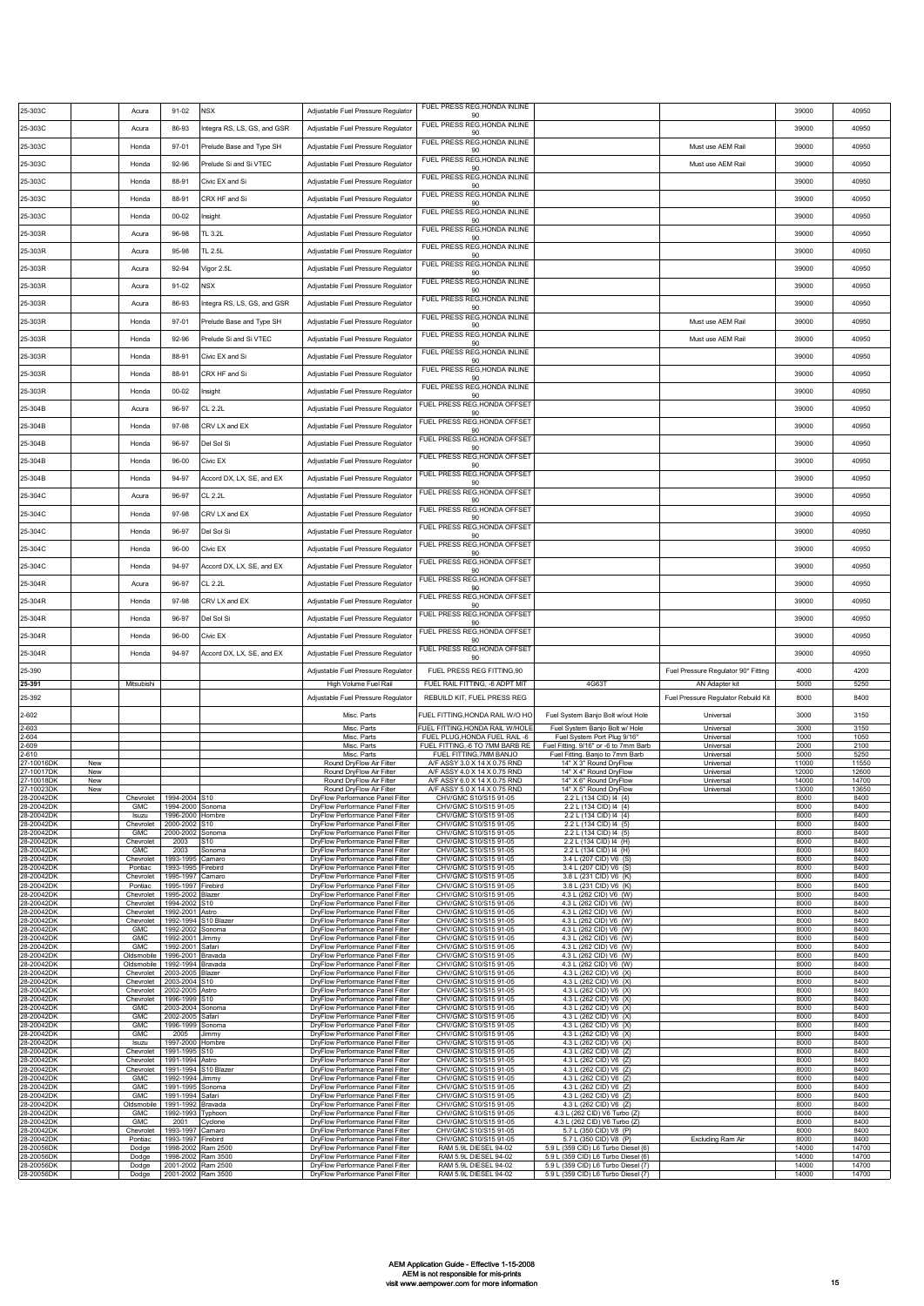| 90<br>FUEL PRESS REG, HONDA INLINE<br>25-303C<br>86-93<br>Integra RS, LS, GS, and GSR<br>39000<br>Acura<br>Adjustable Fuel Pressure Regulator<br>90<br>FUEL PRESS REG, HONDA INLINE<br>25-303C<br>Adjustable Fuel Pressure Regulator<br>Must use AEM Rail<br>39000<br>Honda<br>97-01<br>Prelude Base and Type SH<br>90<br>FUEL PRESS REG, HONDA INLINE<br>25-303C<br>Prelude Si and Si VTEC<br>Must use AEM Rail<br>39000<br>92-96<br>Adjustable Fuel Pressure Regulator<br>Honda<br>90<br>FUEL PRESS REG, HONDA INLINE<br>25-303C<br>Civic EX and Si<br>Honda<br>88-91<br>Adjustable Fuel Pressure Regulator<br>39000<br>90<br>FUEL PRESS REG, HONDA INLINE<br>25-303C<br>CRX HF and Si<br>88-91<br>Adjustable Fuel Pressure Regulator<br>39000<br>Honda<br>90<br>FUEL PRESS REG, HONDA INLINE<br>25-303C<br>Adjustable Fuel Pressure Regulator<br>39000<br>Honda<br>$00 - 02$<br>nsight<br>90<br>FUEL PRESS REG, HONDA INLINE<br>25-303R<br>Acura<br>96-98<br>TL 3.2L<br>Adjustable Fuel Pressure Regulator<br>39000<br>90<br>FUEL PRESS REG, HONDA INLINE<br>25-303R<br>Adjustable Fuel Pressure Regulator<br>39000<br>95-98<br>TL 2.5L<br>Acura<br>90<br>FUEL PRESS REG, HONDA INLINE<br>25-303R<br>92-94<br>/igor 2.5L<br>Adjustable Fuel Pressure Regulator<br>39000<br>Acura<br>90<br>FUEL PRESS REG, HONDA INLINE<br>25-303R<br><b>VSX</b><br>Adjustable Fuel Pressure Regulator<br>$91 - 02$<br>39000<br>Acura<br>90<br>FUEL PRESS REG, HONDA INLINE<br>25-303R<br>86-93<br>ntegra RS, LS, GS, and GSR<br>Adjustable Fuel Pressure Regulator<br>39000<br>Acura<br>90<br>FUEL PRESS REG, HONDA INLINE<br>25-303R<br>Must use AEM Rail<br>39000<br>Honda<br>$97 - 01$<br>Prelude Base and Type SH<br>Adjustable Fuel Pressure Regulator<br>90<br>FUEL PRESS REG, HONDA INLINE<br>25-303R<br>92-96<br>Prelude Si and Si VTEC<br>Adjustable Fuel Pressure Regulator<br>Must use AEM Rail<br>39000<br>Honda<br>90<br>FUEL PRESS REG, HONDA INLINE<br>25-303R<br>Adjustable Fuel Pressure Regulator<br>39000<br>88-91<br>Civic EX and Si<br>Honda<br>90<br>FUEL PRESS REG, HONDA INLINE<br>25-303R<br>88-91<br>CRX HF and Si<br>Adjustable Fuel Pressure Regulator<br>39000<br>Honda<br>90<br>FUEL PRESS REG, HONDA INLINE<br>25-303R<br>Adjustable Fuel Pressure Regulator<br>$00 - 02$<br>39000<br>Honda<br>nsight<br>90<br>FUEL PRESS REG, HONDA OFFSET<br>25-304B<br>96-97<br>CL 2.2L<br>Adjustable Fuel Pressure Regulator<br>39000<br>Acura<br>90<br>FUEL PRESS REG,HONDA OFFSET<br>25-304B<br>97-98<br>CRV LX and EX<br>Adjustable Fuel Pressure Regulator<br>39000<br>Honda<br>90<br>FUEL PRESS REG,HONDA OFFSET<br>25-304B<br>Honda<br>96-97<br>Del Sol Si<br>Adjustable Fuel Pressure Regulator<br>39000<br>90<br>FUEL PRESS REG,HONDA OFFSET<br>25-304B<br>$96-00$<br>Adjustable Fuel Pressure Regulator<br>39000<br>Honda<br>Civic EX<br>90<br>FUEL PRESS REG,HONDA OFFSET<br>25-304B<br>Honda<br>94-97<br>Accord DX, LX, SE, and EX<br>Adjustable Fuel Pressure Regulator<br>39000<br>90<br>FUEL PRESS REG,HONDA OFFSET<br>25-304C<br>96-97<br>CL 2.2L<br>Adjustable Fuel Pressure Regulator<br>39000<br>Acura<br>90<br>FUEL PRESS REG, HONDA OFFSET<br>CRV LX and EX<br>25-304C<br>Honda<br>97-98<br>Adjustable Fuel Pressure Regulator<br>39000<br>90<br>FUEL PRESS REG,HONDA OFFSET<br>96-97<br>Adjustable Fuel Pressure Regulator<br>39000<br>25-304C<br>Honda<br>Del Sol Si<br>90<br>FUEL PRESS REG, HONDA OFFSET<br>25-304C<br>Honda<br>96-00<br>Civic EX<br>Adjustable Fuel Pressure Regulator<br>39000<br>90<br>FUEL PRESS REG,HONDA OFFSET<br>25-304C<br>Accord DX, LX, SE, and EX<br>Adjustable Fuel Pressure Regulator<br>39000<br>Honda<br>94-97<br>90<br>FUEL PRESS REG,HONDA OFFSET<br>25-304R<br>Acura<br>96-97<br>CL 2.2L<br>Adjustable Fuel Pressure Regulator<br>39000<br>90<br>FUEL PRESS REG,HONDA OFFSET<br>25-304R<br>97-98<br>CRV LX and EX<br>Adjustable Fuel Pressure Regulator<br>39000<br>Honda<br>90<br>FUEL PRESS REG,HONDA OFFSET<br>25-304R<br>Del Sol Si<br>Adjustable Fuel Pressure Regulator<br>39000<br>Honda<br>96-97<br>90<br>FUEL PRESS REG,HONDA OFFSET<br>25-304R<br>Honda<br>$96-00$<br>Civic EX<br>Adjustable Fuel Pressure Regulator<br>39000<br>90 |
|----------------------------------------------------------------------------------------------------------------------------------------------------------------------------------------------------------------------------------------------------------------------------------------------------------------------------------------------------------------------------------------------------------------------------------------------------------------------------------------------------------------------------------------------------------------------------------------------------------------------------------------------------------------------------------------------------------------------------------------------------------------------------------------------------------------------------------------------------------------------------------------------------------------------------------------------------------------------------------------------------------------------------------------------------------------------------------------------------------------------------------------------------------------------------------------------------------------------------------------------------------------------------------------------------------------------------------------------------------------------------------------------------------------------------------------------------------------------------------------------------------------------------------------------------------------------------------------------------------------------------------------------------------------------------------------------------------------------------------------------------------------------------------------------------------------------------------------------------------------------------------------------------------------------------------------------------------------------------------------------------------------------------------------------------------------------------------------------------------------------------------------------------------------------------------------------------------------------------------------------------------------------------------------------------------------------------------------------------------------------------------------------------------------------------------------------------------------------------------------------------------------------------------------------------------------------------------------------------------------------------------------------------------------------------------------------------------------------------------------------------------------------------------------------------------------------------------------------------------------------------------------------------------------------------------------------------------------------------------------------------------------------------------------------------------------------------------------------------------------------------------------------------------------------------------------------------------------------------------------------------------------------------------------------------------------------------------------------------------------------------------------------------------------------------------------------------------------------------------------------------------------------------------------------------------------------------------------------------------------------------------------------------------------------------------------------------------------------------------------------------------------------------------------------------------------------------------------------------------------------------------------------------------------------------------------------------------------------------------------------------------------------------------------------------------------------------------------------------------------------------------------------------------------------------------------------------------------|
|                                                                                                                                                                                                                                                                                                                                                                                                                                                                                                                                                                                                                                                                                                                                                                                                                                                                                                                                                                                                                                                                                                                                                                                                                                                                                                                                                                                                                                                                                                                                                                                                                                                                                                                                                                                                                                                                                                                                                                                                                                                                                                                                                                                                                                                                                                                                                                                                                                                                                                                                                                                                                                                                                                                                                                                                                                                                                                                                                                                                                                                                                                                                                                                                                                                                                                                                                                                                                                                                                                                                                                                                                                                                                                                                                                                                                                                                                                                                                                                                                                                                                                                                                                                                                |
|                                                                                                                                                                                                                                                                                                                                                                                                                                                                                                                                                                                                                                                                                                                                                                                                                                                                                                                                                                                                                                                                                                                                                                                                                                                                                                                                                                                                                                                                                                                                                                                                                                                                                                                                                                                                                                                                                                                                                                                                                                                                                                                                                                                                                                                                                                                                                                                                                                                                                                                                                                                                                                                                                                                                                                                                                                                                                                                                                                                                                                                                                                                                                                                                                                                                                                                                                                                                                                                                                                                                                                                                                                                                                                                                                                                                                                                                                                                                                                                                                                                                                                                                                                                                                |
|                                                                                                                                                                                                                                                                                                                                                                                                                                                                                                                                                                                                                                                                                                                                                                                                                                                                                                                                                                                                                                                                                                                                                                                                                                                                                                                                                                                                                                                                                                                                                                                                                                                                                                                                                                                                                                                                                                                                                                                                                                                                                                                                                                                                                                                                                                                                                                                                                                                                                                                                                                                                                                                                                                                                                                                                                                                                                                                                                                                                                                                                                                                                                                                                                                                                                                                                                                                                                                                                                                                                                                                                                                                                                                                                                                                                                                                                                                                                                                                                                                                                                                                                                                                                                |
|                                                                                                                                                                                                                                                                                                                                                                                                                                                                                                                                                                                                                                                                                                                                                                                                                                                                                                                                                                                                                                                                                                                                                                                                                                                                                                                                                                                                                                                                                                                                                                                                                                                                                                                                                                                                                                                                                                                                                                                                                                                                                                                                                                                                                                                                                                                                                                                                                                                                                                                                                                                                                                                                                                                                                                                                                                                                                                                                                                                                                                                                                                                                                                                                                                                                                                                                                                                                                                                                                                                                                                                                                                                                                                                                                                                                                                                                                                                                                                                                                                                                                                                                                                                                                |
|                                                                                                                                                                                                                                                                                                                                                                                                                                                                                                                                                                                                                                                                                                                                                                                                                                                                                                                                                                                                                                                                                                                                                                                                                                                                                                                                                                                                                                                                                                                                                                                                                                                                                                                                                                                                                                                                                                                                                                                                                                                                                                                                                                                                                                                                                                                                                                                                                                                                                                                                                                                                                                                                                                                                                                                                                                                                                                                                                                                                                                                                                                                                                                                                                                                                                                                                                                                                                                                                                                                                                                                                                                                                                                                                                                                                                                                                                                                                                                                                                                                                                                                                                                                                                |
|                                                                                                                                                                                                                                                                                                                                                                                                                                                                                                                                                                                                                                                                                                                                                                                                                                                                                                                                                                                                                                                                                                                                                                                                                                                                                                                                                                                                                                                                                                                                                                                                                                                                                                                                                                                                                                                                                                                                                                                                                                                                                                                                                                                                                                                                                                                                                                                                                                                                                                                                                                                                                                                                                                                                                                                                                                                                                                                                                                                                                                                                                                                                                                                                                                                                                                                                                                                                                                                                                                                                                                                                                                                                                                                                                                                                                                                                                                                                                                                                                                                                                                                                                                                                                |
|                                                                                                                                                                                                                                                                                                                                                                                                                                                                                                                                                                                                                                                                                                                                                                                                                                                                                                                                                                                                                                                                                                                                                                                                                                                                                                                                                                                                                                                                                                                                                                                                                                                                                                                                                                                                                                                                                                                                                                                                                                                                                                                                                                                                                                                                                                                                                                                                                                                                                                                                                                                                                                                                                                                                                                                                                                                                                                                                                                                                                                                                                                                                                                                                                                                                                                                                                                                                                                                                                                                                                                                                                                                                                                                                                                                                                                                                                                                                                                                                                                                                                                                                                                                                                |
|                                                                                                                                                                                                                                                                                                                                                                                                                                                                                                                                                                                                                                                                                                                                                                                                                                                                                                                                                                                                                                                                                                                                                                                                                                                                                                                                                                                                                                                                                                                                                                                                                                                                                                                                                                                                                                                                                                                                                                                                                                                                                                                                                                                                                                                                                                                                                                                                                                                                                                                                                                                                                                                                                                                                                                                                                                                                                                                                                                                                                                                                                                                                                                                                                                                                                                                                                                                                                                                                                                                                                                                                                                                                                                                                                                                                                                                                                                                                                                                                                                                                                                                                                                                                                |
|                                                                                                                                                                                                                                                                                                                                                                                                                                                                                                                                                                                                                                                                                                                                                                                                                                                                                                                                                                                                                                                                                                                                                                                                                                                                                                                                                                                                                                                                                                                                                                                                                                                                                                                                                                                                                                                                                                                                                                                                                                                                                                                                                                                                                                                                                                                                                                                                                                                                                                                                                                                                                                                                                                                                                                                                                                                                                                                                                                                                                                                                                                                                                                                                                                                                                                                                                                                                                                                                                                                                                                                                                                                                                                                                                                                                                                                                                                                                                                                                                                                                                                                                                                                                                |
|                                                                                                                                                                                                                                                                                                                                                                                                                                                                                                                                                                                                                                                                                                                                                                                                                                                                                                                                                                                                                                                                                                                                                                                                                                                                                                                                                                                                                                                                                                                                                                                                                                                                                                                                                                                                                                                                                                                                                                                                                                                                                                                                                                                                                                                                                                                                                                                                                                                                                                                                                                                                                                                                                                                                                                                                                                                                                                                                                                                                                                                                                                                                                                                                                                                                                                                                                                                                                                                                                                                                                                                                                                                                                                                                                                                                                                                                                                                                                                                                                                                                                                                                                                                                                |
|                                                                                                                                                                                                                                                                                                                                                                                                                                                                                                                                                                                                                                                                                                                                                                                                                                                                                                                                                                                                                                                                                                                                                                                                                                                                                                                                                                                                                                                                                                                                                                                                                                                                                                                                                                                                                                                                                                                                                                                                                                                                                                                                                                                                                                                                                                                                                                                                                                                                                                                                                                                                                                                                                                                                                                                                                                                                                                                                                                                                                                                                                                                                                                                                                                                                                                                                                                                                                                                                                                                                                                                                                                                                                                                                                                                                                                                                                                                                                                                                                                                                                                                                                                                                                |
|                                                                                                                                                                                                                                                                                                                                                                                                                                                                                                                                                                                                                                                                                                                                                                                                                                                                                                                                                                                                                                                                                                                                                                                                                                                                                                                                                                                                                                                                                                                                                                                                                                                                                                                                                                                                                                                                                                                                                                                                                                                                                                                                                                                                                                                                                                                                                                                                                                                                                                                                                                                                                                                                                                                                                                                                                                                                                                                                                                                                                                                                                                                                                                                                                                                                                                                                                                                                                                                                                                                                                                                                                                                                                                                                                                                                                                                                                                                                                                                                                                                                                                                                                                                                                |
|                                                                                                                                                                                                                                                                                                                                                                                                                                                                                                                                                                                                                                                                                                                                                                                                                                                                                                                                                                                                                                                                                                                                                                                                                                                                                                                                                                                                                                                                                                                                                                                                                                                                                                                                                                                                                                                                                                                                                                                                                                                                                                                                                                                                                                                                                                                                                                                                                                                                                                                                                                                                                                                                                                                                                                                                                                                                                                                                                                                                                                                                                                                                                                                                                                                                                                                                                                                                                                                                                                                                                                                                                                                                                                                                                                                                                                                                                                                                                                                                                                                                                                                                                                                                                |
|                                                                                                                                                                                                                                                                                                                                                                                                                                                                                                                                                                                                                                                                                                                                                                                                                                                                                                                                                                                                                                                                                                                                                                                                                                                                                                                                                                                                                                                                                                                                                                                                                                                                                                                                                                                                                                                                                                                                                                                                                                                                                                                                                                                                                                                                                                                                                                                                                                                                                                                                                                                                                                                                                                                                                                                                                                                                                                                                                                                                                                                                                                                                                                                                                                                                                                                                                                                                                                                                                                                                                                                                                                                                                                                                                                                                                                                                                                                                                                                                                                                                                                                                                                                                                |
|                                                                                                                                                                                                                                                                                                                                                                                                                                                                                                                                                                                                                                                                                                                                                                                                                                                                                                                                                                                                                                                                                                                                                                                                                                                                                                                                                                                                                                                                                                                                                                                                                                                                                                                                                                                                                                                                                                                                                                                                                                                                                                                                                                                                                                                                                                                                                                                                                                                                                                                                                                                                                                                                                                                                                                                                                                                                                                                                                                                                                                                                                                                                                                                                                                                                                                                                                                                                                                                                                                                                                                                                                                                                                                                                                                                                                                                                                                                                                                                                                                                                                                                                                                                                                |
|                                                                                                                                                                                                                                                                                                                                                                                                                                                                                                                                                                                                                                                                                                                                                                                                                                                                                                                                                                                                                                                                                                                                                                                                                                                                                                                                                                                                                                                                                                                                                                                                                                                                                                                                                                                                                                                                                                                                                                                                                                                                                                                                                                                                                                                                                                                                                                                                                                                                                                                                                                                                                                                                                                                                                                                                                                                                                                                                                                                                                                                                                                                                                                                                                                                                                                                                                                                                                                                                                                                                                                                                                                                                                                                                                                                                                                                                                                                                                                                                                                                                                                                                                                                                                |
|                                                                                                                                                                                                                                                                                                                                                                                                                                                                                                                                                                                                                                                                                                                                                                                                                                                                                                                                                                                                                                                                                                                                                                                                                                                                                                                                                                                                                                                                                                                                                                                                                                                                                                                                                                                                                                                                                                                                                                                                                                                                                                                                                                                                                                                                                                                                                                                                                                                                                                                                                                                                                                                                                                                                                                                                                                                                                                                                                                                                                                                                                                                                                                                                                                                                                                                                                                                                                                                                                                                                                                                                                                                                                                                                                                                                                                                                                                                                                                                                                                                                                                                                                                                                                |
|                                                                                                                                                                                                                                                                                                                                                                                                                                                                                                                                                                                                                                                                                                                                                                                                                                                                                                                                                                                                                                                                                                                                                                                                                                                                                                                                                                                                                                                                                                                                                                                                                                                                                                                                                                                                                                                                                                                                                                                                                                                                                                                                                                                                                                                                                                                                                                                                                                                                                                                                                                                                                                                                                                                                                                                                                                                                                                                                                                                                                                                                                                                                                                                                                                                                                                                                                                                                                                                                                                                                                                                                                                                                                                                                                                                                                                                                                                                                                                                                                                                                                                                                                                                                                |
|                                                                                                                                                                                                                                                                                                                                                                                                                                                                                                                                                                                                                                                                                                                                                                                                                                                                                                                                                                                                                                                                                                                                                                                                                                                                                                                                                                                                                                                                                                                                                                                                                                                                                                                                                                                                                                                                                                                                                                                                                                                                                                                                                                                                                                                                                                                                                                                                                                                                                                                                                                                                                                                                                                                                                                                                                                                                                                                                                                                                                                                                                                                                                                                                                                                                                                                                                                                                                                                                                                                                                                                                                                                                                                                                                                                                                                                                                                                                                                                                                                                                                                                                                                                                                |
|                                                                                                                                                                                                                                                                                                                                                                                                                                                                                                                                                                                                                                                                                                                                                                                                                                                                                                                                                                                                                                                                                                                                                                                                                                                                                                                                                                                                                                                                                                                                                                                                                                                                                                                                                                                                                                                                                                                                                                                                                                                                                                                                                                                                                                                                                                                                                                                                                                                                                                                                                                                                                                                                                                                                                                                                                                                                                                                                                                                                                                                                                                                                                                                                                                                                                                                                                                                                                                                                                                                                                                                                                                                                                                                                                                                                                                                                                                                                                                                                                                                                                                                                                                                                                |
|                                                                                                                                                                                                                                                                                                                                                                                                                                                                                                                                                                                                                                                                                                                                                                                                                                                                                                                                                                                                                                                                                                                                                                                                                                                                                                                                                                                                                                                                                                                                                                                                                                                                                                                                                                                                                                                                                                                                                                                                                                                                                                                                                                                                                                                                                                                                                                                                                                                                                                                                                                                                                                                                                                                                                                                                                                                                                                                                                                                                                                                                                                                                                                                                                                                                                                                                                                                                                                                                                                                                                                                                                                                                                                                                                                                                                                                                                                                                                                                                                                                                                                                                                                                                                |
|                                                                                                                                                                                                                                                                                                                                                                                                                                                                                                                                                                                                                                                                                                                                                                                                                                                                                                                                                                                                                                                                                                                                                                                                                                                                                                                                                                                                                                                                                                                                                                                                                                                                                                                                                                                                                                                                                                                                                                                                                                                                                                                                                                                                                                                                                                                                                                                                                                                                                                                                                                                                                                                                                                                                                                                                                                                                                                                                                                                                                                                                                                                                                                                                                                                                                                                                                                                                                                                                                                                                                                                                                                                                                                                                                                                                                                                                                                                                                                                                                                                                                                                                                                                                                |
|                                                                                                                                                                                                                                                                                                                                                                                                                                                                                                                                                                                                                                                                                                                                                                                                                                                                                                                                                                                                                                                                                                                                                                                                                                                                                                                                                                                                                                                                                                                                                                                                                                                                                                                                                                                                                                                                                                                                                                                                                                                                                                                                                                                                                                                                                                                                                                                                                                                                                                                                                                                                                                                                                                                                                                                                                                                                                                                                                                                                                                                                                                                                                                                                                                                                                                                                                                                                                                                                                                                                                                                                                                                                                                                                                                                                                                                                                                                                                                                                                                                                                                                                                                                                                |
|                                                                                                                                                                                                                                                                                                                                                                                                                                                                                                                                                                                                                                                                                                                                                                                                                                                                                                                                                                                                                                                                                                                                                                                                                                                                                                                                                                                                                                                                                                                                                                                                                                                                                                                                                                                                                                                                                                                                                                                                                                                                                                                                                                                                                                                                                                                                                                                                                                                                                                                                                                                                                                                                                                                                                                                                                                                                                                                                                                                                                                                                                                                                                                                                                                                                                                                                                                                                                                                                                                                                                                                                                                                                                                                                                                                                                                                                                                                                                                                                                                                                                                                                                                                                                |
|                                                                                                                                                                                                                                                                                                                                                                                                                                                                                                                                                                                                                                                                                                                                                                                                                                                                                                                                                                                                                                                                                                                                                                                                                                                                                                                                                                                                                                                                                                                                                                                                                                                                                                                                                                                                                                                                                                                                                                                                                                                                                                                                                                                                                                                                                                                                                                                                                                                                                                                                                                                                                                                                                                                                                                                                                                                                                                                                                                                                                                                                                                                                                                                                                                                                                                                                                                                                                                                                                                                                                                                                                                                                                                                                                                                                                                                                                                                                                                                                                                                                                                                                                                                                                |
|                                                                                                                                                                                                                                                                                                                                                                                                                                                                                                                                                                                                                                                                                                                                                                                                                                                                                                                                                                                                                                                                                                                                                                                                                                                                                                                                                                                                                                                                                                                                                                                                                                                                                                                                                                                                                                                                                                                                                                                                                                                                                                                                                                                                                                                                                                                                                                                                                                                                                                                                                                                                                                                                                                                                                                                                                                                                                                                                                                                                                                                                                                                                                                                                                                                                                                                                                                                                                                                                                                                                                                                                                                                                                                                                                                                                                                                                                                                                                                                                                                                                                                                                                                                                                |
|                                                                                                                                                                                                                                                                                                                                                                                                                                                                                                                                                                                                                                                                                                                                                                                                                                                                                                                                                                                                                                                                                                                                                                                                                                                                                                                                                                                                                                                                                                                                                                                                                                                                                                                                                                                                                                                                                                                                                                                                                                                                                                                                                                                                                                                                                                                                                                                                                                                                                                                                                                                                                                                                                                                                                                                                                                                                                                                                                                                                                                                                                                                                                                                                                                                                                                                                                                                                                                                                                                                                                                                                                                                                                                                                                                                                                                                                                                                                                                                                                                                                                                                                                                                                                |
|                                                                                                                                                                                                                                                                                                                                                                                                                                                                                                                                                                                                                                                                                                                                                                                                                                                                                                                                                                                                                                                                                                                                                                                                                                                                                                                                                                                                                                                                                                                                                                                                                                                                                                                                                                                                                                                                                                                                                                                                                                                                                                                                                                                                                                                                                                                                                                                                                                                                                                                                                                                                                                                                                                                                                                                                                                                                                                                                                                                                                                                                                                                                                                                                                                                                                                                                                                                                                                                                                                                                                                                                                                                                                                                                                                                                                                                                                                                                                                                                                                                                                                                                                                                                                |
|                                                                                                                                                                                                                                                                                                                                                                                                                                                                                                                                                                                                                                                                                                                                                                                                                                                                                                                                                                                                                                                                                                                                                                                                                                                                                                                                                                                                                                                                                                                                                                                                                                                                                                                                                                                                                                                                                                                                                                                                                                                                                                                                                                                                                                                                                                                                                                                                                                                                                                                                                                                                                                                                                                                                                                                                                                                                                                                                                                                                                                                                                                                                                                                                                                                                                                                                                                                                                                                                                                                                                                                                                                                                                                                                                                                                                                                                                                                                                                                                                                                                                                                                                                                                                |
|                                                                                                                                                                                                                                                                                                                                                                                                                                                                                                                                                                                                                                                                                                                                                                                                                                                                                                                                                                                                                                                                                                                                                                                                                                                                                                                                                                                                                                                                                                                                                                                                                                                                                                                                                                                                                                                                                                                                                                                                                                                                                                                                                                                                                                                                                                                                                                                                                                                                                                                                                                                                                                                                                                                                                                                                                                                                                                                                                                                                                                                                                                                                                                                                                                                                                                                                                                                                                                                                                                                                                                                                                                                                                                                                                                                                                                                                                                                                                                                                                                                                                                                                                                                                                |
|                                                                                                                                                                                                                                                                                                                                                                                                                                                                                                                                                                                                                                                                                                                                                                                                                                                                                                                                                                                                                                                                                                                                                                                                                                                                                                                                                                                                                                                                                                                                                                                                                                                                                                                                                                                                                                                                                                                                                                                                                                                                                                                                                                                                                                                                                                                                                                                                                                                                                                                                                                                                                                                                                                                                                                                                                                                                                                                                                                                                                                                                                                                                                                                                                                                                                                                                                                                                                                                                                                                                                                                                                                                                                                                                                                                                                                                                                                                                                                                                                                                                                                                                                                                                                |
|                                                                                                                                                                                                                                                                                                                                                                                                                                                                                                                                                                                                                                                                                                                                                                                                                                                                                                                                                                                                                                                                                                                                                                                                                                                                                                                                                                                                                                                                                                                                                                                                                                                                                                                                                                                                                                                                                                                                                                                                                                                                                                                                                                                                                                                                                                                                                                                                                                                                                                                                                                                                                                                                                                                                                                                                                                                                                                                                                                                                                                                                                                                                                                                                                                                                                                                                                                                                                                                                                                                                                                                                                                                                                                                                                                                                                                                                                                                                                                                                                                                                                                                                                                                                                |
| FUEL PRESS REG,HONDA OFFSET                                                                                                                                                                                                                                                                                                                                                                                                                                                                                                                                                                                                                                                                                                                                                                                                                                                                                                                                                                                                                                                                                                                                                                                                                                                                                                                                                                                                                                                                                                                                                                                                                                                                                                                                                                                                                                                                                                                                                                                                                                                                                                                                                                                                                                                                                                                                                                                                                                                                                                                                                                                                                                                                                                                                                                                                                                                                                                                                                                                                                                                                                                                                                                                                                                                                                                                                                                                                                                                                                                                                                                                                                                                                                                                                                                                                                                                                                                                                                                                                                                                                                                                                                                                    |
| 25-304R<br>Accord DX, LX, SE, and EX<br>Adjustable Fuel Pressure Regulator<br>39000<br>Honda<br>94-97<br>90                                                                                                                                                                                                                                                                                                                                                                                                                                                                                                                                                                                                                                                                                                                                                                                                                                                                                                                                                                                                                                                                                                                                                                                                                                                                                                                                                                                                                                                                                                                                                                                                                                                                                                                                                                                                                                                                                                                                                                                                                                                                                                                                                                                                                                                                                                                                                                                                                                                                                                                                                                                                                                                                                                                                                                                                                                                                                                                                                                                                                                                                                                                                                                                                                                                                                                                                                                                                                                                                                                                                                                                                                                                                                                                                                                                                                                                                                                                                                                                                                                                                                                    |
| 25-390<br>Adjustable Fuel Pressure Regulator<br>FUEL PRESS REG FITTING,90<br>Fuel Pressure Regulator 90* Fitting<br>4000<br>25-391<br>Mitsubishi<br>High Volume Fuel Rail<br>FUEL RAIL FITTING, -6 ADPT MIT<br>4G63T<br>AN Adapter kit<br>5000                                                                                                                                                                                                                                                                                                                                                                                                                                                                                                                                                                                                                                                                                                                                                                                                                                                                                                                                                                                                                                                                                                                                                                                                                                                                                                                                                                                                                                                                                                                                                                                                                                                                                                                                                                                                                                                                                                                                                                                                                                                                                                                                                                                                                                                                                                                                                                                                                                                                                                                                                                                                                                                                                                                                                                                                                                                                                                                                                                                                                                                                                                                                                                                                                                                                                                                                                                                                                                                                                                                                                                                                                                                                                                                                                                                                                                                                                                                                                                 |
| REBUILD KIT, FUEL PRESS REG<br>8000<br>25-392<br>Adjustable Fuel Pressure Regulator<br>Fuel Pressure Regulator Rebuild Kit                                                                                                                                                                                                                                                                                                                                                                                                                                                                                                                                                                                                                                                                                                                                                                                                                                                                                                                                                                                                                                                                                                                                                                                                                                                                                                                                                                                                                                                                                                                                                                                                                                                                                                                                                                                                                                                                                                                                                                                                                                                                                                                                                                                                                                                                                                                                                                                                                                                                                                                                                                                                                                                                                                                                                                                                                                                                                                                                                                                                                                                                                                                                                                                                                                                                                                                                                                                                                                                                                                                                                                                                                                                                                                                                                                                                                                                                                                                                                                                                                                                                                     |
| 2-602<br>FUEL FITTING, HONDA RAIL W/O HO<br>3000<br>Fuel System Banjo Bolt w/out Hole<br>Misc. Parts<br>Universal                                                                                                                                                                                                                                                                                                                                                                                                                                                                                                                                                                                                                                                                                                                                                                                                                                                                                                                                                                                                                                                                                                                                                                                                                                                                                                                                                                                                                                                                                                                                                                                                                                                                                                                                                                                                                                                                                                                                                                                                                                                                                                                                                                                                                                                                                                                                                                                                                                                                                                                                                                                                                                                                                                                                                                                                                                                                                                                                                                                                                                                                                                                                                                                                                                                                                                                                                                                                                                                                                                                                                                                                                                                                                                                                                                                                                                                                                                                                                                                                                                                                                              |
| UEL FITTING, HONDA RAIL W/HOLE<br>Fuel System Banjo Bolt w/ Hole<br>3000<br>2-603<br>Misc. Parts<br>Universal                                                                                                                                                                                                                                                                                                                                                                                                                                                                                                                                                                                                                                                                                                                                                                                                                                                                                                                                                                                                                                                                                                                                                                                                                                                                                                                                                                                                                                                                                                                                                                                                                                                                                                                                                                                                                                                                                                                                                                                                                                                                                                                                                                                                                                                                                                                                                                                                                                                                                                                                                                                                                                                                                                                                                                                                                                                                                                                                                                                                                                                                                                                                                                                                                                                                                                                                                                                                                                                                                                                                                                                                                                                                                                                                                                                                                                                                                                                                                                                                                                                                                                  |
| Misc. Parts<br>FUEL PLUG, HONDA FUEL RAIL -6<br>Fuel System Port Plug 9/16'<br>1000<br>$2 - 604$<br>Universal<br>FUEL FITTING,-6 TO 7MM BARB RE<br>2-609<br>Misc. Parts<br>Fuel Fitting. 9/16" or -6 to 7mm Barb<br>Universal<br>2000                                                                                                                                                                                                                                                                                                                                                                                                                                                                                                                                                                                                                                                                                                                                                                                                                                                                                                                                                                                                                                                                                                                                                                                                                                                                                                                                                                                                                                                                                                                                                                                                                                                                                                                                                                                                                                                                                                                                                                                                                                                                                                                                                                                                                                                                                                                                                                                                                                                                                                                                                                                                                                                                                                                                                                                                                                                                                                                                                                                                                                                                                                                                                                                                                                                                                                                                                                                                                                                                                                                                                                                                                                                                                                                                                                                                                                                                                                                                                                          |
| $2 - 610$<br>Misc. Parts<br>FUEL FITTING, 7MM BANJO<br>5000<br>Fuel Fitting. Banjo to 7mm Barb<br>Universal                                                                                                                                                                                                                                                                                                                                                                                                                                                                                                                                                                                                                                                                                                                                                                                                                                                                                                                                                                                                                                                                                                                                                                                                                                                                                                                                                                                                                                                                                                                                                                                                                                                                                                                                                                                                                                                                                                                                                                                                                                                                                                                                                                                                                                                                                                                                                                                                                                                                                                                                                                                                                                                                                                                                                                                                                                                                                                                                                                                                                                                                                                                                                                                                                                                                                                                                                                                                                                                                                                                                                                                                                                                                                                                                                                                                                                                                                                                                                                                                                                                                                                    |
| 27-10016DK<br>Round DryFlow Air Filter<br>A/F ASSY 3.0 X 14 X 0.75 RND<br>14" X 3" Round DryFlow<br>11000<br>New<br>Universa                                                                                                                                                                                                                                                                                                                                                                                                                                                                                                                                                                                                                                                                                                                                                                                                                                                                                                                                                                                                                                                                                                                                                                                                                                                                                                                                                                                                                                                                                                                                                                                                                                                                                                                                                                                                                                                                                                                                                                                                                                                                                                                                                                                                                                                                                                                                                                                                                                                                                                                                                                                                                                                                                                                                                                                                                                                                                                                                                                                                                                                                                                                                                                                                                                                                                                                                                                                                                                                                                                                                                                                                                                                                                                                                                                                                                                                                                                                                                                                                                                                                                   |
| A/F ASSY 4.0 X 14 X 0.75 RND<br>14" X 4" Round DryFlow<br>27-10017DK<br>New<br>Round DryFlow Air Filter<br>Universal<br>12000                                                                                                                                                                                                                                                                                                                                                                                                                                                                                                                                                                                                                                                                                                                                                                                                                                                                                                                                                                                                                                                                                                                                                                                                                                                                                                                                                                                                                                                                                                                                                                                                                                                                                                                                                                                                                                                                                                                                                                                                                                                                                                                                                                                                                                                                                                                                                                                                                                                                                                                                                                                                                                                                                                                                                                                                                                                                                                                                                                                                                                                                                                                                                                                                                                                                                                                                                                                                                                                                                                                                                                                                                                                                                                                                                                                                                                                                                                                                                                                                                                                                                  |
| 27-10018DK<br>New<br>Round DryFlow Air Filter<br>A/F ASSY 6.0 X 14 X 0.75 RND<br>14" X 6" Round DryFlow<br>Universal<br>14000<br>Round DryFlow Air Filter<br>A/F ASSY 5.0 X 14 X 0.75 RND<br>13000<br>27-10023DK<br>New<br>14" X 5" Round DryFlow<br>Universal                                                                                                                                                                                                                                                                                                                                                                                                                                                                                                                                                                                                                                                                                                                                                                                                                                                                                                                                                                                                                                                                                                                                                                                                                                                                                                                                                                                                                                                                                                                                                                                                                                                                                                                                                                                                                                                                                                                                                                                                                                                                                                                                                                                                                                                                                                                                                                                                                                                                                                                                                                                                                                                                                                                                                                                                                                                                                                                                                                                                                                                                                                                                                                                                                                                                                                                                                                                                                                                                                                                                                                                                                                                                                                                                                                                                                                                                                                                                                 |
| <u>28-20042DK</u><br>Chevrolet<br>1994-2004<br>Dry-low Performance Panel Filter<br>CHV/GMC S10/S15 91-05<br>2 2 1 (134 CID) 14 <i>14</i><br>800C<br><b>GMC</b><br>1994-2000<br>DryFlow Performance Panel Filter<br>CHV/GMC S10/S15 91-05<br>2.2 L (134 CID) I4 {4}<br>8000<br>Sonoma                                                                                                                                                                                                                                                                                                                                                                                                                                                                                                                                                                                                                                                                                                                                                                                                                                                                                                                                                                                                                                                                                                                                                                                                                                                                                                                                                                                                                                                                                                                                                                                                                                                                                                                                                                                                                                                                                                                                                                                                                                                                                                                                                                                                                                                                                                                                                                                                                                                                                                                                                                                                                                                                                                                                                                                                                                                                                                                                                                                                                                                                                                                                                                                                                                                                                                                                                                                                                                                                                                                                                                                                                                                                                                                                                                                                                                                                                                                           |
| 28-20042DK<br>28-20042DK<br>Isuzu<br>1996-2000<br>DryFlow Performance Panel Filter<br>CHV/GMC S10/S15 91-05<br>2.2 L (134 CID) I4 {4}<br>8000<br>Hombre<br>28-20042DK<br>CHV/GMC S10/S15 91-05<br>Chevrolet<br>2000-2002<br>2.2 L (134 CID) I4 {5}<br>8000<br>310<br>DryFlow Performance Panel Filter                                                                                                                                                                                                                                                                                                                                                                                                                                                                                                                                                                                                                                                                                                                                                                                                                                                                                                                                                                                                                                                                                                                                                                                                                                                                                                                                                                                                                                                                                                                                                                                                                                                                                                                                                                                                                                                                                                                                                                                                                                                                                                                                                                                                                                                                                                                                                                                                                                                                                                                                                                                                                                                                                                                                                                                                                                                                                                                                                                                                                                                                                                                                                                                                                                                                                                                                                                                                                                                                                                                                                                                                                                                                                                                                                                                                                                                                                                          |
| 28-20042DK<br><b>GMC</b><br>CHV/GMC S10/S15 91-05<br>2.2 L (134 CID) I4 {5}<br>2000-2002<br>Sonoma<br>DrvFlow Performance Panel Filter<br>8000<br>28-20042DK<br>Chevrolet<br>2003<br>S10<br>DryFlow Performance Panel Filter<br>CHV/GMC S10/S15 91-05<br>2.21 (134 CID) 14 (H)<br>8000                                                                                                                                                                                                                                                                                                                                                                                                                                                                                                                                                                                                                                                                                                                                                                                                                                                                                                                                                                                                                                                                                                                                                                                                                                                                                                                                                                                                                                                                                                                                                                                                                                                                                                                                                                                                                                                                                                                                                                                                                                                                                                                                                                                                                                                                                                                                                                                                                                                                                                                                                                                                                                                                                                                                                                                                                                                                                                                                                                                                                                                                                                                                                                                                                                                                                                                                                                                                                                                                                                                                                                                                                                                                                                                                                                                                                                                                                                                         |
| 28-20042DK<br><b>GMC</b><br>2003<br>DryFlow Performance Panel Filter<br>CHV/GMC S10/S15 91-05<br>2.2 L (134 CID) I4 {H}<br>8000<br>Sonoma<br>28-20042DK<br>1993-1995<br>DryFlow Performance Panel Filter<br>CHV/GMC S10/S15 91-05<br>3.4 L (207 CID) V6 {S}<br>8000<br>Chevrolet<br>Camaro                                                                                                                                                                                                                                                                                                                                                                                                                                                                                                                                                                                                                                                                                                                                                                                                                                                                                                                                                                                                                                                                                                                                                                                                                                                                                                                                                                                                                                                                                                                                                                                                                                                                                                                                                                                                                                                                                                                                                                                                                                                                                                                                                                                                                                                                                                                                                                                                                                                                                                                                                                                                                                                                                                                                                                                                                                                                                                                                                                                                                                                                                                                                                                                                                                                                                                                                                                                                                                                                                                                                                                                                                                                                                                                                                                                                                                                                                                                     |
| 28-20042DK<br>1993-1995<br>8000<br>Pontiac<br>DrvFlow Performance Panel Filter<br>CHV/GMC S10/S15 91-05<br>3.4 L (207 CID) V6 {S}<br>Firebird<br>Chevrolet<br>1995-1997<br>Camaro<br>DryFlow Performance Panel Filter<br>CHV/GMC S10/S15 91-05<br>3.8 L (231 CID) V6 {K}<br>8000                                                                                                                                                                                                                                                                                                                                                                                                                                                                                                                                                                                                                                                                                                                                                                                                                                                                                                                                                                                                                                                                                                                                                                                                                                                                                                                                                                                                                                                                                                                                                                                                                                                                                                                                                                                                                                                                                                                                                                                                                                                                                                                                                                                                                                                                                                                                                                                                                                                                                                                                                                                                                                                                                                                                                                                                                                                                                                                                                                                                                                                                                                                                                                                                                                                                                                                                                                                                                                                                                                                                                                                                                                                                                                                                                                                                                                                                                                                               |
| Pontiac<br>1995-1997<br>DryFlow Performance Panel Filter<br>CHV/GMC S10/S15 91-05<br>3.8 L (231 CID) V6 {K}<br>8000<br>Firebird<br>28-20042DK<br>CHV/GMC S10/S15 91-05<br>1995-2002<br>8000<br>Chevrolet  <br>4.3 L (262 CID) V6 {W}<br>Blazer<br>DryFlow Performance Panel Filter                                                                                                                                                                                                                                                                                                                                                                                                                                                                                                                                                                                                                                                                                                                                                                                                                                                                                                                                                                                                                                                                                                                                                                                                                                                                                                                                                                                                                                                                                                                                                                                                                                                                                                                                                                                                                                                                                                                                                                                                                                                                                                                                                                                                                                                                                                                                                                                                                                                                                                                                                                                                                                                                                                                                                                                                                                                                                                                                                                                                                                                                                                                                                                                                                                                                                                                                                                                                                                                                                                                                                                                                                                                                                                                                                                                                                                                                                                                             |
| 28-20042DK<br>28-20042DK<br>28-20042DK<br>1994-2002<br>CHV/GMC S10/S15 91-05<br>Chevrolet<br>S10<br>DrvFlow Performance Panel Filter<br>4.3 L (262 CID) V6 {W}<br>8000<br>28-20042DK<br>CHV/GMC S10/S15 91-05<br>Chevrolet<br>1992-2001<br>Astro<br>DryFlow Performance Panel Filter<br>4.3 L (262 CID) V6 {W}<br>8000                                                                                                                                                                                                                                                                                                                                                                                                                                                                                                                                                                                                                                                                                                                                                                                                                                                                                                                                                                                                                                                                                                                                                                                                                                                                                                                                                                                                                                                                                                                                                                                                                                                                                                                                                                                                                                                                                                                                                                                                                                                                                                                                                                                                                                                                                                                                                                                                                                                                                                                                                                                                                                                                                                                                                                                                                                                                                                                                                                                                                                                                                                                                                                                                                                                                                                                                                                                                                                                                                                                                                                                                                                                                                                                                                                                                                                                                                         |
| 28-20042DK<br>1992-1994<br>CHV/GMC S10/S15 91-05<br>Chevrolet<br>S10 Blazer<br>DryFlow Performance Panel Filter<br>4.3 L (262 CID) V6 {W}<br>8000                                                                                                                                                                                                                                                                                                                                                                                                                                                                                                                                                                                                                                                                                                                                                                                                                                                                                                                                                                                                                                                                                                                                                                                                                                                                                                                                                                                                                                                                                                                                                                                                                                                                                                                                                                                                                                                                                                                                                                                                                                                                                                                                                                                                                                                                                                                                                                                                                                                                                                                                                                                                                                                                                                                                                                                                                                                                                                                                                                                                                                                                                                                                                                                                                                                                                                                                                                                                                                                                                                                                                                                                                                                                                                                                                                                                                                                                                                                                                                                                                                                              |
| 28-20042DK<br>GMC<br>1992-2002<br>Sonoma<br>DryFlow Performance Panel Filter<br>CHV/GMC S10/S15 91-05<br>4.3 L (262 CID) V6 {W}<br>8000<br>28-20042DK<br>GMC<br>CHV/GMC S10/S15 91-05<br>4.3 L (262 CID) V6 {W}<br>1992-2001<br>DryFlow Performance Panel Filter<br>8000<br>Jimmy                                                                                                                                                                                                                                                                                                                                                                                                                                                                                                                                                                                                                                                                                                                                                                                                                                                                                                                                                                                                                                                                                                                                                                                                                                                                                                                                                                                                                                                                                                                                                                                                                                                                                                                                                                                                                                                                                                                                                                                                                                                                                                                                                                                                                                                                                                                                                                                                                                                                                                                                                                                                                                                                                                                                                                                                                                                                                                                                                                                                                                                                                                                                                                                                                                                                                                                                                                                                                                                                                                                                                                                                                                                                                                                                                                                                                                                                                                                              |
| 28-20042DK<br><b>GMC</b><br>1992-2001<br>DrvFlow Performance Panel Filter<br>CHV/GMC S10/S15 91-05<br>4.3 L (262 CID) V6 {W}<br>Safari<br>8000<br>Oldsmobile<br>1996-2001<br>Bravada<br>DryFlow Performance Panel Filter<br>CHV/GMC S10/S15 91-05<br>4.3 L (262 CID) V6 {W}<br>8000                                                                                                                                                                                                                                                                                                                                                                                                                                                                                                                                                                                                                                                                                                                                                                                                                                                                                                                                                                                                                                                                                                                                                                                                                                                                                                                                                                                                                                                                                                                                                                                                                                                                                                                                                                                                                                                                                                                                                                                                                                                                                                                                                                                                                                                                                                                                                                                                                                                                                                                                                                                                                                                                                                                                                                                                                                                                                                                                                                                                                                                                                                                                                                                                                                                                                                                                                                                                                                                                                                                                                                                                                                                                                                                                                                                                                                                                                                                            |
| Oldsmobile<br>1992-1994<br>DryFlow Performance Panel Filter<br>CHV/GMC S10/S15 91-05<br>4.3 L (262 CID) V6 {W}<br>8000<br>Bravada<br>28-20042DK<br>CHV/GMC S10/S15 91-05<br>2003-2005<br>4.3 L (262 CID) V6 {X}<br>8000<br>Chevrolet<br>Blazer<br>DryFlow Performance Panel Filter                                                                                                                                                                                                                                                                                                                                                                                                                                                                                                                                                                                                                                                                                                                                                                                                                                                                                                                                                                                                                                                                                                                                                                                                                                                                                                                                                                                                                                                                                                                                                                                                                                                                                                                                                                                                                                                                                                                                                                                                                                                                                                                                                                                                                                                                                                                                                                                                                                                                                                                                                                                                                                                                                                                                                                                                                                                                                                                                                                                                                                                                                                                                                                                                                                                                                                                                                                                                                                                                                                                                                                                                                                                                                                                                                                                                                                                                                                                             |
| 28-20042DK<br>Chevrolet<br>2003-2004<br>CHV/GMC S10/S15 91-05<br>4.3 L (262 CID) V6 {X}<br>8000<br>S10<br>DryFlow Performance Panel Filter<br>28-20042DK<br>CHV/GMC S10/S15 91-05<br>4.3 L (262 CID) V6 {X}<br>Chevrolet<br>2002-2005<br>Astro<br>DryFlow Performance Panel Filter<br>8000                                                                                                                                                                                                                                                                                                                                                                                                                                                                                                                                                                                                                                                                                                                                                                                                                                                                                                                                                                                                                                                                                                                                                                                                                                                                                                                                                                                                                                                                                                                                                                                                                                                                                                                                                                                                                                                                                                                                                                                                                                                                                                                                                                                                                                                                                                                                                                                                                                                                                                                                                                                                                                                                                                                                                                                                                                                                                                                                                                                                                                                                                                                                                                                                                                                                                                                                                                                                                                                                                                                                                                                                                                                                                                                                                                                                                                                                                                                     |
| 28-20042DK<br>Chevrolet 1996-1999<br>S10<br>DryFlow Performance Panel Filter<br>CHV/GMC S10/S15 91-05<br>4.3 L (262 CID) V6 {X}<br>8000<br>28-20042DK<br><b>GMC</b><br>2003-2004<br>DryFlow Performance Panel Filter<br>CHV/GMC S10/S15 91-05<br>4.3 L (262 CID) V6 {X}<br>8000<br>Sonoma                                                                                                                                                                                                                                                                                                                                                                                                                                                                                                                                                                                                                                                                                                                                                                                                                                                                                                                                                                                                                                                                                                                                                                                                                                                                                                                                                                                                                                                                                                                                                                                                                                                                                                                                                                                                                                                                                                                                                                                                                                                                                                                                                                                                                                                                                                                                                                                                                                                                                                                                                                                                                                                                                                                                                                                                                                                                                                                                                                                                                                                                                                                                                                                                                                                                                                                                                                                                                                                                                                                                                                                                                                                                                                                                                                                                                                                                                                                      |
| 28-20042DK<br><b>GMC</b><br>2002-2005<br>Safari<br>DryFlow Performance Panel Filter<br>CHV/GMC S10/S15 91-05<br>4.3 L (262 CID) V6 {X}<br>8000<br><b>GMC</b><br>1996-1999<br>Sonoma<br>DryFlow Performance Panel Filter<br>CHV/GMC S10/S15 91-05<br>4.3 L (262 CID) V6 {X}<br>8000                                                                                                                                                                                                                                                                                                                                                                                                                                                                                                                                                                                                                                                                                                                                                                                                                                                                                                                                                                                                                                                                                                                                                                                                                                                                                                                                                                                                                                                                                                                                                                                                                                                                                                                                                                                                                                                                                                                                                                                                                                                                                                                                                                                                                                                                                                                                                                                                                                                                                                                                                                                                                                                                                                                                                                                                                                                                                                                                                                                                                                                                                                                                                                                                                                                                                                                                                                                                                                                                                                                                                                                                                                                                                                                                                                                                                                                                                                                             |
| 28-20042DK<br>28-20042DK<br><b>GMC</b><br>2005<br>DryFlow Performance Panel Filter<br>CHV/GMC S10/S15 91-05<br>4.3 L (262 CID) V6 {X}<br>8000<br>Jimmy<br>8000                                                                                                                                                                                                                                                                                                                                                                                                                                                                                                                                                                                                                                                                                                                                                                                                                                                                                                                                                                                                                                                                                                                                                                                                                                                                                                                                                                                                                                                                                                                                                                                                                                                                                                                                                                                                                                                                                                                                                                                                                                                                                                                                                                                                                                                                                                                                                                                                                                                                                                                                                                                                                                                                                                                                                                                                                                                                                                                                                                                                                                                                                                                                                                                                                                                                                                                                                                                                                                                                                                                                                                                                                                                                                                                                                                                                                                                                                                                                                                                                                                                 |
| 28-20042DK<br>28-20042DK<br>28-20042DK<br>CHV/GMC S10/S15 91-05<br>Isuzu<br>1997-2000<br>4.3 L (262 CID) V6 {X}<br>Hombre<br>DryFlow Performance Panel Filter<br>28-20042DK<br>CHV/GMC S10/S15 91-05<br>4.3 L (262 CID) V6 {Z}<br>Chevrolet<br>1991-1995<br>DryFlow Performance Panel Filter<br>8000<br>S10                                                                                                                                                                                                                                                                                                                                                                                                                                                                                                                                                                                                                                                                                                                                                                                                                                                                                                                                                                                                                                                                                                                                                                                                                                                                                                                                                                                                                                                                                                                                                                                                                                                                                                                                                                                                                                                                                                                                                                                                                                                                                                                                                                                                                                                                                                                                                                                                                                                                                                                                                                                                                                                                                                                                                                                                                                                                                                                                                                                                                                                                                                                                                                                                                                                                                                                                                                                                                                                                                                                                                                                                                                                                                                                                                                                                                                                                                                    |
| 28-20042DK<br>Chevrolet<br>1991-1994<br>Astro<br>DryFlow Performance Panel Filter<br>CHV/GMC S10/S15 91-05<br>4.3 L (262 CID) V6 {Z}<br>8000<br>28-20042DK<br>Chevrolet<br>1991-1994<br>S10 Blazer<br>DryFlow Performance Panel Filter<br>CHV/GMC S10/S15 91-05<br>4.3 L (262 CID) V6 {Z}<br>8000                                                                                                                                                                                                                                                                                                                                                                                                                                                                                                                                                                                                                                                                                                                                                                                                                                                                                                                                                                                                                                                                                                                                                                                                                                                                                                                                                                                                                                                                                                                                                                                                                                                                                                                                                                                                                                                                                                                                                                                                                                                                                                                                                                                                                                                                                                                                                                                                                                                                                                                                                                                                                                                                                                                                                                                                                                                                                                                                                                                                                                                                                                                                                                                                                                                                                                                                                                                                                                                                                                                                                                                                                                                                                                                                                                                                                                                                                                              |
| 28-20042DK<br>GMC<br>1992-1994<br>DryFlow Performance Panel Filter<br>CHV/GMC S10/S15 91-05<br>4.3 L (262 CID) V6 {Z}<br>8000<br>Jimmy<br>28-20042DK<br><b>GMC</b><br>CHV/GMC S10/S15 91-05<br>4.3 L (262 CID) V6 {Z}<br>1991-1995<br>DryFlow Performance Panel Filter<br>8000<br>Sonoma                                                                                                                                                                                                                                                                                                                                                                                                                                                                                                                                                                                                                                                                                                                                                                                                                                                                                                                                                                                                                                                                                                                                                                                                                                                                                                                                                                                                                                                                                                                                                                                                                                                                                                                                                                                                                                                                                                                                                                                                                                                                                                                                                                                                                                                                                                                                                                                                                                                                                                                                                                                                                                                                                                                                                                                                                                                                                                                                                                                                                                                                                                                                                                                                                                                                                                                                                                                                                                                                                                                                                                                                                                                                                                                                                                                                                                                                                                                       |
| 28-20042DK<br>GMC<br>1991-1994<br>Safari<br>DryFlow Performance Panel Filter<br>CHV/GMC S10/S15 91-05<br>4.3 L (262 CID) V6 {Z}<br>8000<br>28-20042DK<br>Oldsmobile<br>1991-1992<br>CHV/GMC S10/S15 91-05<br>4.3 L (262 CID) V6 {Z}<br>8000<br>Bravada<br>DryFlow Performance Panel Filter                                                                                                                                                                                                                                                                                                                                                                                                                                                                                                                                                                                                                                                                                                                                                                                                                                                                                                                                                                                                                                                                                                                                                                                                                                                                                                                                                                                                                                                                                                                                                                                                                                                                                                                                                                                                                                                                                                                                                                                                                                                                                                                                                                                                                                                                                                                                                                                                                                                                                                                                                                                                                                                                                                                                                                                                                                                                                                                                                                                                                                                                                                                                                                                                                                                                                                                                                                                                                                                                                                                                                                                                                                                                                                                                                                                                                                                                                                                     |
| 28-20042DK<br>CHV/GMC S10/S15 91-05<br><b>GMC</b><br>1992-1993<br>DryFlow Performance Panel Filter<br>4.3 L (262 CID) V6 Turbo {Z]<br>8000<br>Typhoon<br>28-20042DK<br>CHV/GMC S10/S15 91-05<br>GMC<br>2001<br>4.3 L (262 CID) V6 Turbo {Z}<br>8000<br>Cyclone<br>DryFlow Performance Panel Filter                                                                                                                                                                                                                                                                                                                                                                                                                                                                                                                                                                                                                                                                                                                                                                                                                                                                                                                                                                                                                                                                                                                                                                                                                                                                                                                                                                                                                                                                                                                                                                                                                                                                                                                                                                                                                                                                                                                                                                                                                                                                                                                                                                                                                                                                                                                                                                                                                                                                                                                                                                                                                                                                                                                                                                                                                                                                                                                                                                                                                                                                                                                                                                                                                                                                                                                                                                                                                                                                                                                                                                                                                                                                                                                                                                                                                                                                                                             |
| 28-20042DK<br>Chevrolet<br>1993-1997<br>CHV/GMC S10/S15 91-05<br>5.7 L (350 CID) V8 {P}<br>8000<br>Camaro<br>DryFlow Performance Panel Filter<br>CHV/GMC S10/S15 91-05<br>5.7 L (350 CID) V8 {P}<br>Pontiac<br>1993-1997<br>Firebird<br>DryFlow Performance Panel Filter<br>Excluding Ram Air<br>8000                                                                                                                                                                                                                                                                                                                                                                                                                                                                                                                                                                                                                                                                                                                                                                                                                                                                                                                                                                                                                                                                                                                                                                                                                                                                                                                                                                                                                                                                                                                                                                                                                                                                                                                                                                                                                                                                                                                                                                                                                                                                                                                                                                                                                                                                                                                                                                                                                                                                                                                                                                                                                                                                                                                                                                                                                                                                                                                                                                                                                                                                                                                                                                                                                                                                                                                                                                                                                                                                                                                                                                                                                                                                                                                                                                                                                                                                                                          |
| 28-20042DK<br>28-20056DK<br>Dodge<br>1998-2002<br>Ram 2500<br>DryFlow Performance Panel Filter<br>RAM 5.9L DIESEL 94-02<br>5.9 L (359 CID) L6 Turbo Diesel {6}<br>14000<br>28-20056DK<br>14000<br>1998-2002<br>RAM 5.9L DIESEL 94-02<br>5.9 L (359 CID) L6 Turbo Diesel {6}<br>Dodge<br>Ram 3500<br>DryFlow Performance Panel Filter                                                                                                                                                                                                                                                                                                                                                                                                                                                                                                                                                                                                                                                                                                                                                                                                                                                                                                                                                                                                                                                                                                                                                                                                                                                                                                                                                                                                                                                                                                                                                                                                                                                                                                                                                                                                                                                                                                                                                                                                                                                                                                                                                                                                                                                                                                                                                                                                                                                                                                                                                                                                                                                                                                                                                                                                                                                                                                                                                                                                                                                                                                                                                                                                                                                                                                                                                                                                                                                                                                                                                                                                                                                                                                                                                                                                                                                                           |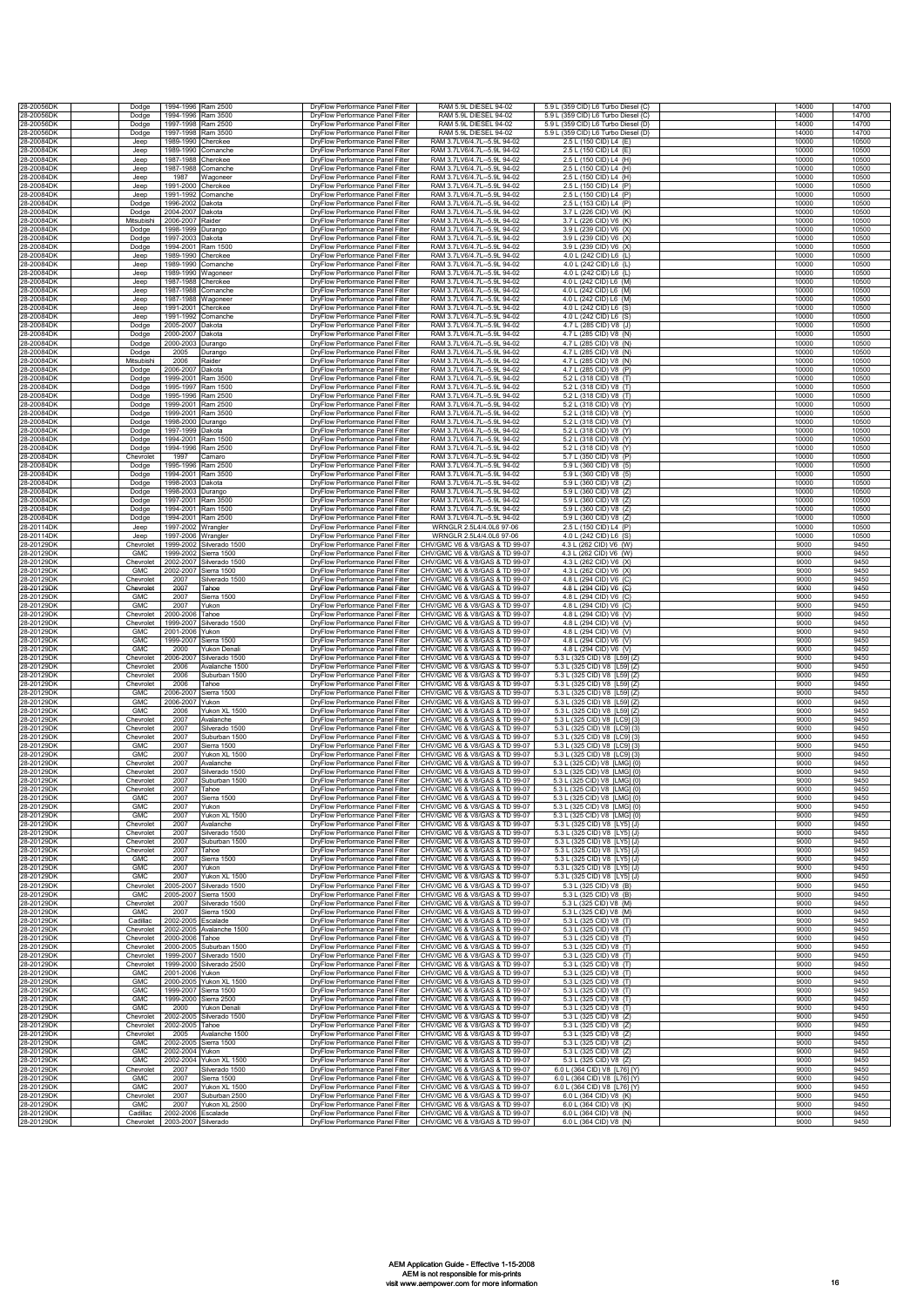| 28-20056DK               | Dodge                    | 1994-1996 Ram 2500              |                                          | DryFlow Performance Panel Filter                                     | RAM 5.9L DIESEL 94-02                                            | 5.9 L (359 CID) L6 Turbo Diesel {C}                           | 14000          | 14700          |
|--------------------------|--------------------------|---------------------------------|------------------------------------------|----------------------------------------------------------------------|------------------------------------------------------------------|---------------------------------------------------------------|----------------|----------------|
| 28-20056DK               | Dodge                    | 1994-1996 Ram 3500              |                                          | DrvFlow Performance Panel Filter                                     | RAM 5.9L DIESEL 94-02                                            | 5.9 L (359 CID) L6 Turbo Diesel {C}                           | 14000          | 14700          |
| 28-20056DK               | Dodge                    | 1997-1998 Ram 2500              |                                          | DryFlow Performance Panel Filter                                     | RAM 5.91 DIFSEL 94-02                                            | 5.9 L (359 CID) L6 Turbo Diesel {D}                           | 14000          | 14700          |
| 28-20056DK<br>28-20084DK | Dodge                    | 1997-1998 Ram 3500<br>1989-1990 | Cherokee                                 | DryFlow Performance Panel Filter<br>DryFlow Performance Panel Filter | RAM 5.9L DIESEL 94-02<br>RAM 3.7LV6/4.7L--5.9L 94-02             | 5.9 L (359 CID) L6 Turbo Diesel {D}<br>2.5 L (150 CID) L4 {E} | 14000<br>10000 | 14700<br>10500 |
| 28-20084DK               | Jeep<br>Jeep             | 1989-1990                       | Comanche                                 | DryFlow Performance Panel Filter                                     | RAM 3 7LV6/4 7L-5 9L 94-02                                       | 2.5 L (150 CID) L4 (E)                                        | 10000          | 10500          |
| 28-20084DK               | Jeep                     | 1987-1988                       | herokee                                  | DryFlow Performance Panel Filter                                     | RAM 3.7LV6/4.7L--5.9L 94-02                                      | 2.5 L (150 CID) L4 {H}                                        | 10000          | 10500          |
| 28-20084DK               | Jeep                     | 1987-1988                       | comanche                                 | DryFlow Performance Panel Filter                                     | RAM 3.7LV6/4.7L--5.9L 94-02                                      | 2.5 L (150 CID) L4 {H}                                        | 10000          | 10500          |
| 28-20084DK<br>28-20084DK | Jeep<br>Jeer             | 1987<br>1991-2000               | Nagoneer<br>Cherokee                     | DryFlow Performance Panel Filter                                     | RAM 3.7LV6/4.7L--5.9L 94-02<br>RAM 3.7LV6/4.7L--5.9L 94-02       | 2.5 L (150 CID) L4 {H}<br>2.5 L (150 CID) L4 {P}              | 10000<br>10000 | 10500<br>10500 |
| 28-20084DK               | Jeer                     | 1991-1992                       | <b>Comanche</b>                          | DryFlow Performance Panel Filter<br>DryFlow Performance Panel Filter | RAM 3 71 V6/4 71 - 5 91 94-02                                    | 2.5 L (150 CID) L4 {P}                                        | 10000          | 10500          |
| 28-20084DK               | Dodge                    | 1996-2002                       | Dakota                                   | DryFlow Performance Panel Filter                                     | RAM 3.7LV6/4.7L--5.9L 94-02                                      | 2.5 L (153 CID) L4 {P}                                        | 10000          | 10500          |
| 28-20084DK               | Dodge                    | 2004-2007                       | Dakota                                   | DryFlow Performance Panel Filter                                     | RAM 3.7LV6/4.7L--5.9L 94-02                                      | 3.7 L (226 CID) V6 {K}                                        | 10000          | 10500          |
| 28-20084DK<br>28-20084DK | Mitsubishi<br>Dodge      | 2006-2007<br>1998-1999          | Raider<br>Durango                        | DryFlow Performance Panel Filter<br>DryFlow Performance Panel Filter | RAM 3.7LV6/4.7L--5.9L 94-02<br>RAM 3.7LV6/4.7L--5.9L 94-02       | 3.7 L (226 CID) V6 {K}<br>3.9 L (239 CID) V6 {X}              | 10000<br>10000 | 10500<br>10500 |
| 28-20084DK               | Dodge                    | 1997-2003                       | <b>Jakota</b>                            | DryFlow Performance Panel Filter                                     | RAM 3.7LV6/4.7L--5.9L 94-02                                      | 3.9 L (239 CID) V6 {X}                                        | 10000          | 10500          |
| 28-20084DK               | Dodge                    | 1994-2001                       | Ram 1500                                 | DryFlow Performance Panel Filter                                     | RAM 3.7LV6/4.7L--5.9L 94-02                                      | 3.9 L (239 CID) V6 {X}                                        | 10000          | 10500          |
| 28-20084DK<br>28-20084DK | Jeep<br>Jeep             | 1989-1990<br>1989-1990          | Cherokee<br>Comanche                     | DryFlow Performance Panel Filter<br>DryFlow Performance Panel Filter | RAM 3.7LV6/4.7L--5.9L 94-02<br>RAM 3.7LV6/4.7L--5.9L 94-02       | 4.0 L (242 CID) L6 {L]<br>4.0 L (242 CID) L6 {L]              | 10000<br>10000 | 10500<br>10500 |
| 28-20084DK               | Jeep                     | 1989-1990                       | Wagoneer                                 | DryFlow Performance Panel Filter                                     | RAM 3.7LV6/4.7L--5.9L 94-02                                      | 4.0 L (242 CID) L6 {L                                         | 10000          | 10500          |
| 28-20084DK               | Jeep                     | 1987-1988                       | Cherokee                                 | DryFlow Performance Panel Filter                                     | RAM 3.7LV6/4.7L--5.9L 94-02                                      | 4.0 L (242 CID) L6 {M}                                        | 10000          | 10500          |
| 28-20084DK<br>28-20084DK | Jeep<br>Jeep             | 1987-1988<br>1987-1988          | Comanche<br>Nagoneer                     | DryFlow Performance Panel Filter<br>DryFlow Performance Panel Filter | RAM 3.7LV6/4.7L--5.9L 94-02<br>RAM 3 7LV6/4 7L-5 9L 94-02        | 4.0 L (242 CID) L6 {M}<br>4.0 L (242 CID) L6 {M}              | 10000<br>10000 | 10500<br>10500 |
| 28-20084DK               | Jeep                     | 1991-2001                       | herokee                                  | DryFlow Performance Panel Filter                                     | RAM 3.7LV6/4.7L--5.9L 94-02                                      | 4.0 L (242 CID) L6 {S]                                        | 10000          | 10500          |
| 28-20084DK               | Jeep                     | 1991-1992                       | comanche                                 | DryFlow Performance Panel Filter                                     | RAM 3.7LV6/4.7L--5.9L 94-02                                      | 4.0 L (242 CID) L6 {S]                                        | 10000          | 10500          |
| 28-20084DK<br>28-20084DK | Dodge<br>Dodge           | 2005-2007 Dakota<br>2000-2007   | <b>Jakota</b>                            | DryFlow Performance Panel Filter<br>DrvFlow Performance Panel Filter | RAM 3.7LV6/4.7L--5.9L 94-02<br>RAM 3.7LV6/4.7L--5.9L 94-02       | 4.7 L (285 CID) V8 {J}<br>4.7 L (285 CID) V8 {N}              | 10000<br>10000 | 10500<br>10500 |
| 28-20084DK               | Dodge                    | 2000-2003                       | Durango                                  | DryFlow Performance Panel Filter                                     | RAM 3.7LV6/4.7L--5.9L 94-02                                      | 4.7 L (285 CID) V8 {N                                         | 10000          | 10500          |
| 28-20084DK               | Dodge                    | 2005                            | Durango                                  | DryFlow Performance Panel Filter                                     | RAM 3.7LV6/4.7L--5.9L 94-02                                      | 4.7 L (285 CID) V8 {N}                                        | 10000          | 10500          |
| 28-20084DK               | Mitsubishi               | 2006                            | Raider                                   | DryFlow Performance Panel Filter                                     | RAM 3.7LV6/4.7L--5.9L 94-02                                      | 4.7 L (285 CID) V8 {N}                                        | 10000          | 10500          |
| 28-20084DK<br>28-20084DK | Dodge<br>Dodge           | 2006-2007<br>1999-2001          | Dakota<br>Ram 3500                       | DryFlow Performance Panel Filter<br>DryFlow Performance Panel Filter | RAM 3.7LV6/4.7L--5.9L 94-02<br>RAM 3.7LV6/4.7L--5.9L 94-02       | 4.7 L (285 CID) V8 {P}<br>5.2 L (318 CID) V8 {T}              | 10000<br>10000 | 10500<br>10500 |
| 28-20084DK               | Dodge                    | 1995-1997                       | Ram 1500                                 | DryFlow Performance Panel Filter                                     | RAM 3.7LV6/4.7L--5.9L 94-02                                      | 5.2 L (318 CID) V8 {T}                                        | 10000          | 10500          |
| 28-20084DK               | Dodge                    | 1995-1996                       | Ram 2500                                 | DryFlow Performance Panel Filter                                     | RAM 3.7LV6/4.7L--5.9L 94-02                                      | 5.2 L (318 CID) V8 {T}                                        | 10000          | 10500          |
| 28-20084DK<br>28-20084DK | Dodge<br>Dodge           | 1999-2001<br>1999-2001          | Ram 2500<br>Ram 3500                     | DryFlow Performance Panel Filter<br>DryFlow Performance Panel Filter | RAM 3 7LV6/4 7L-5 9L94-02<br>RAM 3.7LV6/4.7L--5.9L 94-02         | 5.2 L (318 CID) V8 {Y]<br>5.2 L (318 CID) V8 (Y)              | 10000<br>10000 | 10500<br>10500 |
| 28-20084DK               | Dodge                    | 1998-2000                       | Durango                                  | DryFlow Performance Panel Filter                                     | RAM 3.7LV6/4.7L--5.9L 94-02                                      | 5.2 L (318 CID) V8 {Y}                                        | 10000          | 10500          |
| 28-20084DK               | Dodge                    | 1997-1999 Dakota                |                                          | DryFlow Performance Panel Filter                                     | RAM 3.7LV6/4.7L--5.9L 94-02                                      | 5.2 L (318 CID) V8 {Y}                                        | 10000          | 10500          |
| 28-20084DK<br>28-20084DK | Dodge<br>Dodge           | 1994-2001 Ram 1500<br>1994-1996 | Ram 2500                                 | DryFlow Performance Panel Filter<br>DrvFlow Performance Panel Filter | RAM 3.7LV6/4.7L--5.9L 94-02<br>RAM 3.7LV6/4.7L--5.9L 94-02       | 5.2 L (318 CID) V8 {Y}<br>5.2 L (318 CID) V8 {Y}              | 10000<br>10000 | 10500<br>10500 |
| 28-20084DK               | Chevrolet                | 1997                            | amaro                                    | DryFlow Performance Panel Filter                                     | RAM 3.7LV6/4.7L--5.9L 94-02                                      | 5.7 L (350 CID) V8 {P]                                        | 10000          | 10500          |
| 28-20084DK               | Dodge                    | 1995-1996                       | Ram 2500                                 | DryFlow Performance Panel Filter                                     | RAM 3.7LV6/4.7L--5.9L 94-02                                      | 5.9 L (360 CID) V8 {5}                                        | 10000          | 10500          |
| 28-20084DK<br>28-20084DK | Dodge<br>Dodge           | 1994-2001 Ram 3500<br>1998-2003 | Dakota                                   | DryFlow Performance Panel Filter<br>DrvFlow Performance Panel Filter | RAM 3.7LV6/4.7L--5.9L 94-02<br>RAM 3.7LV6/4.7L--5.9L 94-02       | 5.9 L (360 CID) V8 {5}<br>5.9 L (360 CID) V8 {Z]              | 10000<br>10000 | 10500<br>10500 |
| 28-20084DK               | Dodge                    | 1998-2003                       | Durango                                  | DrvFlow Performance Panel Filter                                     | RAM 3 7LV6/4 7L-5 9L94-02                                        | 5.9 L (360 CID) V8 {Z}                                        | 10000          | 10500          |
| 28-20084DK               | Dodge                    | 1997-2001 Ram 3500              |                                          | DryFlow Performance Panel Filter                                     | RAM 3.7LV6/4.7L--5.9L 94-02                                      | 5.9 L (360 CID) V8 {Z}                                        | 10000          | 10500          |
| 28-20084DK<br>28-20084DK | Dodge<br>Dodge           | 1994-2001 Ram 1500<br>1994-2001 | Ram 2500                                 | DryFlow Performance Panel Filter<br>DryFlow Performance Panel Filter | RAM 3.7LV6/4.7L--5.9L 94-02<br>RAM 3.7LV6/4.7L--5.9L 94-02       | 5.9 L (360 CID) V8 {Z}<br>5.9 L (360 CID) V8 {Z}              | 10000<br>10000 | 10500<br>10500 |
| 28-20114DK               | Jeep                     | 1997-2002                       | Nrangler                                 | DryFlow Performance Panel Filter                                     | WRNGLR 2.5L4/4.0L6 97-06                                         | 2.5 L (150 CID) L4 (P)                                        | 10000          | 10500          |
| 28-20114DK               | Jeep                     | 1997-2006                       | Nrangler                                 | DryFlow Performance Panel Filter                                     | WRNGLR 2.5L4/4.0L6 97-06                                         | 4.0 L (242 CID) L6 {S}                                        | 10000          | 10500          |
| 28-20129DK<br>28-20129DK | Chevrolet<br><b>GMC</b>  | 1999-2002<br>1999-2002          | Silverado 1500                           | DryFlow Performance Panel Filter                                     | CHV/GMC V6 & V8/GAS & TD 99-07<br>CHV/GMC V6 & V8/GAS & TD 99-07 | 4.3 L (262 CID) V6 {W}<br>4.3 L (262 CID) V6 {W]              | 9000<br>9000   | 9450<br>9450   |
| 28-20129DK               | Chevrolet                | 2002-2007                       | Sierra 1500<br>Silverado 1500            | DryFlow Performance Panel Filter<br>DryFlow Performance Panel Filter | CHV/GMC V6 & V8/GAS & TD 99-07                                   | 4.3 L (262 CID) V6 {X}                                        | 9000           | 9450           |
| 28-20129DK               | <b>GMC</b>               | 2002-2007                       | Sierra 1500                              | DryFlow Performance Panel Filter                                     | CHV/GMC V6 & V8/GAS & TD 99-07                                   | 4.3 L (262 CID) V6 {X}                                        | 9000           | 9450           |
| 28-20129DK               | Chevrolet                | 2007<br>2007                    | Silverado 1500                           | DryFlow Performance Panel Filter                                     | CHV/GMC V6 & V8/GAS & TD 99-07                                   | 4.8 L (294 CID) V6 {C}                                        | 9000<br>9000   | 9450<br>9450   |
| 28-20129DK<br>28-20129DK | Chevrolet<br><b>GMC</b>  | 2007                            | Tahoe<br>Sierra 1500                     | DryFlow Performance Panel Filter<br>DryFlow Performance Panel Filter | CHV/GMC V6 & V8/GAS & TD 99-07<br>CHV/GMC V6 & V8/GAS & TD 99-07 | 4.8 L (294 CID) V6 {C}<br>4.8 L (294 CID) V6 {C}              | 9000           | 9450           |
| 28-20129DK               | GMC                      | 2007                            | rukon                                    | DryFlow Performance Panel Filter                                     | CHV/GMC V6 & V8/GAS & TD 99-07                                   | 4.8 L (294 CID) V6 {C}                                        | 9000           | 9450           |
| 28-20129DK<br>28-20129DK | Chevrolet                | 2000-2006<br>1999-2007          | Tahoe                                    | DryFlow Performance Panel Filter                                     | CHV/GMC V6 & V8/GAS & TD 99-07<br>CHV/GMC V6 & V8/GAS & TD 99-07 | 4.8 L (294 CID) V6 {V}                                        | 9000<br>9000   | 9450<br>9450   |
| 28-20129DK               | Chevrolet<br><b>GMC</b>  | 2001-2006                       | Silverado 1500<br>rukon                  | DryFlow Performance Panel Filter<br>DryFlow Performance Panel Filter | CHV/GMC V6 & V8/GAS & TD 99-07                                   | 4.8 L (294 CID) V6 {V}<br>4.8 L (294 CID) V6 {V}              | 9000           | 9450           |
| 28-20129DK               | <b>GMC</b>               | 1999-2007                       | Sierra 1500                              | DrvFlow Performance Panel Filter                                     | CHV/GMC V6 & V8/GAS & TD 99-07                                   | 4.8 L (294 CID) V6 {V}                                        | 9000           | 9450           |
| 28-20129DK               | <b>GMC</b>               | 2000                            | Yukon Denali                             | DryFlow Performance Panel Filter                                     | CHV/GMC V6 & V8/GAS & TD 99-07                                   | 4.8 L (294 CID) V6 {V}                                        | 9000           | 9450<br>9450   |
| 28-20129DK<br>28-20129DK | Chevrolet<br>Chevrolet   | 2006-2007<br>2006               | Silverado 1500<br>Avalanche 1500         | DrvFlow Performance Panel Filter<br>DrvFlow Performance Panel Filter | CHV/GMC V6 & V8/GAS & TD 99-07<br>CHV/GMC V6 & V8/GAS & TD 99-07 | 5.3 L (325 CID) V8 [L59] {Z]<br>5.3 L (325 CID) V8 [L59] {Z]  | 9000<br>9000   | 9450           |
| 28-20129DK               | Chevrolet                | 2006                            | Suburban 1500                            | DryFlow Performance Panel Filter                                     | CHV/GMC V6 & V8/GAS & TD 99-07                                   | 5.3 L (325 CID) V8 IL591 {Z                                   | 9000           | 9450           |
| 28-20129DK               | Chevrolet                | 2006                            | Tahoe                                    | DryFlow Performance Panel Filter                                     | CHV/GMC V6 & V8/GAS & TD 99-07                                   | 5.3 L (325 CID) V8 [L59] {Z                                   | 9000           | 9450           |
| 28-20129DK<br>28-20129DK | <b>GMC</b><br><b>GMC</b> | 2006-2007<br>2006-2007          | Sierra 1500<br>rukon                     | DryFlow Performance Panel Filter<br>DryFlow Performance Panel Filter | CHV/GMC V6 & V8/GAS & TD 99-07<br>CHV/GMC V6 & V8/GAS & TD 99-07 | 5.3 L (325 CID) V8 [L59] {Z}<br>5.3 L (325 CID) V8 [L59] {Z}  | 9000<br>9000   | 9450<br>9450   |
| 28-20129DK               | <b>GMC</b>               | 2006                            | rukon XI 1500                            | DryFlow Performance Panel Filter                                     | CHV/GMC V6 & V8/GAS & TD 99-07                                   | 5.3 L (325 CID) V8 [L59] {Z]                                  | 9000           | 9450           |
| 28-20129DK               | Chevrolet                | 2007                            | Avalanche                                | DryFlow Performance Panel Filter                                     | CHV/GMC V6 & V8/GAS & TD 99-07                                   | 5.3 L (325 CID) V8 [LC9] {3}                                  | 9000           | 9450           |
| 28-20129DK<br>28-20129DK | Chevrolet<br>Chevrolet   | 2007<br>2007                    | Silverado 1500<br>Suburban 1500          | DryFlow Performance Panel Filter<br>DryFlow Performance Panel Filter | CHV/GMC V6 & V8/GAS & TD 99-07<br>CHV/GMC V6 & V8/GAS & TD 99-07 | 5.3 L (325 CID) V8 [LC9] {3}<br>5.3 L (325 CID) V8 [LC9] {3}  | 9000<br>9000   | 9450<br>9450   |
| 28-20129DK               | <b>GMC</b>               | 2007                            | Sierra 1500                              | DryFlow Performance Panel Filter                                     | CHV/GMC V6 & V8/GAS & TD 99-07                                   | 5.3 L (325 CID) V8 ILC91 (3)                                  | 9000           | 9450           |
| 28-20129DK               | GMC                      | 2007                            | rukon XL 1500                            | DryFlow Performance Panel Filter                                     | CHV/GMC V6 & V8/GAS & TD 99-07                                   | 5.3 L (325 CID) V8 [LC9] {3]                                  | 9000           | 9450           |
| 28-20129DK<br>28-20129DK | Chevrolet<br>Chevrolet   | 2007<br>2007                    | Avalanche<br>Silverado 1500              | DryFlow Performance Panel Filter<br>DryFlow Performance Panel Filter | CHV/GMC V6 & V8/GAS & TD 99-07<br>CHV/GMC V6 & V8/GAS & TD 99-07 | 5.3 L (325 CID) V8 [LMG] {0<br>5.3 L (325 CID) V8 [LMG] {0    | 9000<br>9000   | 9450<br>9450   |
| 28-20129DK               | Chevrolet                | 2007                            | Suburban 1500                            | DryFlow Performance Panel Filter                                     | CHV/GMC V6 & V8/GAS & TD 99-07                                   | 5.3 L (325 CID) V8 [LMG] {0                                   | 9000           | 9450           |
| 28-20129DK               | Chevrolet                | 2007                            | Tahoe                                    | DryFlow Performance Panel Filter                                     | CHV/GMC V6 & V8/GAS & TD 99-07                                   | 5.3 L (325 CID) V8 [LMG] {0]                                  | 9000           | 9450           |
| 28-20129DM<br>28-20129DK | GMC<br><b>GMC</b>        | 2007<br>2007                    | Sierra 1500<br>Yukon                     | DryFlow Performance Panel Filter<br>DryFlow Performance Panel Filter | CHV/GMC V6 & V8/GAS & TD 99-07<br>CHV/GMC V6 & V8/GAS & TD 99-07 | 5.3 L (325 CID) V8 ILMG1 (0<br>5.3 L (325 CID) V8 [LMG] {0}   | 9000<br>9000   | 9450<br>9450   |
| 28-20129DK               | <b>GMC</b>               | 2007                            | Yukon XL 1500                            | DryFlow Performance Panel Filter                                     | CHV/GMC V6 & V8/GAS & TD 99-07                                   | 5.3 L (325 CID) V8 [LMG] {0                                   | 9000           | 9450           |
| 28-20129DK               | Chevrolet                | 2007                            | Avalanche                                | DryFlow Performance Panel Filter                                     | CHV/GMC V6 & V8/GAS & TD 99-07                                   | 5.3 L (325 CID) V8 [LY5] {J]                                  | 9000           | 9450           |
| 28-20129DK<br>28-20129DK | Chevrolet<br>Chevrolet   | 2007<br>2007                    | Silverado 1500<br>Suburban 1500          | DryFlow Performance Panel Filter<br>DryFlow Performance Panel Filter | CHV/GMC V6 & V8/GAS & TD 99-07<br>CHV/GMC V6 & V8/GAS & TD 99-07 | 5.3 L (325 CID) V8 [LY5] {J<br>5.3 L (325 CID) V8 [LY5] {J}   | 9000<br>9000   | 9450<br>9450   |
| 28-20129DK               | Chevrolet                | 2007                            | Tahoe                                    | DryFlow Performance Panel Filter                                     | CHV/GMC V6 & V8/GAS & TD 99-07                                   | 5.3 L (325 CID) V8 [LY5] {J}                                  | 9000           | 9450           |
| 28-20129DK               | <b>GMC</b>               | 2007                            | Sierra 1500                              | DryFlow Performance Panel Filter                                     | CHV/GMC V6 & V8/GAS & TD 99-07                                   | 5.3 L (325 CID) V8 [LY5] {J}                                  | 9000           | 9450           |
| 28-20129DK<br>28-20129DK | GMC<br>GMC               | 2007<br>2007                    | Yukon<br>Yukon XL 1500                   | DryFlow Performance Panel Filter<br>DryFlow Performance Panel Filter | CHV/GMC V6 & V8/GAS & TD 99-07<br>CHV/GMC V6 & V8/GAS & TD 99-07 | 5.3 L (325 CID) V8 [LY5] {J}<br>5.3 L (325 CID) V8 [LY5] {J}  | 9000<br>9000   | 9450<br>9450   |
| 28-20129DK               | Chevrolet                | 2005-2007                       | Silverado 1500                           | DryFlow Performance Panel Filter                                     | CHV/GMC V6 & V8/GAS & TD 99-07                                   | 5.3 L (325 CID) V8 {B}                                        | 9000           | 9450           |
| 28-20129DK<br>28-20129DK | GMC                      | 2005-2007                       | Sierra 1500                              | DryFlow Performance Panel Filter                                     | CHV/GMC V6 & V8/GAS & TD 99-07                                   | 5.3 L (325 CID) V8 {B}                                        | 9000           | 9450           |
| 28-20129DK               | Chevrolet<br><b>GMC</b>  | 2007<br>2007                    | Silverado 1500<br>Sierra 1500            | DryFlow Performance Panel Filter<br>DryFlow Performance Panel Filter | CHV/GMC V6 & V8/GAS & TD 99-07<br>CHV/GMC V6 & V8/GAS & TD 99-07 | 5.3 L (325 CID) V8 {M}<br>5.3 L (325 CID) V8 {M}              | 9000<br>9000   | 9450<br>9450   |
| 28-20129DK               | Cadillac                 | 2002-2005                       | Escalade                                 | DryFlow Performance Panel Filter                                     | CHV/GMC V6 & V8/GAS & TD 99-07                                   | 5.3 L (325 CID) V8 {T}                                        | 9000           | 9450           |
| 28-20129DK               | Chevrolet                |                                 | 2002-2005 Avalanche 1500                 | DryFlow Performance Panel Filter                                     | CHV/GMC V6 & V8/GAS & TD 99-07                                   | 5.3 L (325 CID) V8 {T}                                        | 9000           | 9450           |
| 28-20129DK<br>28-20129DK | Chevrolet<br>Chevrolet   | 2000-2006 Tahoe                 | 2000-2005 Suburban 1500                  | DryFlow Performance Panel Filter<br>DryFlow Performance Panel Filter | CHV/GMC V6 & V8/GAS & TD 99-07<br>CHV/GMC V6 & V8/GAS & TD 99-07 | 5.3 L (325 CID) V8 {T}<br>5.3 L (325 CID) V8 {T}              | 9000<br>9000   | 9450<br>9450   |
| 28-20129DK               | Chevrolet                |                                 | 1999-2007 Silverado 1500                 | DryFlow Performance Panel Filter                                     | CHV/GMC V6 & V8/GAS & TD 99-07                                   | 5.3 L (325 CID) V8 {T}                                        | 9000           | 9450           |
| 28-20129DK               | Chevrolet                |                                 | 1999-2000 Silverado 2500                 | DrvFlow Performance Panel Filter                                     | CHV/GMC V6 & V8/GAS & TD 99-07                                   | 5.3 L (325 CID) V8 {T}                                        | 9000           | 9450           |
| 28-20129DK<br>28-20129DK | <b>GMC</b><br><b>GMC</b> | 2001-2006 Yukon                 | 2000-2005 Yukon XL 1500                  | DryFlow Performance Panel Filter<br>DryFlow Performance Panel Filter | CHV/GMC V6 & V8/GAS & TD 99-07<br>CHV/GMC V6 & V8/GAS & TD 99-07 | 5.3 L (325 CID) V8 {T}<br>5.3 L (325 CID) V8 {T}              | 9000<br>9000   | 9450<br>9450   |
| 28-20129DK               | <b>GMC</b>               | 1999-2007                       | Sierra 1500                              | DryFlow Performance Panel Filter                                     | CHV/GMC V6 & V8/GAS & TD 99-07                                   | 5.3 L (325 CID) V8 {T}                                        | 9000           | 9450           |
| 28-20129DK               | <b>GMC</b>               | 1999-2000                       | Sierra 2500                              | DryFlow Performance Panel Filter                                     | CHV/GMC V6 & V8/GAS & TD 99-07                                   | 5.3 L (325 CID) V8 {T}                                        | 9000           | 9450           |
| 28-20129DK<br>28-20129DK | <b>GMC</b><br>Chevrolet  | 2000                            | Yukon Denali<br>2002-2005 Silverado 1500 | DryFlow Performance Panel Filter<br>DryFlow Performance Panel Filter | CHV/GMC V6 & V8/GAS & TD 99-07<br>CHV/GMC V6 & V8/GAS & TD 99-07 | 5.3 L (325 CID) V8 {T}<br>5.3 L (325 CID) V8 {Z}              | 9000<br>9000   | 9450<br>9450   |
| 28-20129DK               | Chevrolet                | 2002-2005 Tahoe                 |                                          | DryFlow Performance Panel Filter                                     | CHV/GMC V6 & V8/GAS & TD 99-07                                   | 5.3 L (325 CID) V8 {Z}                                        | 9000           | 9450           |
| 28-20129DK               | Chevrolet                | 2005                            | Avalanche 1500                           | DrvFlow Performance Panel Filter                                     | CHV/GMC V6 & V8/GAS & TD 99-07                                   | 5.3 L (325 CID) V8 {Z}                                        | 9000           | 9450           |
| 28-20129DK<br>28-20129DK | <b>GMC</b><br><b>GMC</b> | 2002-2005<br>2002-2004          | Sierra 1500<br>Yukon                     | DryFlow Performance Panel Filter<br>DryFlow Performance Panel Filter | CHV/GMC V6 & V8/GAS & TD 99-07<br>CHV/GMC V6 & V8/GAS & TD 99-07 | 5.3 L (325 CID) V8 {Z}<br>5.3 L (325 CID) V8 {Z}              | 9000<br>9000   | 9450<br>9450   |
| 28-20129DK               | <b>GMC</b>               |                                 | 2002-2004 Yukon XL 1500                  | DryFlow Performance Panel Filter                                     | CHV/GMC V6 & V8/GAS & TD 99-07                                   | 5.3 L (325 CID) V8 {Z}                                        | 9000           | 9450           |
| 28-20129DK               | Chevrolet                | 2007                            | Silverado 1500                           | DrvFlow Performance Panel Filter                                     | CHV/GMC V6 & V8/GAS & TD 99-07                                   | 6.0 L (364 CID) V8 [L76] {Y                                   | 9000           | 9450           |
| 28-20129DK<br>28-20129DK | <b>GMC</b><br>GMC        | 2007<br>2007                    | Sierra 1500<br>Yukon XL 1500             | DryFlow Performance Panel Filter<br>DryFlow Performance Panel Filter | CHV/GMC V6 & V8/GAS & TD 99-07<br>CHV/GMC V6 & V8/GAS & TD 99-07 | 6.0 L (364 CID) V8 IL761 (Y)<br>6.0 L (364 CID) V8 [L76] {Y}  | 9000<br>9000   | 9450<br>9450   |
| 28-20129DK               | Chevrolet                | 2007                            | Suburban 2500                            | DrvFlow Performance Panel Filter                                     | CHV/GMC V6 & V8/GAS & TD 99-07                                   | 6.0 L (364 CID) V8 {K}                                        | 9000           | 9450           |
| 28-20129DK               | <b>GMC</b>               | 2007                            | Yukon XL 2500                            | DrvFlow Performance Panel Filter                                     | CHV/GMC V6 & V8/GAS & TD 99-07                                   | 6.0 L (364 CID) V8 {K}                                        | 9000           | 9450           |
| 28-20129DK               | Cadillac                 | 2002-2006                       | Escalade                                 | DryFlow Performance Panel Filter                                     | CHV/GMC V6 & V8/GAS & TD 99-07                                   | 6.0 L (364 CID) V8 {N}                                        | 9000<br>9000   | 9450<br>9450   |
| 28-20129DK               |                          | Chevrolet 2003-2007 Silverado   |                                          | DryFlow Performance Panel Filter                                     | CHV/GMC V6 & V8/GAS & TD 99-07                                   | 6.0 L (364 CID) V8 {N}                                        |                |                |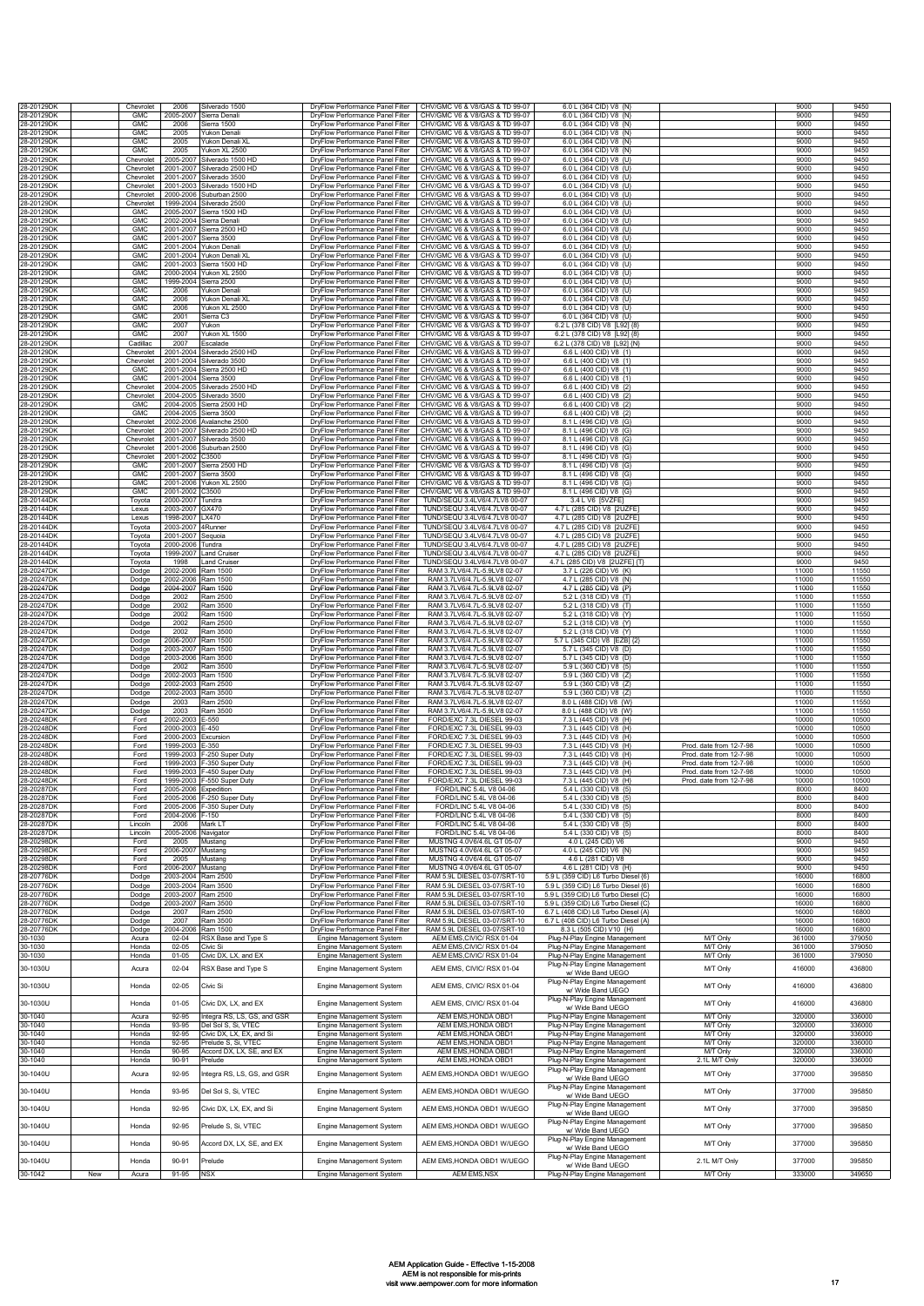| 28-20129DK               |     | Chevrolet                | 2006                   | Silverado 1500                                           | DryFlow Performance Panel Filter                                     | CHV/GMC V6 & V8/GAS & TD 99-07                                   | 6.0 L (364 CID) V8 {N}                                                     |                                                    | 9000             | 9450             |
|--------------------------|-----|--------------------------|------------------------|----------------------------------------------------------|----------------------------------------------------------------------|------------------------------------------------------------------|----------------------------------------------------------------------------|----------------------------------------------------|------------------|------------------|
| 28-20129DK<br>28-20129DK |     | <b>GMC</b><br>GMC        | 2005-2007<br>2006      | Sierra Denal<br>Sierra 1500                              | DryFlow Performance Panel Filter<br>DryFlow Performance Panel Filter | CHV/GMC V6 & V8/GAS & TD 99-07<br>CHV/GMC V6 & V8/GAS & TD 99-07 | 6.0 L (364 CID) V8 {N'<br>6.0 L (364 CID) V8 {N}                           |                                                    | 9000<br>9000     | 9450<br>9450     |
| 28-20129DK               |     | <b>GMC</b>               | 2005                   | Yukon Denali                                             | DryFlow Performance Panel Filter                                     | CHV/GMC V6 & V8/GAS & TD 99-07                                   | 6.0 L (364 CID) V8 {N}                                                     |                                                    | 9000             | 9450             |
| 28-20129DK<br>28-20129DK |     | <b>GMC</b><br><b>GMC</b> | 2005<br>2005           | Yukon Denali XI<br>Yukon XL 2500                         | DryFlow Performance Panel Filter<br>DryFlow Performance Panel Filter | CHV/GMC V6 & V8/GAS & TD 99-07<br>CHV/GMC V6 & V8/GAS & TD 99-07 | 6.0 L (364 CID) V8 {N}<br>6.0 L (364 CID) V8 {N}                           |                                                    | 9000<br>9000     | 9450<br>9450     |
| 28-20129DK               |     | Chevrolet                | 2005-2007              | Silverado 1500 HD                                        | DryFlow Performance Panel Filter                                     | CHV/GMC V6 & V8/GAS & TD 99-07                                   | 6.0 L (364 CID) V8 {U}                                                     |                                                    | 9000             | 9450             |
| 28-20129DK<br>28-20129DK |     | Chevrolet                | 2001-2007              | Silverado 2500 HD                                        | DryFlow Performance Panel Filter                                     | CHV/GMC V6 & V8/GAS & TD 99-07                                   | 6.0 L (364 CID) V8 {U}                                                     |                                                    | 9000<br>9000     | 9450<br>9450     |
| 28-20129DK               |     | Chevrolet<br>Chevrolet   | 2001-2007<br>2001-2003 | Silverado 3500<br>Silverado 1500 HD                      | DryFlow Performance Panel Filter<br>DryFlow Performance Panel Filter | CHV/GMC V6 & V8/GAS & TD 99-07<br>CHV/GMC V6 & V8/GAS & TD 99-07 | 6.0 L (364 CID) V8 {U}<br>6.0 L (364 CID) V8 {U}                           |                                                    | 9000             | 9450             |
| 28-20129DK               |     | Chevrolet<br>Chevrolet   | 2000-2006<br>1999-2004 | Suburban 2500                                            | DryFlow Performance Panel Filter<br>DryFlow Performance Panel Filter | CHV/GMC V6 & V8/GAS & TD 99-07<br>CHV/GMC V6 & V8/GAS & TD 99-07 | 6.0 L (364 CID) V8 {U}<br>6.0 L (364 CID) V8 {U}                           |                                                    | 9000<br>9000     | 9450<br>9450     |
| 28-20129DK<br>28-20129DK |     | GMC                      | 2005-2007              | Silverado 2500<br>Sierra 1500 HD                         | DryFlow Performance Panel Filter                                     | CHV/GMC V6 & V8/GAS & TD 99-07                                   | 6.0 L (364 CID) V8 {U}                                                     |                                                    | 9000             | 9450             |
| 28-20129DK               |     | GMC                      | 2002-2004              | Sierra Denali                                            | DryFlow Performance Panel Filter                                     | CHV/GMC V6 & V8/GAS & TD 99-07                                   | 6.0 L (364 CID) V8 {U}                                                     |                                                    | 9000             | 9450             |
| 28-20129DK<br>28-20129DK |     | GMC<br>GMC               | 2001-2007<br>2001-2007 | Sierra 2500 HD<br>Sierra 3500                            | DrvFlow Performance Panel Filter<br>DryFlow Performance Panel Filter | CHV/GMC V6 & V8/GAS & TD 99-07<br>CHV/GMC V6 & V8/GAS & TD 99-07 | 6.0 L (364 CID) V8 {U}<br>6.0 L (364 CID) V8 {U}                           |                                                    | 9000<br>9000     | 9450<br>9450     |
| 28-20129DK               |     | GMC                      | 2001-2004              | 'ukon Denali                                             | DryFlow Performance Panel Filter                                     | CHV/GMC V6 & V8/GAS & TD 99-07                                   | 6.0 L (364 CID) V8 {U}                                                     |                                                    | 9000             | 9450             |
| 28-20129DK<br>28-20129DK |     | GMC<br><b>GMC</b>        | 2001-2004<br>2001-2003 | Yukon Denali XL<br>Sierra 1500 HD                        | DryFlow Performance Panel Filter<br>DryFlow Performance Panel Filter | CHV/GMC V6 & V8/GAS & TD 99-07<br>CHV/GMC V6 & V8/GAS & TD 99-07 | 6.0 L (364 CID) V8 {U}<br>6.0 L (364 CID) V8 {U}                           |                                                    | 9000<br>9000     | 9450<br>9450     |
| 28-20129DK               |     | GMC                      | 2000-2004              | rukon XL 2500                                            | <b>DrvFlow Performance Panel Filter</b>                              | CHV/GMC V6 & V8/GAS & TD 99-07                                   | 6.0 L (364 CID) V8 {U]                                                     |                                                    | 9000             | 9450             |
| 28-20129DK<br>28-20129DK |     | <b>GMC</b><br>GMC        | 1999-2004<br>2006      | Sierra 2500<br>Yukon Denal                               | DryFlow Performance Panel Filter<br>DryFlow Performance Panel Filter | CHV/GMC V6 & V8/GAS & TD 99-07<br>CHV/GMC V6 & V8/GAS & TD 99-07 | 6.0 L (364 CID) V8 {U}<br>6.0 L (364 CID) V8 {U}                           |                                                    | 9000<br>9000     | 9450<br>9450     |
| 28-20129DK               |     | <b>GMC</b>               | 2006                   | Yukon Denali XL                                          | DryFlow Performance Panel Filter                                     | CHV/GMC V6 & V8/GAS & TD 99-07                                   | 6.0 L (364 CID) V8 {U}                                                     |                                                    | 9000             | 9450             |
| 28-20129DK<br>28-20129DK |     | <b>GMC</b><br>GMC        | 2006<br>2001           | ukon XL 2500<br>Sierra C3                                | DryFlow Performance Panel Filter<br>DryFlow Performance Panel Filter | CHV/GMC V6 & V8/GAS & TD 99-07<br>CHV/GMC V6 & V8/GAS & TD 99-07 | 6.0 L (364 CID) V8 {U}<br>6.0 L (364 CID) V8 {U}                           |                                                    | 9000<br>9000     | 9450<br>9450     |
| 28-20129DK<br>28-20129DK |     | <b>GMC</b><br><b>GMC</b> | 2007<br>2007           | Yukon<br>Yukon XL 1500                                   | DryFlow Performance Panel Filter<br>DryFlow Performance Panel Filter | CHV/GMC V6 & V8/GAS & TD 99-07<br>CHV/GMC V6 & V8/GAS & TD 99-07 | 6.2 L (378 CID) V8 [L92] {8<br>6.2 L (378 CID) V8 [L92] {8]                |                                                    | 9000<br>9000     | 9450<br>9450     |
| 28-20129DK               |     | Cadillac                 | 2007                   | Escalade                                                 | DryFlow Performance Panel Filter                                     | CHV/GMC V6 & V8/GAS & TD 99-07                                   | 6.2 L (378 CID) V8 IL921 (N                                                |                                                    | 9000             | 9450             |
| 28-20129DK               |     | Chevrolet                | 2001-2004              | Silverado 2500 HD                                        | DryFlow Performance Panel Filter                                     | CHV/GMC V6 & V8/GAS & TD 99-07                                   | 6.6 L (400 CID) V8 {1}                                                     |                                                    | 9000             | 9450             |
| 28-20129DK<br>28-20129DK |     | Chevrolet<br>GMC         | 2001-2004<br>2001-2004 | Silverado 3500<br>Sierra 2500 HD                         | DryFlow Performance Panel Filter<br>DrvFlow Performance Panel Filter | CHV/GMC V6 & V8/GAS & TD 99-07<br>CHV/GMC V6 & V8/GAS & TD 99-07 | 6.6 L (400 CID) V8 {1}<br>6.6 L (400 CID) V8 {1}                           |                                                    | 9000<br>9000     | 9450<br>9450     |
| 28-20129DK               |     | GMC                      | 2001-2004              | Sierra 3500                                              | DryFlow Performance Panel Filter                                     | CHV/GMC V6 & V8/GAS & TD 99-07                                   | 6.6 L (400 CID) V8 {1}                                                     |                                                    | 9000             | 9450             |
| 28-20129DK<br>28-20129DK |     | Chevrolet<br>Chevrolet   | 2004-2005<br>2004-2005 | Silverado 2500 HD<br>Silverado 3500                      | DryFlow Performance Panel Filter<br>DryFlow Performance Panel Filter | CHV/GMC V6 & V8/GAS & TD 99-07<br>CHV/GMC V6 & V8/GAS & TD 99-07 | 6.6 L (400 CID) V8 {2}<br>6.6 L (400 CID) V8 {2}                           |                                                    | 9000<br>9000     | 9450<br>9450     |
| 28-20129DK               |     | GMC<br><b>GMC</b>        | 2004-2005              | Sierra 2500 HD                                           | DryFlow Performance Panel Filter                                     | CHV/GMC V6 & V8/GAS & TD 99-07                                   | 6.6 L (400 CID) V8 {2}                                                     |                                                    | 9000             | 9450             |
| 28-20129DK<br>28-20129DK |     | Chevrolet                | 2004-2005<br>2002-2006 | Sierra 3500<br>Avalanche 2500                            | DryFlow Performance Panel Filter<br>DryFlow Performance Panel Filter | CHV/GMC V6 & V8/GAS & TD 99-07<br>CHV/GMC V6 & V8/GAS & TD 99-07 | 6.6 L (400 CID) V8 {2}<br>8.1 L (496 CID) V8 {G}                           |                                                    | 9000<br>9000     | 9450<br>9450     |
| 28-20129DK               |     | Chevrolet                | 2001-2007              | Silverado 2500 HD                                        | DryFlow Performance Panel Filter                                     | CHV/GMC V6 & V8/GAS & TD 99-07                                   | 8.1 L (496 CID) V8 {G}                                                     |                                                    | 9000             | 9450             |
| 28-20129DK<br>28-20129DK |     | Chevrolet<br>Chevrolet   | 2001-2007<br>2001-2006 | Silverado 3500<br>Suburban 2500                          | DryFlow Performance Panel Filter<br>DryFlow Performance Panel Filter | CHV/GMC V6 & V8/GAS & TD 99-07<br>CHV/GMC V6 & V8/GAS & TD 99-07 | 8.1 L (496 CID) V8 {G}<br>8.1 L (496 CID) V8 {G}                           |                                                    | 9000<br>9000     | 9450<br>9450     |
| 28-20129DK               |     | Chevrolet                | 2001-2002              | 3500                                                     | DryFlow Performance Panel Filter                                     | CHV/GMC V6 & V8/GAS & TD 99-07                                   | 8.1 L (496 CID) V8 (G)                                                     |                                                    | 9000             | 9450             |
| 28-20129DK<br>28-20129DK |     | GMC<br><b>GMC</b>        | 2001-2007<br>2001-2007 | Sierra 2500 HD<br>Sierra 3500                            | DryFlow Performance Panel Filter<br>DryFlow Performance Panel Filter | CHV/GMC V6 & V8/GAS & TD 99-07<br>CHV/GMC V6 & V8/GAS & TD 99-07 | 8.1 L (496 CID) V8 {G]<br>8.1 L (496 CID) V8 {G}                           |                                                    | 9000<br>9000     | 9450<br>9450     |
| 28-20129DK               |     | GMC                      | 2001-2006              | Yukon XL 2500                                            | DryFlow Performance Panel Filter                                     | CHV/GMC V6 & V8/GAS & TD 99-07                                   | 8.1 L (496 CID) V8 {G)                                                     |                                                    | 9000             | 9450             |
| 28-20129DK<br>28-20144DK |     | GMC<br>Toyota            | 2001-2002<br>2000-2007 | 3500<br>Tundra                                           | DrvFlow Performance Panel Filter<br>DryFlow Performance Panel Filter | CHV/GMC V6 & V8/GAS & TD 99-07<br>TUND/SEQU 3.4LV6/4.7LV8 00-07  | 8.1 L (496 CID) V8 (G)<br>3.4 L V6 [5VZFE]                                 |                                                    | 9000<br>9000     | 9450<br>9450     |
| 28-20144DK<br>28-20144DK |     | Lexus<br>Lexus           | 2003-2007<br>1998-2007 | GX470<br>X470                                            | DryFlow Performance Panel Filter<br>DryFlow Performance Panel Filter | TUND/SEQU 3.4LV6/4.7LV8 00-07<br>TUND/SFOU 3 4LV6/4 7LV8 00-07   | 4.7 L (285 CID) V8 [2UZFE]<br>471 (285 CID) V8 [2UZFF                      |                                                    | 9000<br>9000     | 9450<br>9450     |
| 28-20144DK               |     | Toyota                   | 2003-2007              | 4Runner                                                  | DryFlow Performance Panel Filter                                     | TUND/SEQU 3.4LV6/4.7LV8 00-07                                    | 471 (285 CID) V8 [2UZEE                                                    |                                                    | 9000             | 9450             |
| 28-20144DK               |     | Toyota                   | 2001-2007              | Sequoia                                                  | DryFlow Performance Panel Filter                                     | TUND/SEQU 3.4LV6/4.7LV8 00-07                                    | 4.7 L (285 CID) V8 [2UZFE                                                  |                                                    | 9000             | 9450             |
| 28-20144DK<br>28-20144DK |     | Toyota<br>Toyota         | 2000-2006<br>1999-2007 | Tundra<br>and Cruiser                                    | DryFlow Performance Panel Filter<br>DryFlow Performance Panel Filter | TUND/SEQU 3.4LV6/4.7LV8 00-07<br>TUND/SEQU 3.4LV6/4.7LV8 00-07   | 4.7 L (285 CID) V8 [2UZFE]<br>4.7 L (285 CID) V8 I2UZFE                    |                                                    | 9000<br>9000     | 9450<br>9450     |
| 28-20144DK               |     | Tovota                   | 1998                   | and Cruiser                                              | <b>DrvFlow Performance Panel Filter</b>                              | TUND/SEQU 3.4LV6/4.7LV8 00-07                                    | 4.7 L (285 CID) V8 [2UZFE] {T]                                             |                                                    | 9000             | 9450             |
| 28-20247DK<br>28-20247DK |     | Dodge<br>Dodge           | 2002-2006<br>2002-2006 | Ram 1500<br>Ram 1500                                     | DryFlow Performance Panel Filter<br>DryFlow Performance Panel Filter | RAM 3.7LV6/4.7L-5.9LV8 02-07<br>RAM 3.7LV6/4.7L-5.9LV8 02-07     | 3.7 L (226 CID) V6 {K]<br>4.7 L (285 CID) V8 {N}                           |                                                    | 11000<br>11000   | 11550<br>11550   |
| 28-20247DK               |     | Dodge                    | 2004-2007<br>2002      | Ram 1500<br>Ram 2500                                     | DryFlow Performance Panel Filter<br>DryFlow Performance Panel Filter | RAM 3.7LV6/4.7L-5.9LV8 02-07<br>RAM 3.7LV6/4.7L-5.9LV8 02-07     | 4.7 L (285 CID) V8 (P)<br>5.2 L (318 CID) V8 {T]                           |                                                    | 11000<br>11000   | 11550<br>11550   |
| 28-20247DK<br>28-20247DK |     | Dodge<br>Dodge           | 2002                   | Ram 3500                                                 | DryFlow Performance Panel Filter                                     | RAM 3.7LV6/4.7L-5.9LV8 02-07                                     | 5.2 L (318 CID) V8 {T}                                                     |                                                    | 11000            | 11550            |
| 28-20247DK<br>28-20247DK |     | Dodge                    | 2002                   | Ram 1500                                                 | DryFlow Performance Panel Filter                                     | RAM 3.7LV6/4.7L-5.9LV8 02-07                                     | 5.2 L (318 CID) V8 {Y]                                                     |                                                    | 11000<br>11000   | 11550<br>11550   |
| 28-20247DK               |     | Dodge<br>Dodge           | 2002<br>2002           | Ram 2500<br>Ram 3500                                     | DryFlow Performance Panel Filter<br>DryFlow Performance Panel Filter | RAM 3.7LV6/4.7L-5.9LV8 02-07<br>RAM 3.7LV6/4.7L-5.9LV8 02-07     | 5.2 L (318 CID) V8 {Y]<br>5.2 L (318 CID) V8 {Y]                           |                                                    | 11000            | 11550            |
| 28-20247DK<br>28-20247DK |     | Dodge<br>Dodge           | 2006-200<br>2003-2007  | Ram 1500<br>Ram 1500                                     | DryFlow Performance Panel Filter<br>DryFlow Performance Panel Filter | RAM 3.7LV6/4.7L-5.9LV8 02-07<br>RAM 3.7LV6/4.7L-5.9LV8 02-07     | 5.7 L (345 CID) V8 IEZB1 (2<br>5.7 L (345 CID) V8 {D}                      |                                                    | 11000<br>11000   | 11550<br>11550   |
| 28-20247DK               |     | Dodge                    | 2003-2006              | Ram 3500                                                 | DryFlow Performance Panel Filter                                     | RAM 3.7LV6/4.7L-5.9LV8 02-07                                     | 5.7 L (345 CID) V8 {D}                                                     |                                                    | 11000            | 11550            |
| 28-20247DK               |     | Dodge                    | 2002                   | Ram 3500                                                 | DryFlow Performance Panel Filter                                     | RAM 3.7LV6/4.7L-5.9LV8 02-07<br>RAM 3.7LV6/4.7L-5.9LV8 02-07     | 5.9 L (360 CID) V8 {5}<br>5.9 L (360 CID) V8 {Z]                           |                                                    | 11000<br>11000   | 11550<br>11550   |
| 28-20247DK<br>28-20247DK |     | Dodge<br>Dodge           | 2002-2003<br>2002-2003 | Ram 1500<br>Ram 2500                                     | DryFlow Performance Panel Filter<br>DryFlow Performance Panel Filter | RAM 3.7LV6/4.7L-5.9LV8 02-07                                     | 5.9 L (360 CID) V8 {Z}                                                     |                                                    | 11000            | 11550            |
| 28-20247DK               |     | Dodge                    | 2002-2003<br>2003      | Ram 3500<br>Ram 2500                                     | DryFlow Performance Panel Filter<br>DryFlow Performance Panel Filter | RAM 3.7LV6/4.7L-5.9LV8 02-07<br>RAM 3.7LV6/4.7L-5.9LV8 02-07     | 5.9 L (360 CID) V8 {Z}<br>8.0 L (488 CID) V8 {W)                           |                                                    | 11000<br>11000   | 11550<br>11550   |
| 28-20247DK<br>28-20247DK |     | Dodge<br>Dodge           | 2003                   | Ram 3500                                                 | DryFlow Performance Panel Filter                                     | RAM 3 7LV6/4 7L-5 9LV8 02-07                                     | 8.0 L (488 CID) V8 {W]                                                     |                                                    | 11000            | 11550            |
| 28-20248DK               |     | Ford                     | 2002-2003              | E-550<br>$-450$                                          | DryFlow Performance Panel Filter<br>DryFlow Performance Panel Filter | FORD/EXC 7.3L DIESEL 99-03<br>FORD/EXC 7.3L DIESEL 99-03         | 7.3 L (445 CID) V8 {H}                                                     |                                                    | 10000<br>10000   | 10500<br>10500   |
| 28-20248DK<br>28-20248DK |     | Ford<br>Ford             | 2000-2003<br>2000-2003 | Excursion                                                | DryFlow Performance Panel Filter                                     | FORD/EXC 7.3L DIESEL 99-03                                       | 7.3 L (445 CID) V8 {H}<br>7.3 L (445 CID) V8 {H}                           |                                                    | 10000            | 10500            |
| 28-20248DK               |     | Ford                     | 1999-2003              | $-350$                                                   | DryFlow Performance Panel Filter                                     | FORD/EXC 7.3L DIESEL 99-03                                       | 7.3 L (445 CID) V8 {H}<br>7.3   (445 CID) V8 (H)                           | Prod. date from 12-7-98<br>Prod. date from 12-7-98 | 10000<br>10000   | 10500<br>10500   |
| 28-20248DK<br>28-20248DK |     | Ford<br>Ford             | 1999-2003<br>1999-2003 | 250 Super Duty<br>-350 Super Duty                        | DryFlow Performance Panel Filter<br>DryFlow Performance Panel Filter | FORD/EXC 7.3L DIESEL 99-03<br>FORD/EXC 7.3L DIESEL 99-03         | 7.3 L (445 CID) V8 {H}                                                     | Prod. date from 12-7-98                            | 10000            | 10500            |
| 28-20248DK               |     | Ford                     | 1999-2003              | -450 Super Duty<br>-550 Super Duty                       | DryFlow Performance Panel Filter<br>DrvFlow Performance Panel Filter | FORD/EXC 7.3L DIESEL 99-03                                       | 7.3 L (445 CID) V8 {H}                                                     | Prod. date from 12-7-98                            | 10000            | 10500            |
| 28-20248DK<br>28-20287DK |     | Ford<br>Ford             | 1999-2003<br>2005-2006 | <b>xpedition</b>                                         | DryFlow Performance Panel Filter                                     | FORD/EXC 7.3L DIESEL 99-03<br>FORD/LINC 5.4L V8 04-06            | 7.3 L (445 CID) V8 {H}<br>5.4 L (330 CID) V8 {5}                           | Prod. date from 12-7-98                            | 10000<br>8000    | 10500<br>8400    |
| 28-20287DK<br>28-20287DK |     | Ford<br>Ford             |                        | 2005-2006 F-250 Super Duty<br>2005-2006 F-350 Super Duty | DryFlow Performance Panel Filter<br>DryFlow Performance Panel Filter | FORD/LINC 5.4L V8 04-06<br>FORD/LINC 5.4L V8 04-06               | 5.4 L (330 CID) V8 {5}<br>5.4 L (330 CID) V8 {5}                           |                                                    | 8000<br>8000     | 8400<br>8400     |
| 28-20287DK               |     | Ford                     | 2004-2006              | $F-150$                                                  | DryFlow Performance Panel Filter                                     | FORD/LINC 5.4L V8 04-06                                          | 5.4 L (330 CID) V8 {5}                                                     |                                                    | 8000             | 8400             |
| 28-20287DK<br>28-20287DK |     | Lincoln<br>Lincoln       | 2006<br>2005-2006      | vlark LT<br>Navigator                                    | DryFlow Performance Panel Filter<br>DryFlow Performance Panel Filter | FORD/LINC 5.4L V8 04-06<br>FORD/LINC 5.4L V8 04-06               | 5.4 L (330 CID) V8 {5}<br>5.4 L (330 CID) V8 {5}                           |                                                    | 8000<br>8000     | 8400<br>8400     |
| 28-20298DK               |     | Ford                     | 2005                   | Mustang                                                  | DryFlow Performance Panel Filter                                     | MUSTNG 4.0V6/4.6L GT 05-07                                       | 4.0 L (245 CID) V6                                                         |                                                    | 9000             | 9450             |
| 28-20298DK<br>28-20298DK |     | Ford<br>Ford             | 2006-2007<br>2005      | Mustang<br>Mustang                                       | DrvFlow Performance Panel Filter<br>DryFlow Performance Panel Filter | MUSTNG 4.0V6/4.6L GT 05-07<br>MUSTNG 4.0V6/4.6L GT 05-07         | 4.0 L (245 CID) V6 {N}<br>4.6 L (281 CID) V8                               |                                                    | 9000<br>9000     | 9450<br>9450     |
| 28-20298DK               |     | Ford                     | 2006-2007              | Mustang                                                  | DryFlow Performance Panel Filter                                     | MUSTNG 4.0V6/4.6L GT 05-07                                       | 4.6 L (281 CID) V8 {H}                                                     |                                                    | 9000             | 9450             |
| 28-20776DK<br>28-20776DK |     | Dodge<br>Dodge           | 2003-2004<br>2003-2004 | Ram 2500<br>Ram 3500                                     | DryFlow Performance Panel Filter<br>DryFlow Performance Panel Filter | RAM 5.9L DIESEL 03-07/SRT-10<br>RAM 5.9L DIESEL 03-07/SRT-10     | 5.9 L (359 CID) L6 Turbo Diesel {6}<br>5.9 L (359 CID) L6 Turbo Diesel {6} |                                                    | 16000<br>16000   | 16800<br>16800   |
| 28-20776DK<br>28-20776DK |     | Dodge                    | 2003-2007              | Ram 2500                                                 | DryFlow Performance Panel Filter                                     | RAM 5.9L DIESEL 03-07/SRT-10                                     | 5.9 L (359 CID) L6 Turbo Diesel {C}                                        |                                                    | 16000            | 16800            |
| 28-20776DK               |     | Dodge<br>Dodge           | 2003-2007<br>2007      | Ram 3500<br>Ram 2500                                     | DryFlow Performance Panel Filter<br>DryFlow Performance Panel Filter | RAM 5.9L DIESEL 03-07/SRT-10<br>RAM 5.9L DIESEL 03-07/SRT-10     | 5.9 L (359 CID) L6 Turbo Diesel {C}<br>6.7 L (408 CID) L6 Turbo Diesel {A} |                                                    | 16000<br>16000   | 16800<br>16800   |
| 28-20776DK               |     | Dodge                    | 2007                   | Ram 3500                                                 | DryFlow Performance Panel Filter                                     | RAM 5.9L DIESEL 03-07/SRT-10                                     | 6.7 L (408 CID) L6 Turbo Diesel {A}                                        |                                                    | 16000            | 16800            |
| 28-20776DK<br>30-1030    |     | Dodge<br>Acura           | 2004-2006<br>$02 - 04$ | Ram 1500<br>RSX Base and Type S                          | DryFlow Performance Panel Filter<br>Engine Management System         | RAM 5.9L DIESEL 03-07/SRT-10<br>AEM EMS, CIVIC/RSX 01-04         | 8.3 L (505 CID) V10 {H}<br>Plug-N-Play Engine Management                   | M/T Only                                           | 16000<br>361000  | 16800<br>379050  |
| 30-1030                  |     | Honda                    | $02 - 05$              | Civic Si                                                 | Engine Management System                                             | AEM EMS, CIVIC/ RSX 01-04                                        | Plug-N-Play Engine Management                                              | M/T Only                                           | 361000           | 379050           |
| 30-1030                  |     | Honda                    | $01 - 05$              | Civic DX, LX, and EX                                     | Engine Management System                                             | AEM EMS, CIVIC/ RSX 01-04                                        | Plug-N-Play Engine Management<br>Plug-N-Play Engine Management             | M/T Only                                           | 361000           | 379050           |
| 30-1030U                 |     | Acura                    | $02 - 04$              | RSX Base and Type S                                      | Engine Management System                                             | AEM EMS, CIVIC/ RSX 01-04                                        | w/ Wide Band UEGO                                                          | M/T Only                                           | 416000           | 436800           |
| 30-1030U                 |     | Honda                    | $02 - 05$              | Civic Si                                                 | Engine Management System                                             | AEM EMS, CIVIC/ RSX 01-04                                        | Plug-N-Play Engine Management<br>w/ Wide Band UEGO                         | M/T Only                                           | 416000           | 436800           |
| 30-1030U                 |     | Honda                    | $01 - 05$              | Civic DX, LX, and EX                                     | Engine Management System                                             | AEM EMS, CIVIC/ RSX 01-04                                        | Plug-N-Play Engine Management                                              | M/T Only                                           | 416000           | 436800           |
| 30-1040                  |     |                          |                        |                                                          |                                                                      | AEM EMS, HONDA OBD1                                              | w/ Wide Band UEGO<br>Plug-N-Play Engine Management                         | M/T Only                                           | 320000           | 336000           |
| 30-1040                  |     |                          |                        |                                                          |                                                                      |                                                                  |                                                                            |                                                    |                  |                  |
|                          |     | Acura<br>Honda           | 92-95<br>93-95         | Integra RS, LS, GS, and GSR<br>Del Sol S, Si, VTEC       | Engine Management System<br>Engine Management System                 | AEM EMS, HONDA OBD1                                              | Plug-N-Play Engine Management                                              | <b>M/T Only</b>                                    | 320000           | 336000           |
| 30-1040                  |     | Honda                    | $92 - 95$              | Civic DX. LX. EX. and Si                                 | Engine Management System                                             | AEM EMS, HONDA OBD1                                              | Plug-N-Play Engine Management                                              | M/T Only                                           | 320000           | 336000           |
| 30-1040<br>30-1040       |     | Honda<br>Honda           | 92-95<br>90-95         | Prelude S, Si, VTEC<br>Accord DX, LX, SE, and EX         | Engine Management System<br>Engine Management System                 | AEM EMS, HONDA OBD1<br>AEM EMS, HONDA OBD1                       | Plug-N-Play Engine Management<br>Plug-N-Play Engine Management             | <b>MT Only</b><br>M/T Only                         | 320000<br>320000 | 336000<br>336000 |
| 30-1040                  |     | Honda                    | 90-91                  | Prelude                                                  | Engine Management System                                             | AEM EMS, HONDA OBD1                                              | Plug-N-Play Engine Management                                              | 2.1L M/T Only                                      | 320000           | 336000           |
| 30-1040U                 |     | Acura                    | 92-95                  | ntegra RS, LS, GS, and GSR                               | Engine Management System                                             | AEM EMS, HONDA OBD1 W/UEGO                                       | Plug-N-Play Engine Management<br>w/ Wide Band UEGO                         | M/T Only                                           | 377000           | 395850           |
| 30-1040U                 |     | Honda                    | 93-95                  | Del Sol S, Si, VTEC                                      | Engine Management System                                             | AEM EMS, HONDA OBD1 W/UEGO                                       | Plug-N-Play Engine Management                                              | M/T Only                                           | 377000           | 395850           |
| 30-1040U                 |     | Honda                    | 92-95                  | Civic DX, LX, EX, and Si                                 |                                                                      | AEM EMS, HONDA OBD1 W/UEGO                                       | w/ Wide Band UEGO<br>Plug-N-Play Engine Management                         | M/T Only                                           | 377000           | 395850           |
|                          |     |                          |                        |                                                          | Engine Management System                                             |                                                                  | w/ Wide Band UEGO                                                          |                                                    |                  |                  |
| 30-1040U                 |     | Honda                    | 92-95                  | Prelude S, Si, VTEC                                      | Engine Management System                                             | AEM EMS, HONDA OBD1 W/UEGO                                       | Plug-N-Play Engine Management<br>w/ Wide Band UEGO                         | M/T Only                                           | 377000           | 395850           |
| 30-1040U                 |     | Honda                    | 90-95                  | Accord DX, LX, SE, and EX                                | Engine Management System                                             | AEM EMS, HONDA OBD1 W/UEGO                                       | Plug-N-Play Engine Management<br>w/ Wide Band UEGO                         | M/T Only                                           | 377000           | 395850           |
| 30-1040U                 |     | Honda                    | 90-91                  | Prelude                                                  |                                                                      | AEM EMS, HONDA OBD1 W/UEGO                                       | Plug-N-Play Engine Management                                              | 2.1L M/T Only                                      | 377000           | 395850           |
| 30-1042                  | New | Acura                    | $91 - 95$              | <b>NSX</b>                                               | Engine Management System<br>Engine Management System                 | AEM EMS, NSX                                                     | w/ Wide Band UEGO<br>Plug-N-Play Engine Management                         | <b>MT Only</b>                                     | 333000           | 349650           |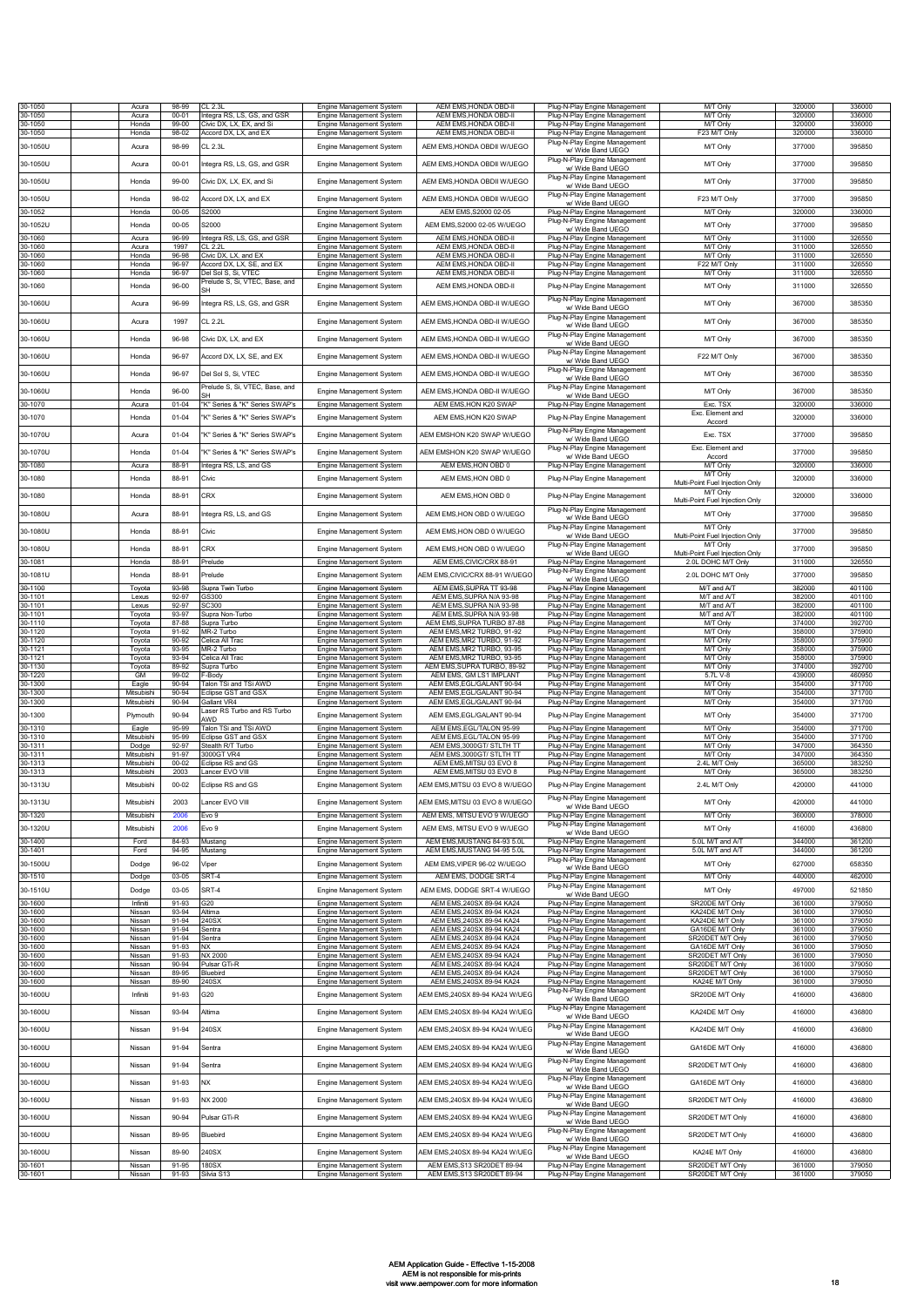| 30-1050<br>30-1050  | Acura<br>Acura           | 98-99<br>$00 - 01$ | CL 2.3L<br>Integra RS, LS, GS, and GSR           | Engine Management System<br><b>Engine Management System</b> | AEM EMS, HONDA OBD-II<br>AEM EMS.HONDA OBD-II                | Plug-N-Play Engine Management<br>Plug-N-Play Engine Management | <b>MT Only</b><br>M/T Only                            | 320000<br>320000 | 336000<br>336000 |
|---------------------|--------------------------|--------------------|--------------------------------------------------|-------------------------------------------------------------|--------------------------------------------------------------|----------------------------------------------------------------|-------------------------------------------------------|------------------|------------------|
| 30-1050             | Honda                    | 99-00              | Civic DX, LX, EX, and Si                         | Engine Management System                                    | AEM EMS, HONDA OBD-II                                        | Plug-N-Play Engine Management                                  | M/T Only                                              | 320000           | 336000           |
| 30-1050             | Honda                    | $98 - 02$          | Accord DX, LX, and EX                            | Engine Management System                                    | AEM EMS, HONDA OBD-II                                        | Plug-N-Play Engine Management<br>Plug-N-Play Engine Management | F23 M/T Only                                          | 320000           | 336000           |
| 30-1050U            | Acura                    | 98-99              | CL 2.3L                                          | Engine Management System                                    | AEM EMS, HONDA OBDII W/UEGO                                  | w/ Wide Band UEGO                                              | M/T Only                                              | 377000           | 395850           |
| 30-1050U            | Acura                    | $00 - 01$          | ntegra RS, LS, GS, and GSR                       | Engine Management System                                    | AEM EMS, HONDA OBDII W/UEGO                                  | Plug-N-Play Engine Management<br>w/ Wide Band UEGO             | M/T Only                                              | 377000           | 395850           |
| 30-1050U            | Honda                    | 99-00              | Civic DX, LX, EX, and Si                         | Engine Management System                                    | AEM EMS.HONDA OBDII W/UEGO                                   | Plug-N-Play Engine Management<br>w/ Wide Band UEGO             | M/T Only                                              | 377000           | 395850           |
| 30-1050U            | Honda                    | 98-02              | Accord DX, LX, and EX                            | Engine Management System                                    | AEM EMS, HONDA OBDII W/UEGO                                  | Plug-N-Play Engine Management<br>w/ Wide Band UEGO             | F23 M/T Only                                          | 377000           | 395850           |
| 30-1052             | Honda                    | $00 - 05$          | S2000                                            | Engine Management System                                    | AEM EMS, S2000 02-05                                         | Plug-N-Play Engine Management                                  | M/T Only                                              | 320000           | 336000           |
| 30-1052U            | Honda                    | $00 - 05$          | S2000                                            | Engine Management System                                    | AEM EMS, S2000 02-05 W/UEGO                                  | Plug-N-Play Engine Management<br>w/ Wide Band UEGO             | M/T Only                                              | 377000           | 395850           |
| 30-1060<br>30-1060  | Acura<br>Acura           | 96-99<br>1997      | Integra RS, LS, GS, and GSR<br>CL 2.2            | Engine Management System<br><b>Engine Management System</b> | AEM EMS, HONDA OBD-II<br>AEM EMS, HONDA OBD-II               | Plug-N-Play Engine Management<br>Plug-N-Play Engine Management | M/T Only<br>M/T Only                                  | 311000<br>311000 | 326550<br>326550 |
| 30-1060             | Honda                    | 96-98              | Civic DX, LX, and EX                             | <b>Engine Management System</b>                             | AEM EMS, HONDA OBD-II                                        | Plug-N-Play Engine Management                                  | M/T Only                                              | 311000           | 326550           |
| 30-1060<br>30-1060  | Honda<br>Honda           | 96-97<br>96-97     | Accord DX. LX. SE. and EX<br>Del Sol S, Si, VTEC | Engine Management System<br>Engine Management System        | AEM EMS.HONDA OBD-II<br>AEM EMS, HONDA OBD-II                | Plug-N-Play Engine Management<br>Plug-N-Play Engine Management | F22 M/T Onl<br>M/T Only                               | 311000<br>311000 | 326550<br>326550 |
| 30-1060             | Honda                    | $96 - 00$          | Prelude S, Si, VTEC, Base, and<br>SН             | Engine Management System                                    | AEM EMS.HONDA OBD-II                                         | Plug-N-Play Engine Management                                  | M/T Only                                              | 311000           | 326550           |
| 30-1060U            | Acura                    | 96-99              | ntegra RS, LS, GS, and GSR                       | Engine Management System                                    | AEM EMS.HONDA OBD-II W/UEGO                                  | Plug-N-Play Engine Management                                  | M/T Only                                              | 367000           | 385350           |
| 30-1060U            | Acura                    | 1997               | CL 2.2L                                          | Engine Management System                                    | AEM EMS, HONDA OBD-II W/UEGO                                 | w/ Wide Band UEGO<br>Plug-N-Play Engine Management             | M/T Only                                              | 367000           | 385350           |
|                     |                          |                    |                                                  |                                                             |                                                              | w/ Wide Band UEGO<br>Plug-N-Play Engine Management             |                                                       |                  |                  |
| 30-1060U            | Honda                    | 96-98              | Civic DX, LX, and EX                             | Engine Management System                                    | AEM EMS, HONDA OBD-II W/UEGO                                 | w/ Wide Band UEGO<br>Plug-N-Play Engine Management             | M/T Only                                              | 367000           | 385350           |
| 30-1060U            | Honda                    | 96-97              | Accord DX, LX, SE, and EX                        | Engine Management System                                    | AEM EMS.HONDA OBD-II W/UEGO                                  | w/ Wide Band UEGO                                              | F22 M/T Only                                          | 367000           | 385350           |
| 30-1060U            | Honda                    | 96-97              | Del Sol S. Si. VTEC                              | Engine Management System                                    | AEM EMS, HONDA OBD-II W/UEGO                                 | Plug-N-Play Engine Management<br>w/ Wide Band UEGO             | M/T Only                                              | 367000           | 385350           |
| 30-1060U            | Honda                    | 96-00              | Prelude S, Si, VTEC, Base, and                   | Engine Management System                                    | AEM EMS.HONDA OBD-II W/UEGO                                  | Plug-N-Play Engine Management<br>w/ Wide Band UEGO             | M/T Only                                              | 367000           | 385350           |
| 30-1070             | Acura                    | $01 - 04$          | K" Series & "K" Series SWAP's                    | Engine Management System                                    | AEM EMS, HON K20 SWAP                                        | Plug-N-Play Engine Management                                  | Exc. TSX                                              | 320000           | 336000           |
| 30-1070             | Honda                    | $01 - 04$          | 'K" Series & "K" Series SWAP's                   | Engine Management System                                    | AEM EMS, HON K20 SWAP                                        | Plug-N-Play Engine Management                                  | Exc. Element and<br>Accord                            | 320000           | 336000           |
| 30-1070U            | Acura                    | $01 - 04$          | K" Series & "K" Series SWAP's                    | Engine Management System                                    | AEM EMSHON K20 SWAP W/UEGO                                   | Plug-N-Play Engine Management<br>w/ Wide Band UEGO             | Exc. TSX                                              | 377000           | 395850           |
| 30-1070U            | Honda                    | $01 - 04$          | K" Series & "K" Series SWAP's                    | Engine Management System                                    | AEM EMSHON K20 SWAP W/UEGO                                   | Plug-N-Play Engine Management<br>w/ Wide Band UEGO             | Exc. Element and<br>Accord                            | 377000           | 395850           |
| 30-1080             | Acura                    | 88-91              | Integra RS, LS, and GS                           | Engine Management System                                    | AEM EMS.HON OBD 0                                            | Plug-N-Play Engine Management                                  | <b>M/T Only</b>                                       | 320000           | 336000           |
| 30-1080             | Honda                    | 88-91              | Civic                                            | <b>Engine Management System</b>                             | AEM EMS.HON OBD 0                                            | Plug-N-Play Engine Management                                  | M/T Only<br>Multi-Point Fuel Injection Only           | 320000           | 336000           |
| 30-1080             | Honda                    | 88-91              | CRX                                              | Engine Management System                                    | AEM EMS, HON OBD 0                                           | Plug-N-Play Engine Management                                  | M/T Only<br>Multi-Point Fuel Injection Only           | 320000           | 336000           |
| 30-1080U            | Acura                    | 88-91              | ntegra RS, LS, and GS                            | Engine Management System                                    | AEM EMS.HON OBD 0 W/UEGO                                     | Plug-N-Play Engine Management<br>w/ Wide Band UEGO             | M/T Only                                              | 377000           | 395850           |
| 30-1080U            | Honda                    | 88-91              | Civic                                            | Engine Management System                                    | AEM EMS, HON OBD 0 W/UEGO                                    | Plug-N-Play Engine Management                                  | M/T Only                                              | 377000           | 395850           |
| 30-1080U            |                          | 88-91              | CRX                                              |                                                             | AEM EMS, HON OBD 0 W/UEGO                                    | w/ Wide Band UEGO<br>Plug-N-Play Engine Management             | Multi-Point Fuel Injection Only<br>M/T Only           | 377000           | 395850           |
| 30-1081             | Honda<br>Honda           | 88-91              | Prelude                                          | <b>Engine Management System</b><br>Engine Management System | AEM EMS, CIVIC/CRX 88-91                                     | w/ Wide Band UEGO<br>Plug-N-Play Engine Management             | Multi-Point Fuel Injection Only<br>2.0L DOHC M/T Only | 311000           | 326550           |
| 30-1081U            | Honda                    | 88-91              | Prelude                                          | Engine Management System                                    | AEM EMS,CIVIC/CRX 88-91 W/UEGC                               | Plug-N-Play Engine Management                                  | 2.0L DOHC M/T Only                                    | 377000           | 395850           |
| 30-1100             | Toyota                   | 93-98              | Supra Twin Turbo                                 | Engine Management System                                    | AEM EMS, SUPRA TT 93-98                                      | w/ Wide Band UEGO<br>Plug-N-Play Engine Management             | M/T and A/T                                           | 382000           | 401100           |
| 30-1101<br>30-1101  | Lexus<br>Lexus           | 92-97<br>92-97     | <b>3S300</b><br>SC300                            | Engine Management System<br>Engine Management System        | AEM EMS, SUPRA N/A 93-98<br>AEM EMS, SUPRA N/A 93-98         | Plug-N-Play Engine Management<br>Plug-N-Play Engine Management | M/T and A/T<br>M/T and A/T                            | 382000<br>382000 | 401100<br>401100 |
| 30-1101<br>30-1110  | Toyota<br>Toyota         | 93-97<br>87-88     | Supra Non-Turbo<br>Supra Turbo                   | <b>Engine Management System</b><br>Engine Management System | AEM EMS, SUPRA N/A 93-98<br>AEM EMS, SUPRA TURBO 87-88       | Plug-N-Play Engine Management<br>Plug-N-Play Engine Management | M/T and A/T<br>M/T Only                               | 382000<br>374000 | 401100<br>392700 |
| 30-1120             | Toyota                   | 91-92              | MR-2 Turbo                                       | Engine Management System                                    | AEM EMS, MR2 TURBO, 91-92                                    | Plug-N-Play Engine Management                                  | M/T Only                                              | 358000           | 375900           |
| 30-1120<br>30-1121  | Toyota<br>Toyota         | 90-92<br>93-95     | Celica All Trac<br>MR-2 Turbo                    | Engine Management System<br>Engine Management System        | AEM EMS, MR2 TURBO, 91-92<br>AEM EMS, MR2 TURBO, 93-95       | Plug-N-Play Engine Management<br>Plug-N-Play Engine Management | M/T Only<br><b>MT</b> Only                            | 358000<br>358000 | 375900<br>375900 |
| 30-1121<br>30-1130  | Toyota<br>Toyota         | 93-94<br>89-92     | Celica All Trac<br>Supra Turbo                   | Engine Management System<br>Engine Management System        | AEM EMS, MR2 TURBO, 93-95<br>AEM EMS.SUPRA TURBO. 89-92      | Plug-N-Play Engine Management<br>Plug-N-Play Engine Management | M/T Only<br>M/T Only                                  | 358000<br>374000 | 375900<br>392700 |
| 30-1220<br>30-1300  | <b>GM</b>                | 99-02<br>90-94     | -Body                                            | Engine Management System                                    | AEM EMS, GM LS1 IMPLANT                                      | Plug-N-Play Engine Management                                  | 5.7L V-8<br>M/T Only                                  | 439000<br>354000 | 460950           |
| 30-1300             | Eagle<br>Mitsubishi      | 90-94              | Falon TSi and TSi AWD<br>Eclipse GST and GSX     | Engine Management System<br>Engine Management System        | AEM EMS, EGL/GALANT 90-94<br>AEM EMS, EGL/GALANT 90-94       | Plug-N-Play Engine Management<br>Plug-N-Play Engine Management | M/T Only                                              | 354000           | 371700<br>371700 |
| 30-1300             | Mitsubishi               | 90-94              | Gallant VR4<br>aser RS Turbo and RS Turbo        | Engine Management System                                    | AEM EMS, EGL/GALANT 90-94                                    | Plug-N-Play Engine Management                                  | M/T Only                                              | 354000           | 371700           |
| 30-1300<br>30-1310  | Plymouth<br>Eagle        | 90-94<br>95-99     | AWD<br>Talon TSi and TSi AWD                     | Engine Management System<br>Engine Management System        | AEM EMS, EGL/GALANT 90-94<br>AEM EMS, EGL/TALON 95-99        | Plug-N-Play Engine Management<br>Plug-N-Play Engine Management | M/T Only<br>M/T Only                                  | 354000<br>354000 | 371700<br>371700 |
| 30-1310             | Mitsubishi               | 95-99              | Eclipse GST and GSX                              | Engine Management System                                    | AEM EMS, EGL/TALON 95-99                                     | Plug-N-Play Engine Management                                  | M/T Only                                              | 354000           | 371700           |
| 30-1311<br>30-1311  | Dodge<br>Mitsubishi      | 92-97<br>91-97     | Stealth R/T Turbo<br>3000GT VR4                  | Engine Management System<br>Engine Management System        | AEM EMS,3000GT/ STLTH TT<br>AEM EMS, 3000GT/ STLTH TT        | Plug-N-Play Engine Management<br>Plug-N-Play Engine Management | M/T Only<br>M/T Only                                  | 347000<br>347000 | 364350<br>364350 |
| 30-1313<br>30-1313  | Mitsubishi<br>Mitsubishi | $00 - 02$<br>2003  | Eclipse RS and GS<br>ancer EVO VIII              | <b>Engine Management System</b><br>Engine Management System | AEM EMS, MITSU 03 EVO 8<br>AEM EMS.MITSU 03 EVO 8            | Plug-N-Play Engine Management<br>Plug-N-Play Engine Management | 2.4L M/T Only<br>M/T Only                             | 365000<br>365000 | 383250<br>383250 |
| 30-1313U            | Mitsubishi               | $00 - 02$          | Eclipse RS and GS                                | Engine Management System                                    | AEM EMS,MITSU 03 EVO 8 W/UEGO                                | Plug-N-Play Engine Management                                  | 2.4L M/T Only                                         | 420000           | 441000           |
| 30-1313U            | Mitsubishi               | 2003               | Lancer EVO VIII                                  | Engine Management System                                    | AEM EMS, MITSU 03 EVO 8 W/UEGO                               | Plug-N-Play Engine Management                                  | M/T Only                                              | 420000           | 441000           |
| 30-1320             | Mitsubishi               | 2006               | Evo 9                                            | Engine Management System                                    | AEM EMS, MITSU EVO 9 W/UEGO                                  | w/ Wide Band UEGO<br>Plug-N-Play Engine Management             | M/T Only                                              | 360000           | 378000           |
| 30-1320U            | Mitsubishi               | 2006               | Evo 9                                            | Engine Management System                                    | AEM EMS, MITSU EVO 9 W/UEGO                                  | Plug-N-Play Engine Management<br>w/ Wide Band UEGO             | M/T Only                                              | 416000           | 436800           |
| 30-1400             | Ford                     | 84-93              | Mustang                                          | Engine Management System                                    | AEM EMS, MUSTANG 84-93 5.0L                                  | Plug-N-Play Engine Management                                  | 5.0L M/T and A/T                                      | 344000           | 361200           |
| 30-1401<br>30-1500U | Ford<br>Dodge            | 94-95<br>96-02     | Mustano<br>/iper                                 | Engine Management System<br>Engine Management System        | AEM EMS, MUSTANG 94-95 5.0L<br>AEM EMS, VIPER 96-02 W/UEGO   | Plug-N-Play Engine Management<br>Plug-N-Play Engine Management | 5.0L M/T and A/T<br>M/T Only                          | 344000<br>627000 | 361200<br>658350 |
| 30-1510             | Dodge                    | 03-05              | SRT-4                                            | Engine Management System                                    | AEM EMS, DODGE SRT-4                                         | w/ Wide Band UEGO<br>Plug-N-Play Engine Management             | <b>M/T Only</b>                                       | 440000           | 462000           |
| 30-1510U            | Dodge                    | 03-05              | SRT-4                                            | Engine Management System                                    | AEM EMS, DODGE SRT-4 W/UEGO                                  | Plug-N-Play Engine Management<br>w/ Wide Band UEGO             | M/T Only                                              | 497000           | 521850           |
| 30-1600             | Infiniti                 | 91-93              | 320                                              | Engine Management System                                    | AEM EMS, 240SX 89-94 KA24                                    | Plug-N-Play Engine Management                                  | SR20DE M/T Only                                       | 361000           | 379050           |
| 30-1600<br>30-1600  | Nissan<br>Nissan         | 93-94<br>91-94     | Altima<br>240SX                                  | Engine Management System<br>Engine Management System        | AEM EMS.240SX 89-94 KA24<br>AEM EMS.240SX 89-94 KA24         | Plug-N-Play Engine Management<br>Plug-N-Play Engine Management | KA24DE M/T Only<br>KA24DE M/T Only                    | 361000<br>361000 | 379050<br>379050 |
| 30-1600<br>30-1600  | Nissan<br>Nissan         | 91-94<br>91-94     | Sentra<br>Sentra                                 | Engine Management System<br>Engine Management System        | AEM EMS, 240SX 89-94 KA24<br>AEM EMS, 240SX 89-94 KA24       | Plug-N-Play Engine Management<br>Plug-N-Play Engine Management | GA16DE M/T Only<br>SR20DET M/T Only                   | 361000<br>361000 | 379050<br>379050 |
| 30-1600<br>30-1600  | Nissan<br>Nissan         | 91-93<br>91-93     | NX.<br>NX 2000                                   | Engine Management System<br>Engine Management System        | AEM EMS, 240SX 89-94 KA24<br>AEM EMS, 240SX 89-94 KA24       | Plug-N-Play Engine Management                                  | GA16DE M/T Only<br>SR20DET M/T Only                   | 361000<br>361000 | 379050<br>379050 |
| 30-1600             | Nissan                   | 90-94              | Pulsar GTi-R                                     | Engine Management System                                    | AEM EMS, 240SX 89-94 KA24                                    | Plug-N-Play Engine Management<br>Plug-N-Play Engine Management | SR20DET M/T Only                                      | 361000           | 379050           |
| 30-1600<br>30-1600  | Nissan<br>Nissan         | 89-95<br>89-90     | Bluebird<br>240SX                                | Engine Management System<br>Engine Management System        | AEM EMS, 240SX 89-94 KA24<br>AEM EMS, 240SX 89-94 KA24       | Plug-N-Play Engine Management<br>Plug-N-Play Engine Management | SR20DET M/T Only<br>KA24E M/T Only                    | 361000<br>361000 | 379050<br>379050 |
| 30-1600U            | Infiniti                 | 91-93              | 320                                              | Engine Management System                                    | AEM EMS.240SX 89-94 KA24 W/UEG                               | Plug-N-Play Engine Management<br>w/ Wide Band UEGO             | SR20DE M/T Only                                       | 416000           | 436800           |
| 30-1600U            | Nissan                   | 93-94              | Altima                                           | Engine Management System                                    | AEM EMS,240SX 89-94 KA24 W/UEG                               | Plug-N-Play Engine Management                                  | KA24DE M/T Only                                       | 416000           | 436800           |
| 30-1600U            | Nissan                   | 91-94              | 240SX                                            | Engine Management System                                    | AEM EMS,240SX 89-94 KA24 W/UEG                               | w/ Wide Band UEGO<br>Plug-N-Play Engine Management             | KA24DE M/T Only                                       | 416000           | 436800           |
|                     |                          |                    |                                                  |                                                             |                                                              | w/ Wide Band UEGO<br>Plug-N-Play Engine Management             |                                                       |                  |                  |
| 30-1600U            | Nissan                   | 91-94              | Sentra                                           | Engine Management System                                    | AEM EMS,240SX 89-94 KA24 W/UEG                               | w/ Wide Band UEGO                                              | GA16DE M/T Only                                       | 416000           | 436800           |
| 30-1600U            | Nissan                   | 91-94              | Sentra                                           | Engine Management System                                    | AEM EMS,240SX 89-94 KA24 W/UEG                               | Plug-N-Play Engine Management<br>w/ Wide Band UEGO             | SR20DET M/T Only                                      | 416000           | 436800           |
| 30-1600U            | Nissan                   | 91-93              | ٧X                                               | Engine Management System                                    | AEM EMS,240SX 89-94 KA24 W/UEG                               | Plug-N-Play Engine Management<br>w/ Wide Band UEGO             | GA16DE M/T Only                                       | 416000           | 436800           |
| 30-1600U            | Nissan                   | 91-93              | VX 2000                                          | Engine Management System                                    | AEM EMS,240SX 89-94 KA24 W/UEG                               | Plug-N-Play Engine Management<br>w/ Wide Band UEGO             | SR20DET M/T Only                                      | 416000           | 436800           |
| 30-1600U            | Nissan                   | 90-94              | Pulsar GTi-R                                     | Engine Management System                                    | AEM EMS,240SX 89-94 KA24 W/UEG                               | Plug-N-Play Engine Management                                  | SR20DET M/T Only                                      | 416000           | 436800           |
| 30-1600U            | Nissan                   | 89-95              | Bluebird                                         | Engine Management System                                    | AEM EMS,240SX 89-94 KA24 W/UEG                               | w/ Wide Band UEGO<br>Plug-N-Play Engine Management             | SR20DET M/T Only                                      | 416000           | 436800           |
|                     |                          |                    |                                                  |                                                             |                                                              | w/ Wide Band UEGO<br>Plug-N-Play Engine Management             |                                                       |                  |                  |
| 30-1600U<br>30-1601 | Nissan<br>Nissan         | 89-90<br>91-95     | 240SX<br>180SX                                   | Engine Management System                                    | AEM EMS,240SX 89-94 KA24 W/UEG<br>AEM EMS, S13 SR20DET 89-94 | w/ Wide Band UEGO<br>Plug-N-Play Engine Management             | KA24E M/T Only<br>SR20DET M/T Only                    | 416000<br>361000 | 436800<br>379050 |
| 30-1601             | Nissan                   | 91-93              | Silvia S13                                       | Engine Management System<br>Engine Management System        | AEM EMS, S13 SR20DET 89-94                                   | Plug-N-Play Engine Management                                  | SR20DET M/T Only                                      | 361000           | 379050           |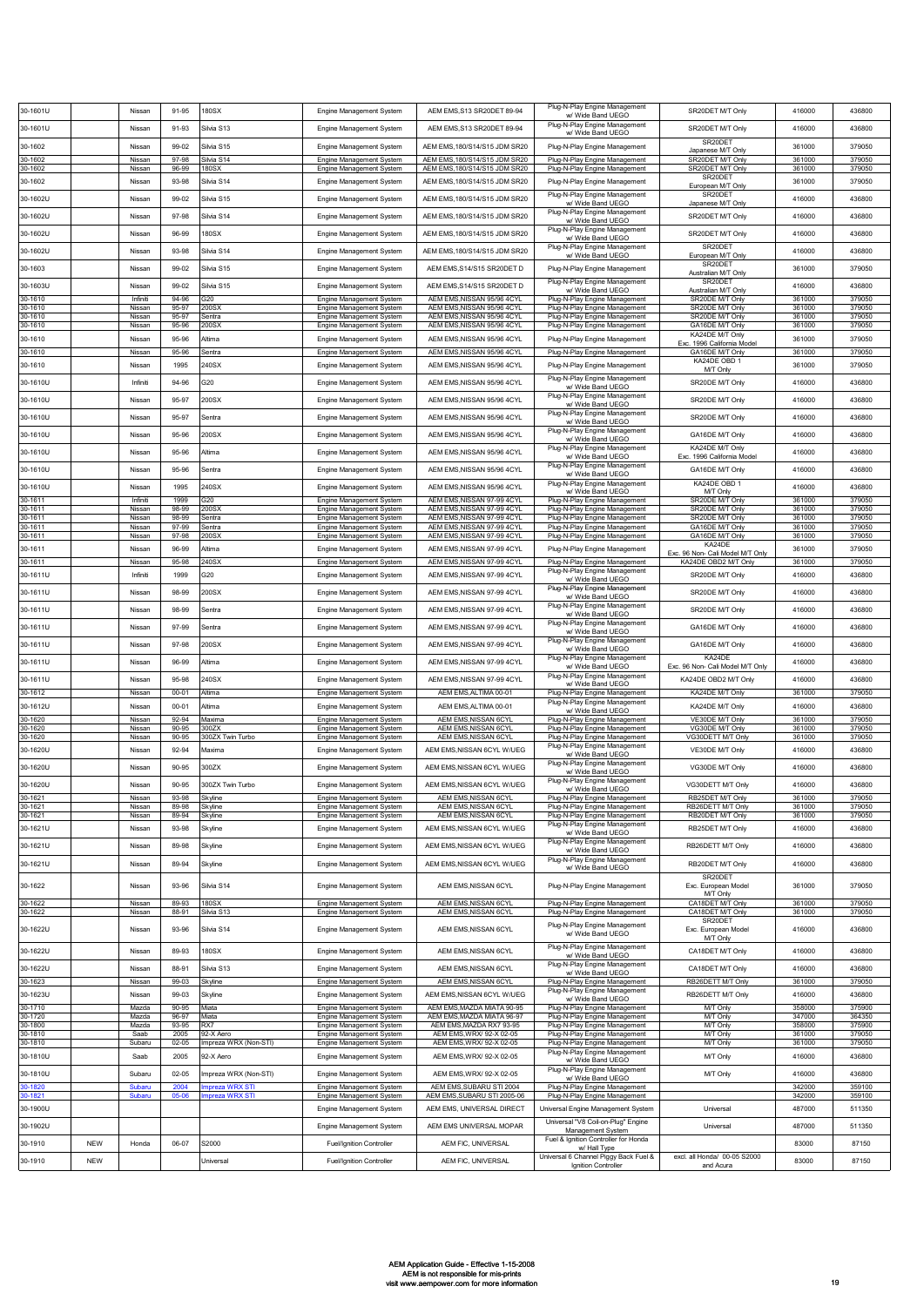| 30-1601U            |            | Nissan             | 91-95              | 180SX                              | Engine Management System                                    | AEM EMS.S13 SR20DET 89-94                                | Plug-N-Play Engine Management<br>w/ Wide Band UEGO                           | SR20DET M/T Only                                         | 416000           | 436800           |
|---------------------|------------|--------------------|--------------------|------------------------------------|-------------------------------------------------------------|----------------------------------------------------------|------------------------------------------------------------------------------|----------------------------------------------------------|------------------|------------------|
| 30-1601U            |            | Nissan             | 91-93              | Silvia S13                         | Engine Management System                                    | AEM EMS, S13 SR20DET 89-94                               | Plug-N-Play Engine Management                                                | SR20DET M/T Only                                         | 416000           | 436800           |
| 30-1602             |            | Nissan             | 99-02              | Silvia S15                         | Engine Management System                                    | AEM EMS,180/S14/S15 JDM SR20                             | w/ Wide Band UEGO<br>Plug-N-Play Engine Management                           | SR20DET                                                  | 361000           | 379050           |
| 30-1602             |            | Nissan             | 97-98              | Silvia S14                         | Engine Management System                                    | AEM EMS, 180/S14/S15 JDM SR20                            | Plug-N-Play Engine Management                                                | Japanese M/T Only<br>SR20DET M/T Only                    | 361000           | 379050           |
| 30-1602             |            | Nissan             | 96-99              | 180SX                              | Engine Management System                                    | AEM EMS, 180/S14/S15 JDM SR20                            | Plug-N-Play Engine Management                                                | SR20DET M/T Only<br>SR20DET                              | 361000           | 379050           |
| 30-1602             |            | Nissar             | 93-98              | Silvia S14                         | Engine Management System                                    | AEM EMS, 180/S14/S15 JDM SR20                            | Plug-N-Play Engine Management<br>Plug-N-Play Engine Management               | European M/T Only<br>SR20DET                             | 361000           | 379050           |
| 30-1602U            |            | Nissan             | 99-02              | Silvia S15                         | Engine Management System                                    | AEM EMS, 180/S14/S15 JDM SR20                            | w/ Wide Band UEGO<br>Plug-N-Play Engine Management                           | Japanese M/T Only                                        | 416000           | 436800           |
| 30-1602U            |            | Nissan             | 97-98              | Silvia S14                         | Engine Management System                                    | AEM EMS.180/S14/S15 JDM SR20                             | w/ Wide Band UEGO                                                            | SR20DET M/T Only                                         | 416000           | 436800           |
| 30-1602U            |            | Nissan             | 96-99              | 180SX                              | Engine Management System                                    | AEM EMS, 180/S14/S15 JDM SR20                            | Plug-N-Play Engine Management<br>w/ Wide Band UEGO                           | SR20DET M/T Only                                         | 416000           | 436800           |
| 30-1602U            |            | Nissan             | 93-98              | Silvia S14                         | Engine Management System                                    | AEM EMS, 180/S14/S15 JDM SR20                            | Plug-N-Play Engine Management<br>w/ Wide Band UEGO                           | SR20DET<br>European M/T Only                             | 416000           | 436800           |
| 30-1603             |            | Nissan             | 99-02              | Silvia S15                         | Engine Management System                                    | AEM EMS, S14/S15 SR20DET D                               | Plug-N-Play Engine Management                                                | SR20DET<br>Australian M/T Only                           | 361000           | 379050           |
| 30-1603U            |            | Nissan             | 99-02              | Silvia S15                         | Engine Management System                                    | AEM EMS, S14/S15 SR20DET D                               | Plug-N-Play Engine Management<br>w/ Wide Band UEGO                           | SR20DET<br>Australian M/T Only                           | 416000           | 436800           |
| 30-1610<br>30-1610  |            | Infiniti<br>Nissan | 94-96<br>95-97     | 320<br>200SX                       | Engine Management System<br>Engine Management System        | AEM EMS, NISSAN 95/96 4CYL<br>AEM EMS, NISSAN 95/96 4CYL | Plug-N-Play Engine Management<br>Plug-N-Play Engine Management               | SR20DE M/T Only<br>SR20DE M/T Only                       | 361000<br>361000 | 379050<br>379050 |
| 30-1610<br>30-1610  |            | Nissan             | 95-97<br>95-96     | Sentra<br>200SX                    | Engine Management System                                    | AEM EMS, NISSAN 95/96 4CYL<br>AEM EMS, NISSAN 95/96 4CYL | Plug-N-Play Engine Management<br>Plug-N-Play Engine Management               | SR20DE M/T Only<br>GA16DE M/T Only                       | 361000<br>361000 | 379050<br>379050 |
| 30-1610             |            | Nissan<br>Nissan   | 95-96              | Altima                             | Engine Management System<br>Engine Management System        | AEM EMS, NISSAN 95/96 4CYL                               | Plug-N-Play Engine Management                                                | KA24DE M/T Only                                          | 361000           | 379050           |
| 30-1610             |            | Nissan             | 95-96              | Sentra                             | Engine Management System                                    | AEM EMS, NISSAN 95/96 4CYL                               | Plug-N-Play Engine Management                                                | Exc. 1996 California Model<br>GA16DE M/T Only            | 361000           | 379050           |
| 30-1610             |            | Nissan             | 1995               | 240SX                              | Engine Management System                                    | AEM EMS, NISSAN 95/96 4CYL                               | Plug-N-Play Engine Management                                                | KA24DE OBD 1<br>M/T Only                                 | 361000           | 379050           |
| 30-1610U            |            | Infiniti           | 94-96              | 320                                | Engine Management System                                    | AEM EMS, NISSAN 95/96 4CYL                               | Plug-N-Play Engine Management<br>w/ Wide Band UEGO                           | SR20DE M/T Only                                          | 416000           | 436800           |
| 30-1610U            |            | Nissan             | 95-97              | 200SX                              | Engine Management System                                    | AEM EMS.NISSAN 95/96 4CYL                                | Plug-N-Play Engine Management<br>w/ Wide Band UEGO                           | SR20DE M/T Only                                          | 416000           | 436800           |
| 30-1610U            |            | Nissan             | 95-97              | Sentra                             | Engine Management System                                    | AEM EMS, NISSAN 95/96 4CYL                               | Plug-N-Play Engine Management<br>w/ Wide Band UEGO                           | SR20DE M/T Only                                          | 416000           | 436800           |
| 30-1610U            |            | Nissar             | 95-96              | 200SX                              | Engine Management System                                    | AEM EMS, NISSAN 95/96 4CYL                               | Plug-N-Play Engine Management                                                | GA16DE M/T Only                                          | 416000           | 436800           |
| 30-1610U            |            | Nissan             | 95-96              | Altima                             | Engine Management System                                    | AEM EMS, NISSAN 95/96 4CYL                               | w/ Wide Band UEGO<br>Plug-N-Play Engine Management                           | KA24DE M/T Only                                          | 416000           | 436800           |
|                     |            |                    |                    |                                    |                                                             |                                                          | w/ Wide Band UEGO<br>Plug-N-Play Engine Management                           | Exc. 1996 California Model                               |                  |                  |
| 30-1610U            |            | Nissan             | 95-96              | Sentra                             | Engine Management System                                    | AEM EMS, NISSAN 95/96 4CYL                               | w/ Wide Band UEGO<br>Plug-N-Play Engine Management                           | GA16DE M/T Only<br>KA24DE OBD 1                          | 416000           | 436800           |
| 30-1610U<br>30-1611 |            | Nissan<br>Infiniti | 1995<br>1999       | 240SX<br>320                       | Engine Management System<br>Engine Management System        | AEM EMS, NISSAN 95/96 4CYL<br>AEM EMS, NISSAN 97-99 4CYL | w/ Wide Band UEGO<br>Plug-N-Play Engine Management                           | M/T Only<br>SR20DE M/T Only                              | 416000<br>361000 | 436800<br>379050 |
| 30-1611<br>30-1611  |            | Nissan<br>Nissan   | 98-99<br>98-99     | 200SX<br>Sentra                    | Engine Management System<br><b>Engine Management System</b> | AEM EMS, NISSAN 97-99 4CYL<br>AEM EMS, NISSAN 97-99 4CYL | Plug-N-Play Engine Management<br>Plug-N-Play Engine Management               | SR20DE M/T Only<br>SR20DE M/T Only                       | 361000<br>361000 | 379050<br>379050 |
| 30-1611             |            | Nissan             | 97-99              | Sentra                             | Engine Management System                                    | AEM EMS, NISSAN 97-99 4CYL                               | Plug-N-Play Engine Management                                                | GA16DE M/T Only                                          | 361000           | 379050           |
| 30-1611<br>30-1611  |            | Nissan<br>Nissan   | 97-98<br>96-99     | 200SX<br>Altima                    | Engine Management System<br>Engine Management System        | AEM EMS, NISSAN 97-99 4CYL<br>AEM EMS, NISSAN 97-99 4CYL | Plug-N-Play Engine Management<br>Plug-N-Play Engine Management               | GA16DE M/T Only<br>KA24DE                                | 361000<br>361000 | 379050<br>379050 |
| 30-1611             |            | Nissan             | 95-98              | 240SX                              | Engine Management System                                    | AEM EMS, NISSAN 97-99 4CYL                               | Plug-N-Play Engine Management                                                | Exc. 96 Non- Cali Model M/T Only<br>KA24DE OBD2 M/T Only | 361000           | 379050           |
| 30-1611U            |            | Infiniti           | 1999               | 320                                | Engine Management System                                    | AEM EMS, NISSAN 97-99 4CYL                               | Plug-N-Play Engine Management<br>w/ Wide Band UEGO                           | SR20DE M/T Only                                          | 416000           | 436800           |
| 30-1611U            |            | Nissan             | 98-99              | 200SX                              | Engine Management System                                    | AEM EMS, NISSAN 97-99 4CYL                               | Plug-N-Play Engine Management<br>w/ Wide Band UEGO                           | SR20DE M/T Only                                          | 416000           | 436800           |
| 30-1611U            |            | Nissan             | 98-99              | Sentra                             | Engine Management System                                    | AEM EMS, NISSAN 97-99 4CYL                               | Plug-N-Play Engine Management<br>w/ Wide Band UEGC                           | SR20DE M/T Only                                          | 416000           | 436800           |
| 30-1611U            |            | Nissan             | 97-99              | Sentra                             | Engine Management System                                    | AEM EMS.NISSAN 97-99 4CYL                                | Plug-N-Play Engine Management                                                | GA16DE M/T Only                                          | 416000           | 436800           |
| 30-1611U            |            | Nissan             | 97-98              | 200SX                              | Engine Management System                                    | AEM EMS, NISSAN 97-99 4CYL                               | w/ Wide Band UEGO<br>Plug-N-Play Engine Management                           | GA16DE M/T Only                                          | 416000           | 436800           |
| 30-1611U            |            | Nissan             | 96-99              | Altima                             | Engine Management System                                    |                                                          | w/ Wide Band UEGO<br>Plug-N-Play Engine Management                           | KA24DE                                                   |                  | 436800           |
|                     |            |                    |                    |                                    |                                                             |                                                          |                                                                              |                                                          |                  |                  |
|                     |            |                    |                    |                                    |                                                             | AEM EMS, NISSAN 97-99 4CYL                               | w/ Wide Band UEGO<br>Plug-N-Play Engine Management                           | Exc. 96 Non- Cali Model M/T Only                         | 416000           |                  |
| 30-1611U            |            | Nissan             | 95-98              | 240SX<br>Altima                    | Engine Management System                                    | AEM EMS, NISSAN 97-99 4CYL                               | w/ Wide Band UEGO                                                            | KA24DE OBD2 M/T Only                                     | 416000           | 436800           |
| 30-1612<br>30-1612U |            | Nissan<br>Nissan   | $00 - 01$<br>00-01 | Altima                             | Engine Management System<br>Engine Management System        | AEM EMS, ALTIMA 00-01<br>AEM EMS, ALTIMA 00-01           | Plug-N-Play Engine Management<br>Plug-N-Play Engine Management               | KA24DE M/T Only<br>KA24DE M/T Only                       | 361000<br>416000 | 379050<br>436800 |
| 30-1620             |            | Nissan             | 92-94              | Maxima                             | <b>Engine Management System</b>                             | AEM EMS, NISSAN 6CYL                                     | w/ Wide Band UEGO<br>Plug-N-Play Engine Management                           | VE30DE M/T Only                                          | 361000           | 379050           |
| 30-1620<br>30-1620  |            | Nissan<br>Nissan   | 90-95<br>90-95     | 300ZX<br>300ZX Twin Turbo          | Engine Management System<br>Engine Management System        | AEM EMS, NISSAN 6CYL<br>AEM EMS, NISSAN 6CYL             | Plug-N-Play Engine Management<br>Plug-N-Play Engine Management               | VG30DE M/T Only<br>VG30DETT M/T Only                     | 361000<br>361000 | 379050<br>379050 |
| 30-1620U            |            | Nissan             | 92-94              | Vlaxima                            | Engine Management System                                    | AEM EMS, NISSAN 6CYL W/UEG                               | Plug-N-Play Engine Management<br>w/ Wide Band UEGO                           | VE30DE M/T Only                                          | 416000           | 436800           |
| 30-1620U            |            | Nissar             | 90-95              | 300ZX                              | Engine Management System                                    | AEM EMS.NISSAN 6CYL W/UEG                                | Plug-N-Play Engine Management<br>w/ Wide Band UEGO                           | VG30DE M/T Only                                          | 416000           | 436800           |
| 30-1620U            |            | Nissar             | 90-95              | 300ZX Twin Turbo                   | Engine Management System                                    | AEM EMS, NISSAN 6CYL W/UEG                               | Plug-N-Play Engine Management<br>w/ Wide Band UEGO                           | VG30DETT M/T Only                                        | 416000           | 436800           |
| 30-1621             |            | Nissan<br>Nissan   | 93-98<br>89-98     | Skyline                            | Engine Management System                                    | AEM EMS, NISSAN 6CYL<br>AEM EMS, NISSAN 6CYL             | Plug-N-Play Engine Management                                                | RB25DET M/T Only                                         | 361000<br>361000 | 379050<br>379050 |
| 30-1621<br>30-1621  |            | Nissan             | 89-94              | Skyline<br>Skyline                 | Engine Management System<br>Engine Management System        | AEM EMS.NISSAN 6CYL                                      | Plug-N-Play Engine Management<br>Plug-N-Play Engine Management               | RB26DETT M/T Only<br>RB20DET M/T Only                    | 361000           | 379050           |
| 30-1621U            |            | Nissan             | 93-98              | Skyline                            | Engine Management System                                    | AEM EMS, NISSAN 6CYL W/UEG                               | Plug-N-Play Engine Management<br>w/ Wide Band UEGO                           | RB25DET M/T Only                                         | 416000           | 436800           |
| 30-1621U            |            | Nissan             | 89-98              | Skyline                            | Engine Management System                                    | AEM EMS, NISSAN 6CYL W/UEG                               | Plug-N-Play Engine Management<br>w/ Wide Band UEGO                           | RB26DETT M/T Only                                        | 416000           | 436800           |
| 30-1621U            |            | Nissan             | 89-94              | Skyline                            | Engine Management System                                    | AEM EMS, NISSAN 6CYL W/UEG                               | Plug-N-Play Engine Management<br>w/ Wide Band UEGO                           | RB20DET M/T Only                                         | 416000           | 436800           |
| 30-1622             |            | Nissan             | 93-96              | Silvia S14                         | Engine Management System                                    | AEM EMS, NISSAN 6CYL                                     | Plug-N-Play Engine Management                                                | SR20DET<br>Exc. European Model                           | 361000           | 379050           |
| 30-1622             |            | Nissan             | 89-93              | 180SX                              | Engine Management System                                    | AEM EMS, NISSAN 6CYL                                     | Plug-N-Play Engine Management                                                | M/T Only<br>CA18DET M/T Only                             | 361000           | 379050           |
| 30-1622             |            | Nissan             | 88-91              | Silvia S13                         | Engine Management System                                    | AEM EMS.NISSAN 6CYL                                      | Plug-N-Play Engine Management                                                | CA18DET M/T Only<br>SR20DET                              | 361000           | 379050           |
| 30-1622U            |            | Nissan             | 93-96              | Silvia S14                         | Engine Management System                                    | AEM EMS, NISSAN 6CYL                                     | Plug-N-Play Engine Management<br>w/ Wide Band UEGO                           | Exc. European Model                                      | 416000           | 436800           |
| 30-1622U            |            | Nissan             | 89-93              | 180SX                              |                                                             | AEM EMS, NISSAN 6CYL                                     | Plug-N-Play Engine Management                                                | M/T Only<br>CA18DET M/T Only                             | 416000           | 436800           |
| 30-1622U            |            | Nissan             | 88-91              | Silvia S13                         | Engine Management System<br>Engine Management System        | AEM EMS, NISSAN 6CYL                                     | w/ Wide Band UEGO<br>Plug-N-Play Engine Management                           | CA18DET M/T Only                                         | 416000           | 436800           |
| 30-1623             |            | Nissan             | 99-03              | Skyline                            | Engine Management System                                    | AEM EMS, NISSAN 6CYL                                     | w/ Wide Band UEGO<br>Plug-N-Play Engine Management                           | RB26DETT M/T Only                                        | 361000           | 379050           |
| 30-1623U            |            | Nissan             | 99-03              | Skyline                            | Engine Management System                                    | AEM EMS.NISSAN 6CYL W/UEG                                | Plug-N-Play Engine Management<br>w/ Wide Band UEGO                           | RB26DETT M/T Only                                        | 416000           | 436800           |
| 30-1710<br>30-1720  |            | Mazda<br>Mazda     | 90-95<br>96-97     | Miata<br>Miata                     | Engine Management System<br>Engine Management System        | AEM EMS, MAZDA MIATA 90-95<br>AEM EMS, MAZDA MIATA 96-97 | Plug-N-Play Engine Management<br>Plug-N-Play Engine Management               | M/T Only<br>M/T Only                                     | 358000<br>347000 | 375900<br>364350 |
| 30-1800             |            | Mazda<br>Saab      | 93-95              | RX7                                | Engine Management System                                    | AEM EMS, MAZDA RX7 93-95                                 | Plug-N-Play Engine Management                                                | <b>MT</b> Only                                           | 358000           | 375900           |
| 30-1810<br>30-1810  |            | Subaru             | 2005<br>$02 - 05$  | 92-X Aero<br>Impreza WRX (Non-STI) | Engine Management System<br>Engine Management System        | AEM EMS, WRX/ 92-X 02-05<br>AEM EMS, WRX/ 92-X 02-05     | Plug-N-Play Engine Management<br>Plug-N-Play Engine Management               | <b>M/T Only</b><br>M/T Only                              | 361000<br>361000 | 379050<br>379050 |
| 30-1810U            |            | Saab               | 2005               | 92-X Aero                          | Engine Management System                                    | AEM EMS, WRX/ 92-X 02-05                                 | Plug-N-Play Engine Management<br>w/ Wide Band UEGO                           | M/T Only                                                 | 416000           | 436800           |
| 30-1810U            |            | Subaru             | $02 - 05$          | mpreza WRX (Non-STI)               | Engine Management System                                    | AEM EMS, WRX/ 92-X 02-05                                 | Plug-N-Play Engine Management<br>w/ Wide Band UEGO                           | M/T Only                                                 | 416000           | 436800           |
| 30-1820<br>30-1821  |            | Subaru<br>Subaru   | 2004<br>05-06      | mpreza WRX STI<br>mpreza WRX STI   | Engine Management System<br>Engine Management System        | AEM EMS, SUBARU STI 2004<br>AEM EMS, SUBARU STI 2005-06  | Plug-N-Play Engine Management<br>Plug-N-Play Engine Management               |                                                          | 342000<br>342000 | 359100<br>359100 |
| 30-1900U            |            |                    |                    |                                    | Engine Management System                                    | AEM EMS, UNIVERSAL DIRECT                                | Universal Engine Management System                                           | Universal                                                | 487000           | 511350           |
| 30-1902U            |            |                    |                    |                                    | Engine Management System                                    | AEM EMS UNIVERSAL MOPAR                                  | Universal "V8 Coil-on-Plug" Engine                                           | Universal                                                | 487000           | 511350           |
| 30-1910             | <b>NEW</b> | Honda              | 06-07              | S2000                              | Fuel/Ignition Controller                                    | AEM FIC, UNIVERSAL                                       | Management System<br>Fuel & Ignition Controller for Honda                    |                                                          | 83000            | 87150            |
| 30-1910             | <b>NEW</b> |                    |                    | Universal                          | Fuel/Ignition Controller                                    | AEM FIC, UNIVERSAL                                       | w/ Hall Type<br>Universal 6 Channel Piggy Back Fuel &<br>Ignition Controller | excl. all Honda/ 00-05 S2000<br>and Acura                | 83000            | 87150            |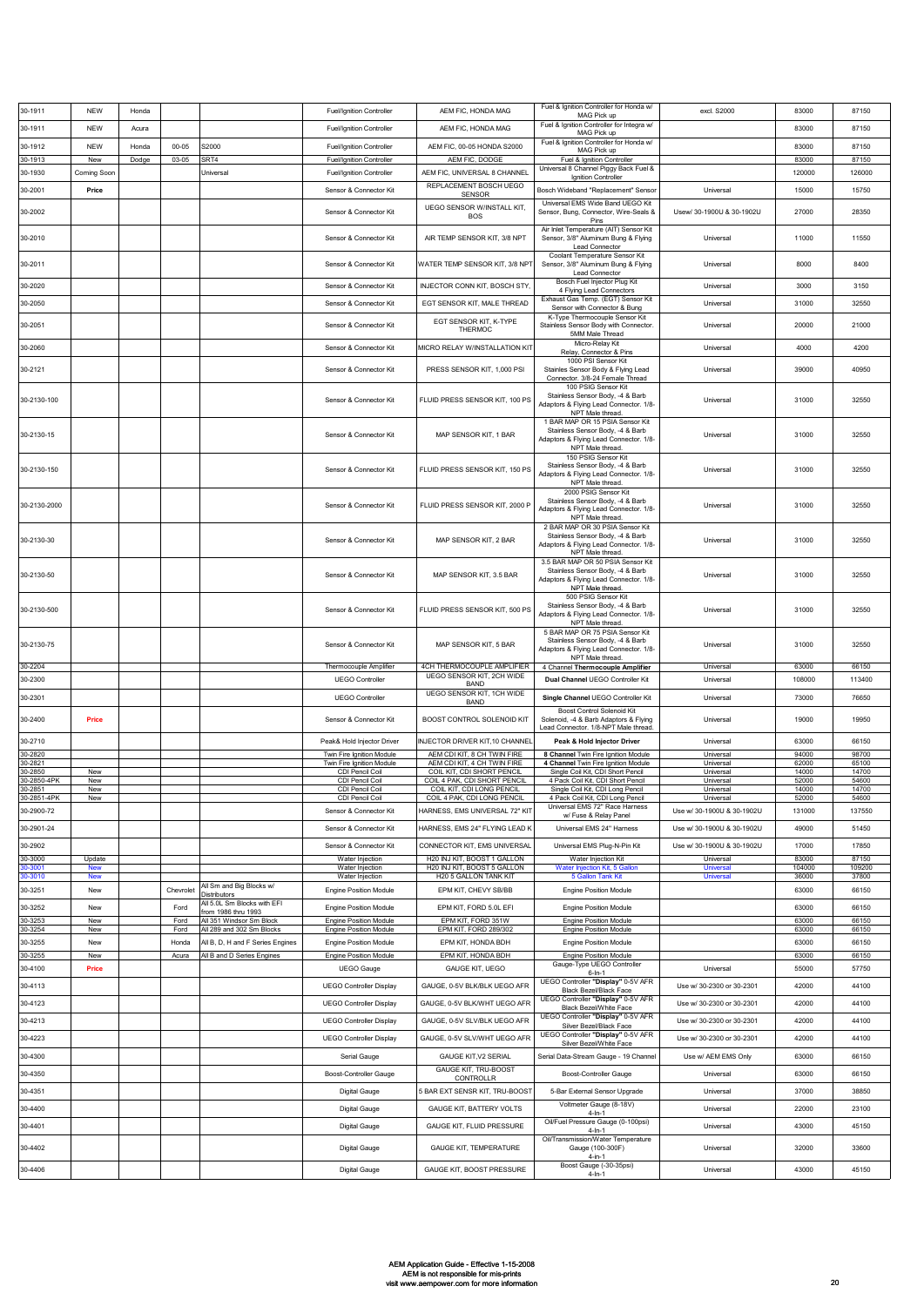| 30-1911                   | <b>NEW</b>        | Honda |              |                                                       | <b>Fuel/Ignition Controller</b>                                  | AEM FIC, HONDA MAG                                            | Fuel & Ignition Controller for Honda w/<br>MAG Pick up                                                                              | excl. S2000                                            | 83000           | 87150           |
|---------------------------|-------------------|-------|--------------|-------------------------------------------------------|------------------------------------------------------------------|---------------------------------------------------------------|-------------------------------------------------------------------------------------------------------------------------------------|--------------------------------------------------------|-----------------|-----------------|
| 30-1911                   | <b>NEW</b>        | Acura |              |                                                       | <b>Fuel/Ignition Controller</b>                                  | AEM FIC, HONDA MAG                                            | Fuel & Ignition Controller for Integra w/<br>MAG Pick up                                                                            |                                                        | 83000           | 87150           |
| 30-1912                   | <b>NEW</b>        | Honda | $00 - 05$    | S2000                                                 | Fuel/Ignition Controller                                         | AEM FIC, 00-05 HONDA S2000                                    | Fuel & Ignition Controller for Honda w/<br>MAG Pick up                                                                              |                                                        | 83000           | 87150           |
| 30-1913                   | New               | Dodge | $03 - 05$    | SRT4                                                  | Fuel/Ignition Controller                                         | AEM FIC, DODGE                                                | Fuel & Ignition Controller<br>Universal 8 Channel Piggy Back Fuel &                                                                 |                                                        | 83000           | 87150           |
| 30-1930                   | Coming Soor       |       |              | Universal                                             | <b>Fuel/Ignition Controller</b>                                  | AEM FIC, UNIVERSAL 8 CHANNEL<br>REPLACEMENT BOSCH UEGO        | Ignition Controller                                                                                                                 |                                                        | 120000          | 126000          |
| 30-2001                   | Price             |       |              |                                                       | Sensor & Connector Kit                                           | <b>SENSOR</b>                                                 | Bosch Wideband "Replacement" Sensor<br>Universal EMS Wide Band UEGO Kit                                                             | Universal                                              | 15000           | 15750           |
| 30-2002                   |                   |       |              |                                                       | Sensor & Connector Kit                                           | UEGO SENSOR W/INSTALL KIT,<br><b>BOS</b>                      | Sensor, Bung, Connector, Wire-Seals &<br>Pins                                                                                       | Usew/ 30-1900U & 30-1902U                              | 27000           | 28350           |
| 30-2010                   |                   |       |              |                                                       | Sensor & Connector Kit                                           | AIR TEMP SENSOR KIT, 3/8 NPT                                  | Air Inlet Temperature (AIT) Sensor Kit<br>Sensor, 3/8" Aluminum Bung & Flying<br>Lead Connector                                     | Universal                                              | 11000           | 11550           |
| 30-2011                   |                   |       |              |                                                       | Sensor & Connector Kit                                           | WATER TEMP SENSOR KIT, 3/8 NPT                                | Coolant Temperature Sensor Kit<br>Sensor, 3/8" Aluminum Bung & Flying<br>Lead Connector                                             | Universal                                              | 8000            | 8400            |
| 30-2020                   |                   |       |              |                                                       | Sensor & Connector Kit                                           | INJECTOR CONN KIT, BOSCH STY                                  | Bosch Fuel Injector Plug Kit<br>4 Flying Lead Connectors                                                                            | Universal                                              | 3000            | 3150            |
| 30-2050                   |                   |       |              |                                                       | Sensor & Connector Kit                                           | EGT SENSOR KIT, MALE THREAD                                   | Exhaust Gas Temp. (EGT) Sensor Kit<br>Sensor with Connector & Bung                                                                  | Universal                                              | 31000           | 32550           |
| 30-2051                   |                   |       |              |                                                       | Sensor & Connector Kit                                           | EGT SENSOR KIT, K-TYPE<br><b>THERMOC</b>                      | K-Type Thermocouple Sensor Kit<br>Stainless Sensor Body with Connector.<br>5MM Male Thread                                          | Universal                                              | 20000           | 21000           |
| 30-2060                   |                   |       |              |                                                       | Sensor & Connector Kit                                           | MICRO RELAY W/INSTALLATION KIT                                | Micro-Relay Kit<br>Relay, Connector & Pins                                                                                          | Universal                                              | 4000            | 4200            |
| 30-2121                   |                   |       |              |                                                       | Sensor & Connector Kit                                           | PRESS SENSOR KIT, 1,000 PSI                                   | 1000 PSI Sensor Kit<br>Stainles Sensor Body & Flying Lead<br>Connector. 3/8-24 Female Thread                                        | Universal                                              | 39000           | 40950           |
| 30-2130-100               |                   |       |              |                                                       | Sensor & Connector Kit                                           | FLUID PRESS SENSOR KIT, 100 PS                                | 100 PSIG Sensor Kit<br>Stainless Sensor Body, -4 & Barb<br>Adaptors & Flying Lead Connector. 1/8-<br>NPT Male thread.               | Universal                                              | 31000           | 32550           |
| 30-2130-15                |                   |       |              |                                                       | Sensor & Connector Kit                                           | MAP SENSOR KIT, 1 BAR                                         | 1 BAR MAP OR 15 PSIA Sensor Kit<br>Stainless Sensor Body, -4 & Barb<br>Adaptors & Flying Lead Connector. 1/8-<br>NPT Male thread.   | Universal                                              | 31000           | 32550           |
| 30-2130-150               |                   |       |              |                                                       | Sensor & Connector Kit                                           | FLUID PRESS SENSOR KIT, 150 PS                                | 150 PSIG Sensor Kit<br>Stainless Sensor Body, -4 & Barb<br>Adaptors & Flying Lead Connector. 1/8-<br>NPT Male thread.               | Universal                                              | 31000           | 32550           |
| 30-2130-2000              |                   |       |              |                                                       | Sensor & Connector Kit                                           | FLUID PRESS SENSOR KIT, 2000 P                                | 2000 PSIG Sensor Kit<br>Stainless Sensor Body, -4 & Barb<br>Adaptors & Flying Lead Connector. 1/8-<br>NPT Male thread.              | Universal                                              | 31000           | 32550           |
| 30-2130-30                |                   |       |              |                                                       | Sensor & Connector Kit                                           | MAP SENSOR KIT, 2 BAR                                         | 2 BAR MAP OR 30 PSIA Sensor Kit<br>Stainless Sensor Body, -4 & Barb<br>Adaptors & Flying Lead Connector. 1/8-<br>NPT Male thread.   | Universal                                              | 31000           | 32550           |
| 30-2130-50                |                   |       |              |                                                       | Sensor & Connector Kit                                           | MAP SENSOR KIT, 3.5 BAR                                       | 3.5 BAR MAP OR 50 PSIA Sensor Kit<br>Stainless Sensor Body, -4 & Barb<br>Adaptors & Flying Lead Connector. 1/8-<br>NPT Male thread. | Universal                                              | 31000           | 32550           |
| 30-2130-500               |                   |       |              |                                                       | Sensor & Connector Kit                                           | FLUID PRESS SENSOR KIT, 500 PS                                | 500 PSIG Sensor Kit<br>Stainless Sensor Body, -4 & Barb<br>Adaptors & Flying Lead Connector. 1/8-<br>NPT Male thread.               | Universal                                              | 31000           | 32550           |
| 30-2130-75                |                   |       |              |                                                       | Sensor & Connector Kit                                           | MAP SENSOR KIT, 5 BAR                                         | 5 BAR MAP OR 75 PSIA Sensor Kit<br>Stainless Sensor Body, -4 & Barb<br>Adaptors & Flying Lead Connector. 1/8-<br>NPT Male thread.   | Universal                                              | 31000           | 32550           |
| 30-2204                   |                   |       |              |                                                       | Thermocouple Amplifier                                           | 4CH THERMOCOUPLE AMPLIFIER<br>UEGO SENSOR KIT, 2CH WIDE       | 4 Channel Thermocouple Amplifier                                                                                                    | Universal                                              | 63000           | 66150           |
| 30-2300                   |                   |       |              |                                                       | <b>UEGO Controller</b>                                           | <b>BAND</b><br>UEGO SENSOR KIT, 1CH WIDE                      | Dual Channel UEGO Controller Kit                                                                                                    | Universal                                              | 108000          | 113400          |
| 30-2301<br>30-2400        | Price             |       |              |                                                       | <b>UEGO Controller</b><br>Sensor & Connector Kit                 | <b>BAND</b><br>BOOST CONTROL SOLENOID KIT                     | Single Channel UEGO Controller Kit<br>Boost Control Solenoid Kit<br>Solenoid, -4 & Barb Adaptors & Flying                           | Universal<br>Universal                                 | 73000<br>19000  | 76650<br>19950  |
| 30-2710                   |                   |       |              |                                                       | Peak& Hold Injector Driver                                       | INJECTOR DRIVER KIT, 10 CHANNEL                               | Lead Connector. 1/8-NPT Male thread.<br>Peak & Hold Injector Driver                                                                 | Universal                                              | 63000           | 66150           |
| 30-2820<br>30-2821        |                   |       |              |                                                       | Twin Fire Ignition Module<br>Twin Fire Ignition Module           | AEM CDI KIT, 8 CH TWIN FIRE<br>AEM CDI KIT, 4 CH TWIN FIRE    | 8 Channel Twin Fire Ignition Module<br>4 Channel Twin Fire Ignition Module                                                          | Universal<br>Universal                                 | 94000<br>62000  | 98700<br>65100  |
| 0-2850                    | New               |       |              |                                                       | CDI Pencil Coil                                                  | COIL KIT, CDI SHORT PENCIL                                    | Single Coil Kit, CDI Short Pencil                                                                                                   | Universal                                              | 14000           | 14700           |
| 0-2850-4PK<br>30-2851     | New<br>New        |       |              |                                                       | CDI Pencil Coil<br>CDI Pencil Coil                               | COIL 4 PAK, CDI SHORT PENCIL<br>COIL KIT, CDI LONG PENCIL     | 4 Pack Coil Kit, CDI Short Pencil<br>Single Coil Kit, CDI Long Pencil                                                               | Universal<br>Universal                                 | 52000<br>14000  | 54600<br>14700  |
| 30-2851-4PK<br>30-2900-72 | New               |       |              |                                                       | CDI Pencil Coil<br>Sensor & Connector Kit                        | COIL 4 PAK, CDI LONG PENCIL<br>HARNESS, EMS UNIVERSAL 72" KIT | 4 Pack Coil Kit, CDI Long Pencil<br>Universal EMS 72" Race Harness                                                                  | Universal<br>Use w/ 30-1900U & 30-1902U                | 52000<br>131000 | 54600<br>137550 |
| 30-2901-24                |                   |       |              |                                                       | Sensor & Connector Kit                                           | HARNESS, EMS 24" FLYING LEAD K                                | w/ Fuse & Relay Panel<br>Universal EMS 24" Harness                                                                                  | Use w/ 30-1900U & 30-1902U                             | 49000           | 51450           |
|                           |                   |       |              |                                                       |                                                                  | CONNECTOR KIT, EMS UNIVERSAL                                  |                                                                                                                                     |                                                        | 17000           | 17850           |
| 30-2902<br>30-3000        | Update            |       |              |                                                       | Sensor & Connector Kit<br>Water Injection                        | H20 INJ KIT, BOOST 1 GALLON                                   | Universal EMS Plug-N-Pin Kit<br>Water Injection Kit                                                                                 | Use w/ 30-1900U & 30-1902U<br>Universal                | 83000           | 87150           |
| 10-3001<br>10-3010        | <b>New</b><br>New |       |              |                                                       | Water Injection<br>Water Injection                               | H20 INJ KIT, BOOST 5 GALLON<br>H20 5 GALLON TANK KIT          | Water Injection Kit, 5 Gallon<br>5 Gallon Tank Kit                                                                                  | <b>Universal</b><br>Universal                          | 104000<br>36000 | 109200<br>37800 |
| 30-3251                   | New               |       | Chevrolet    | All Sm and Big Blocks w/<br>Distributors              | Engine Position Module                                           | EPM KIT, CHEVY SB/BB                                          | <b>Engine Position Module</b>                                                                                                       |                                                        | 63000           | 66150           |
| 30-3252                   | New               |       | Ford         | All 5.0L Sm Blocks with EFI<br>from 1986 thru 1993    | Engine Position Module                                           | EPM KIT, FORD 5.0L EFI                                        | <b>Engine Position Module</b>                                                                                                       |                                                        | 63000           | 66150           |
| 30-3253<br>30-3254        | New<br>New        |       | Ford<br>Ford | All 351 Windsor Sm Block<br>All 289 and 302 Sm Blocks | <b>Engine Position Module</b><br><b>Engine Position Module</b>   | EPM KIT, FORD 351W<br>EPM KIT, FORD 289/302                   | <b>Engine Position Module</b><br><b>Engine Position Module</b>                                                                      |                                                        | 63000<br>63000  | 66150<br>66150  |
| 30-3255                   | New               |       | Honda        | All B, D, H and F Series Engines                      | Engine Position Module                                           | EPM KIT, HONDA BDH                                            | <b>Engine Position Module</b>                                                                                                       |                                                        | 63000           | 66150           |
| 30-3255                   | New               |       | Acura        | All B and D Series Engines                            | <b>Engine Position Module</b>                                    | EPM KIT, HONDA BDH                                            | <b>Engine Position Module</b><br>Gauge-Type UEGO Controller                                                                         |                                                        | 63000           | 66150           |
| 30-4100                   | Price             |       |              |                                                       | <b>UEGO Gauge</b>                                                | <b>GAUGE KIT, UEGO</b>                                        | $6 - In - 1$<br>UEGO Controller "Display" 0-5V AFR                                                                                  | Universal                                              | 55000           | 57750           |
| 30-4113                   |                   |       |              |                                                       | <b>UEGO Controller Display</b>                                   | GAUGE, 0-5V BLK/BLK UEGO AFR                                  | Black Bezel/Black Face<br>UEGO Controller "Display" 0-5V AFR                                                                        | Use w/ 30-2300 or 30-2301                              | 42000           | 44100           |
| 30-4123                   |                   |       |              |                                                       | <b>UEGO Controller Display</b>                                   | GAUGE, 0-5V BLK/WHT UEGO AFR                                  | Black Bezel/White Face<br>UEGO Controller "Display" 0-5V AFR                                                                        | Use w/ 30-2300 or 30-2301                              | 42000           | 44100           |
| 30-4213<br>30-4223        |                   |       |              |                                                       | <b>UEGO Controller Display</b><br><b>UEGO Controller Display</b> | GAUGE, 0-5V SLV/BLK UEGO AFR<br>GAUGE, 0-5V SLV/WHT UEGO AFR  | Silver Bezel/Black Face<br>UEGO Controller "Display" 0-5V AFR                                                                       | Use w/ 30-2300 or 30-2301<br>Use w/ 30-2300 or 30-2301 | 42000<br>42000  | 44100<br>44100  |
|                           |                   |       |              |                                                       |                                                                  | <b>GAUGE KIT, V2 SERIAL</b>                                   | Silver Bezel/White Face                                                                                                             | Use w/ AEM EMS Only                                    | 63000           | 66150           |
| 30-4300                   |                   |       |              |                                                       | Serial Gauge                                                     | GAUGE KIT, TRU-BOOST                                          | Serial Data-Stream Gauge - 19 Channel                                                                                               |                                                        |                 |                 |
| 30-4350                   |                   |       |              |                                                       | Boost-Controller Gauge                                           | CONTROLLR                                                     | Boost-Controller Gauge                                                                                                              | Universal                                              | 63000           | 66150           |
| 30-4351                   |                   |       |              |                                                       | Digital Gauge                                                    | 5 BAR EXT SENSR KIT, TRU-BOOST                                | 5-Bar External Sensor Upgrade<br>Voltmeter Gauge (8-18V)                                                                            | Universal                                              | 37000           | 38850           |
| 30-4400                   |                   |       |              |                                                       | Digital Gauge                                                    | GAUGE KIT, BATTERY VOLTS                                      | $4 - ln - 1$<br>Oil/Fuel Pressure Gauge (0-100psi)                                                                                  | Universal                                              | 22000           | 23100           |
| 30-4401                   |                   |       |              |                                                       | Digital Gauge                                                    | GAUGE KIT, FLUID PRESSURE                                     | $4 - In - 1$<br>Oil/Transmission/Water Temperature                                                                                  | Universal                                              | 43000           | 45150           |
| 30-4402                   |                   |       |              |                                                       | Digital Gauge                                                    | <b>GAUGE KIT, TEMPERATURE</b>                                 | Gauge (100-300F)<br>$4 - in - 1$<br>Boost Gauge (-30-35psi)                                                                         | Universal                                              | 32000           | 33600           |
| 30-4406                   |                   |       |              |                                                       | Digital Gauge                                                    | GAUGE KIT, BOOST PRESSURE                                     | $4 - ln - 1$                                                                                                                        | Universal                                              | 43000           | 45150           |